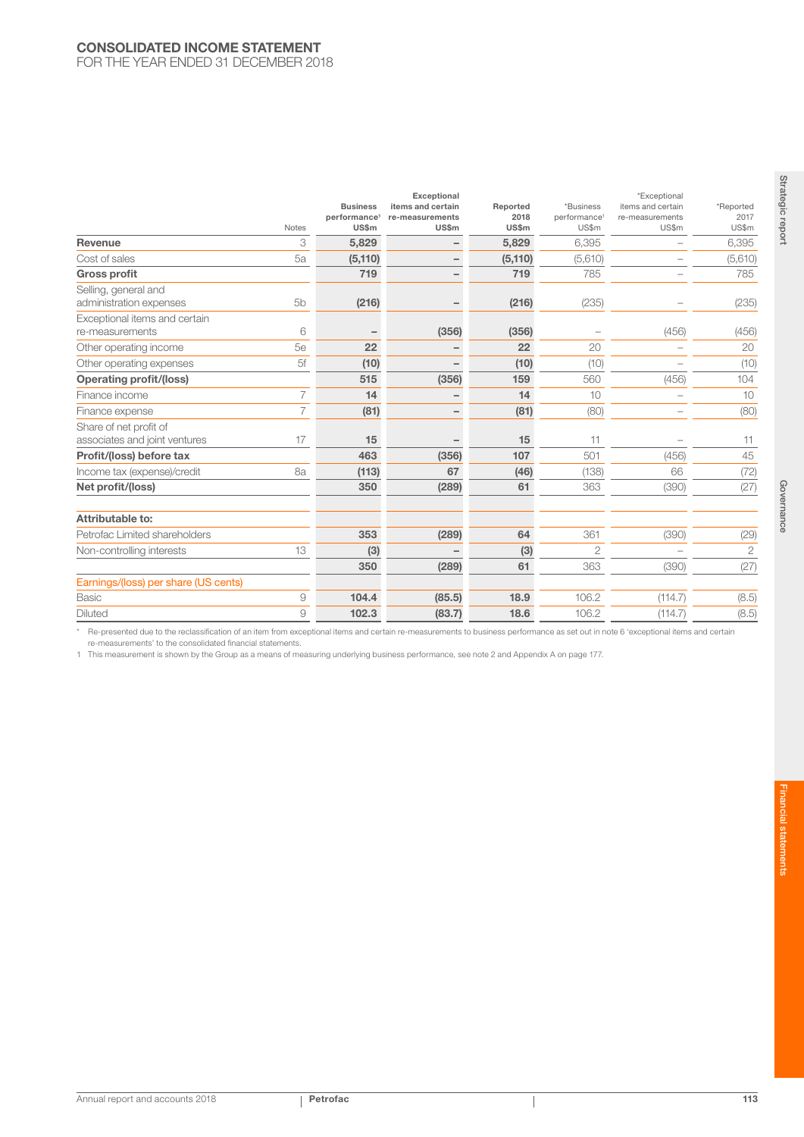## CONSOLIDATED INCOME STATEMENT

FOR THE YEAR ENDED 31 DECEMBER 2018

|                                                         | <b>Notes</b>   | <b>Business</b><br>performance <sup>1</sup><br>US\$m | Exceptional<br>items and certain<br>re-measurements<br>US\$m | Reported<br>2018<br><b>US\$m</b> | *Business<br>performance <sup>1</sup><br>US\$m | *Exceptional<br>items and certain<br>re-measurements<br>US\$m | *Reported<br>2017<br>US\$m |
|---------------------------------------------------------|----------------|------------------------------------------------------|--------------------------------------------------------------|----------------------------------|------------------------------------------------|---------------------------------------------------------------|----------------------------|
| Revenue                                                 | 3              | 5,829                                                |                                                              | 5,829                            | 6.395                                          |                                                               | 6,395                      |
| Cost of sales                                           | 5a             | (5, 110)                                             | $\qquad \qquad -$                                            | (5, 110)                         | (5,610)                                        |                                                               | (5,610)                    |
| <b>Gross profit</b>                                     |                | 719                                                  |                                                              | 719                              | 785                                            |                                                               | 785                        |
| Selling, general and<br>administration expenses         | 5 <sub>b</sub> | (216)                                                |                                                              | (216)                            | (235)                                          |                                                               | (235)                      |
| Exceptional items and certain<br>re-measurements        | 6              | $\overline{\phantom{0}}$                             | (356)                                                        | (356)                            |                                                | (456)                                                         | (456)                      |
| Other operating income                                  | 5e             | 22                                                   |                                                              | 22                               | 20                                             |                                                               | 20                         |
| Other operating expenses                                | 5f             | (10)                                                 |                                                              | (10)                             | (10)                                           |                                                               | (10)                       |
| <b>Operating profit/(loss)</b>                          |                | 515                                                  | (356)                                                        | 159                              | 560                                            | (456)                                                         | 104                        |
| Finance income                                          | $\overline{7}$ | 14                                                   |                                                              | 14                               | 10                                             | $\sim$                                                        | 10                         |
| Finance expense                                         | $\overline{7}$ | (81)                                                 | $\qquad \qquad -$                                            | (81)                             | (80)                                           | -                                                             | (80)                       |
| Share of net profit of<br>associates and joint ventures | 17             | 15                                                   |                                                              | 15                               | 11                                             |                                                               | 11                         |
| Profit/(loss) before tax                                |                | 463                                                  | (356)                                                        | 107                              | 501                                            | (456)                                                         | 45                         |
| Income tax (expense)/credit                             | 8a             | (113)                                                | 67                                                           | (46)                             | (138)                                          | 66                                                            | (72)                       |
| Net profit/(loss)                                       |                | 350                                                  | (289)                                                        | 61                               | 363                                            | (390)                                                         | (27)                       |
| Attributable to:                                        |                |                                                      |                                                              |                                  |                                                |                                                               |                            |
| Petrofac Limited shareholders                           |                | 353                                                  | (289)                                                        | 64                               | 361                                            | (390)                                                         | (29)                       |
| Non-controlling interests                               | 13             | (3)                                                  |                                                              | (3)                              | $\overline{2}$                                 |                                                               | $\overline{2}$             |
|                                                         |                | 350                                                  | (289)                                                        | 61                               | 363                                            | (390)                                                         | (27)                       |
| Earnings/(loss) per share (US cents)                    |                |                                                      |                                                              |                                  |                                                |                                                               |                            |
| <b>Basic</b>                                            | 9              | 104.4                                                | (85.5)                                                       | 18.9                             | 106.2                                          | (114.7)                                                       | (8.5)                      |
| <b>Diluted</b>                                          | 9              | 102.3                                                | (83.7)                                                       | 18.6                             | 106.2                                          | (114.7)                                                       | (8.5)                      |

\* Re-presented due to the reclassification of an item from exceptional items and certain re-measurements to business performance as set out in note 6 'exceptional items and certain re-measurements' to the consolidated financial statements.

1 This measurement is shown by the Group as a means of measuring underlying business performance, see note 2 and Appendix A on page 177.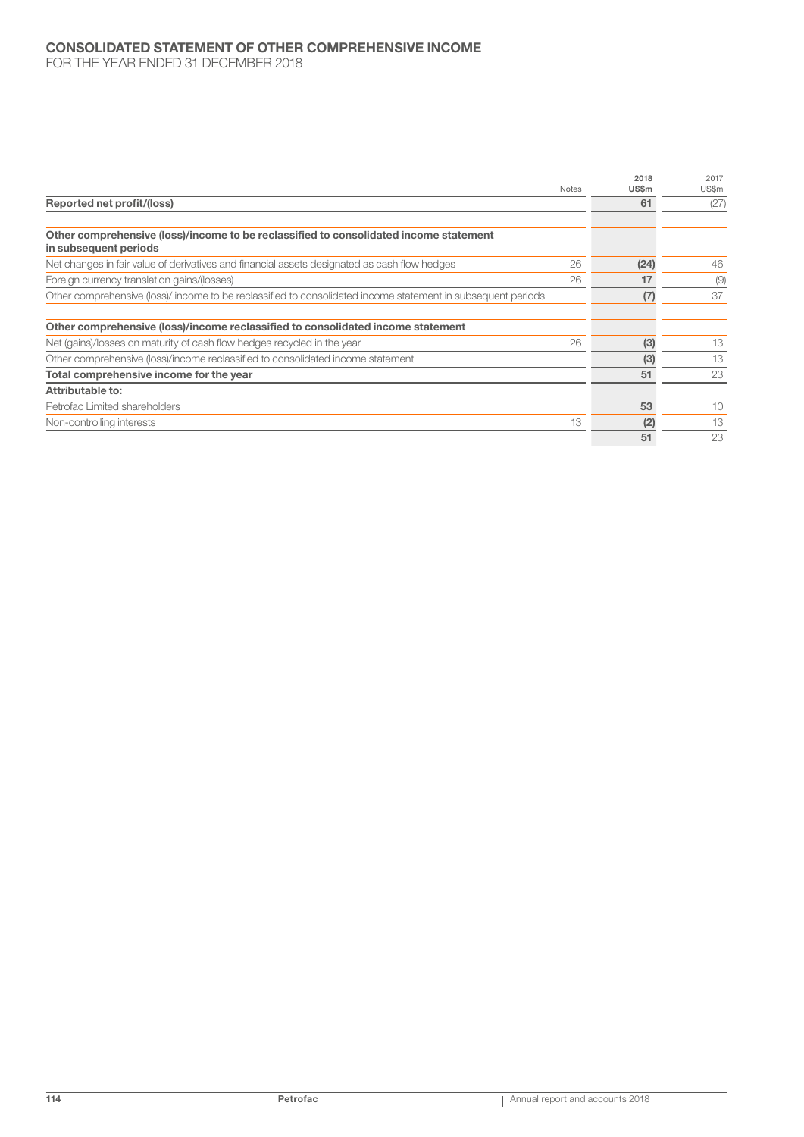## CONSOLIDATED STATEMENT OF OTHER COMPREHENSIVE INCOME FOR THE YEAR ENDED 31 DECEMBER 2018

|                                                                                                                |              | 2018         | 2017  |
|----------------------------------------------------------------------------------------------------------------|--------------|--------------|-------|
|                                                                                                                | <b>Notes</b> | <b>US\$m</b> | US\$m |
| Reported net profit/(loss)                                                                                     |              | 61           | (27)  |
|                                                                                                                |              |              |       |
| Other comprehensive (loss)/income to be reclassified to consolidated income statement<br>in subsequent periods |              |              |       |
| Net changes in fair value of derivatives and financial assets designated as cash flow hedges                   | 26           | (24)         | 46    |
| Foreign currency translation gains/(losses)                                                                    | 26           | 17           | (9)   |
| Other comprehensive (loss)/ income to be reclassified to consolidated income statement in subsequent periods   |              | (7)          | 37    |
|                                                                                                                |              |              |       |
| Other comprehensive (loss)/income reclassified to consolidated income statement                                |              |              |       |
| Net (gains)/losses on maturity of cash flow hedges recycled in the year                                        | 26           | (3)          | 13    |
| Other comprehensive (loss)/income reclassified to consolidated income statement                                |              | (3)          | 13    |
| Total comprehensive income for the year                                                                        |              | 51           | 23    |
| Attributable to:                                                                                               |              |              |       |
| Petrofac Limited shareholders                                                                                  |              | 53           | 10    |
| Non-controlling interests                                                                                      | 13           | (2)          | 13    |
|                                                                                                                |              | 51           | 23    |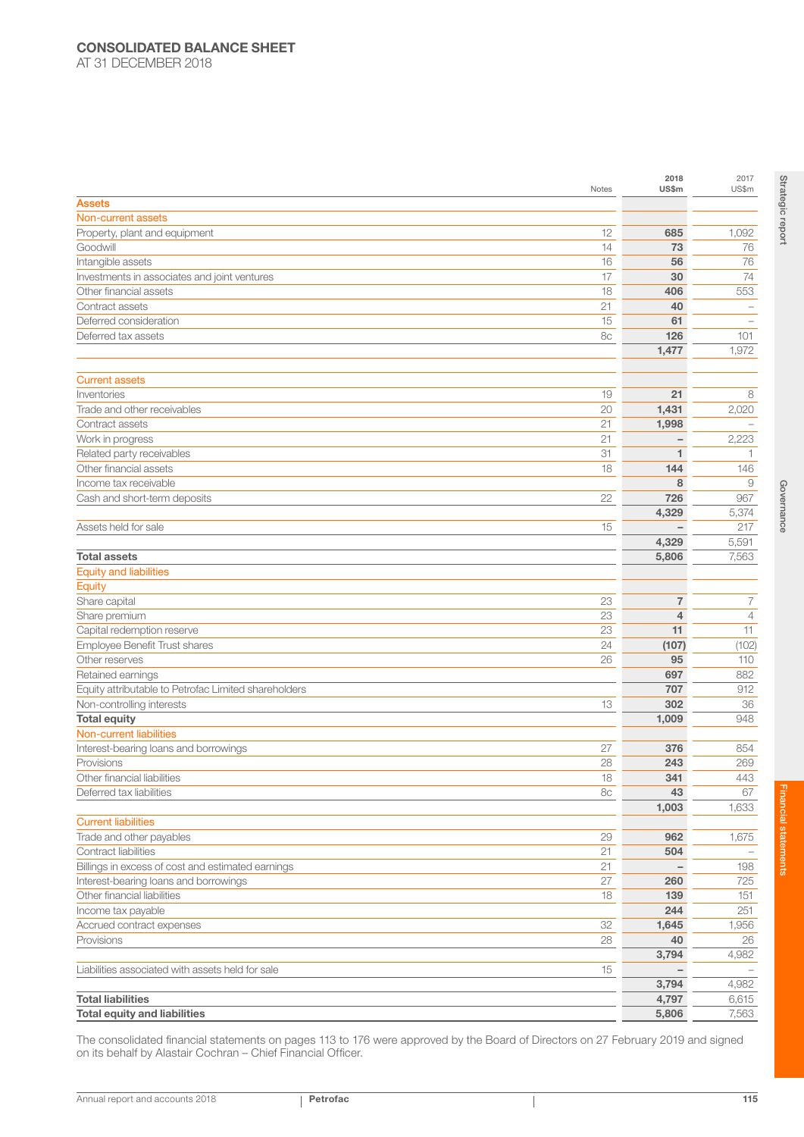|                                                             | Notes    | 2018<br>US\$m                    | 2017<br>US\$m       |
|-------------------------------------------------------------|----------|----------------------------------|---------------------|
| <b>Assets</b>                                               |          |                                  |                     |
| Non-current assets                                          |          |                                  |                     |
| Property, plant and equipment                               | 12       | 685                              | 1,092               |
| Goodwill                                                    | 14       | 73                               | 76                  |
| Intangible assets                                           | 16       | 56                               | 76                  |
| Investments in associates and joint ventures                | 17       | 30                               | 74                  |
| Other financial assets                                      | 18       | 406                              | 553                 |
| Contract assets                                             | 21       | 40                               |                     |
| Deferred consideration                                      | 15       | 61                               |                     |
| Deferred tax assets                                         | 8c       | 126                              | 101                 |
|                                                             |          | 1,477                            | 1,972               |
|                                                             |          |                                  |                     |
| <b>Current assets</b>                                       |          |                                  |                     |
| Inventories                                                 | 19       | 21                               | 8                   |
| Trade and other receivables                                 | 20       | 1,431                            | 2,020               |
| Contract assets                                             | 21       | 1,998                            |                     |
| Work in progress                                            | 21       |                                  | 2,223               |
| Related party receivables                                   | 31       | 1                                | 1                   |
| Other financial assets                                      | 18       | 144                              | 146                 |
| Income tax receivable                                       |          | 8                                | $\overline{9}$      |
| Cash and short-term deposits                                | 22       | 726                              | 967                 |
|                                                             |          | 4,329                            | 5,374               |
| Assets held for sale                                        | 15       |                                  | 217                 |
|                                                             |          | 4,329                            | 5,591               |
| <b>Total assets</b>                                         |          | 5,806                            | 7,563               |
| <b>Equity and liabilities</b>                               |          |                                  |                     |
| Equity                                                      |          |                                  |                     |
| Share capital                                               | 23<br>23 | $\overline{7}$<br>$\overline{4}$ | 7<br>$\overline{4}$ |
| Share premium                                               | 23       | 11                               | 11                  |
| Capital redemption reserve<br>Employee Benefit Trust shares | 24       |                                  | (102)               |
| Other reserves                                              | 26       | (107)<br>95                      | 110                 |
| Retained earnings                                           |          | 697                              | 882                 |
| Equity attributable to Petrofac Limited shareholders        |          | 707                              | 912                 |
| Non-controlling interests                                   | 13       | 302                              | 36                  |
| <b>Total equity</b>                                         |          | 1,009                            | 948                 |
| Non-current liabilities                                     |          |                                  |                     |
| Interest-bearing loans and borrowings                       | 27       | 376                              | 854                 |
| Provisions                                                  | 28       | 243                              | 269                 |
| Other financial liabilities                                 | 18       | 341                              | 443                 |
| Deferred tax liabilities                                    | 8c       | 43                               | 67                  |
|                                                             |          | 1,003                            | 1,633               |
| <b>Current liabilities</b>                                  |          |                                  |                     |
| Trade and other payables                                    | 29       | 962                              | 1,675               |
| Contract liabilities                                        | 21       | 504                              |                     |
| Billings in excess of cost and estimated earnings           | 21       |                                  | 198                 |
| Interest-bearing loans and borrowings                       | 27       | 260                              | 725                 |
| Other financial liabilities                                 | 18       | 139                              | 151                 |
| Income tax payable                                          |          | 244                              | 251                 |
| Accrued contract expenses                                   | 32       | 1,645                            | 1,956               |
| Provisions                                                  | 28       | 40                               | 26                  |
|                                                             |          | 3,794                            | 4,982               |
| Liabilities associated with assets held for sale            | 15       |                                  |                     |
|                                                             |          | 3,794                            | 4,982               |
| <b>Total liabilities</b>                                    |          | 4,797                            | 6,615               |
| <b>Total equity and liabilities</b>                         |          | 5,806                            | 7,563               |
|                                                             |          |                                  |                     |

The consolidated financial statements on pages 113 to 176 were approved by the Board of Directors on 27 February 2019 and signed on its behalf by Alastair Cochran – Chief Financial Officer.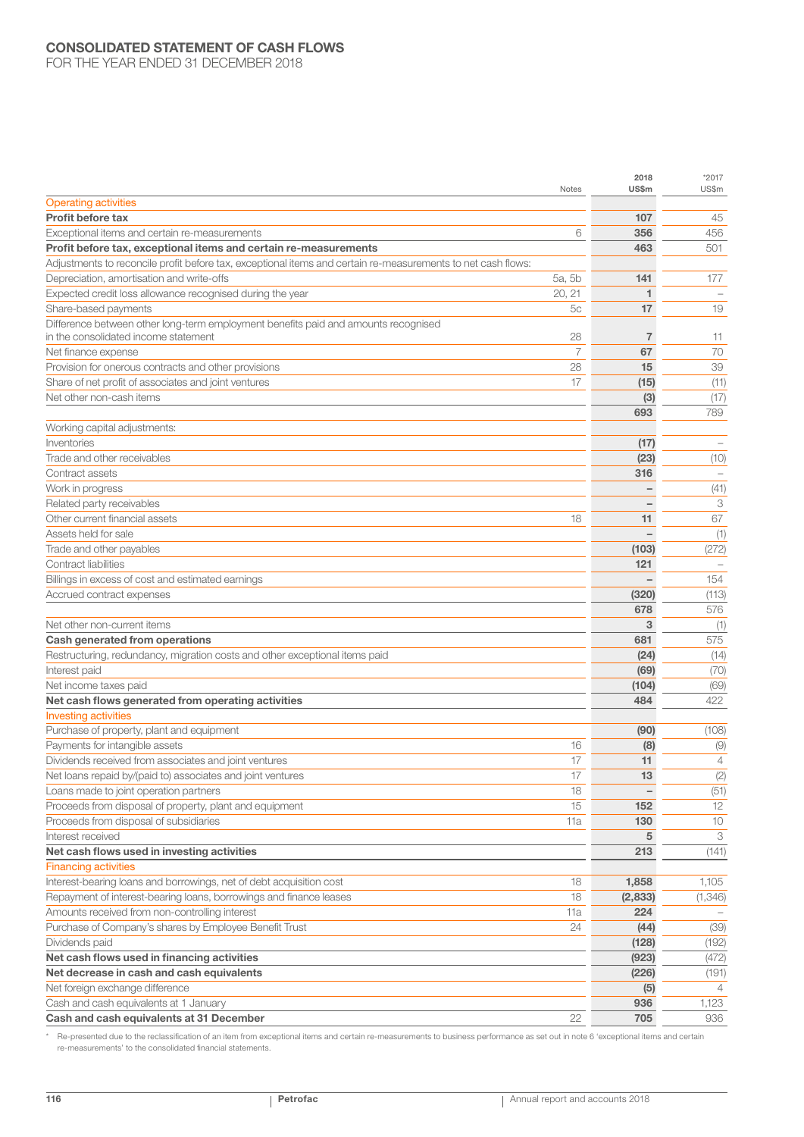## CONSOLIDATED STATEMENT OF CASH FLOWS

FOR THE YEAR ENDED 31 DECEMBER 2018

|                                                                                                              | Notes  | 2018<br>US\$m | $*2017$<br>US\$m |
|--------------------------------------------------------------------------------------------------------------|--------|---------------|------------------|
| <b>Operating activities</b>                                                                                  |        |               |                  |
| <b>Profit before tax</b>                                                                                     |        | 107           | 45               |
| Exceptional items and certain re-measurements                                                                | 6      | 356           | 456              |
| Profit before tax, exceptional items and certain re-measurements                                             |        | 463           | 501              |
| Adjustments to reconcile profit before tax, exceptional items and certain re-measurements to net cash flows: |        |               |                  |
| Depreciation, amortisation and write-offs                                                                    | 5a, 5b | 141           | 177              |
| Expected credit loss allowance recognised during the year                                                    | 20, 21 | 1             |                  |
| Share-based payments                                                                                         | 5c     | 17            | 19               |
| Difference between other long-term employment benefits paid and amounts recognised                           |        |               |                  |
| in the consolidated income statement                                                                         | 28     | 7             | 11               |
| Net finance expense                                                                                          | 7      | 67            | 70               |
| Provision for onerous contracts and other provisions                                                         | 28     | 15            | 39               |
| Share of net profit of associates and joint ventures                                                         | 17     | (15)          | (11)             |
| Net other non-cash items                                                                                     |        | (3)           | (17)             |
|                                                                                                              |        | 693           | 789              |
| Working capital adjustments:                                                                                 |        |               |                  |
| Inventories                                                                                                  |        | (17)          |                  |
| Trade and other receivables                                                                                  |        | (23)          | (10)             |
| Contract assets                                                                                              |        | 316           |                  |
| Work in progress                                                                                             |        |               | (41)             |
| Related party receivables                                                                                    |        |               | 3                |
| Other current financial assets                                                                               | 18     | 11            | 67               |
| Assets held for sale                                                                                         |        |               | (1)              |
| Trade and other payables                                                                                     |        | (103)         | (272)            |
| Contract liabilities                                                                                         |        | 121           |                  |
| Billings in excess of cost and estimated earnings                                                            |        |               | 154              |
| Accrued contract expenses                                                                                    |        | (320)         | (113)            |
|                                                                                                              |        | 678           | 576              |
| Net other non-current items                                                                                  |        | 3             | (1)              |
| <b>Cash generated from operations</b>                                                                        |        | 681           | 575              |
| Restructuring, redundancy, migration costs and other exceptional items paid                                  |        | (24)          | (14)             |
| Interest paid                                                                                                |        | (69)          | (70)             |
| Net income taxes paid                                                                                        |        | (104)         | (69)             |
| Net cash flows generated from operating activities                                                           |        | 484           | 422              |
| <b>Investing activities</b>                                                                                  |        |               |                  |
| Purchase of property, plant and equipment                                                                    |        | (90)          | (108)            |
| Payments for intangible assets                                                                               | 16     | (8)           | (9)              |
| Dividends received from associates and joint ventures                                                        | 17     | 11            | 4                |
| Net loans repaid by/(paid to) associates and joint ventures                                                  | 17     | 13            | (2)              |
| Loans made to joint operation partners                                                                       | 18     |               | (51)             |
| Proceeds from disposal of property, plant and equipment                                                      | 15     | 152           | 12               |
| Proceeds from disposal of subsidiaries                                                                       | 11a    | 130           | 10               |
| Interest received                                                                                            |        | 5             | 3                |
| Net cash flows used in investing activities                                                                  |        | 213           | (141)            |
| <b>Financing activities</b>                                                                                  |        |               |                  |
| Interest-bearing loans and borrowings, net of debt acquisition cost                                          | 18     | 1,858         | 1,105            |
| Repayment of interest-bearing loans, borrowings and finance leases                                           | 18     | (2,833)       | (1,346)          |
| Amounts received from non-controlling interest                                                               | 11a    | 224           |                  |
| Purchase of Company's shares by Employee Benefit Trust                                                       | 24     | (44)          | (39)             |
| Dividends paid                                                                                               |        | (128)         | (192)            |
| Net cash flows used in financing activities                                                                  |        | (923)         | (472)            |
| Net decrease in cash and cash equivalents                                                                    |        | (226)         | (191)            |
| Net foreign exchange difference                                                                              |        | (5)           |                  |
| Cash and cash equivalents at 1 January                                                                       |        | 936           | 1,123            |
| Cash and cash equivalents at 31 December                                                                     | 22     | 705           | 936              |
|                                                                                                              |        |               |                  |

\* Re-presented due to the reclassification of an item from exceptional items and certain re-measurements to business performance as set out in note 6 'exceptional items and certain re-measurements' to the consolidated financial statements.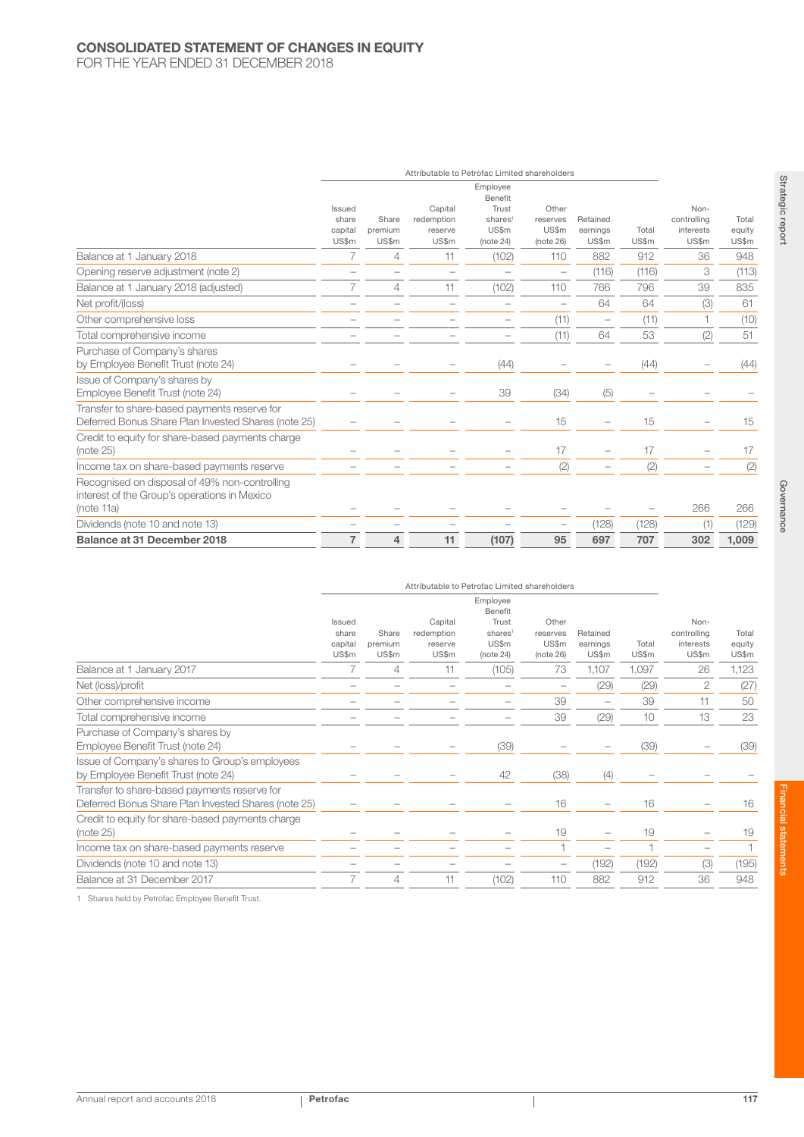# CONSOLIDATED STATEMENT OF CHANGES IN EQUITY

FOR THE YEAR ENDED 31 DECEMBER 2018

|                                                                                                             |                                     |                           | Attributable to Petrofac Limited shareholders |                                                                           |                                         |                               |                |                                           |                          |
|-------------------------------------------------------------------------------------------------------------|-------------------------------------|---------------------------|-----------------------------------------------|---------------------------------------------------------------------------|-----------------------------------------|-------------------------------|----------------|-------------------------------------------|--------------------------|
|                                                                                                             | Issued<br>share<br>capital<br>US\$m | Share<br>premium<br>US\$m | Capital<br>redemption<br>reserve<br>US\$m     | Employee<br>Benefit<br>Trust<br>shares <sup>1</sup><br>US\$m<br>(note 24) | Other<br>reserves<br>US\$m<br>(note 26) | Retained<br>earnings<br>US\$m | Total<br>US\$m | Non-<br>controlling<br>interests<br>US\$m | Total<br>equity<br>US\$m |
| Balance at 1 January 2018                                                                                   | 7                                   | 4                         | 11                                            | (102)                                                                     | 110                                     | 882                           | 912            | 36                                        | 948                      |
| Opening reserve adjustment (note 2)                                                                         | $\overline{\phantom{0}}$            |                           |                                               |                                                                           | $\overline{\phantom{0}}$                | (116)                         | (116)          | 3                                         | (113)                    |
| Balance at 1 January 2018 (adjusted)                                                                        | 7                                   | 4                         | 11                                            | (102)                                                                     | 110                                     | 766                           | 796            | 39                                        | 835                      |
| Net profit/(loss)                                                                                           |                                     |                           |                                               |                                                                           | $\overline{\phantom{a}}$                | 64                            | 64             | (3)                                       | 61                       |
| Other comprehensive loss                                                                                    |                                     |                           |                                               |                                                                           | (11)                                    | $\overline{\phantom{m}}$      | (11)           |                                           | (10)                     |
| Total comprehensive income                                                                                  |                                     |                           |                                               |                                                                           | (11)                                    | 64                            | 53             | (2)                                       | 51                       |
| Purchase of Company's shares<br>by Employee Benefit Trust (note 24)                                         |                                     |                           |                                               | (44)                                                                      |                                         |                               | (44)           |                                           | (44)                     |
| Issue of Company's shares by<br>Employee Benefit Trust (note 24)                                            |                                     |                           |                                               | 39                                                                        | (34)                                    | (5)                           |                |                                           |                          |
| Transfer to share-based payments reserve for<br>Deferred Bonus Share Plan Invested Shares (note 25)         |                                     |                           |                                               |                                                                           | 15                                      |                               | 15             |                                           | 15                       |
| Credit to equity for share-based payments charge<br>(note 25)                                               |                                     |                           |                                               |                                                                           | 17                                      |                               | 17             |                                           | 17                       |
| Income tax on share-based payments reserve                                                                  |                                     |                           |                                               |                                                                           | (2)                                     |                               | (2)            |                                           | (2)                      |
| Recognised on disposal of 49% non-controlling<br>interest of the Group's operations in Mexico<br>(note 11a) |                                     |                           |                                               |                                                                           |                                         |                               |                | 266                                       | 266                      |
| Dividends (note 10 and note 13)                                                                             |                                     |                           |                                               |                                                                           |                                         | (128)                         | (128)          | (1)                                       | (129)                    |
| Balance at 31 December 2018                                                                                 | $\overline{7}$                      | 4                         | 11                                            | (107)                                                                     | 95                                      | 697                           | 707            | 302                                       | 1,009                    |

|                                                                                                     | Attributable to Petrofac Limited shareholders |                           |                                           |                                                                           |                                         |                               |                |                                                  |                          |
|-----------------------------------------------------------------------------------------------------|-----------------------------------------------|---------------------------|-------------------------------------------|---------------------------------------------------------------------------|-----------------------------------------|-------------------------------|----------------|--------------------------------------------------|--------------------------|
|                                                                                                     | Issued<br>share<br>capital<br>US\$m           | Share<br>premium<br>US\$m | Capital<br>redemption<br>reserve<br>US\$m | Employee<br>Benefit<br>Trust<br>shares <sup>1</sup><br>US\$m<br>(note 24) | Other<br>reserves<br>US\$m<br>(note 26) | Retained<br>earnings<br>US\$m | Total<br>US\$m | Non-<br>controlling<br><i>interests</i><br>US\$m | Total<br>equity<br>US\$m |
| Balance at 1 January 2017                                                                           |                                               | 4                         | 11                                        | (105)                                                                     | 73                                      | 1,107                         | 1,097          | 26                                               | 1,123                    |
| Net (loss)/profit                                                                                   |                                               |                           |                                           |                                                                           |                                         | (29)                          | (29)           | 2                                                | (27)                     |
| Other comprehensive income                                                                          |                                               |                           |                                           |                                                                           | 39                                      | -                             | 39             | 11                                               | 50                       |
| Total comprehensive income                                                                          |                                               |                           |                                           |                                                                           | 39                                      | (29)                          | 10             | 13                                               | 23                       |
| Purchase of Company's shares by<br>Employee Benefit Trust (note 24)                                 |                                               |                           |                                           | (39)                                                                      |                                         |                               | (39)           |                                                  | (39)                     |
| Issue of Company's shares to Group's employees<br>by Employee Benefit Trust (note 24)               |                                               |                           |                                           | 42                                                                        | (38)                                    | (4)                           |                |                                                  |                          |
| Transfer to share-based payments reserve for<br>Deferred Bonus Share Plan Invested Shares (note 25) |                                               |                           |                                           |                                                                           | 16                                      |                               | 16             |                                                  | 16                       |
| Credit to equity for share-based payments charge<br>(note 25)                                       |                                               |                           |                                           |                                                                           | 19                                      |                               | 19             |                                                  | 19                       |
| Income tax on share-based payments reserve                                                          |                                               |                           |                                           |                                                                           |                                         |                               |                |                                                  |                          |
| Dividends (note 10 and note 13)                                                                     |                                               |                           |                                           |                                                                           |                                         | (192)                         | (192)          | (3)                                              | (195)                    |
| Balance at 31 December 2017                                                                         | 7                                             | 4                         | 11                                        | (102)                                                                     | 110                                     | 882                           | 912            | 36                                               | 948                      |

1 Shares held by Petrofac Employee Benefit Trust.

Annual report and accounts 2018 **Petrofac** 117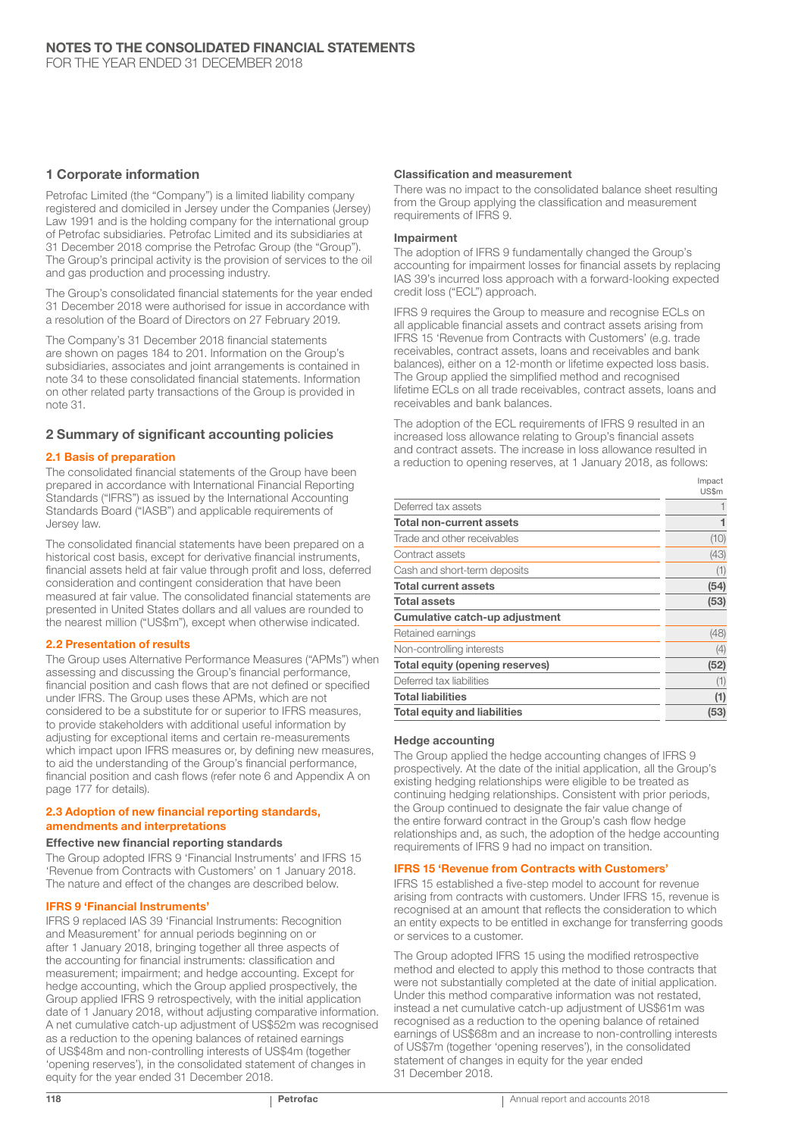## 1 Corporate information

Petrofac Limited (the "Company") is a limited liability company registered and domiciled in Jersey under the Companies (Jersey) Law 1991 and is the holding company for the international group of Petrofac subsidiaries. Petrofac Limited and its subsidiaries at 31 December 2018 comprise the Petrofac Group (the "Group"). The Group's principal activity is the provision of services to the oil and gas production and processing industry.

The Group's consolidated financial statements for the year ended 31 December 2018 were authorised for issue in accordance with a resolution of the Board of Directors on 27 February 2019.

The Company's 31 December 2018 financial statements are shown on pages 184 to 201. Information on the Group's subsidiaries, associates and joint arrangements is contained in note 34 to these consolidated financial statements. Information on other related party transactions of the Group is provided in note 31.

## 2 Summary of significant accounting policies

## 2.1 Basis of preparation

The consolidated financial statements of the Group have been prepared in accordance with International Financial Reporting Standards ("IFRS") as issued by the International Accounting Standards Board ("IASB") and applicable requirements of Jersey law.

The consolidated financial statements have been prepared on a historical cost basis, except for derivative financial instruments, financial assets held at fair value through profit and loss, deferred consideration and contingent consideration that have been measured at fair value. The consolidated financial statements are presented in United States dollars and all values are rounded to the nearest million ("US\$m"), except when otherwise indicated.

## 2.2 Presentation of results

The Group uses Alternative Performance Measures ("APMs") when assessing and discussing the Group's financial performance, financial position and cash flows that are not defined or specified under IFRS. The Group uses these APMs, which are not considered to be a substitute for or superior to IFRS measures, to provide stakeholders with additional useful information by adjusting for exceptional items and certain re-measurements which impact upon IFRS measures or, by defining new measures, to aid the understanding of the Group's financial performance, financial position and cash flows (refer note 6 and Appendix A on page 177 for details).

#### 2.3 Adoption of new financial reporting standards, amendments and interpretations

#### Effective new financial reporting standards

The Group adopted IFRS 9 'Financial Instruments' and IFRS 15 'Revenue from Contracts with Customers' on 1 January 2018. The nature and effect of the changes are described below.

#### IFRS 9 'Financial Instruments'

IFRS 9 replaced IAS 39 'Financial Instruments: Recognition and Measurement' for annual periods beginning on or after 1 January 2018, bringing together all three aspects of the accounting for financial instruments: classification and measurement; impairment; and hedge accounting. Except for hedge accounting, which the Group applied prospectively, the Group applied IFRS 9 retrospectively, with the initial application date of 1 January 2018, without adjusting comparative information. A net cumulative catch-up adjustment of US\$52m was recognised as a reduction to the opening balances of retained earnings of US\$48m and non-controlling interests of US\$4m (together 'opening reserves'), in the consolidated statement of changes in equity for the year ended 31 December 2018.

#### Classification and measurement

There was no impact to the consolidated balance sheet resulting from the Group applying the classification and measurement requirements of IFRS 9.

#### Impairment

The adoption of IFRS 9 fundamentally changed the Group's accounting for impairment losses for financial assets by replacing IAS 39's incurred loss approach with a forward-looking expected credit loss ("ECL") approach.

IFRS 9 requires the Group to measure and recognise ECLs on all applicable financial assets and contract assets arising from IFRS 15 'Revenue from Contracts with Customers' (e.g. trade receivables, contract assets, loans and receivables and bank balances), either on a 12-month or lifetime expected loss basis. The Group applied the simplified method and recognised lifetime ECLs on all trade receivables, contract assets, loans and receivables and bank balances.

The adoption of the ECL requirements of IFRS 9 resulted in an increased loss allowance relating to Group's financial assets and contract assets. The increase in loss allowance resulted in a reduction to opening reserves, at 1 January 2018, as follows:

|                                        | Impact |
|----------------------------------------|--------|
|                                        | US\$m  |
| Deferred tax assets                    |        |
| <b>Total non-current assets</b>        |        |
| Trade and other receivables            | (10)   |
| Contract assets                        | (43)   |
| Cash and short-term deposits           | (1)    |
| <b>Total current assets</b>            | (54)   |
| <b>Total assets</b>                    | (53)   |
| Cumulative catch-up adjustment         |        |
| Retained earnings                      | (48)   |
| Non-controlling interests              | (4)    |
| <b>Total equity (opening reserves)</b> | (52)   |
| Deferred tax liabilities               | (1)    |
| <b>Total liabilities</b>               | (1)    |
| Total equity and liabilities           | (53)   |

#### Hedge accounting

The Group applied the hedge accounting changes of IFRS 9 prospectively. At the date of the initial application, all the Group's existing hedging relationships were eligible to be treated as continuing hedging relationships. Consistent with prior periods, the Group continued to designate the fair value change of the entire forward contract in the Group's cash flow hedge relationships and, as such, the adoption of the hedge accounting requirements of IFRS 9 had no impact on transition.

#### IFRS 15 'Revenue from Contracts with Customers'

IFRS 15 established a five-step model to account for revenue arising from contracts with customers. Under IFRS 15, revenue is recognised at an amount that reflects the consideration to which an entity expects to be entitled in exchange for transferring goods or services to a customer.

The Group adopted IFRS 15 using the modified retrospective method and elected to apply this method to those contracts that were not substantially completed at the date of initial application. Under this method comparative information was not restated, instead a net cumulative catch-up adjustment of US\$61m was recognised as a reduction to the opening balance of retained earnings of US\$68m and an increase to non-controlling interests of US\$7m (together 'opening reserves'), in the consolidated statement of changes in equity for the year ended 31 December 2018.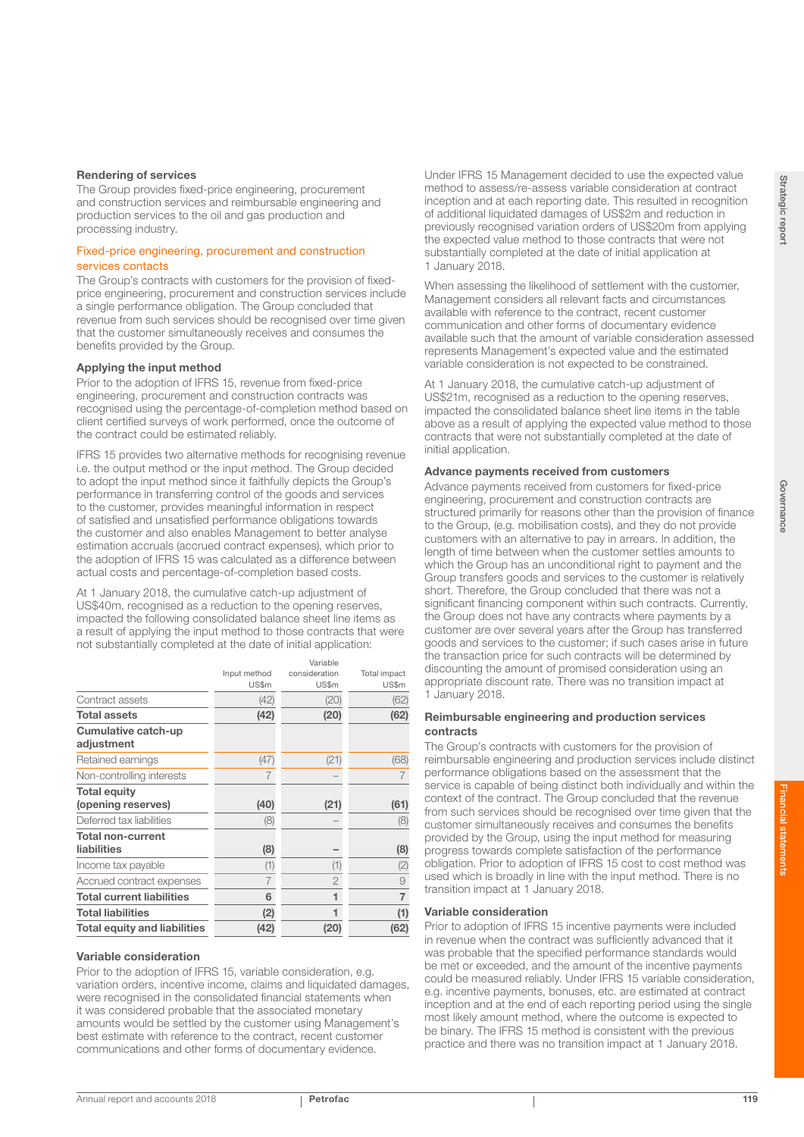The Group provides fixed-price engineering, procurement and construction services and reimbursable engineering and production services to the oil and gas production and processing industry.

#### Fixed-price engineering, procurement and construction services contacts

The Group's contracts with customers for the provision of fixedprice engineering, procurement and construction services include a single performance obligation. The Group concluded that revenue from such services should be recognised over time given that the customer simultaneously receives and consumes the benefits provided by the Group.

#### Applying the input method

Prior to the adoption of IFRS 15, revenue from fixed-price engineering, procurement and construction contracts was recognised using the percentage-of-completion method based on client certified surveys of work performed, once the outcome of the contract could be estimated reliably.

IFRS 15 provides two alternative methods for recognising revenue i.e. the output method or the input method. The Group decided to adopt the input method since it faithfully depicts the Group's performance in transferring control of the goods and services to the customer, provides meaningful information in respect of satisfied and unsatisfied performance obligations towards the customer and also enables Management to better analyse estimation accruals (accrued contract expenses), which prior to the adoption of IFRS 15 was calculated as a difference between actual costs and percentage-of-completion based costs.

At 1 January 2018, the cumulative catch-up adjustment of US\$40m, recognised as a reduction to the opening reserves, impacted the following consolidated balance sheet line items as a result of applying the input method to those contracts that were not substantially completed at the date of initial application:

|                                     |              | Variable       |                |
|-------------------------------------|--------------|----------------|----------------|
|                                     | Input method | consideration  | Total impact   |
|                                     | US\$m        | US\$m          | US\$m          |
| Contract assets                     | (42)         | (20)           | (62)           |
| <b>Total assets</b>                 | (42)         | (20)           | (62)           |
| Cumulative catch-up                 |              |                |                |
| adjustment                          |              |                |                |
| Retained earnings                   | (47)         | (21)           | (68)           |
| Non-controlling interests           |              |                |                |
| <b>Total equity</b>                 |              |                |                |
| (opening reserves)                  | (40)         | (21)           | (61)           |
| Deferred tax liabilities            | (8)          |                | (8)            |
| <b>Total non-current</b>            |              |                |                |
| liabilities                         | (8)          |                | (8)            |
| Income tax payable                  | (1)          | (1)            | (2)            |
| Accrued contract expenses           | 7            | $\overline{2}$ | 9              |
| <b>Total current liabilities</b>    | 6            | 1              | $\overline{7}$ |
| <b>Total liabilities</b>            | (2)          | 1              | (1)            |
| <b>Total equity and liabilities</b> | (42)         | (20)           | (62)           |

#### Variable consideration

Prior to the adoption of IFRS 15, variable consideration, e.g. variation orders, incentive income, claims and liquidated damages, were recognised in the consolidated financial statements when it was considered probable that the associated monetary amounts would be settled by the customer using Management's best estimate with reference to the contract, recent customer communications and other forms of documentary evidence.

Under IFRS 15 Management decided to use the expected value method to assess/re-assess variable consideration at contract inception and at each reporting date. This resulted in recognition of additional liquidated damages of US\$2m and reduction in previously recognised variation orders of US\$20m from applying the expected value method to those contracts that were not substantially completed at the date of initial application at 1 January 2018.

When assessing the likelihood of settlement with the customer, Management considers all relevant facts and circumstances available with reference to the contract, recent customer communication and other forms of documentary evidence available such that the amount of variable consideration assessed represents Management's expected value and the estimated variable consideration is not expected to be constrained.

At 1 January 2018, the cumulative catch-up adjustment of US\$21m, recognised as a reduction to the opening reserves, impacted the consolidated balance sheet line items in the table above as a result of applying the expected value method to those contracts that were not substantially completed at the date of initial application.

#### Advance payments received from customers

Advance payments received from customers for fixed-price engineering, procurement and construction contracts are structured primarily for reasons other than the provision of finance to the Group, (e.g. mobilisation costs), and they do not provide customers with an alternative to pay in arrears. In addition, the length of time between when the customer settles amounts to which the Group has an unconditional right to payment and the Group transfers goods and services to the customer is relatively short. Therefore, the Group concluded that there was not a significant financing component within such contracts. Currently, the Group does not have any contracts where payments by a customer are over several years after the Group has transferred goods and services to the customer; if such cases arise in future the transaction price for such contracts will be determined by discounting the amount of promised consideration using an appropriate discount rate. There was no transition impact at 1 January 2018.

#### Reimbursable engineering and production services contracts

The Group's contracts with customers for the provision of reimbursable engineering and production services include distinct performance obligations based on the assessment that the service is capable of being distinct both individually and within the context of the contract. The Group concluded that the revenue from such services should be recognised over time given that the customer simultaneously receives and consumes the benefits provided by the Group, using the input method for measuring progress towards complete satisfaction of the performance obligation. Prior to adoption of IFRS 15 cost to cost method was used which is broadly in line with the input method. There is no transition impact at 1 January 2018.

#### Variable consideration

Prior to adoption of IFRS 15 incentive payments were included in revenue when the contract was sufficiently advanced that it was probable that the specified performance standards would be met or exceeded, and the amount of the incentive payments could be measured reliably. Under IFRS 15 variable consideration, e.g. incentive payments, bonuses, etc. are estimated at contract inception and at the end of each reporting period using the single most likely amount method, where the outcome is expected to be binary. The IFRS 15 method is consistent with the previous practice and there was no transition impact at 1 January 2018.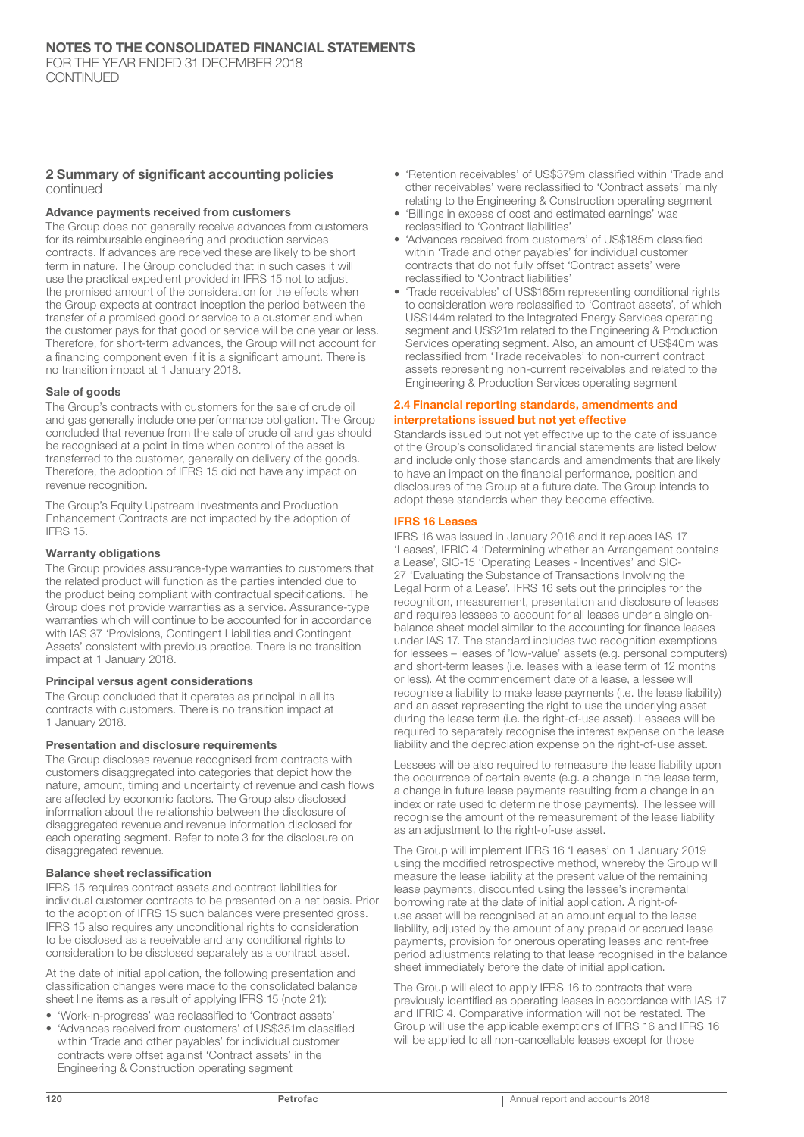#### 2 Summary of significant accounting policies continued

#### Advance payments received from customers

The Group does not generally receive advances from customers for its reimbursable engineering and production services contracts. If advances are received these are likely to be short term in nature. The Group concluded that in such cases it will use the practical expedient provided in IFRS 15 not to adjust the promised amount of the consideration for the effects when the Group expects at contract inception the period between the transfer of a promised good or service to a customer and when the customer pays for that good or service will be one year or less. Therefore, for short-term advances, the Group will not account for a financing component even if it is a significant amount. There is no transition impact at 1 January 2018.

#### Sale of goods

The Group's contracts with customers for the sale of crude oil and gas generally include one performance obligation. The Group concluded that revenue from the sale of crude oil and gas should be recognised at a point in time when control of the asset is transferred to the customer, generally on delivery of the goods. Therefore, the adoption of IFRS 15 did not have any impact on revenue recognition.

The Group's Equity Upstream Investments and Production Enhancement Contracts are not impacted by the adoption of IFRS 15.

#### Warranty obligations

The Group provides assurance-type warranties to customers that the related product will function as the parties intended due to the product being compliant with contractual specifications. The Group does not provide warranties as a service. Assurance-type warranties which will continue to be accounted for in accordance with IAS 37 'Provisions, Contingent Liabilities and Contingent Assets' consistent with previous practice. There is no transition impact at 1 January 2018.

#### Principal versus agent considerations

The Group concluded that it operates as principal in all its contracts with customers. There is no transition impact at 1 January 2018.

#### Presentation and disclosure requirements

The Group discloses revenue recognised from contracts with customers disaggregated into categories that depict how the nature, amount, timing and uncertainty of revenue and cash flows are affected by economic factors. The Group also disclosed information about the relationship between the disclosure of disaggregated revenue and revenue information disclosed for each operating segment. Refer to note 3 for the disclosure on disaggregated revenue.

#### Balance sheet reclassification

IFRS 15 requires contract assets and contract liabilities for individual customer contracts to be presented on a net basis. Prior to the adoption of IFRS 15 such balances were presented gross. IFRS 15 also requires any unconditional rights to consideration to be disclosed as a receivable and any conditional rights to consideration to be disclosed separately as a contract asset.

At the date of initial application, the following presentation and classification changes were made to the consolidated balance sheet line items as a result of applying IFRS 15 (note 21):

- 'Work-in-progress' was reclassified to 'Contract assets'
- 'Advances received from customers' of US\$351m classified within 'Trade and other payables' for individual customer contracts were offset against 'Contract assets' in the Engineering & Construction operating segment
- 'Retention receivables' of US\$379m classified within 'Trade and other receivables' were reclassified to 'Contract assets' mainly relating to the Engineering & Construction operating segment
- 'Billings in excess of cost and estimated earnings' was reclassified to 'Contract liabilities'
- 'Advances received from customers' of US\$185m classified within 'Trade and other payables' for individual customer contracts that do not fully offset 'Contract assets' were reclassified to 'Contract liabilities'
- 'Trade receivables' of US\$165m representing conditional rights to consideration were reclassified to 'Contract assets', of which US\$144m related to the Integrated Energy Services operating segment and US\$21m related to the Engineering & Production Services operating segment. Also, an amount of US\$40m was reclassified from 'Trade receivables' to non-current contract assets representing non-current receivables and related to the Engineering & Production Services operating segment

#### 2.4 Financial reporting standards, amendments and interpretations issued but not yet effective

Standards issued but not yet effective up to the date of issuance of the Group's consolidated financial statements are listed below and include only those standards and amendments that are likely to have an impact on the financial performance, position and disclosures of the Group at a future date. The Group intends to adopt these standards when they become effective.

#### IFRS 16 Leases

IFRS 16 was issued in January 2016 and it replaces IAS 17 'Leases', IFRIC 4 'Determining whether an Arrangement contains a Lease', SIC-15 'Operating Leases - Incentives' and SIC-27 'Evaluating the Substance of Transactions Involving the Legal Form of a Lease'. IFRS 16 sets out the principles for the recognition, measurement, presentation and disclosure of leases and requires lessees to account for all leases under a single onbalance sheet model similar to the accounting for finance leases under IAS 17. The standard includes two recognition exemptions for lessees – leases of 'low-value' assets (e.g. personal computers) and short-term leases (i.e. leases with a lease term of 12 months or less). At the commencement date of a lease, a lessee will recognise a liability to make lease payments (i.e. the lease liability) and an asset representing the right to use the underlying asset during the lease term (i.e. the right-of-use asset). Lessees will be required to separately recognise the interest expense on the lease liability and the depreciation expense on the right-of-use asset.

Lessees will be also required to remeasure the lease liability upon the occurrence of certain events (e.g. a change in the lease term, a change in future lease payments resulting from a change in an index or rate used to determine those payments). The lessee will recognise the amount of the remeasurement of the lease liability as an adjustment to the right-of-use asset.

The Group will implement IFRS 16 'Leases' on 1 January 2019 using the modified retrospective method, whereby the Group will measure the lease liability at the present value of the remaining lease payments, discounted using the lessee's incremental borrowing rate at the date of initial application. A right-ofuse asset will be recognised at an amount equal to the lease liability, adjusted by the amount of any prepaid or accrued lease payments, provision for onerous operating leases and rent-free period adjustments relating to that lease recognised in the balance sheet immediately before the date of initial application.

The Group will elect to apply IFRS 16 to contracts that were previously identified as operating leases in accordance with IAS 17 and IFRIC 4. Comparative information will not be restated. The Group will use the applicable exemptions of IFRS 16 and IFRS 16 will be applied to all non-cancellable leases except for those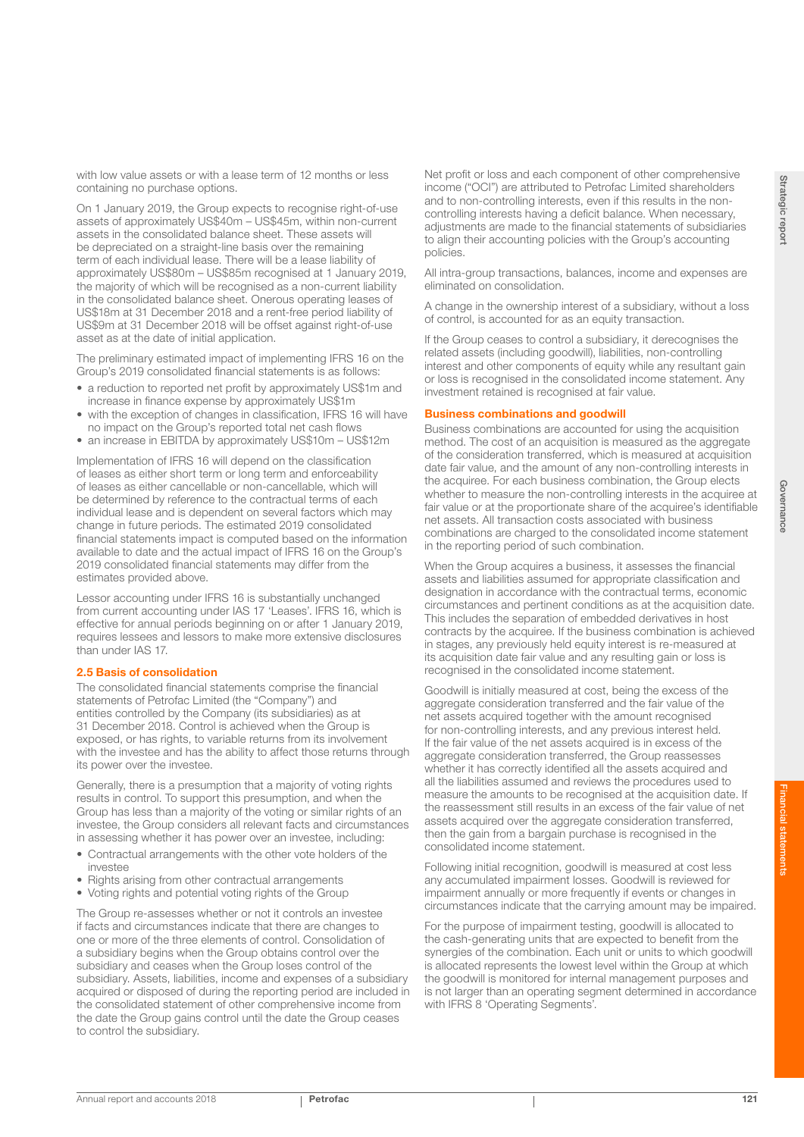with low value assets or with a lease term of 12 months or less containing no purchase options.

On 1 January 2019, the Group expects to recognise right-of-use assets of approximately US\$40m – US\$45m, within non-current assets in the consolidated balance sheet. These assets will be depreciated on a straight-line basis over the remaining term of each individual lease. There will be a lease liability of approximately US\$80m – US\$85m recognised at 1 January 2019, the majority of which will be recognised as a non-current liability in the consolidated balance sheet. Onerous operating leases of US\$18m at 31 December 2018 and a rent-free period liability of US\$9m at 31 December 2018 will be offset against right-of-use asset as at the date of initial application.

The preliminary estimated impact of implementing IFRS 16 on the Group's 2019 consolidated financial statements is as follows:

- a reduction to reported net profit by approximately US\$1m and increase in finance expense by approximately US\$1m
- with the exception of changes in classification. IFRS 16 will have no impact on the Group's reported total net cash flows
- an increase in EBITDA by approximately US\$10m US\$12m

Implementation of IFRS 16 will depend on the classification of leases as either short term or long term and enforceability of leases as either cancellable or non-cancellable, which will be determined by reference to the contractual terms of each individual lease and is dependent on several factors which may change in future periods. The estimated 2019 consolidated financial statements impact is computed based on the information available to date and the actual impact of IFRS 16 on the Group's 2019 consolidated financial statements may differ from the estimates provided above.

Lessor accounting under IFRS 16 is substantially unchanged from current accounting under IAS 17 'Leases'. IFRS 16, which is effective for annual periods beginning on or after 1 January 2019, requires lessees and lessors to make more extensive disclosures than under IAS 17.

### 2.5 Basis of consolidation

The consolidated financial statements comprise the financial statements of Petrofac Limited (the "Company") and entities controlled by the Company (its subsidiaries) as at 31 December 2018. Control is achieved when the Group is exposed, or has rights, to variable returns from its involvement with the investee and has the ability to affect those returns through its power over the investee.

Generally, there is a presumption that a majority of voting rights results in control. To support this presumption, and when the Group has less than a majority of the voting or similar rights of an investee, the Group considers all relevant facts and circumstances in assessing whether it has power over an investee, including:

- Contractual arrangements with the other vote holders of the investee
- Rights arising from other contractual arrangements
- Voting rights and potential voting rights of the Group

The Group re-assesses whether or not it controls an investee if facts and circumstances indicate that there are changes to one or more of the three elements of control. Consolidation of a subsidiary begins when the Group obtains control over the subsidiary and ceases when the Group loses control of the subsidiary. Assets, liabilities, income and expenses of a subsidiary acquired or disposed of during the reporting period are included in the consolidated statement of other comprehensive income from the date the Group gains control until the date the Group ceases to control the subsidiary.

Net profit or loss and each component of other comprehensive income ("OCI") are attributed to Petrofac Limited shareholders and to non-controlling interests, even if this results in the noncontrolling interests having a deficit balance. When necessary, adjustments are made to the financial statements of subsidiaries to align their accounting policies with the Group's accounting policies.

All intra-group transactions, balances, income and expenses are eliminated on consolidation.

A change in the ownership interest of a subsidiary, without a loss of control, is accounted for as an equity transaction.

If the Group ceases to control a subsidiary, it derecognises the related assets (including goodwill), liabilities, non-controlling interest and other components of equity while any resultant gain or loss is recognised in the consolidated income statement. Any investment retained is recognised at fair value.

#### Business combinations and goodwill

Business combinations are accounted for using the acquisition method. The cost of an acquisition is measured as the aggregate of the consideration transferred, which is measured at acquisition date fair value, and the amount of any non-controlling interests in the acquiree. For each business combination, the Group elects whether to measure the non-controlling interests in the acquiree at fair value or at the proportionate share of the acquiree's identifiable net assets. All transaction costs associated with business combinations are charged to the consolidated income statement in the reporting period of such combination.

When the Group acquires a business, it assesses the financial assets and liabilities assumed for appropriate classification and designation in accordance with the contractual terms, economic circumstances and pertinent conditions as at the acquisition date. This includes the separation of embedded derivatives in host contracts by the acquiree. If the business combination is achieved in stages, any previously held equity interest is re-measured at its acquisition date fair value and any resulting gain or loss is recognised in the consolidated income statement.

Goodwill is initially measured at cost, being the excess of the aggregate consideration transferred and the fair value of the net assets acquired together with the amount recognised for non-controlling interests, and any previous interest held. If the fair value of the net assets acquired is in excess of the aggregate consideration transferred, the Group reassesses whether it has correctly identified all the assets acquired and all the liabilities assumed and reviews the procedures used to measure the amounts to be recognised at the acquisition date. If the reassessment still results in an excess of the fair value of net assets acquired over the aggregate consideration transferred, then the gain from a bargain purchase is recognised in the consolidated income statement.

Following initial recognition, goodwill is measured at cost less any accumulated impairment losses. Goodwill is reviewed for impairment annually or more frequently if events or changes in circumstances indicate that the carrying amount may be impaired.

For the purpose of impairment testing, goodwill is allocated to the cash-generating units that are expected to benefit from the synergies of the combination. Each unit or units to which goodwill is allocated represents the lowest level within the Group at which the goodwill is monitored for internal management purposes and is not larger than an operating segment determined in accordance with IFRS 8 'Operating Segments'.

Governance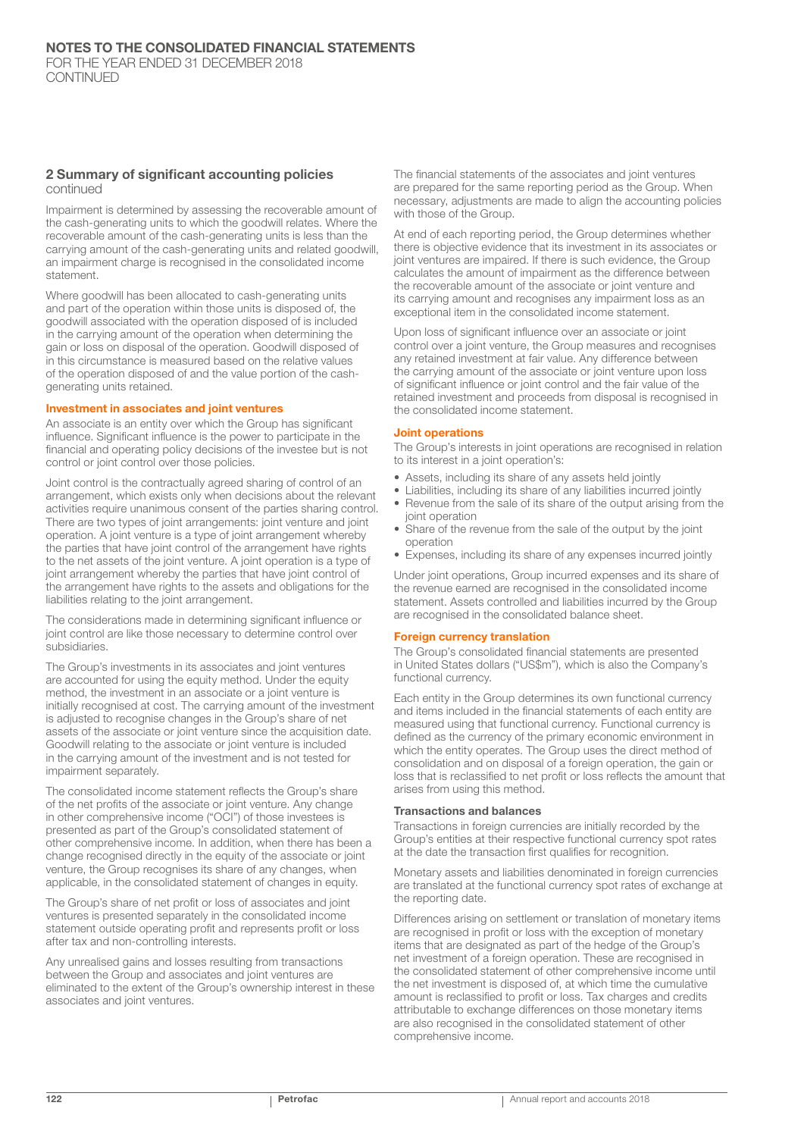#### 2 Summary of significant accounting policies continued

Impairment is determined by assessing the recoverable amount of the cash-generating units to which the goodwill relates. Where the recoverable amount of the cash-generating units is less than the carrying amount of the cash-generating units and related goodwill, an impairment charge is recognised in the consolidated income statement.

Where goodwill has been allocated to cash-generating units and part of the operation within those units is disposed of, the goodwill associated with the operation disposed of is included in the carrying amount of the operation when determining the gain or loss on disposal of the operation. Goodwill disposed of in this circumstance is measured based on the relative values of the operation disposed of and the value portion of the cashgenerating units retained.

#### Investment in associates and joint ventures

An associate is an entity over which the Group has significant influence. Significant influence is the power to participate in the financial and operating policy decisions of the investee but is not control or joint control over those policies.

Joint control is the contractually agreed sharing of control of an arrangement, which exists only when decisions about the relevant activities require unanimous consent of the parties sharing control. There are two types of joint arrangements: joint venture and joint operation. A joint venture is a type of joint arrangement whereby the parties that have joint control of the arrangement have rights to the net assets of the joint venture. A joint operation is a type of joint arrangement whereby the parties that have joint control of the arrangement have rights to the assets and obligations for the liabilities relating to the joint arrangement.

The considerations made in determining significant influence or joint control are like those necessary to determine control over subsidiaries.

The Group's investments in its associates and joint ventures are accounted for using the equity method. Under the equity method, the investment in an associate or a joint venture is initially recognised at cost. The carrying amount of the investment is adjusted to recognise changes in the Group's share of net assets of the associate or joint venture since the acquisition date. Goodwill relating to the associate or joint venture is included in the carrying amount of the investment and is not tested for impairment separately.

The consolidated income statement reflects the Group's share of the net profits of the associate or joint venture. Any change in other comprehensive income ("OCI") of those investees is presented as part of the Group's consolidated statement of other comprehensive income. In addition, when there has been a change recognised directly in the equity of the associate or joint venture, the Group recognises its share of any changes, when applicable, in the consolidated statement of changes in equity.

The Group's share of net profit or loss of associates and joint ventures is presented separately in the consolidated income statement outside operating profit and represents profit or loss after tax and non-controlling interests.

Any unrealised gains and losses resulting from transactions between the Group and associates and joint ventures are eliminated to the extent of the Group's ownership interest in these associates and joint ventures.

The financial statements of the associates and joint ventures are prepared for the same reporting period as the Group. When necessary, adjustments are made to align the accounting policies with those of the Group.

At end of each reporting period, the Group determines whether there is objective evidence that its investment in its associates or joint ventures are impaired. If there is such evidence, the Group calculates the amount of impairment as the difference between the recoverable amount of the associate or joint venture and its carrying amount and recognises any impairment loss as an exceptional item in the consolidated income statement.

Upon loss of significant influence over an associate or joint control over a joint venture, the Group measures and recognises any retained investment at fair value. Any difference between the carrying amount of the associate or joint venture upon loss of significant influence or joint control and the fair value of the retained investment and proceeds from disposal is recognised in the consolidated income statement.

#### Joint operations

The Group's interests in joint operations are recognised in relation to its interest in a joint operation's:

- Assets, including its share of any assets held jointly
- Liabilities, including its share of any liabilities incurred jointly
- Revenue from the sale of its share of the output arising from the joint operation
- Share of the revenue from the sale of the output by the joint operation
- Expenses, including its share of any expenses incurred jointly

Under joint operations, Group incurred expenses and its share of the revenue earned are recognised in the consolidated income statement. Assets controlled and liabilities incurred by the Group are recognised in the consolidated balance sheet.

#### Foreign currency translation

The Group's consolidated financial statements are presented in United States dollars ("US\$m"), which is also the Company's functional currency.

Each entity in the Group determines its own functional currency and items included in the financial statements of each entity are measured using that functional currency. Functional currency is defined as the currency of the primary economic environment in which the entity operates. The Group uses the direct method of consolidation and on disposal of a foreign operation, the gain or loss that is reclassified to net profit or loss reflects the amount that arises from using this method.

#### Transactions and balances

Transactions in foreign currencies are initially recorded by the Group's entities at their respective functional currency spot rates at the date the transaction first qualifies for recognition.

Monetary assets and liabilities denominated in foreign currencies are translated at the functional currency spot rates of exchange at the reporting date.

Differences arising on settlement or translation of monetary items are recognised in profit or loss with the exception of monetary items that are designated as part of the hedge of the Group's net investment of a foreign operation. These are recognised in the consolidated statement of other comprehensive income until the net investment is disposed of, at which time the cumulative amount is reclassified to profit or loss. Tax charges and credits attributable to exchange differences on those monetary items are also recognised in the consolidated statement of other comprehensive income.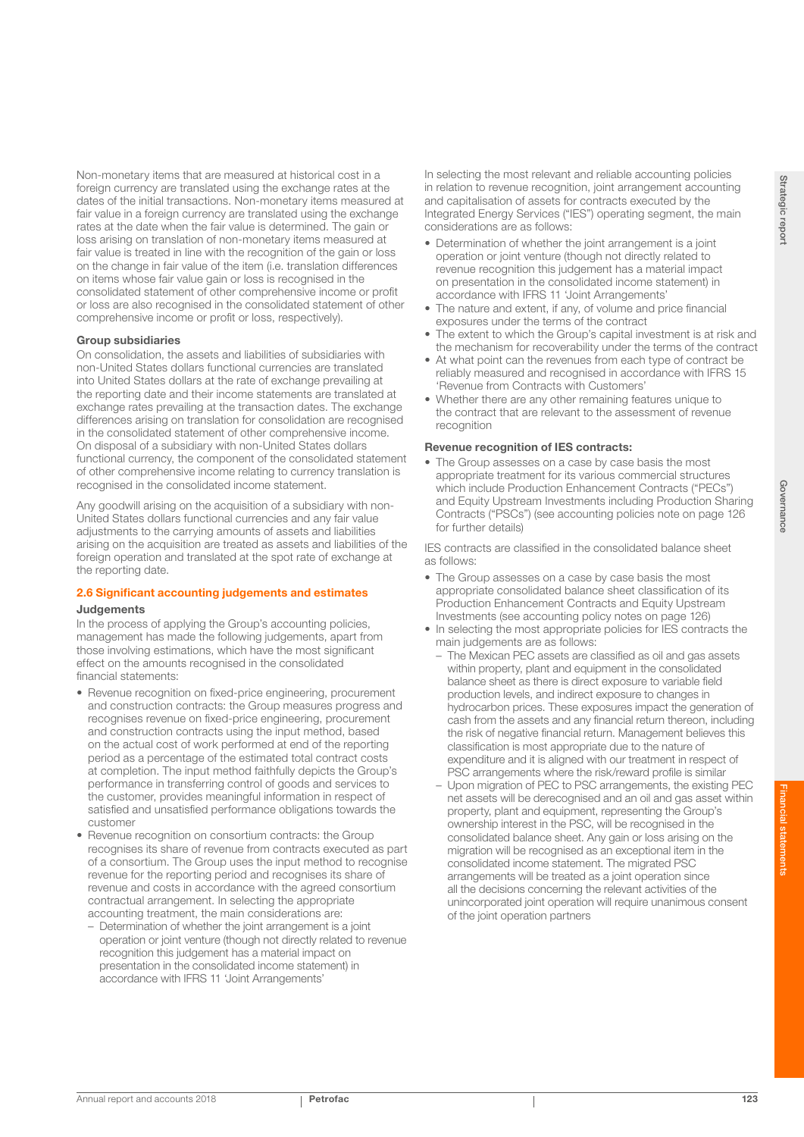Non-monetary items that are measured at historical cost in a foreign currency are translated using the exchange rates at the dates of the initial transactions. Non-monetary items measured at fair value in a foreign currency are translated using the exchange rates at the date when the fair value is determined. The gain or loss arising on translation of non-monetary items measured at fair value is treated in line with the recognition of the gain or loss on the change in fair value of the item (i.e. translation differences on items whose fair value gain or loss is recognised in the consolidated statement of other comprehensive income or profit or loss are also recognised in the consolidated statement of other comprehensive income or profit or loss, respectively).

#### Group subsidiaries

On consolidation, the assets and liabilities of subsidiaries with non-United States dollars functional currencies are translated into United States dollars at the rate of exchange prevailing at the reporting date and their income statements are translated at exchange rates prevailing at the transaction dates. The exchange differences arising on translation for consolidation are recognised in the consolidated statement of other comprehensive income. On disposal of a subsidiary with non-United States dollars functional currency, the component of the consolidated statement of other comprehensive income relating to currency translation is recognised in the consolidated income statement.

Any goodwill arising on the acquisition of a subsidiary with non-United States dollars functional currencies and any fair value adjustments to the carrying amounts of assets and liabilities arising on the acquisition are treated as assets and liabilities of the foreign operation and translated at the spot rate of exchange at the reporting date.

## 2.6 Significant accounting judgements and estimates Judgements

In the process of applying the Group's accounting policies, management has made the following judgements, apart from those involving estimations, which have the most significant effect on the amounts recognised in the consolidated financial statements:

- Revenue recognition on fixed-price engineering, procurement and construction contracts: the Group measures progress and recognises revenue on fixed-price engineering, procurement and construction contracts using the input method, based on the actual cost of work performed at end of the reporting period as a percentage of the estimated total contract costs at completion. The input method faithfully depicts the Group's performance in transferring control of goods and services to the customer, provides meaningful information in respect of satisfied and unsatisfied performance obligations towards the customer
- Revenue recognition on consortium contracts: the Group recognises its share of revenue from contracts executed as part of a consortium. The Group uses the input method to recognise revenue for the reporting period and recognises its share of revenue and costs in accordance with the agreed consortium contractual arrangement. In selecting the appropriate accounting treatment, the main considerations are:
	- Determination of whether the joint arrangement is a joint operation or joint venture (though not directly related to revenue recognition this judgement has a material impact on presentation in the consolidated income statement) in accordance with IFRS 11 'Joint Arrangements'

In selecting the most relevant and reliable accounting policies in relation to revenue recognition, joint arrangement accounting and capitalisation of assets for contracts executed by the Integrated Energy Services ("IES") operating segment, the main considerations are as follows:

- Determination of whether the joint arrangement is a joint operation or joint venture (though not directly related to revenue recognition this judgement has a material impact on presentation in the consolidated income statement) in accordance with IFRS 11 'Joint Arrangements'
- The nature and extent, if any, of volume and price financial exposures under the terms of the contract
- The extent to which the Group's capital investment is at risk and the mechanism for recoverability under the terms of the contract
- At what point can the revenues from each type of contract be reliably measured and recognised in accordance with IFRS 15 'Revenue from Contracts with Customers'
- Whether there are any other remaining features unique to the contract that are relevant to the assessment of revenue recognition

#### Revenue recognition of IES contracts:

• The Group assesses on a case by case basis the most appropriate treatment for its various commercial structures which include Production Enhancement Contracts ("PECs") and Equity Upstream Investments including Production Sharing Contracts ("PSCs") (see accounting policies note on page 126 for further details)

IES contracts are classified in the consolidated balance sheet as follows:

- The Group assesses on a case by case basis the most appropriate consolidated balance sheet classification of its Production Enhancement Contracts and Equity Upstream Investments (see accounting policy notes on page 126)
- In selecting the most appropriate policies for IES contracts the main judgements are as follows:
	- The Mexican PEC assets are classified as oil and gas assets within property, plant and equipment in the consolidated balance sheet as there is direct exposure to variable field production levels, and indirect exposure to changes in hydrocarbon prices. These exposures impact the generation of cash from the assets and any financial return thereon, including the risk of negative financial return. Management believes this classification is most appropriate due to the nature of expenditure and it is aligned with our treatment in respect of PSC arrangements where the risk/reward profile is similar
	- Upon migration of PEC to PSC arrangements, the existing PEC net assets will be derecognised and an oil and gas asset within property, plant and equipment, representing the Group's ownership interest in the PSC, will be recognised in the consolidated balance sheet. Any gain or loss arising on the migration will be recognised as an exceptional item in the consolidated income statement. The migrated PSC arrangements will be treated as a joint operation since all the decisions concerning the relevant activities of the unincorporated joint operation will require unanimous consent of the joint operation partners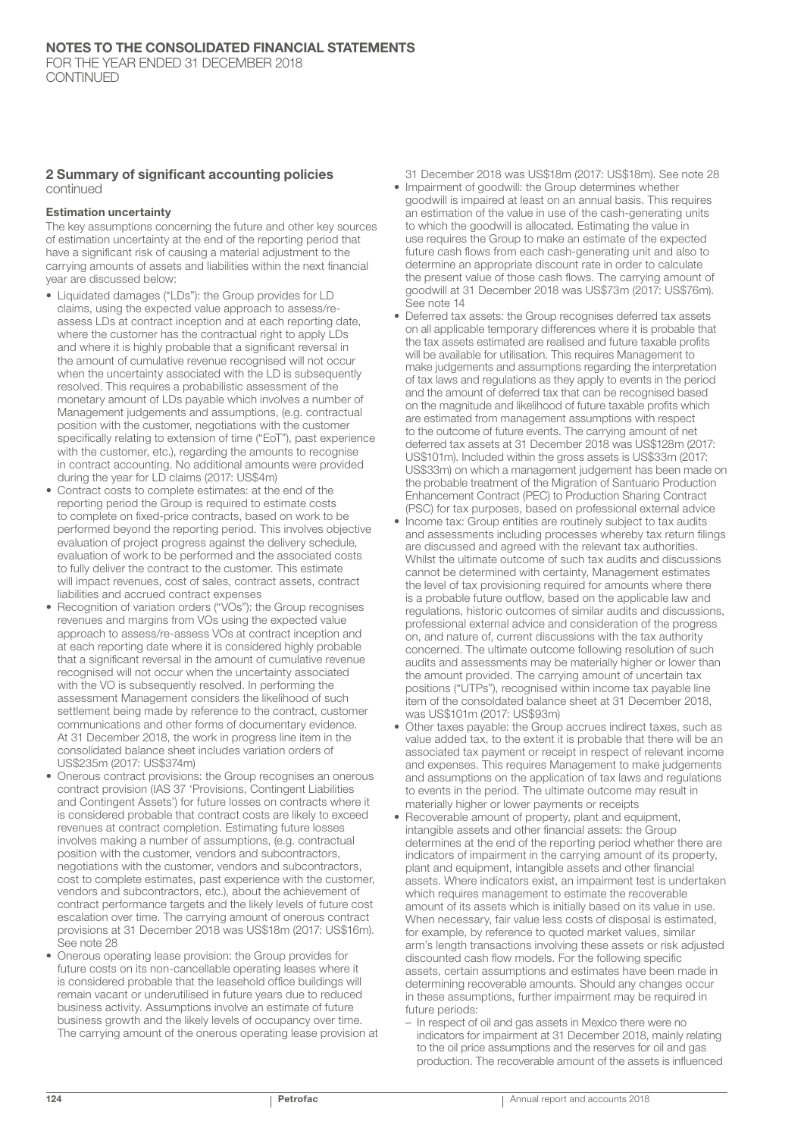#### 2 Summary of significant accounting policies continued

#### Estimation uncertainty

The key assumptions concerning the future and other key sources of estimation uncertainty at the end of the reporting period that have a significant risk of causing a material adjustment to the carrying amounts of assets and liabilities within the next financial year are discussed below:

- Liquidated damages ("LDs"): the Group provides for LD claims, using the expected value approach to assess/reassess LDs at contract inception and at each reporting date, where the customer has the contractual right to apply LDs and where it is highly probable that a significant reversal in the amount of cumulative revenue recognised will not occur when the uncertainty associated with the LD is subsequently resolved. This requires a probabilistic assessment of the monetary amount of LDs payable which involves a number of Management judgements and assumptions, (e.g. contractual position with the customer, negotiations with the customer specifically relating to extension of time ("EoT"), past experience with the customer, etc.), regarding the amounts to recognise in contract accounting. No additional amounts were provided during the year for LD claims (2017: US\$4m)
- Contract costs to complete estimates: at the end of the reporting period the Group is required to estimate costs to complete on fixed-price contracts, based on work to be performed beyond the reporting period. This involves objective evaluation of project progress against the delivery schedule, evaluation of work to be performed and the associated costs to fully deliver the contract to the customer. This estimate will impact revenues, cost of sales, contract assets, contract liabilities and accrued contract expenses
- Recognition of variation orders ("VOs"): the Group recognises revenues and margins from VOs using the expected value approach to assess/re-assess VOs at contract inception and at each reporting date where it is considered highly probable that a significant reversal in the amount of cumulative revenue recognised will not occur when the uncertainty associated with the VO is subsequently resolved. In performing the assessment Management considers the likelihood of such settlement being made by reference to the contract, customer communications and other forms of documentary evidence. At 31 December 2018, the work in progress line item in the consolidated balance sheet includes variation orders of US\$235m (2017: US\$374m)
- Onerous contract provisions: the Group recognises an onerous contract provision (IAS 37 'Provisions, Contingent Liabilities and Contingent Assets') for future losses on contracts where it is considered probable that contract costs are likely to exceed revenues at contract completion. Estimating future losses involves making a number of assumptions, (e.g. contractual position with the customer, vendors and subcontractors, negotiations with the customer, vendors and subcontractors, cost to complete estimates, past experience with the customer, vendors and subcontractors, etc.), about the achievement of contract performance targets and the likely levels of future cost escalation over time. The carrying amount of onerous contract provisions at 31 December 2018 was US\$18m (2017: US\$16m). See note 28
- Onerous operating lease provision: the Group provides for future costs on its non-cancellable operating leases where it is considered probable that the leasehold office buildings will remain vacant or underutilised in future years due to reduced business activity. Assumptions involve an estimate of future business growth and the likely levels of occupancy over time. The carrying amount of the onerous operating lease provision at
- 31 December 2018 was US\$18m (2017: US\$18m). See note 28 • Impairment of goodwill: the Group determines whether goodwill is impaired at least on an annual basis. This requires an estimation of the value in use of the cash-generating units to which the goodwill is allocated. Estimating the value in use requires the Group to make an estimate of the expected future cash flows from each cash-generating unit and also to determine an appropriate discount rate in order to calculate the present value of those cash flows. The carrying amount of goodwill at 31 December 2018 was US\$73m (2017: US\$76m). See note 14
- Deferred tax assets: the Group recognises deferred tax assets on all applicable temporary differences where it is probable that the tax assets estimated are realised and future taxable profits will be available for utilisation. This requires Management to make judgements and assumptions regarding the interpretation of tax laws and regulations as they apply to events in the period and the amount of deferred tax that can be recognised based on the magnitude and likelihood of future taxable profits which are estimated from management assumptions with respect to the outcome of future events. The carrying amount of net deferred tax assets at 31 December 2018 was US\$128m (2017: US\$101m). Included within the gross assets is US\$33m (2017: US\$33m) on which a management judgement has been made on the probable treatment of the Migration of Santuario Production Enhancement Contract (PEC) to Production Sharing Contract (PSC) for tax purposes, based on professional external advice
- Income tax: Group entities are routinely subject to tax audits and assessments including processes whereby tax return filings are discussed and agreed with the relevant tax authorities. Whilst the ultimate outcome of such tax audits and discussions cannot be determined with certainty, Management estimates the level of tax provisioning required for amounts where there is a probable future outflow, based on the applicable law and regulations, historic outcomes of similar audits and discussions, professional external advice and consideration of the progress on, and nature of, current discussions with the tax authority concerned. The ultimate outcome following resolution of such audits and assessments may be materially higher or lower than the amount provided. The carrying amount of uncertain tax positions ("UTPs"), recognised within income tax payable line item of the consoldated balance sheet at 31 December 2018, was US\$101m (2017: US\$93m)
- Other taxes payable: the Group accrues indirect taxes, such as value added tax, to the extent it is probable that there will be an associated tax payment or receipt in respect of relevant income and expenses. This requires Management to make judgements and assumptions on the application of tax laws and regulations to events in the period. The ultimate outcome may result in materially higher or lower payments or receipts
- Recoverable amount of property, plant and equipment, intangible assets and other financial assets: the Group determines at the end of the reporting period whether there are indicators of impairment in the carrying amount of its property, plant and equipment, intangible assets and other financial assets. Where indicators exist, an impairment test is undertaken which requires management to estimate the recoverable amount of its assets which is initially based on its value in use. When necessary, fair value less costs of disposal is estimated, for example, by reference to quoted market values, similar arm's length transactions involving these assets or risk adjusted discounted cash flow models. For the following specific assets, certain assumptions and estimates have been made in determining recoverable amounts. Should any changes occur in these assumptions, further impairment may be required in future periods:
	- In respect of oil and gas assets in Mexico there were no indicators for impairment at 31 December 2018, mainly relating to the oil price assumptions and the reserves for oil and gas production. The recoverable amount of the assets is influenced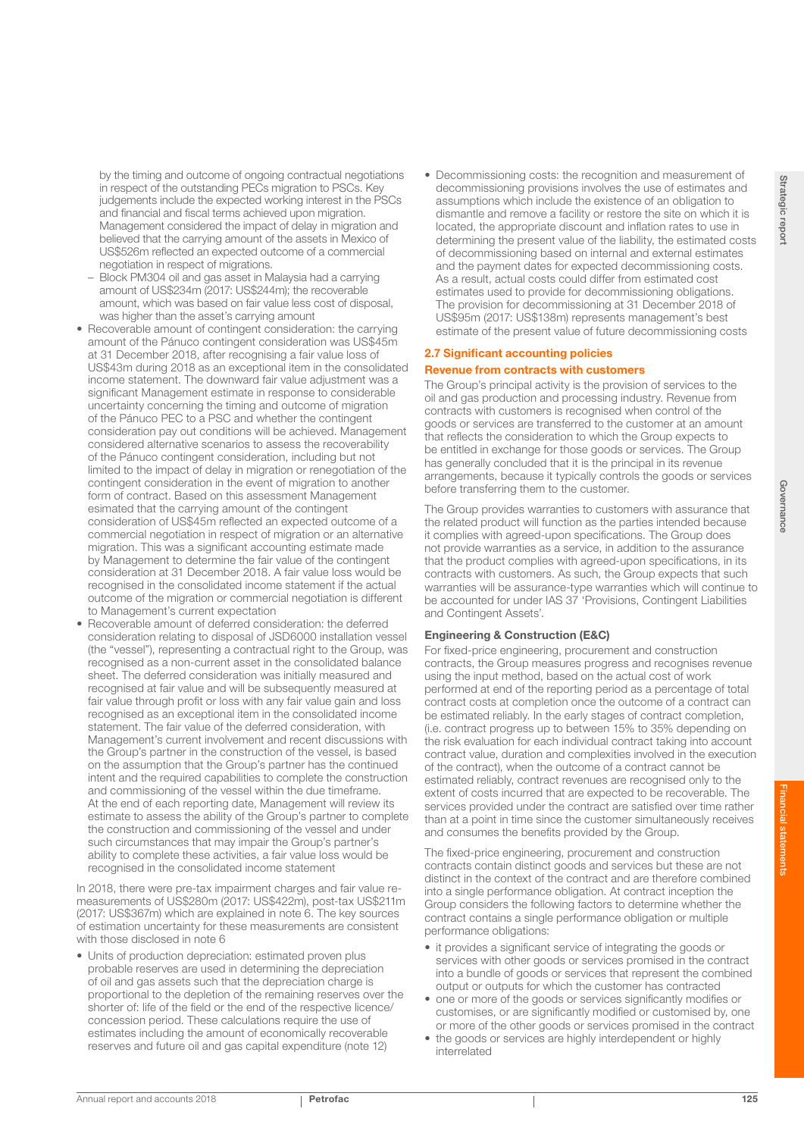Strategic repor

Financial statements

by the timing and outcome of ongoing contractual negotiations in respect of the outstanding PECs migration to PSCs. Key judgements include the expected working interest in the PSCs and financial and fiscal terms achieved upon migration. Management considered the impact of delay in migration and believed that the carrying amount of the assets in Mexico of US\$526m reflected an expected outcome of a commercial negotiation in respect of migrations.

- Block PM304 oil and gas asset in Malaysia had a carrying amount of US\$234m (2017: US\$244m); the recoverable amount, which was based on fair value less cost of disposal, was higher than the asset's carrying amount
- Recoverable amount of contingent consideration: the carrying amount of the Pánuco contingent consideration was US\$45m at 31 December 2018, after recognising a fair value loss of US\$43m during 2018 as an exceptional item in the consolidated income statement. The downward fair value adjustment was a significant Management estimate in response to considerable uncertainty concerning the timing and outcome of migration of the Pánuco PEC to a PSC and whether the contingent consideration pay out conditions will be achieved. Management considered alternative scenarios to assess the recoverability of the Pánuco contingent consideration, including but not limited to the impact of delay in migration or renegotiation of the contingent consideration in the event of migration to another form of contract. Based on this assessment Management esimated that the carrying amount of the contingent consideration of US\$45m reflected an expected outcome of a commercial negotiation in respect of migration or an alternative migration. This was a significant accounting estimate made by Management to determine the fair value of the contingent consideration at 31 December 2018. A fair value loss would be recognised in the consolidated income statement if the actual outcome of the migration or commercial negotiation is different to Management's current expectation
- Recoverable amount of deferred consideration: the deferred consideration relating to disposal of JSD6000 installation vessel (the "vessel"), representing a contractual right to the Group, was recognised as a non-current asset in the consolidated balance sheet. The deferred consideration was initially measured and recognised at fair value and will be subsequently measured at fair value through profit or loss with any fair value gain and loss recognised as an exceptional item in the consolidated income statement. The fair value of the deferred consideration, with Management's current involvement and recent discussions with the Group's partner in the construction of the vessel, is based on the assumption that the Group's partner has the continued intent and the required capabilities to complete the construction and commissioning of the vessel within the due timeframe. At the end of each reporting date, Management will review its estimate to assess the ability of the Group's partner to complete the construction and commissioning of the vessel and under such circumstances that may impair the Group's partner's ability to complete these activities, a fair value loss would be recognised in the consolidated income statement

In 2018, there were pre-tax impairment charges and fair value remeasurements of US\$280m (2017: US\$422m), post-tax US\$211m (2017: US\$367m) which are explained in note 6. The key sources of estimation uncertainty for these measurements are consistent with those disclosed in note 6

• Units of production depreciation: estimated proven plus probable reserves are used in determining the depreciation of oil and gas assets such that the depreciation charge is proportional to the depletion of the remaining reserves over the shorter of: life of the field or the end of the respective licence/ concession period. These calculations require the use of estimates including the amount of economically recoverable reserves and future oil and gas capital expenditure (note 12)

• Decommissioning costs: the recognition and measurement of decommissioning provisions involves the use of estimates and assumptions which include the existence of an obligation to dismantle and remove a facility or restore the site on which it is located, the appropriate discount and inflation rates to use in determining the present value of the liability, the estimated costs of decommissioning based on internal and external estimates and the payment dates for expected decommissioning costs. As a result, actual costs could differ from estimated cost estimates used to provide for decommissioning obligations. The provision for decommissioning at 31 December 2018 of US\$95m (2017: US\$138m) represents management's best estimate of the present value of future decommissioning costs

## 2.7 Significant accounting policies

## Revenue from contracts with customers

The Group's principal activity is the provision of services to the oil and gas production and processing industry. Revenue from contracts with customers is recognised when control of the goods or services are transferred to the customer at an amount that reflects the consideration to which the Group expects to be entitled in exchange for those goods or services. The Group has generally concluded that it is the principal in its revenue arrangements, because it typically controls the goods or services before transferring them to the customer.

The Group provides warranties to customers with assurance that the related product will function as the parties intended because it complies with agreed-upon specifications. The Group does not provide warranties as a service, in addition to the assurance that the product complies with agreed-upon specifications, in its contracts with customers. As such, the Group expects that such warranties will be assurance-type warranties which will continue to be accounted for under IAS 37 'Provisions, Contingent Liabilities and Contingent Assets'.

## Engineering & Construction (E&C)

For fixed-price engineering, procurement and construction contracts, the Group measures progress and recognises revenue using the input method, based on the actual cost of work performed at end of the reporting period as a percentage of total contract costs at completion once the outcome of a contract can be estimated reliably. In the early stages of contract completion, (i.e. contract progress up to between 15% to 35% depending on the risk evaluation for each individual contract taking into account contract value, duration and complexities involved in the execution of the contract), when the outcome of a contract cannot be estimated reliably, contract revenues are recognised only to the extent of costs incurred that are expected to be recoverable. The services provided under the contract are satisfied over time rather than at a point in time since the customer simultaneously receives and consumes the benefits provided by the Group.

The fixed-price engineering, procurement and construction contracts contain distinct goods and services but these are not distinct in the context of the contract and are therefore combined into a single performance obligation. At contract inception the Group considers the following factors to determine whether the contract contains a single performance obligation or multiple performance obligations:

- it provides a significant service of integrating the goods or services with other goods or services promised in the contract into a bundle of goods or services that represent the combined output or outputs for which the customer has contracted
- one or more of the goods or services significantly modifies or customises, or are significantly modified or customised by, one or more of the other goods or services promised in the contract
- the goods or services are highly interdependent or highly interrelated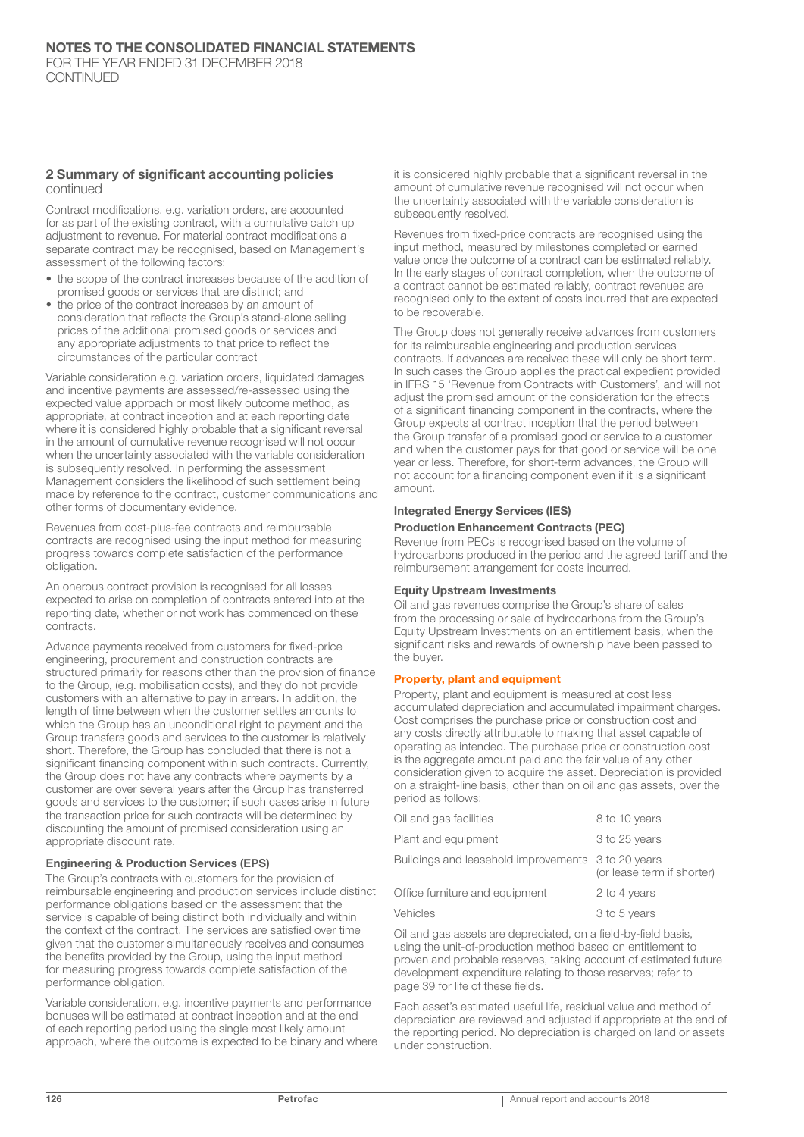#### 2 Summary of significant accounting policies continued

Contract modifications, e.g. variation orders, are accounted for as part of the existing contract, with a cumulative catch up adjustment to revenue. For material contract modifications a separate contract may be recognised, based on Management's assessment of the following factors:

- the scope of the contract increases because of the addition of promised goods or services that are distinct; and
- the price of the contract increases by an amount of consideration that reflects the Group's stand-alone selling prices of the additional promised goods or services and any appropriate adjustments to that price to reflect the circumstances of the particular contract

Variable consideration e.g. variation orders, liquidated damages and incentive payments are assessed/re-assessed using the expected value approach or most likely outcome method, as appropriate, at contract inception and at each reporting date where it is considered highly probable that a significant reversal in the amount of cumulative revenue recognised will not occur when the uncertainty associated with the variable consideration is subsequently resolved. In performing the assessment Management considers the likelihood of such settlement being made by reference to the contract, customer communications and other forms of documentary evidence.

Revenues from cost-plus-fee contracts and reimbursable contracts are recognised using the input method for measuring progress towards complete satisfaction of the performance obligation.

An onerous contract provision is recognised for all losses expected to arise on completion of contracts entered into at the reporting date, whether or not work has commenced on these contracts.

Advance payments received from customers for fixed-price engineering, procurement and construction contracts are structured primarily for reasons other than the provision of finance to the Group, (e.g. mobilisation costs), and they do not provide customers with an alternative to pay in arrears. In addition, the length of time between when the customer settles amounts to which the Group has an unconditional right to payment and the Group transfers goods and services to the customer is relatively short. Therefore, the Group has concluded that there is not a significant financing component within such contracts. Currently, the Group does not have any contracts where payments by a customer are over several years after the Group has transferred goods and services to the customer; if such cases arise in future the transaction price for such contracts will be determined by discounting the amount of promised consideration using an appropriate discount rate.

#### Engineering & Production Services (EPS)

The Group's contracts with customers for the provision of reimbursable engineering and production services include distinct performance obligations based on the assessment that the service is capable of being distinct both individually and within the context of the contract. The services are satisfied over time given that the customer simultaneously receives and consumes the benefits provided by the Group, using the input method for measuring progress towards complete satisfaction of the performance obligation.

Variable consideration, e.g. incentive payments and performance bonuses will be estimated at contract inception and at the end of each reporting period using the single most likely amount approach, where the outcome is expected to be binary and where it is considered highly probable that a significant reversal in the amount of cumulative revenue recognised will not occur when the uncertainty associated with the variable consideration is subsequently resolved.

Revenues from fixed-price contracts are recognised using the input method, measured by milestones completed or earned value once the outcome of a contract can be estimated reliably. In the early stages of contract completion, when the outcome of a contract cannot be estimated reliably, contract revenues are recognised only to the extent of costs incurred that are expected to be recoverable.

The Group does not generally receive advances from customers for its reimbursable engineering and production services contracts. If advances are received these will only be short term. In such cases the Group applies the practical expedient provided in IFRS 15 'Revenue from Contracts with Customers', and will not adjust the promised amount of the consideration for the effects of a significant financing component in the contracts, where the Group expects at contract inception that the period between the Group transfer of a promised good or service to a customer and when the customer pays for that good or service will be one year or less. Therefore, for short-term advances, the Group will not account for a financing component even if it is a significant amount.

#### Integrated Energy Services (IES)

## Production Enhancement Contracts (PEC)

Revenue from PECs is recognised based on the volume of hydrocarbons produced in the period and the agreed tariff and the reimbursement arrangement for costs incurred.

#### Equity Upstream Investments

Oil and gas revenues comprise the Group's share of sales from the processing or sale of hydrocarbons from the Group's Equity Upstream Investments on an entitlement basis, when the significant risks and rewards of ownership have been passed to the buyer.

#### Property, plant and equipment

Property, plant and equipment is measured at cost less accumulated depreciation and accumulated impairment charges. Cost comprises the purchase price or construction cost and any costs directly attributable to making that asset capable of operating as intended. The purchase price or construction cost is the aggregate amount paid and the fair value of any other consideration given to acquire the asset. Depreciation is provided on a straight-line basis, other than on oil and gas assets, over the period as follows:

| Oil and gas facilities                             | 8 to 10 years              |
|----------------------------------------------------|----------------------------|
| Plant and equipment                                | 3 to 25 years              |
| Buildings and leasehold improvements 3 to 20 years | (or lease term if shorter) |
| Office furniture and equipment                     | 2 to 4 years               |
| Vehicles                                           | 3 to 5 years               |

Oil and gas assets are depreciated, on a field-by-field basis, using the unit-of-production method based on entitlement to proven and probable reserves, taking account of estimated future development expenditure relating to those reserves; refer to page 39 for life of these fields.

Each asset's estimated useful life, residual value and method of depreciation are reviewed and adjusted if appropriate at the end of the reporting period. No depreciation is charged on land or assets under construction.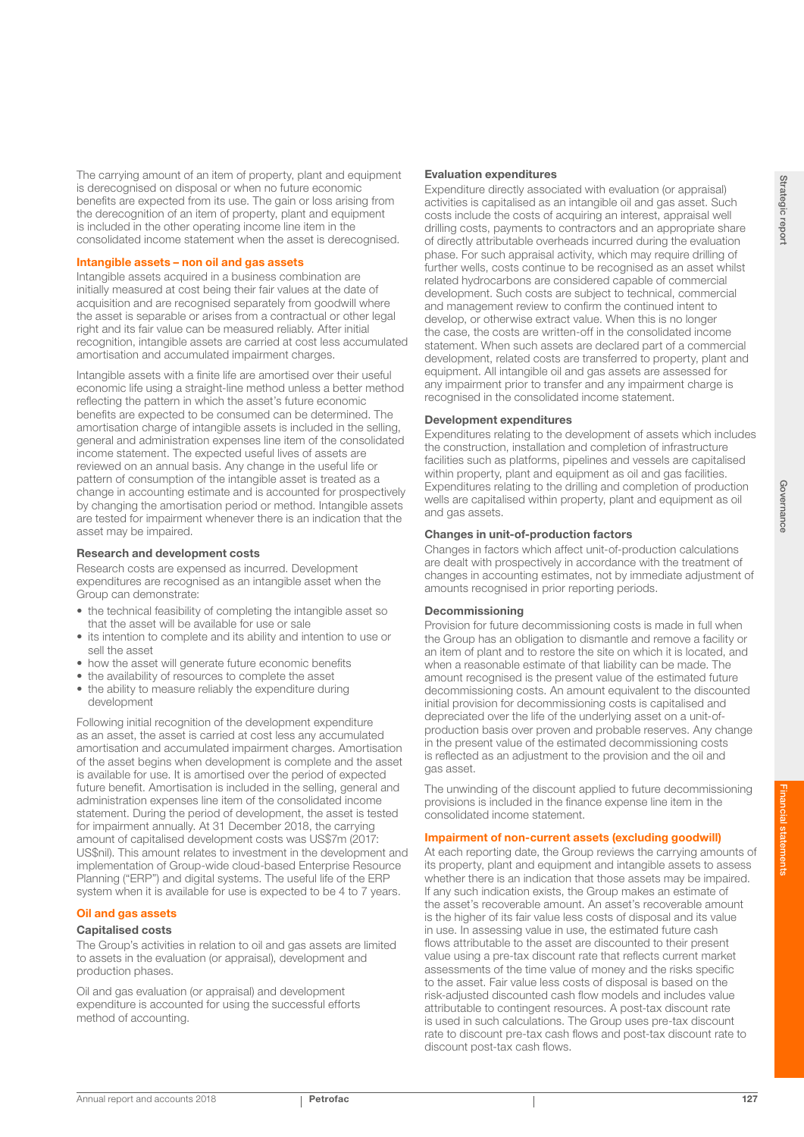The carrying amount of an item of property, plant and equipment is derecognised on disposal or when no future economic benefits are expected from its use. The gain or loss arising from the derecognition of an item of property, plant and equipment is included in the other operating income line item in the consolidated income statement when the asset is derecognised.

#### Intangible assets – non oil and gas assets

Intangible assets acquired in a business combination are initially measured at cost being their fair values at the date of acquisition and are recognised separately from goodwill where the asset is separable or arises from a contractual or other legal right and its fair value can be measured reliably. After initial recognition, intangible assets are carried at cost less accumulated amortisation and accumulated impairment charges.

Intangible assets with a finite life are amortised over their useful economic life using a straight-line method unless a better method reflecting the pattern in which the asset's future economic benefits are expected to be consumed can be determined. The amortisation charge of intangible assets is included in the selling, general and administration expenses line item of the consolidated income statement. The expected useful lives of assets are reviewed on an annual basis. Any change in the useful life or pattern of consumption of the intangible asset is treated as a change in accounting estimate and is accounted for prospectively by changing the amortisation period or method. Intangible assets are tested for impairment whenever there is an indication that the asset may be impaired.

#### Research and development costs

Research costs are expensed as incurred. Development expenditures are recognised as an intangible asset when the Group can demonstrate:

- the technical feasibility of completing the intangible asset so that the asset will be available for use or sale
- its intention to complete and its ability and intention to use or sell the asset
- how the asset will generate future economic benefits
- the availability of resources to complete the asset
- the ability to measure reliably the expenditure during development

Following initial recognition of the development expenditure as an asset, the asset is carried at cost less any accumulated amortisation and accumulated impairment charges. Amortisation of the asset begins when development is complete and the asset is available for use. It is amortised over the period of expected future benefit. Amortisation is included in the selling, general and administration expenses line item of the consolidated income statement. During the period of development, the asset is tested for impairment annually. At 31 December 2018, the carrying amount of capitalised development costs was US\$7m (2017: US\$nil). This amount relates to investment in the development and implementation of Group-wide cloud-based Enterprise Resource Planning ("ERP") and digital systems. The useful life of the ERP system when it is available for use is expected to be 4 to 7 years.

## Oil and gas assets

#### Capitalised costs

The Group's activities in relation to oil and gas assets are limited to assets in the evaluation (or appraisal), development and production phases.

Oil and gas evaluation (or appraisal) and development expenditure is accounted for using the successful efforts method of accounting.

#### Evaluation expenditures

Expenditure directly associated with evaluation (or appraisal) activities is capitalised as an intangible oil and gas asset. Such costs include the costs of acquiring an interest, appraisal well drilling costs, payments to contractors and an appropriate share of directly attributable overheads incurred during the evaluation phase. For such appraisal activity, which may require drilling of further wells, costs continue to be recognised as an asset whilst related hydrocarbons are considered capable of commercial development. Such costs are subject to technical, commercial and management review to confirm the continued intent to develop, or otherwise extract value. When this is no longer the case, the costs are written-off in the consolidated income statement. When such assets are declared part of a commercial development, related costs are transferred to property, plant and equipment. All intangible oil and gas assets are assessed for any impairment prior to transfer and any impairment charge is recognised in the consolidated income statement.

#### Development expenditures

Expenditures relating to the development of assets which includes the construction, installation and completion of infrastructure facilities such as platforms, pipelines and vessels are capitalised within property, plant and equipment as oil and gas facilities. Expenditures relating to the drilling and completion of production wells are capitalised within property, plant and equipment as oil and gas assets.

#### Changes in unit-of-production factors

Changes in factors which affect unit-of-production calculations are dealt with prospectively in accordance with the treatment of changes in accounting estimates, not by immediate adjustment of amounts recognised in prior reporting periods.

## Decommissioning

Provision for future decommissioning costs is made in full when the Group has an obligation to dismantle and remove a facility or an item of plant and to restore the site on which it is located, and when a reasonable estimate of that liability can be made. The amount recognised is the present value of the estimated future decommissioning costs. An amount equivalent to the discounted initial provision for decommissioning costs is capitalised and depreciated over the life of the underlying asset on a unit-ofproduction basis over proven and probable reserves. Any change in the present value of the estimated decommissioning costs is reflected as an adjustment to the provision and the oil and gas asset.

The unwinding of the discount applied to future decommissioning provisions is included in the finance expense line item in the consolidated income statement.

### Impairment of non-current assets (excluding goodwill)

At each reporting date, the Group reviews the carrying amounts of its property, plant and equipment and intangible assets to assess whether there is an indication that those assets may be impaired. If any such indication exists, the Group makes an estimate of the asset's recoverable amount. An asset's recoverable amount is the higher of its fair value less costs of disposal and its value in use. In assessing value in use, the estimated future cash flows attributable to the asset are discounted to their present value using a pre-tax discount rate that reflects current market assessments of the time value of money and the risks specific to the asset. Fair value less costs of disposal is based on the risk-adjusted discounted cash flow models and includes value attributable to contingent resources. A post-tax discount rate is used in such calculations. The Group uses pre-tax discount rate to discount pre-tax cash flows and post-tax discount rate to discount post-tax cash flows.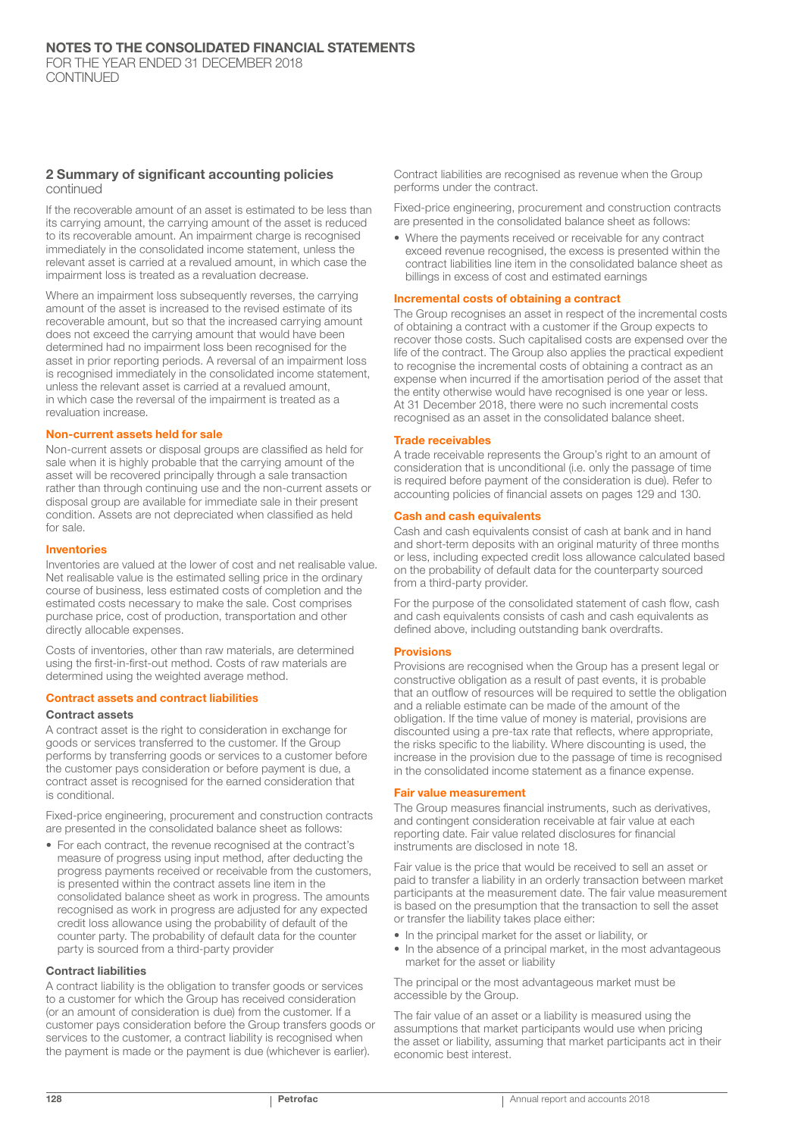#### 2 Summary of significant accounting policies continued

If the recoverable amount of an asset is estimated to be less than its carrying amount, the carrying amount of the asset is reduced to its recoverable amount. An impairment charge is recognised immediately in the consolidated income statement, unless the relevant asset is carried at a revalued amount, in which case the impairment loss is treated as a revaluation decrease.

Where an impairment loss subsequently reverses, the carrying amount of the asset is increased to the revised estimate of its recoverable amount, but so that the increased carrying amount does not exceed the carrying amount that would have been determined had no impairment loss been recognised for the asset in prior reporting periods. A reversal of an impairment loss is recognised immediately in the consolidated income statement, unless the relevant asset is carried at a revalued amount, in which case the reversal of the impairment is treated as a revaluation increase.

#### Non-current assets held for sale

Non-current assets or disposal groups are classified as held for sale when it is highly probable that the carrying amount of the asset will be recovered principally through a sale transaction rather than through continuing use and the non-current assets or disposal group are available for immediate sale in their present condition. Assets are not depreciated when classified as held for sale.

#### Inventories

Inventories are valued at the lower of cost and net realisable value. Net realisable value is the estimated selling price in the ordinary course of business, less estimated costs of completion and the estimated costs necessary to make the sale. Cost comprises purchase price, cost of production, transportation and other directly allocable expenses.

Costs of inventories, other than raw materials, are determined using the first-in-first-out method. Costs of raw materials are determined using the weighted average method.

## Contract assets and contract liabilities

#### Contract assets

A contract asset is the right to consideration in exchange for goods or services transferred to the customer. If the Group performs by transferring goods or services to a customer before the customer pays consideration or before payment is due, a contract asset is recognised for the earned consideration that is conditional.

Fixed-price engineering, procurement and construction contracts are presented in the consolidated balance sheet as follows:

• For each contract, the revenue recognised at the contract's measure of progress using input method, after deducting the progress payments received or receivable from the customers, is presented within the contract assets line item in the consolidated balance sheet as work in progress. The amounts recognised as work in progress are adjusted for any expected credit loss allowance using the probability of default of the counter party. The probability of default data for the counter party is sourced from a third-party provider

#### Contract liabilities

A contract liability is the obligation to transfer goods or services to a customer for which the Group has received consideration (or an amount of consideration is due) from the customer. If a customer pays consideration before the Group transfers goods or services to the customer, a contract liability is recognised when the payment is made or the payment is due (whichever is earlier).

Contract liabilities are recognised as revenue when the Group performs under the contract.

Fixed-price engineering, procurement and construction contracts are presented in the consolidated balance sheet as follows:

• Where the payments received or receivable for any contract exceed revenue recognised, the excess is presented within the contract liabilities line item in the consolidated balance sheet as billings in excess of cost and estimated earnings

#### Incremental costs of obtaining a contract

The Group recognises an asset in respect of the incremental costs of obtaining a contract with a customer if the Group expects to recover those costs. Such capitalised costs are expensed over the life of the contract. The Group also applies the practical expedient to recognise the incremental costs of obtaining a contract as an expense when incurred if the amortisation period of the asset that the entity otherwise would have recognised is one year or less. At 31 December 2018, there were no such incremental costs recognised as an asset in the consolidated balance sheet.

#### Trade receivables

A trade receivable represents the Group's right to an amount of consideration that is unconditional (i.e. only the passage of time is required before payment of the consideration is due). Refer to accounting policies of financial assets on pages 129 and 130.

#### Cash and cash equivalents

Cash and cash equivalents consist of cash at bank and in hand and short-term deposits with an original maturity of three months or less, including expected credit loss allowance calculated based on the probability of default data for the counterparty sourced from a third-party provider.

For the purpose of the consolidated statement of cash flow, cash and cash equivalents consists of cash and cash equivalents as defined above, including outstanding bank overdrafts.

#### **Provisions**

Provisions are recognised when the Group has a present legal or constructive obligation as a result of past events, it is probable that an outflow of resources will be required to settle the obligation and a reliable estimate can be made of the amount of the obligation. If the time value of money is material, provisions are discounted using a pre-tax rate that reflects, where appropriate, the risks specific to the liability. Where discounting is used, the increase in the provision due to the passage of time is recognised in the consolidated income statement as a finance expense.

#### Fair value measurement

The Group measures financial instruments, such as derivatives, and contingent consideration receivable at fair value at each reporting date. Fair value related disclosures for financial instruments are disclosed in note 18.

Fair value is the price that would be received to sell an asset or paid to transfer a liability in an orderly transaction between market participants at the measurement date. The fair value measurement is based on the presumption that the transaction to sell the asset or transfer the liability takes place either:

- In the principal market for the asset or liability, or
- In the absence of a principal market, in the most advantageous market for the asset or liability

The principal or the most advantageous market must be accessible by the Group.

The fair value of an asset or a liability is measured using the assumptions that market participants would use when pricing the asset or liability, assuming that market participants act in their economic best interest.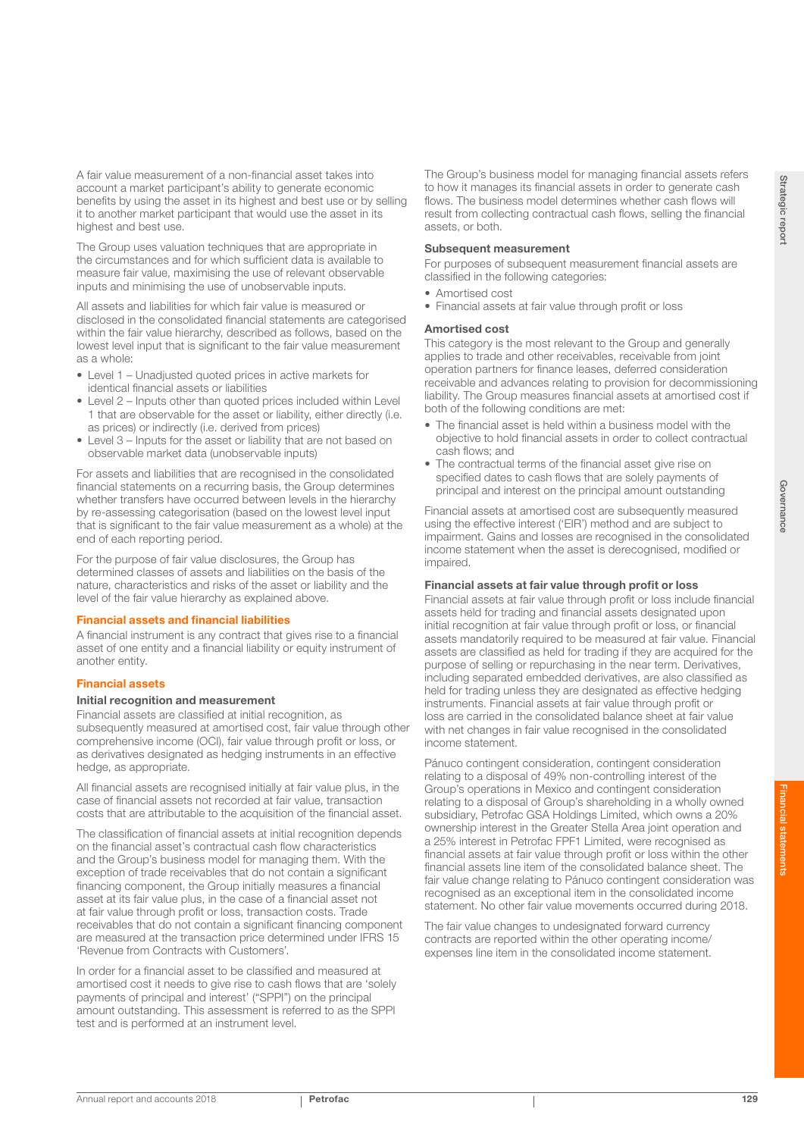A fair value measurement of a non-financial asset takes into account a market participant's ability to generate economic benefits by using the asset in its highest and best use or by selling it to another market participant that would use the asset in its highest and best use.

The Group uses valuation techniques that are appropriate in the circumstances and for which sufficient data is available to measure fair value, maximising the use of relevant observable inputs and minimising the use of unobservable inputs.

All assets and liabilities for which fair value is measured or disclosed in the consolidated financial statements are categorised within the fair value hierarchy, described as follows, based on the lowest level input that is significant to the fair value measurement as a whole:

- Level 1 Unadjusted quoted prices in active markets for
- identical financial assets or liabilities
- Level 2 Inputs other than quoted prices included within Level 1 that are observable for the asset or liability, either directly (i.e. as prices) or indirectly (i.e. derived from prices)
- Level 3 Inputs for the asset or liability that are not based on observable market data (unobservable inputs)

For assets and liabilities that are recognised in the consolidated financial statements on a recurring basis, the Group determines whether transfers have occurred between levels in the hierarchy by re-assessing categorisation (based on the lowest level input that is significant to the fair value measurement as a whole) at the end of each reporting period.

For the purpose of fair value disclosures, the Group has determined classes of assets and liabilities on the basis of the nature, characteristics and risks of the asset or liability and the level of the fair value hierarchy as explained above.

#### Financial assets and financial liabilities

A financial instrument is any contract that gives rise to a financial asset of one entity and a financial liability or equity instrument of another entity.

#### Financial assets

#### Initial recognition and measurement

Financial assets are classified at initial recognition, as subsequently measured at amortised cost, fair value through other comprehensive income (OCI), fair value through profit or loss, or as derivatives designated as hedging instruments in an effective hedge, as appropriate.

All financial assets are recognised initially at fair value plus, in the case of financial assets not recorded at fair value, transaction costs that are attributable to the acquisition of the financial asset.

The classification of financial assets at initial recognition depends on the financial asset's contractual cash flow characteristics and the Group's business model for managing them. With the exception of trade receivables that do not contain a significant financing component, the Group initially measures a financial asset at its fair value plus, in the case of a financial asset not at fair value through profit or loss, transaction costs. Trade receivables that do not contain a significant financing component are measured at the transaction price determined under IFRS 15 'Revenue from Contracts with Customers'.

In order for a financial asset to be classified and measured at amortised cost it needs to give rise to cash flows that are 'solely payments of principal and interest' ("SPPI") on the principal amount outstanding. This assessment is referred to as the SPPI test and is performed at an instrument level.

The Group's business model for managing financial assets refers to how it manages its financial assets in order to generate cash flows. The business model determines whether cash flows will result from collecting contractual cash flows, selling the financial assets, or both.

#### Subsequent measurement

For purposes of subsequent measurement financial assets are classified in the following categories:

- Amortised cost
- Financial assets at fair value through profit or loss

#### Amortised cost

This category is the most relevant to the Group and generally applies to trade and other receivables, receivable from joint operation partners for finance leases, deferred consideration receivable and advances relating to provision for decommissioning liability. The Group measures financial assets at amortised cost if both of the following conditions are met:

- The financial asset is held within a business model with the objective to hold financial assets in order to collect contractual cash flows; and
- The contractual terms of the financial asset give rise on specified dates to cash flows that are solely payments of principal and interest on the principal amount outstanding

Financial assets at amortised cost are subsequently measured using the effective interest ('EIR') method and are subject to impairment. Gains and losses are recognised in the consolidated income statement when the asset is derecognised, modified or impaired.

#### Financial assets at fair value through profit or loss

Financial assets at fair value through profit or loss include financial assets held for trading and financial assets designated upon initial recognition at fair value through profit or loss, or financial assets mandatorily required to be measured at fair value. Financial assets are classified as held for trading if they are acquired for the purpose of selling or repurchasing in the near term. Derivatives, including separated embedded derivatives, are also classified as held for trading unless they are designated as effective hedging instruments. Financial assets at fair value through profit or loss are carried in the consolidated balance sheet at fair value with net changes in fair value recognised in the consolidated income statement.

Pánuco contingent consideration, contingent consideration relating to a disposal of 49% non-controlling interest of the Group's operations in Mexico and contingent consideration relating to a disposal of Group's shareholding in a wholly owned subsidiary, Petrofac GSA Holdings Limited, which owns a 20% ownership interest in the Greater Stella Area joint operation and a 25% interest in Petrofac FPF1 Limited, were recognised as financial assets at fair value through profit or loss within the other financial assets line item of the consolidated balance sheet. The fair value change relating to Pánuco contingent consideration was recognised as an exceptional item in the consolidated income statement. No other fair value movements occurred during 2018.

The fair value changes to undesignated forward currency contracts are reported within the other operating income/ expenses line item in the consolidated income statement.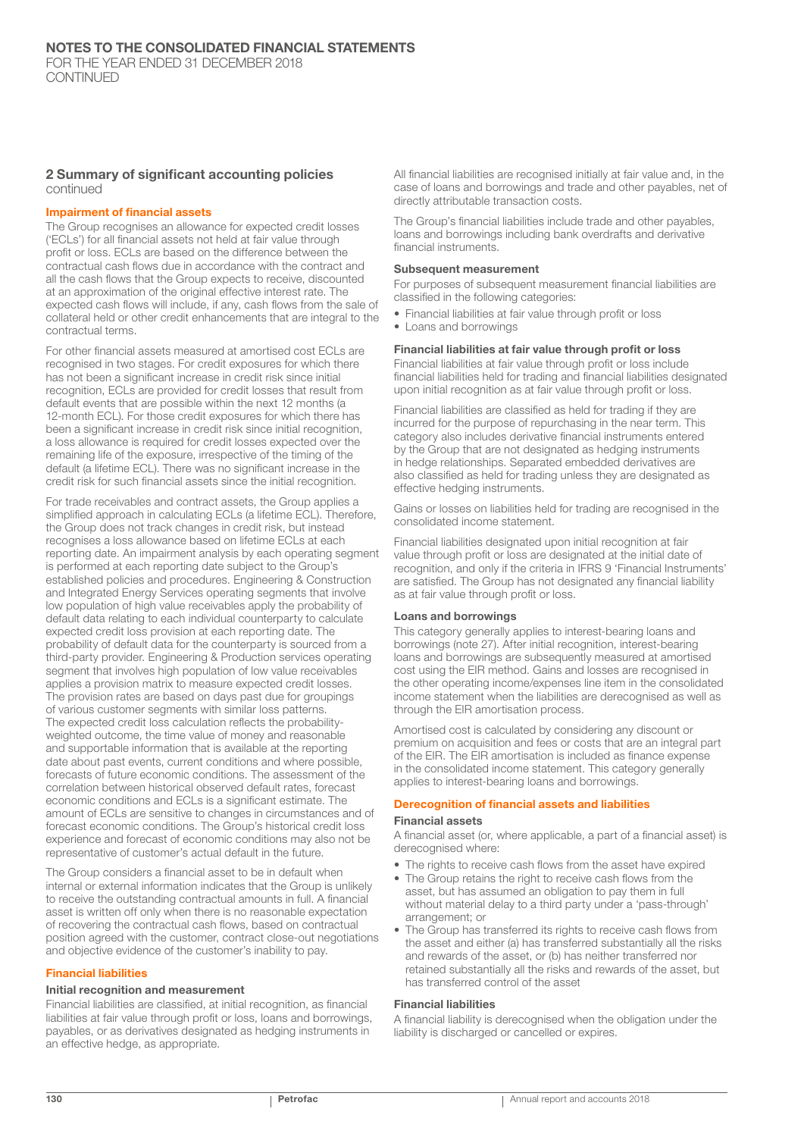#### 2 Summary of significant accounting policies continued

#### Impairment of financial assets

The Group recognises an allowance for expected credit losses ('ECLs') for all financial assets not held at fair value through profit or loss. ECLs are based on the difference between the contractual cash flows due in accordance with the contract and all the cash flows that the Group expects to receive, discounted at an approximation of the original effective interest rate. The expected cash flows will include, if any, cash flows from the sale of collateral held or other credit enhancements that are integral to the contractual terms.

For other financial assets measured at amortised cost ECLs are recognised in two stages. For credit exposures for which there has not been a significant increase in credit risk since initial recognition, ECLs are provided for credit losses that result from default events that are possible within the next 12 months (a 12-month ECL). For those credit exposures for which there has been a significant increase in credit risk since initial recognition, a loss allowance is required for credit losses expected over the remaining life of the exposure, irrespective of the timing of the default (a lifetime ECL). There was no significant increase in the credit risk for such financial assets since the initial recognition.

For trade receivables and contract assets, the Group applies a simplified approach in calculating ECLs (a lifetime ECL). Therefore, the Group does not track changes in credit risk, but instead recognises a loss allowance based on lifetime ECLs at each reporting date. An impairment analysis by each operating segment is performed at each reporting date subject to the Group's established policies and procedures. Engineering & Construction and Integrated Energy Services operating segments that involve low population of high value receivables apply the probability of default data relating to each individual counterparty to calculate expected credit loss provision at each reporting date. The probability of default data for the counterparty is sourced from a third-party provider. Engineering & Production services operating segment that involves high population of low value receivables applies a provision matrix to measure expected credit losses. The provision rates are based on days past due for groupings of various customer segments with similar loss patterns. The expected credit loss calculation reflects the probabilityweighted outcome, the time value of money and reasonable and supportable information that is available at the reporting date about past events, current conditions and where possible, forecasts of future economic conditions. The assessment of the correlation between historical observed default rates, forecast economic conditions and ECLs is a significant estimate. The amount of ECLs are sensitive to changes in circumstances and of forecast economic conditions. The Group's historical credit loss experience and forecast of economic conditions may also not be representative of customer's actual default in the future.

The Group considers a financial asset to be in default when internal or external information indicates that the Group is unlikely to receive the outstanding contractual amounts in full. A financial asset is written off only when there is no reasonable expectation of recovering the contractual cash flows, based on contractual position agreed with the customer, contract close-out negotiations and objective evidence of the customer's inability to pay.

#### Financial liabilities

#### Initial recognition and measurement

Financial liabilities are classified, at initial recognition, as financial liabilities at fair value through profit or loss, loans and borrowings, payables, or as derivatives designated as hedging instruments in an effective hedge, as appropriate.

All financial liabilities are recognised initially at fair value and, in the case of loans and borrowings and trade and other payables, net of directly attributable transaction costs.

The Group's financial liabilities include trade and other payables, loans and borrowings including bank overdrafts and derivative financial instruments.

#### Subsequent measurement

For purposes of subsequent measurement financial liabilities are classified in the following categories:

- Financial liabilities at fair value through profit or loss
- Loans and borrowings

#### Financial liabilities at fair value through profit or loss

Financial liabilities at fair value through profit or loss include financial liabilities held for trading and financial liabilities designated upon initial recognition as at fair value through profit or loss.

Financial liabilities are classified as held for trading if they are incurred for the purpose of repurchasing in the near term. This category also includes derivative financial instruments entered by the Group that are not designated as hedging instruments in hedge relationships. Separated embedded derivatives are also classified as held for trading unless they are designated as effective hedging instruments.

Gains or losses on liabilities held for trading are recognised in the consolidated income statement.

Financial liabilities designated upon initial recognition at fair value through profit or loss are designated at the initial date of recognition, and only if the criteria in IFRS 9 'Financial Instruments' are satisfied. The Group has not designated any financial liability as at fair value through profit or loss.

#### Loans and borrowings

This category generally applies to interest-bearing loans and borrowings (note 27). After initial recognition, interest-bearing loans and borrowings are subsequently measured at amortised cost using the EIR method. Gains and losses are recognised in the other operating income/expenses line item in the consolidated income statement when the liabilities are derecognised as well as through the EIR amortisation process.

Amortised cost is calculated by considering any discount or premium on acquisition and fees or costs that are an integral part of the EIR. The EIR amortisation is included as finance expense in the consolidated income statement. This category generally applies to interest-bearing loans and borrowings.

## Derecognition of financial assets and liabilities

#### Financial assets

A financial asset (or, where applicable, a part of a financial asset) is derecognised where:

- The rights to receive cash flows from the asset have expired
- The Group retains the right to receive cash flows from the asset, but has assumed an obligation to pay them in full without material delay to a third party under a 'pass-through' arrangement; or
- The Group has transferred its rights to receive cash flows from the asset and either (a) has transferred substantially all the risks and rewards of the asset, or (b) has neither transferred nor retained substantially all the risks and rewards of the asset, but has transferred control of the asset

#### Financial liabilities

A financial liability is derecognised when the obligation under the liability is discharged or cancelled or expires.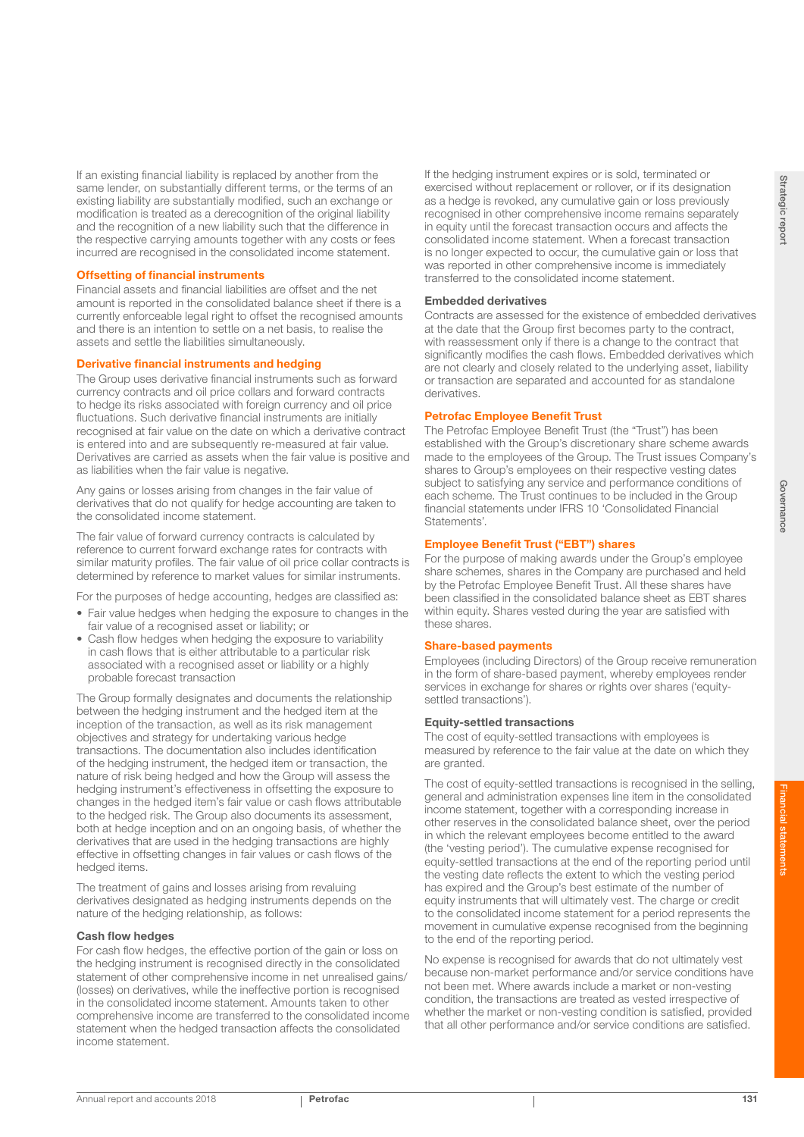If an existing financial liability is replaced by another from the same lender, on substantially different terms, or the terms of an existing liability are substantially modified, such an exchange or modification is treated as a derecognition of the original liability and the recognition of a new liability such that the difference in the respective carrying amounts together with any costs or fees incurred are recognised in the consolidated income statement.

#### Offsetting of financial instruments

Financial assets and financial liabilities are offset and the net amount is reported in the consolidated balance sheet if there is a currently enforceable legal right to offset the recognised amounts and there is an intention to settle on a net basis, to realise the assets and settle the liabilities simultaneously.

#### Derivative financial instruments and hedging

The Group uses derivative financial instruments such as forward currency contracts and oil price collars and forward contracts to hedge its risks associated with foreign currency and oil price fluctuations. Such derivative financial instruments are initially recognised at fair value on the date on which a derivative contract is entered into and are subsequently re-measured at fair value. Derivatives are carried as assets when the fair value is positive and as liabilities when the fair value is negative.

Any gains or losses arising from changes in the fair value of derivatives that do not qualify for hedge accounting are taken to the consolidated income statement.

The fair value of forward currency contracts is calculated by reference to current forward exchange rates for contracts with similar maturity profiles. The fair value of oil price collar contracts is determined by reference to market values for similar instruments.

For the purposes of hedge accounting, hedges are classified as:

- Fair value hedges when hedging the exposure to changes in the fair value of a recognised asset or liability; or
- Cash flow hedges when hedging the exposure to variability in cash flows that is either attributable to a particular risk associated with a recognised asset or liability or a highly probable forecast transaction

The Group formally designates and documents the relationship between the hedging instrument and the hedged item at the inception of the transaction, as well as its risk management objectives and strategy for undertaking various hedge transactions. The documentation also includes identification of the hedging instrument, the hedged item or transaction, the nature of risk being hedged and how the Group will assess the hedging instrument's effectiveness in offsetting the exposure to changes in the hedged item's fair value or cash flows attributable to the hedged risk. The Group also documents its assessment, both at hedge inception and on an ongoing basis, of whether the derivatives that are used in the hedging transactions are highly effective in offsetting changes in fair values or cash flows of the hedged items.

The treatment of gains and losses arising from revaluing derivatives designated as hedging instruments depends on the nature of the hedging relationship, as follows:

#### Cash flow hedges

For cash flow hedges, the effective portion of the gain or loss on the hedging instrument is recognised directly in the consolidated statement of other comprehensive income in net unrealised gains/ (losses) on derivatives, while the ineffective portion is recognised in the consolidated income statement. Amounts taken to other comprehensive income are transferred to the consolidated income statement when the hedged transaction affects the consolidated income statement.

If the hedging instrument expires or is sold, terminated or exercised without replacement or rollover, or if its designation as a hedge is revoked, any cumulative gain or loss previously recognised in other comprehensive income remains separately in equity until the forecast transaction occurs and affects the consolidated income statement. When a forecast transaction is no longer expected to occur, the cumulative gain or loss that was reported in other comprehensive income is immediately transferred to the consolidated income statement.

#### Embedded derivatives

Contracts are assessed for the existence of embedded derivatives at the date that the Group first becomes party to the contract, with reassessment only if there is a change to the contract that significantly modifies the cash flows. Embedded derivatives which are not clearly and closely related to the underlying asset, liability or transaction are separated and accounted for as standalone derivatives.

#### Petrofac Employee Benefit Trust

The Petrofac Employee Benefit Trust (the "Trust") has been established with the Group's discretionary share scheme awards made to the employees of the Group. The Trust issues Company's shares to Group's employees on their respective vesting dates subject to satisfying any service and performance conditions of each scheme. The Trust continues to be included in the Group financial statements under IFRS 10 'Consolidated Financial Statements'.

#### Employee Benefit Trust ("EBT") shares

For the purpose of making awards under the Group's employee share schemes, shares in the Company are purchased and held by the Petrofac Employee Benefit Trust. All these shares have been classified in the consolidated balance sheet as EBT shares within equity. Shares vested during the year are satisfied with these shares.

#### Share-based payments

Employees (including Directors) of the Group receive remuneration in the form of share-based payment, whereby employees render services in exchange for shares or rights over shares ('equitysettled transactions').

#### Equity-settled transactions

The cost of equity-settled transactions with employees is measured by reference to the fair value at the date on which they are granted.

The cost of equity-settled transactions is recognised in the selling, general and administration expenses line item in the consolidated income statement, together with a corresponding increase in other reserves in the consolidated balance sheet, over the period in which the relevant employees become entitled to the award (the 'vesting period'). The cumulative expense recognised for equity-settled transactions at the end of the reporting period until the vesting date reflects the extent to which the vesting period has expired and the Group's best estimate of the number of equity instruments that will ultimately vest. The charge or credit to the consolidated income statement for a period represents the movement in cumulative expense recognised from the beginning to the end of the reporting period.

No expense is recognised for awards that do not ultimately vest because non-market performance and/or service conditions have not been met. Where awards include a market or non-vesting condition, the transactions are treated as vested irrespective of whether the market or non-vesting condition is satisfied, provided that all other performance and/or service conditions are satisfied.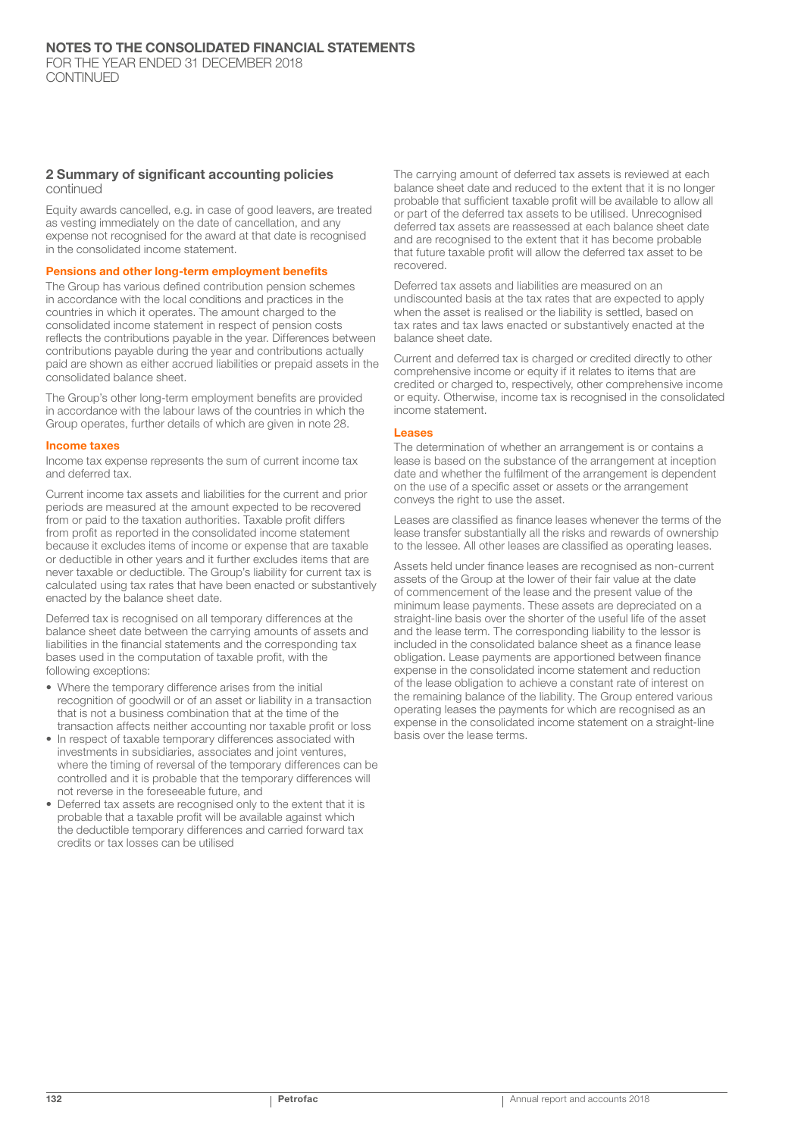#### 2 Summary of significant accounting policies continued

Equity awards cancelled, e.g. in case of good leavers, are treated as vesting immediately on the date of cancellation, and any expense not recognised for the award at that date is recognised in the consolidated income statement.

#### Pensions and other long-term employment benefits

The Group has various defined contribution pension schemes in accordance with the local conditions and practices in the countries in which it operates. The amount charged to the consolidated income statement in respect of pension costs reflects the contributions payable in the year. Differences between contributions payable during the year and contributions actually paid are shown as either accrued liabilities or prepaid assets in the consolidated balance sheet.

The Group's other long-term employment benefits are provided in accordance with the labour laws of the countries in which the Group operates, further details of which are given in note 28.

#### Income taxes

Income tax expense represents the sum of current income tax and deferred tax.

Current income tax assets and liabilities for the current and prior periods are measured at the amount expected to be recovered from or paid to the taxation authorities. Taxable profit differs from profit as reported in the consolidated income statement because it excludes items of income or expense that are taxable or deductible in other years and it further excludes items that are never taxable or deductible. The Group's liability for current tax is calculated using tax rates that have been enacted or substantively enacted by the balance sheet date.

Deferred tax is recognised on all temporary differences at the balance sheet date between the carrying amounts of assets and liabilities in the financial statements and the corresponding tax bases used in the computation of taxable profit, with the following exceptions:

- Where the temporary difference arises from the initial recognition of goodwill or of an asset or liability in a transaction that is not a business combination that at the time of the transaction affects neither accounting nor taxable profit or loss
- In respect of taxable temporary differences associated with investments in subsidiaries, associates and joint ventures, where the timing of reversal of the temporary differences can be controlled and it is probable that the temporary differences will not reverse in the foreseeable future, and
- Deferred tax assets are recognised only to the extent that it is probable that a taxable profit will be available against which the deductible temporary differences and carried forward tax credits or tax losses can be utilised

The carrying amount of deferred tax assets is reviewed at each balance sheet date and reduced to the extent that it is no longer probable that sufficient taxable profit will be available to allow all or part of the deferred tax assets to be utilised. Unrecognised deferred tax assets are reassessed at each balance sheet date and are recognised to the extent that it has become probable that future taxable profit will allow the deferred tax asset to be recovered.

Deferred tax assets and liabilities are measured on an undiscounted basis at the tax rates that are expected to apply when the asset is realised or the liability is settled, based on tax rates and tax laws enacted or substantively enacted at the balance sheet date.

Current and deferred tax is charged or credited directly to other comprehensive income or equity if it relates to items that are credited or charged to, respectively, other comprehensive income or equity. Otherwise, income tax is recognised in the consolidated income statement.

#### Leases

The determination of whether an arrangement is or contains a lease is based on the substance of the arrangement at inception date and whether the fulfilment of the arrangement is dependent on the use of a specific asset or assets or the arrangement conveys the right to use the asset.

Leases are classified as finance leases whenever the terms of the lease transfer substantially all the risks and rewards of ownership to the lessee. All other leases are classified as operating leases.

Assets held under finance leases are recognised as non-current assets of the Group at the lower of their fair value at the date of commencement of the lease and the present value of the minimum lease payments. These assets are depreciated on a straight-line basis over the shorter of the useful life of the asset and the lease term. The corresponding liability to the lessor is included in the consolidated balance sheet as a finance lease obligation. Lease payments are apportioned between finance expense in the consolidated income statement and reduction of the lease obligation to achieve a constant rate of interest on the remaining balance of the liability. The Group entered various operating leases the payments for which are recognised as an expense in the consolidated income statement on a straight-line basis over the lease terms.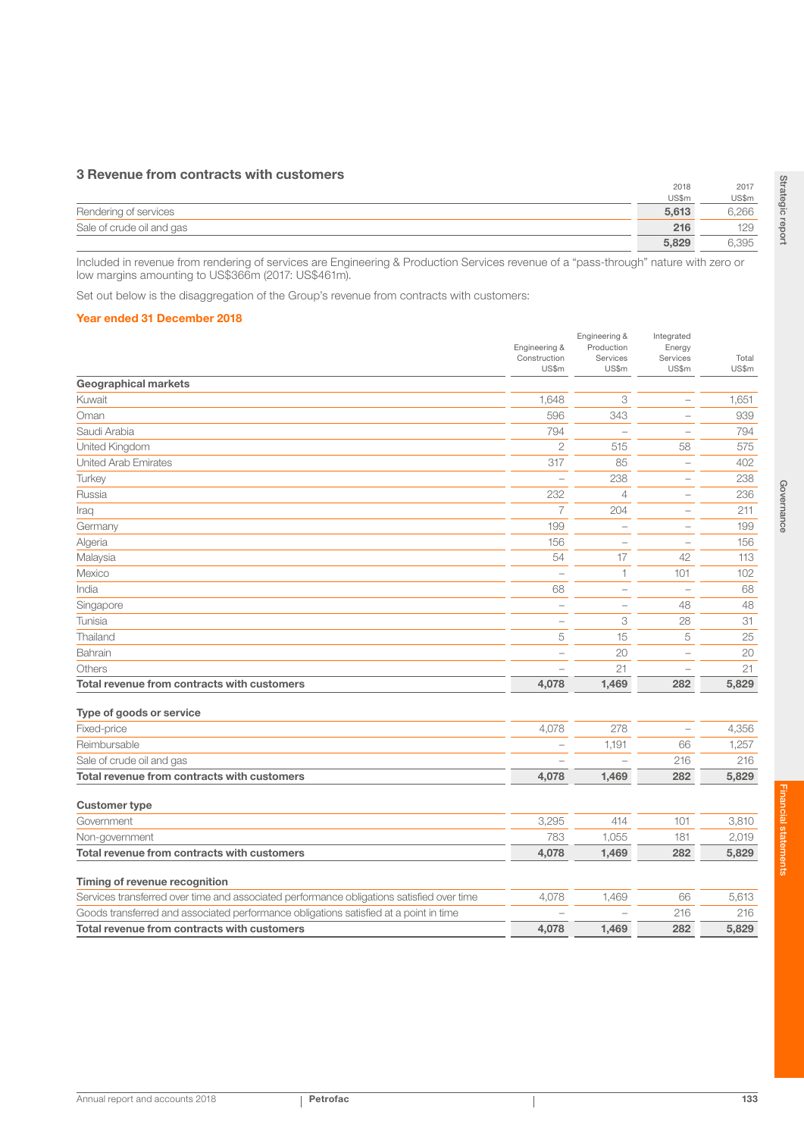## 3 Revenue from contracts with customers

|                           | 2018  | 2017  |
|---------------------------|-------|-------|
|                           | US\$m | US\$m |
| Rendering of services     | 5.613 | 6,266 |
| Sale of crude oil and gas | 216   | 129   |
|                           | 5,829 | 6,395 |

Included in revenue from rendering of services are Engineering & Production Services revenue of a "pass-through" nature with zero or low margins amounting to US\$366m (2017: US\$461m).

Set out below is the disaggregation of the Group's revenue from contracts with customers:

#### Year ended 31 December 2018

|                                             | Engineering &         | Engineering &<br>Production | Integrated<br>Energy     |                |
|---------------------------------------------|-----------------------|-----------------------------|--------------------------|----------------|
|                                             | Construction<br>US\$m | Services<br>US\$m           | Services<br>US\$m        | Total<br>US\$m |
| <b>Geographical markets</b>                 |                       |                             |                          |                |
| Kuwait                                      | 1,648                 | 3                           |                          | 1,651          |
| Oman                                        | 596                   | 343                         |                          | 939            |
| Saudi Arabia                                | 794                   |                             |                          | 794            |
| United Kingdom                              | $\overline{2}$        | 515                         | 58                       | 575            |
| <b>United Arab Emirates</b>                 | 317                   | 85                          | -                        | 402            |
| Turkey                                      |                       | 238                         | $\overline{\phantom{a}}$ | 238            |
| Russia                                      | 232                   | $\overline{4}$              | $\overline{\phantom{a}}$ | 236            |
| Iraq                                        | $\overline{7}$        | 204                         | $\overline{\phantom{a}}$ | 211            |
| Germany                                     | 199                   | ÷                           |                          | 199            |
| Algeria                                     | 156                   |                             | $\overline{\phantom{a}}$ | 156            |
| Malaysia                                    | 54                    | 17                          | 42                       | 113            |
| Mexico                                      |                       | $\overline{1}$              | 101                      | 102            |
| India                                       | 68                    | $\overline{\phantom{0}}$    |                          | 68             |
| Singapore                                   |                       |                             | 48                       | 48             |
| Tunisia                                     | L.                    | $\ensuremath{\mathsf{3}}$   | 28                       | 31             |
| Thailand                                    | 5                     | 15                          | 5                        | 25             |
| Bahrain                                     |                       | 20                          |                          | 20             |
| Others                                      |                       | 21                          |                          | 21             |
| Total revenue from contracts with customers | 4,078                 | 1,469                       | 282                      | 5,829          |
| Type of goods or service                    |                       |                             |                          |                |
| Fixed-price                                 | 4,078                 | 278                         | $\qquad \qquad -$        | 4,356          |
| Reimbursable                                |                       | 1,191                       | 66                       | 1,257          |
| Sale of crude oil and gas                   |                       |                             | 216                      | 216            |
| Total revenue from contracts with customers | 4,078                 | 1,469                       | 282                      | 5,829          |
| <b>Customer type</b>                        |                       |                             |                          |                |
| Government                                  | 3,295                 | 414                         | 101                      | 3,810          |
| Non-government                              | 783                   | 1,055                       | 181                      | 2,019          |

Total revenue from contracts with customers and the contracts with customers and the contracts with customers and the contracts with customers and the contracts with customers and the contracts with customers and the contr

Services transferred over time and associated performance obligations satisfied over time 4,078 1,469 66 5,613 Goods transferred and associated performance obligations satisfied at a point in time  $\overline{a}$  =  $\overline{a}$  =  $\overline{a}$  216 216 216 Total revenue from contracts with customers and the contracts with customers and the contracts with customers and the contracts with customers and the contracts with customers and the contracts with customers and the contr

Annual report and accounts 2018 **Petrofac** 133

Timing of revenue recognition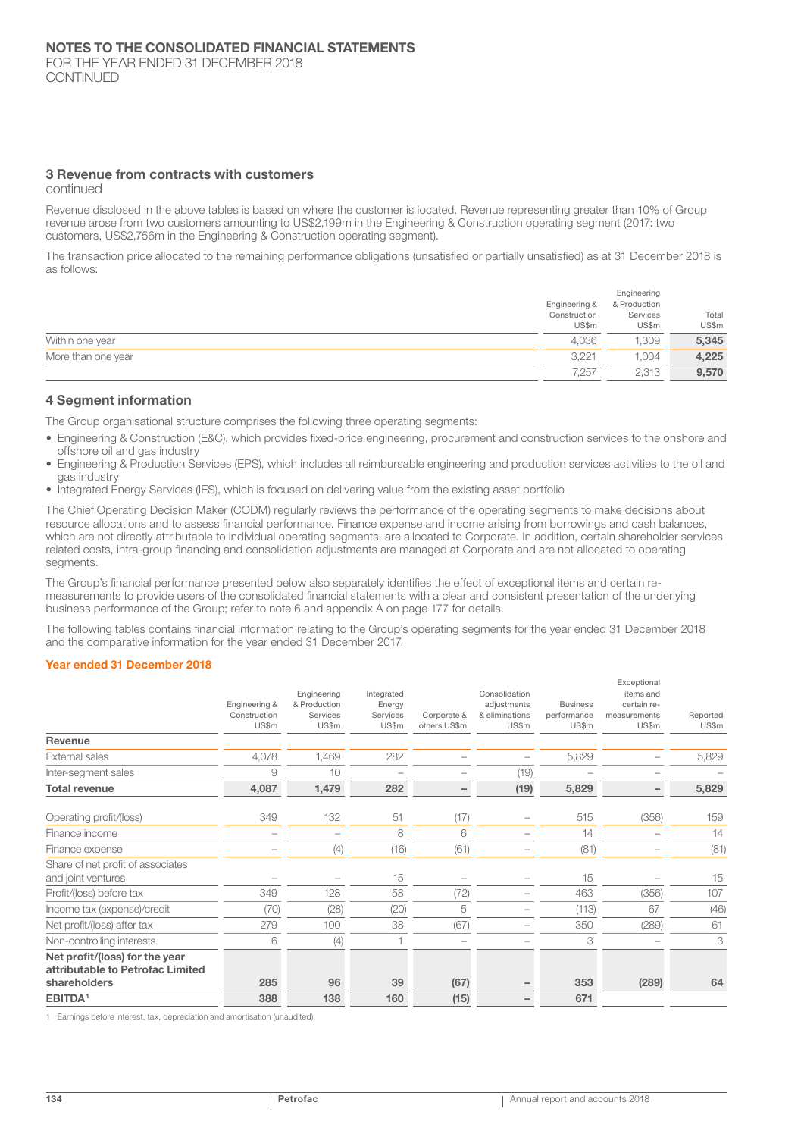#### 3 Revenue from contracts with customers

continued

Revenue disclosed in the above tables is based on where the customer is located. Revenue representing greater than 10% of Group revenue arose from two customers amounting to US\$2,199m in the Engineering & Construction operating segment (2017: two customers, US\$2,756m in the Engineering & Construction operating segment).

The transaction price allocated to the remaining performance obligations (unsatisfied or partially unsatisfied) as at 31 December 2018 is as follows:

|                    | Engineering &<br>Construction<br>US\$m | Engineering<br>& Production<br>Services<br>US\$m | Total<br>US\$m |
|--------------------|----------------------------------------|--------------------------------------------------|----------------|
| Within one year    | 4.036                                  | 1.309                                            | 5,345          |
| More than one year | 3.221                                  | 1.004                                            | 4,225          |
|                    | 7,257                                  | 2,313                                            | 9,570          |

### 4 Segment information

The Group organisational structure comprises the following three operating segments:

- Engineering & Construction (E&C), which provides fixed-price engineering, procurement and construction services to the onshore and offshore oil and gas industry
- Engineering & Production Services (EPS), which includes all reimbursable engineering and production services activities to the oil and gas industry
- Integrated Energy Services (IES), which is focused on delivering value from the existing asset portfolio

The Chief Operating Decision Maker (CODM) regularly reviews the performance of the operating segments to make decisions about resource allocations and to assess financial performance. Finance expense and income arising from borrowings and cash balances, which are not directly attributable to individual operating segments, are allocated to Corporate. In addition, certain shareholder services related costs, intra-group financing and consolidation adjustments are managed at Corporate and are not allocated to operating segments.

The Group's financial performance presented below also separately identifies the effect of exceptional items and certain remeasurements to provide users of the consolidated financial statements with a clear and consistent presentation of the underlying business performance of the Group; refer to note 6 and appendix A on page 177 for details.

The following tables contains financial information relating to the Group's operating segments for the year ended 31 December 2018 and the comparative information for the year ended 31 December 2017.

#### Year ended 31 December 2018

|                                                                    |               |                             |                      |              |                              |                 | Exceptional              |          |
|--------------------------------------------------------------------|---------------|-----------------------------|----------------------|--------------|------------------------------|-----------------|--------------------------|----------|
|                                                                    | Engineering & | Engineering<br>& Production | Integrated<br>Energy |              | Consolidation<br>adjustments | <b>Business</b> | items and<br>certain re- |          |
|                                                                    | Construction  | Services                    | Services             | Corporate &  | & eliminations               | performance     | measurements             | Reported |
|                                                                    | US\$m         | US\$m                       | US\$m                | others US\$m | US\$m                        | US\$m           | US\$m                    | US\$m    |
| Revenue                                                            |               |                             |                      |              |                              |                 |                          |          |
| External sales                                                     | 4,078         | 1,469                       | 282                  |              |                              | 5,829           |                          | 5,829    |
| Inter-segment sales                                                | 9             | 10                          |                      |              | (19)                         |                 |                          |          |
| <b>Total revenue</b>                                               | 4,087         | 1,479                       | 282                  |              | (19)                         | 5,829           |                          | 5,829    |
| Operating profit/(loss)                                            | 349           | 132                         | 51                   | (17)         |                              | 515             | (356)                    | 159      |
| Finance income                                                     |               |                             | 8                    | 6            |                              | 14              |                          | 14       |
| Finance expense                                                    |               | (4)                         | (16)                 | (61)         |                              | (81)            |                          | (81)     |
| Share of net profit of associates                                  |               |                             |                      |              |                              |                 |                          |          |
| and joint ventures                                                 |               |                             | 15                   |              |                              | 15              |                          | 15       |
| Profit/(loss) before tax                                           | 349           | 128                         | 58                   | (72)         |                              | 463             | (356)                    | 107      |
| Income tax (expense)/credit                                        | (70)          | (28)                        | (20)                 | 5            |                              | (113)           | 67                       | (46)     |
| Net profit/(loss) after tax                                        | 279           | 100                         | 38                   | (67)         |                              | 350             | (289)                    | 61       |
| Non-controlling interests                                          | 6             | (4)                         |                      |              |                              | 3               |                          | 3        |
| Net profit/(loss) for the year<br>attributable to Petrofac Limited |               |                             |                      |              |                              |                 |                          |          |
| shareholders                                                       | 285           | 96                          | 39                   | (67)         |                              | 353             | (289)                    | 64       |
| EBITDA <sup>1</sup>                                                | 388           | 138                         | 160                  | (15)         |                              | 671             |                          |          |

1 Earnings before interest, tax, depreciation and amortisation (unaudited).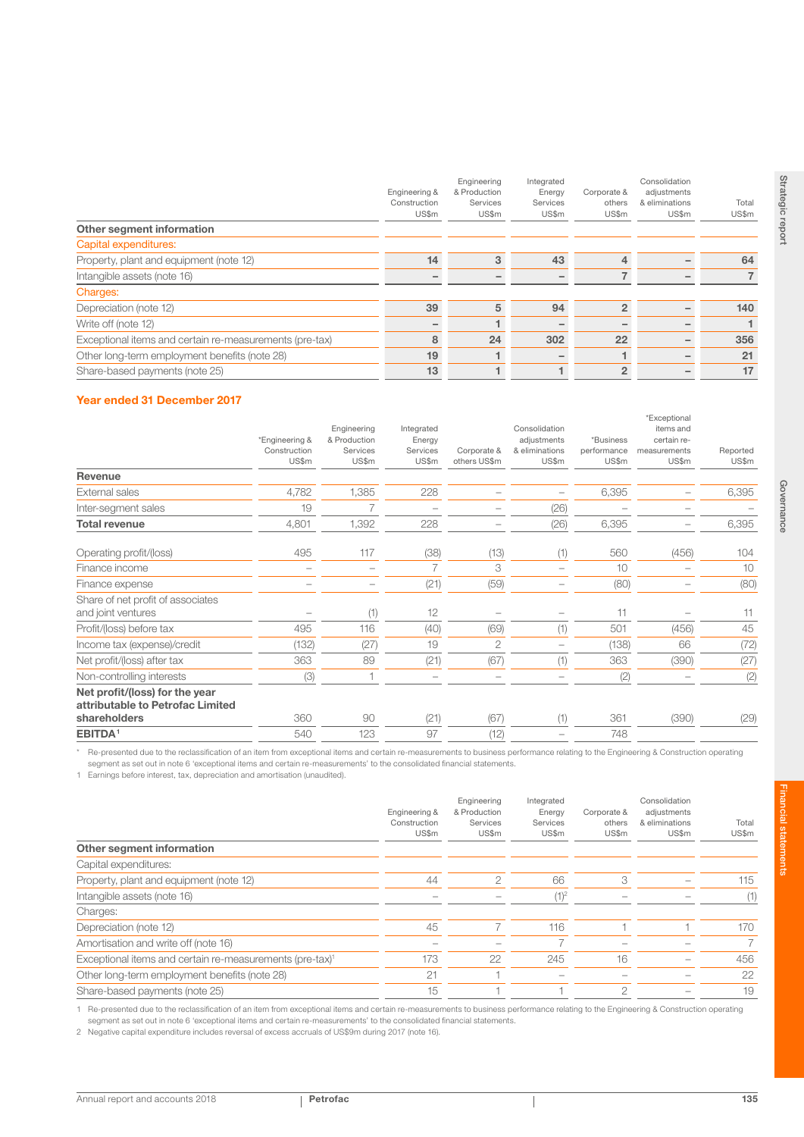|                                                         | Engineering &<br>Construction<br>US\$m | Engineering<br>& Production<br>Services<br>US\$m | Integrated<br>Energy<br>Services<br>US\$m | Corporate &<br>others<br>US\$m | Consolidation<br>adjustments<br>& eliminations<br>US\$m | Total<br>US\$m |
|---------------------------------------------------------|----------------------------------------|--------------------------------------------------|-------------------------------------------|--------------------------------|---------------------------------------------------------|----------------|
| Other segment information                               |                                        |                                                  |                                           |                                |                                                         |                |
| Capital expenditures:                                   |                                        |                                                  |                                           |                                |                                                         |                |
| Property, plant and equipment (note 12)                 | 14                                     | 3                                                | 43                                        | 4                              |                                                         | 64             |
| Intangible assets (note 16)                             |                                        |                                                  |                                           |                                |                                                         |                |
| Charges:                                                |                                        |                                                  |                                           |                                |                                                         |                |
| Depreciation (note 12)                                  | 39                                     | 5                                                | 94                                        | $\overline{2}$                 |                                                         | 140            |
| Write off (note 12)                                     |                                        |                                                  |                                           |                                |                                                         |                |
| Exceptional items and certain re-measurements (pre-tax) | 8                                      | 24                                               | 302                                       | 22                             |                                                         | 356            |
| Other long-term employment benefits (note 28)           | 19                                     |                                                  |                                           |                                |                                                         | 21             |
| Share-based payments (note 25)                          | 13                                     |                                                  |                                           | $\overline{2}$                 |                                                         | 17             |
|                                                         |                                        |                                                  |                                           |                                |                                                         |                |

## Year ended 31 December 2017

|                                                                    | *Engineering &<br>Construction<br>US\$m | Engineering<br>& Production<br>Services<br>US\$m | Integrated<br>Energy<br>Services<br>US\$m | Corporate &<br>others US\$m | Consolidation<br>adjustments<br>& eliminations<br>US\$m | *Business<br>performance<br>US\$m | *Exceptional<br>items and<br>certain re-<br>measurements<br>US\$m | Reported<br>US\$m |
|--------------------------------------------------------------------|-----------------------------------------|--------------------------------------------------|-------------------------------------------|-----------------------------|---------------------------------------------------------|-----------------------------------|-------------------------------------------------------------------|-------------------|
| Revenue                                                            |                                         |                                                  |                                           |                             |                                                         |                                   |                                                                   |                   |
| <b>External sales</b>                                              | 4,782                                   | 1,385                                            | 228                                       |                             |                                                         | 6,395                             |                                                                   | 6,395             |
| Inter-segment sales                                                | 19                                      | 7                                                | $\overline{\phantom{0}}$                  |                             | (26)                                                    |                                   |                                                                   |                   |
| <b>Total revenue</b>                                               | 4,801                                   | 1,392                                            | 228                                       |                             | (26)                                                    | 6,395                             |                                                                   | 6,395             |
| Operating profit/(loss)                                            | 495                                     | 117                                              | (38)                                      | (13)                        | (1)                                                     | 560                               | (456)                                                             | 104               |
| Finance income                                                     | $\overline{\phantom{0}}$                |                                                  | 7                                         | 3                           |                                                         | 10                                |                                                                   | 10                |
| Finance expense                                                    |                                         |                                                  | (21)                                      | (59)                        |                                                         | (80)                              |                                                                   | (80)              |
| Share of net profit of associates<br>and joint ventures            |                                         | (1)                                              | 12                                        |                             |                                                         | 11                                |                                                                   | 11                |
| Profit/(loss) before tax                                           | 495                                     | 116                                              | (40)                                      | (69)                        | (1)                                                     | 501                               | (456)                                                             | 45                |
| Income tax (expense)/credit                                        | (132)                                   | (27)                                             | 19                                        | $\overline{2}$              |                                                         | (138)                             | 66                                                                | (72)              |
| Net profit/(loss) after tax                                        | 363                                     | 89                                               | (21)                                      | (67)                        | (1)                                                     | 363                               | (390)                                                             | (27)              |
| Non-controlling interests                                          | (3)                                     |                                                  | $\overline{\phantom{0}}$                  |                             |                                                         | (2)                               |                                                                   | (2)               |
| Net profit/(loss) for the year<br>attributable to Petrofac Limited |                                         |                                                  |                                           |                             |                                                         |                                   |                                                                   |                   |
| shareholders                                                       | 360                                     | 90                                               | (21)                                      | (67)                        | (1)                                                     | 361                               | (390)                                                             | (29)              |
| <b>EBITDA<sup>1</sup></b>                                          | 540                                     | 123                                              | 97                                        | (12)                        |                                                         | 748                               |                                                                   |                   |

Re-presented due to the reclassification of an item from exceptional items and certain re-measurements to business performance relating to the Engineering & Construction operating segment as set out in note 6 'exceptional items and certain re-measurements' to the consolidated financial statements.

1 Earnings before interest, tax, depreciation and amortisation (unaudited).

|                                                                      | Engineering &<br>Construction<br>US\$m | Engineering<br>& Production<br>Services<br>US\$m | Integrated<br>Energy<br>Services<br>US\$m | Corporate &<br>others<br>US\$m | Consolidation<br>adjustments<br>& eliminations<br>US\$m | Total<br>US\$m |
|----------------------------------------------------------------------|----------------------------------------|--------------------------------------------------|-------------------------------------------|--------------------------------|---------------------------------------------------------|----------------|
| Other segment information                                            |                                        |                                                  |                                           |                                |                                                         |                |
| Capital expenditures:                                                |                                        |                                                  |                                           |                                |                                                         |                |
| Property, plant and equipment (note 12)                              | 44                                     | 2                                                | 66                                        | 3                              |                                                         | 115            |
| Intangible assets (note 16)                                          |                                        |                                                  | $(1)^2$                                   |                                |                                                         | (1)            |
| Charges:                                                             |                                        |                                                  |                                           |                                |                                                         |                |
| Depreciation (note 12)                                               | 45                                     |                                                  | 116                                       |                                |                                                         | 170            |
| Amortisation and write off (note 16)                                 |                                        |                                                  |                                           |                                |                                                         | 7              |
| Exceptional items and certain re-measurements (pre-tax) <sup>1</sup> | 173                                    | 22                                               | 245                                       | 16                             |                                                         | 456            |
| Other long-term employment benefits (note 28)                        | 21                                     |                                                  |                                           |                                |                                                         | 22             |
| Share-based payments (note 25)                                       | 15                                     |                                                  |                                           | 2                              |                                                         | 19             |
|                                                                      |                                        |                                                  |                                           |                                |                                                         |                |

1 Re-presented due to the reclassification of an item from exceptional items and certain re-measurements to business performance relating to the Engineering & Construction operating segment as set out in note 6 'exceptional items and certain re-measurements' to the consolidated financial statements.

2 Negative capital expenditure includes reversal of excess accruals of US\$9m during 2017 (note 16).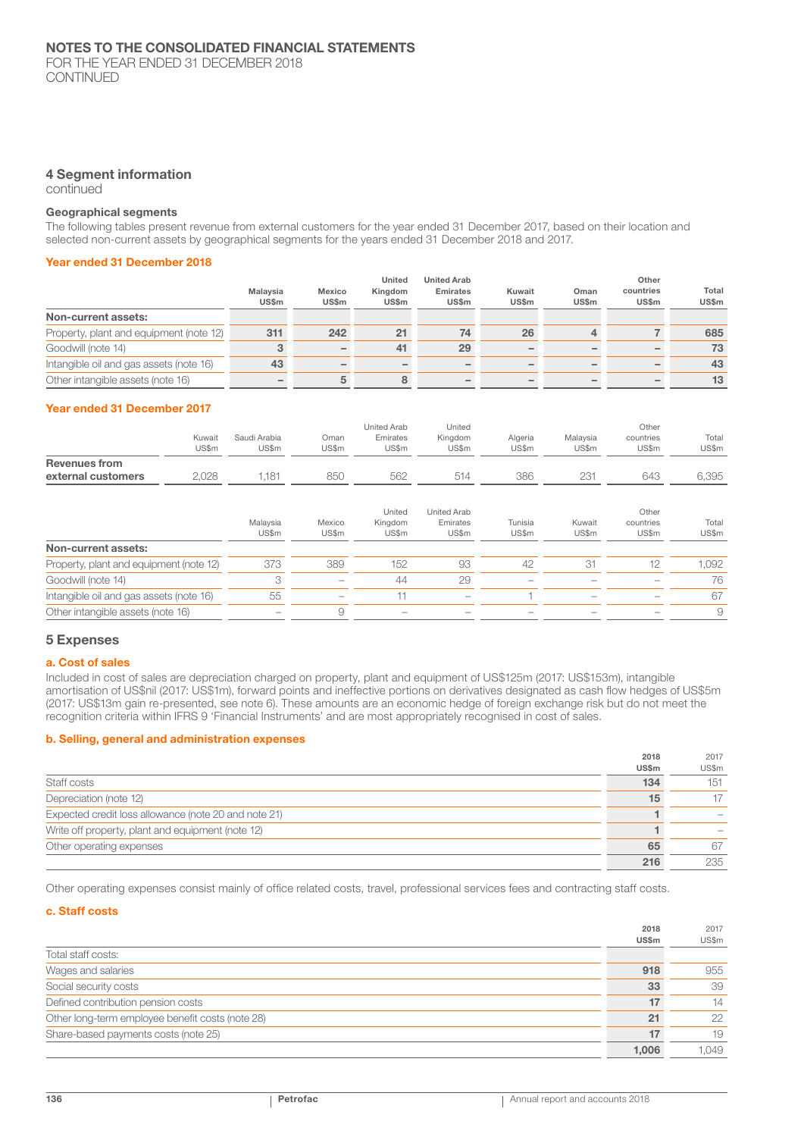FOR THE YEAR ENDED 31 DECEMBER 2018 CONTINUED

## 4 Segment information

continued

#### Geographical segments

The following tables present revenue from external customers for the year ended 31 December 2017, based on their location and selected non-current assets by geographical segments for the years ended 31 December 2018 and 2017.

## Year ended 31 December 2018

|                                         |                          |                          | United           | <b>United Arab</b>              |                        |                      | Other                     |                       |
|-----------------------------------------|--------------------------|--------------------------|------------------|---------------------------------|------------------------|----------------------|---------------------------|-----------------------|
|                                         | Malavsia<br><b>US\$m</b> | Mexico<br><b>US\$m</b>   | Kingdom<br>US\$m | <b>Emirates</b><br><b>US\$m</b> | Kuwait<br><b>US\$m</b> | Oman<br><b>US\$m</b> | countries<br><b>US\$m</b> | Total<br><b>US\$m</b> |
| Non-current assets:                     |                          |                          |                  |                                 |                        |                      |                           |                       |
| Property, plant and equipment (note 12) | 311                      | 242                      | 21               | 74                              | 26                     | 4                    |                           | 685                   |
| Goodwill (note 14)                      |                          | $\overline{\phantom{0}}$ | 41               | 29                              |                        |                      |                           | 73                    |
| Intangible oil and gas assets (note 16) | 43                       |                          |                  |                                 |                        |                      |                           | 43                    |
| Other intangible assets (note 16)       |                          | 5                        |                  |                                 |                        |                      |                           | 13                    |

#### Year ended 31 December 2017

|                      |                 |                       |                    | United Arab       | United           |                  |                   | Other              |                |
|----------------------|-----------------|-----------------------|--------------------|-------------------|------------------|------------------|-------------------|--------------------|----------------|
|                      | Kuwait<br>US\$m | Saudi Arabia<br>US\$m | .<br>Oman<br>JS\$m | Emirates<br>US\$m | Kingdom<br>US\$m | Algeria<br>US\$m | Malavsia<br>US\$m | countries<br>US\$m | Total<br>US\$m |
| <b>Revenues from</b> |                 |                       |                    |                   |                  |                  |                   |                    |                |
| external customers   | 028             | .181                  | 850                | 562               | 514              | 386              | 231               | 643                | 6.395          |

|                                         | Malaysia<br>US\$m | Mexico<br>US\$m          | United<br>Kingdom<br>US\$m | United Arab<br>Emirates<br>US\$m                                          | Tunisia<br>US\$m         | Kuwait<br>US\$m          | Other<br>countries<br>US\$m | Total<br>US\$m |
|-----------------------------------------|-------------------|--------------------------|----------------------------|---------------------------------------------------------------------------|--------------------------|--------------------------|-----------------------------|----------------|
| Non-current assets:                     |                   |                          |                            |                                                                           |                          |                          |                             |                |
| Property, plant and equipment (note 12) | 373               | 389                      | 152                        | 93                                                                        | 42                       | -31                      |                             | 1.092          |
| Goodwill (note 14)                      |                   | $\overline{\phantom{m}}$ | 44                         | 29                                                                        | $\overline{\phantom{a}}$ |                          |                             | 76             |
| Intangible oil and gas assets (note 16) | 55                | $\qquad \qquad$          |                            | $\hspace{1.0cm} \rule{1.5cm}{0.15cm} \hspace{1.0cm} \rule{1.5cm}{0.15cm}$ |                          | $\overline{\phantom{a}}$ | -                           | 67             |
| Other intangible assets (note 16)       |                   |                          |                            |                                                                           |                          |                          |                             | 9              |

#### 5 Expenses

#### a. Cost of sales

Included in cost of sales are depreciation charged on property, plant and equipment of US\$125m (2017: US\$153m), intangible amortisation of US\$nil (2017: US\$1m), forward points and ineffective portions on derivatives designated as cash flow hedges of US\$5m (2017: US\$13m gain re-presented, see note 6). These amounts are an economic hedge of foreign exchange risk but do not meet the recognition criteria within IFRS 9 'Financial Instruments' and are most appropriately recognised in cost of sales.

#### b. Selling, general and administration expenses

| 2018         | 2017  |
|--------------|-------|
| <b>US\$m</b> | US\$m |
| 134          | 151   |
| 15           | 17    |
|              |       |
|              |       |
| 65           | 67    |
| 216          | 235   |
|              |       |

Other operating expenses consist mainly of office related costs, travel, professional services fees and contracting staff costs.

#### c. Staff costs

|                                                  | 2018<br><b>US\$m</b> | 2017<br>US\$m |
|--------------------------------------------------|----------------------|---------------|
| Total staff costs:                               |                      |               |
| Wages and salaries                               | 918                  | 955           |
| Social security costs                            | 33                   | 39            |
| Defined contribution pension costs               | 17                   | 14            |
| Other long-term employee benefit costs (note 28) | 21                   | 22            |
| Share-based payments costs (note 25)             | 17                   | 19            |
|                                                  | 1.006                | 1.049         |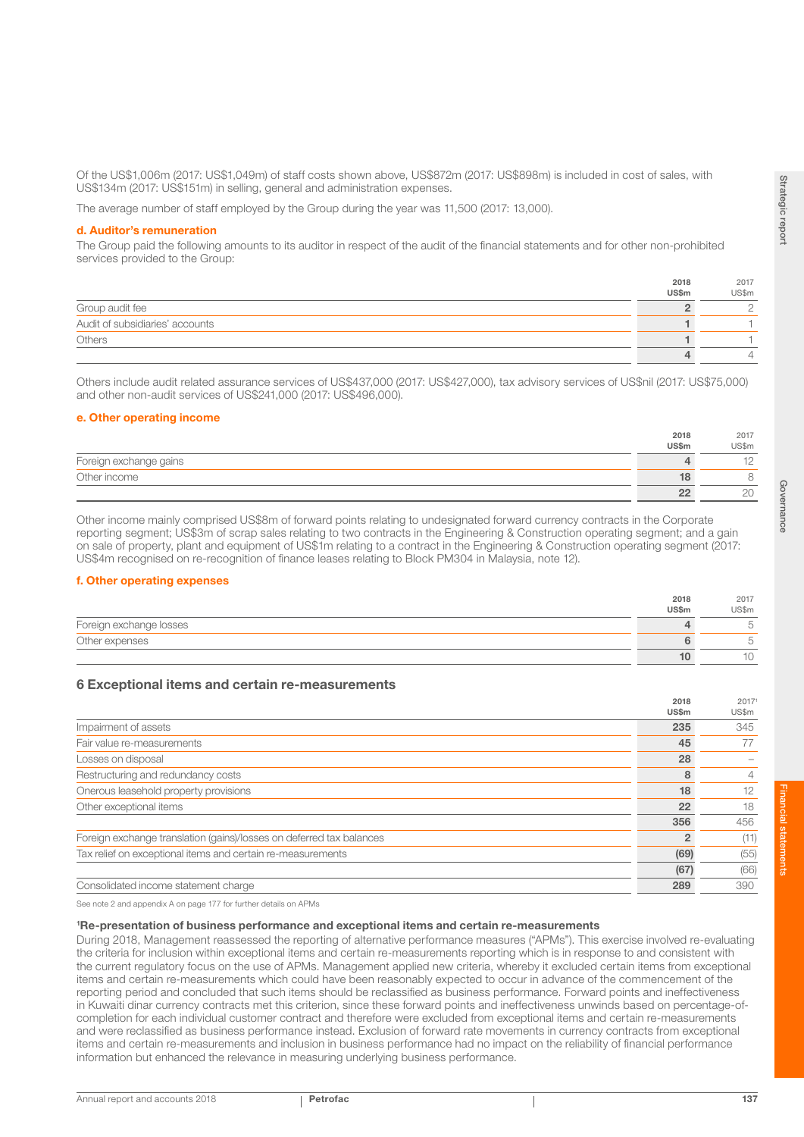Of the US\$1,006m (2017: US\$1,049m) of staff costs shown above, US\$872m (2017: US\$898m) is included in cost of sales, with US\$134m (2017: US\$151m) in selling, general and administration expenses.

The average number of staff employed by the Group during the year was 11,500 (2017: 13,000).

#### d. Auditor's remuneration

The Group paid the following amounts to its auditor in respect of the audit of the financial statements and for other non-prohibited services provided to the Group:

|                                 | 2018  | 2017  |
|---------------------------------|-------|-------|
|                                 | US\$m | US\$m |
| Group audit fee                 |       |       |
| Audit of subsidiaries' accounts |       |       |
| Others                          |       |       |
|                                 |       |       |

Others include audit related assurance services of US\$437,000 (2017: US\$427,000), tax advisory services of US\$nil (2017: US\$75,000) and other non-audit services of US\$241,000 (2017: US\$496,000).

#### e. Other operating income

|                        | 2018  | 2017        |
|------------------------|-------|-------------|
|                        | US\$m | US\$m       |
| Foreign exchange gains |       |             |
| Other income           |       |             |
|                        | פפ    | $\cap$<br>L |

Other income mainly comprised US\$8m of forward points relating to undesignated forward currency contracts in the Corporate reporting segment; US\$3m of scrap sales relating to two contracts in the Engineering & Construction operating segment; and a gain on sale of property, plant and equipment of US\$1m relating to a contract in the Engineering & Construction operating segment (2017: US\$4m recognised on re-recognition of finance leases relating to Block PM304 in Malaysia, note 12).

## f. Other operating expenses

|                         | 2018  | 2017                  |
|-------------------------|-------|-----------------------|
|                         | US\$m | US\$m                 |
| Foreign exchange losses |       | $\sim$<br>$\check{~}$ |
| Other expenses          |       | $\sim$                |
|                         |       | ΙU                    |

## 6 Exceptional items and certain re-measurements

|                                                                      | 2010<br>US\$m | 2011<br>US\$m |
|----------------------------------------------------------------------|---------------|---------------|
| Impairment of assets                                                 | 235           | 345           |
| Fair value re-measurements                                           | 45            | 77            |
| Losses on disposal                                                   | 28            |               |
| Restructuring and redundancy costs                                   |               | 4             |
| Onerous leasehold property provisions                                | 18            | 12            |
| Other exceptional items                                              | 22            | 18            |
|                                                                      | 356           | 456           |
| Foreign exchange translation (gains)/losses on deferred tax balances |               | (11)          |
| Tax relief on exceptional items and certain re-measurements          | (69)          | (55)          |
|                                                                      | (67)          | (66)          |
| Consolidated income statement charge                                 | 289           | 390           |

See note 2 and appendix A on page 177 for further details on APMs

#### 1 Re-presentation of business performance and exceptional items and certain re-measurements

During 2018, Management reassessed the reporting of alternative performance measures ("APMs"). This exercise involved re-evaluating the criteria for inclusion within exceptional items and certain re-measurements reporting which is in response to and consistent with the current regulatory focus on the use of APMs. Management applied new criteria, whereby it excluded certain items from exceptional items and certain re-measurements which could have been reasonably expected to occur in advance of the commencement of the reporting period and concluded that such items should be reclassified as business performance. Forward points and ineffectiveness in Kuwaiti dinar currency contracts met this criterion, since these forward points and ineffectiveness unwinds based on percentage-ofcompletion for each individual customer contract and therefore were excluded from exceptional items and certain re-measurements and were reclassified as business performance instead. Exclusion of forward rate movements in currency contracts from exceptional items and certain re-measurements and inclusion in business performance had no impact on the reliability of financial performance information but enhanced the relevance in measuring underlying business performance.

 $2018$ 

 $0.30$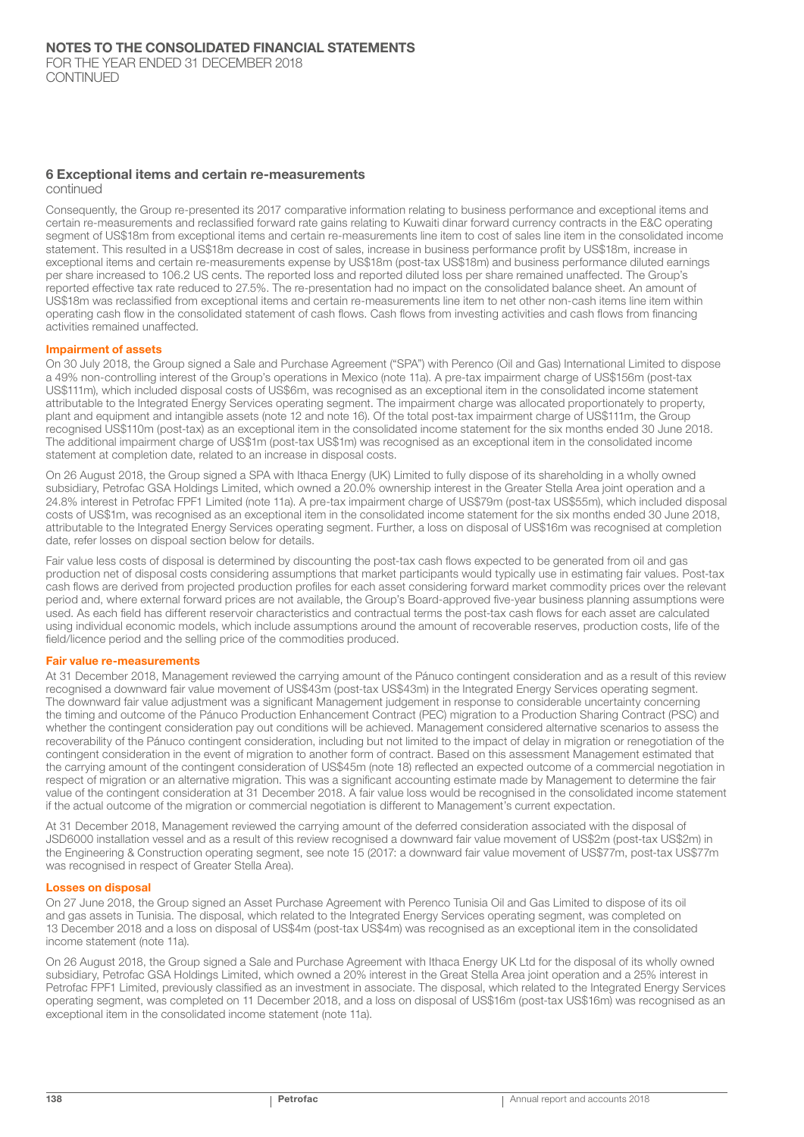## 6 Exceptional items and certain re-measurements

continued

Consequently, the Group re-presented its 2017 comparative information relating to business performance and exceptional items and certain re-measurements and reclassified forward rate gains relating to Kuwaiti dinar forward currency contracts in the E&C operating segment of US\$18m from exceptional items and certain re-measurements line item to cost of sales line item in the consolidated income statement. This resulted in a US\$18m decrease in cost of sales, increase in business performance profit by US\$18m, increase in exceptional items and certain re-measurements expense by US\$18m (post-tax US\$18m) and business performance diluted earnings per share increased to 106.2 US cents. The reported loss and reported diluted loss per share remained unaffected. The Group's reported effective tax rate reduced to 27.5%. The re-presentation had no impact on the consolidated balance sheet. An amount of US\$18m was reclassified from exceptional items and certain re-measurements line item to net other non-cash items line item within operating cash flow in the consolidated statement of cash flows. Cash flows from investing activities and cash flows from financing activities remained unaffected.

#### Impairment of assets

On 30 July 2018, the Group signed a Sale and Purchase Agreement ("SPA") with Perenco (Oil and Gas) International Limited to dispose a 49% non-controlling interest of the Group's operations in Mexico (note 11a). A pre-tax impairment charge of US\$156m (post-tax US\$111m), which included disposal costs of US\$6m, was recognised as an exceptional item in the consolidated income statement attributable to the Integrated Energy Services operating segment. The impairment charge was allocated proportionately to property, plant and equipment and intangible assets (note 12 and note 16). Of the total post-tax impairment charge of US\$111m, the Group recognised US\$110m (post-tax) as an exceptional item in the consolidated income statement for the six months ended 30 June 2018. The additional impairment charge of US\$1m (post-tax US\$1m) was recognised as an exceptional item in the consolidated income statement at completion date, related to an increase in disposal costs.

On 26 August 2018, the Group signed a SPA with Ithaca Energy (UK) Limited to fully dispose of its shareholding in a wholly owned subsidiary, Petrofac GSA Holdings Limited, which owned a 20.0% ownership interest in the Greater Stella Area joint operation and a 24.8% interest in Petrofac FPF1 Limited (note 11a). A pre-tax impairment charge of US\$79m (post-tax US\$55m), which included disposal costs of US\$1m, was recognised as an exceptional item in the consolidated income statement for the six months ended 30 June 2018, attributable to the Integrated Energy Services operating segment. Further, a loss on disposal of US\$16m was recognised at completion date, refer losses on dispoal section below for details.

Fair value less costs of disposal is determined by discounting the post-tax cash flows expected to be generated from oil and gas production net of disposal costs considering assumptions that market participants would typically use in estimating fair values. Post-tax cash flows are derived from projected production profiles for each asset considering forward market commodity prices over the relevant period and, where external forward prices are not available, the Group's Board-approved five-year business planning assumptions were used. As each field has different reservoir characteristics and contractual terms the post-tax cash flows for each asset are calculated using individual economic models, which include assumptions around the amount of recoverable reserves, production costs, life of the field/licence period and the selling price of the commodities produced.

#### Fair value re-measurements

At 31 December 2018, Management reviewed the carrying amount of the Pánuco contingent consideration and as a result of this review recognised a downward fair value movement of US\$43m (post-tax US\$43m) in the Integrated Energy Services operating segment. The downward fair value adjustment was a significant Management judgement in response to considerable uncertainty concerning the timing and outcome of the Pánuco Production Enhancement Contract (PEC) migration to a Production Sharing Contract (PSC) and whether the contingent consideration pay out conditions will be achieved. Management considered alternative scenarios to assess the recoverability of the Pánuco contingent consideration, including but not limited to the impact of delay in migration or renegotiation of the contingent consideration in the event of migration to another form of contract. Based on this assessment Management estimated that the carrying amount of the contingent consideration of US\$45m (note 18) reflected an expected outcome of a commercial negotiation in respect of migration or an alternative migration. This was a significant accounting estimate made by Management to determine the fair value of the contingent consideration at 31 December 2018. A fair value loss would be recognised in the consolidated income statement if the actual outcome of the migration or commercial negotiation is different to Management's current expectation.

At 31 December 2018, Management reviewed the carrying amount of the deferred consideration associated with the disposal of JSD6000 installation vessel and as a result of this review recognised a downward fair value movement of US\$2m (post-tax US\$2m) in the Engineering & Construction operating segment, see note 15 (2017: a downward fair value movement of US\$77m, post-tax US\$77m was recognised in respect of Greater Stella Area).

#### Losses on disposal

On 27 June 2018, the Group signed an Asset Purchase Agreement with Perenco Tunisia Oil and Gas Limited to dispose of its oil and gas assets in Tunisia. The disposal, which related to the Integrated Energy Services operating segment, was completed on 13 December 2018 and a loss on disposal of US\$4m (post-tax US\$4m) was recognised as an exceptional item in the consolidated income statement (note 11a).

On 26 August 2018, the Group signed a Sale and Purchase Agreement with Ithaca Energy UK Ltd for the disposal of its wholly owned subsidiary, Petrofac GSA Holdings Limited, which owned a 20% interest in the Great Stella Area joint operation and a 25% interest in Petrofac FPF1 Limited, previously classified as an investment in associate. The disposal, which related to the Integrated Energy Services operating segment, was completed on 11 December 2018, and a loss on disposal of US\$16m (post-tax US\$16m) was recognised as an exceptional item in the consolidated income statement (note 11a).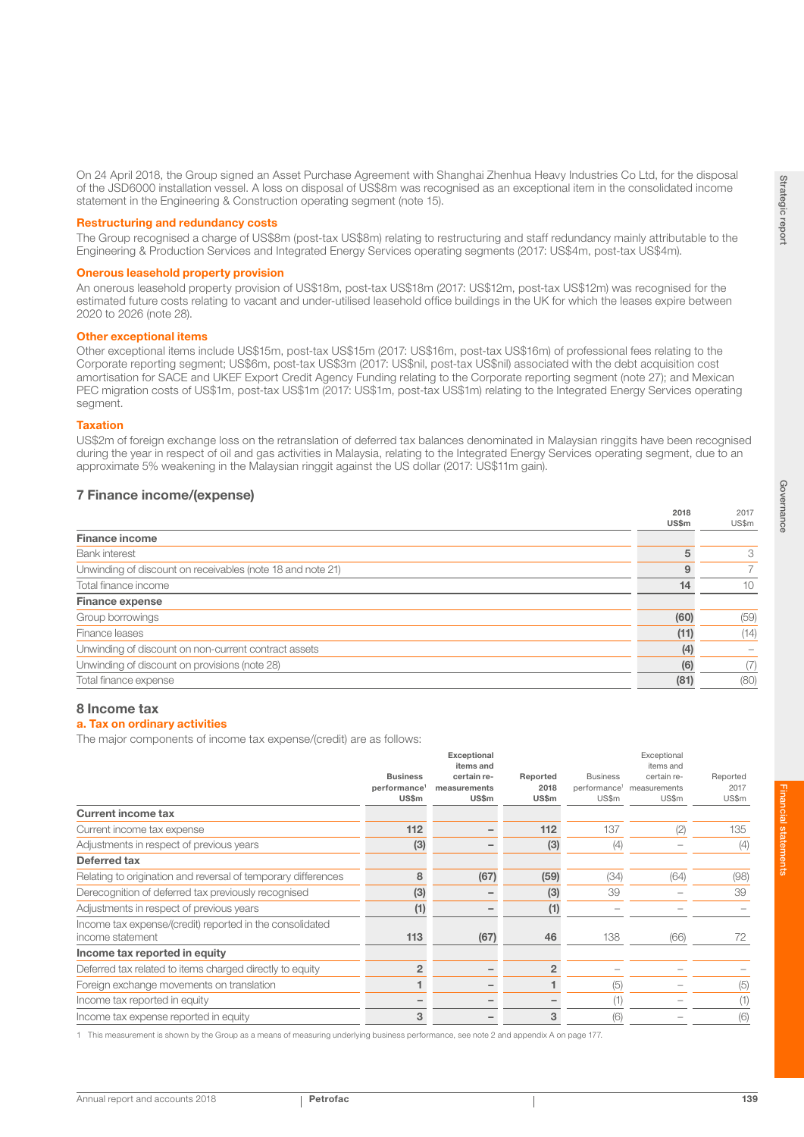$2017$ 

 $0.30$ 

On 24 April 2018, the Group signed an Asset Purchase Agreement with Shanghai Zhenhua Heavy Industries Co Ltd, for the disposal of the JSD6000 installation vessel. A loss on disposal of US\$8m was recognised as an exceptional item in the consolidated income statement in the Engineering & Construction operating segment (note 15).

#### Restructuring and redundancy costs

The Group recognised a charge of US\$8m (post-tax US\$8m) relating to restructuring and staff redundancy mainly attributable to the Engineering & Production Services and Integrated Energy Services operating segments (2017: US\$4m, post-tax US\$4m).

#### Onerous leasehold property provision

An onerous leasehold property provision of US\$18m, post-tax US\$18m (2017: US\$12m, post-tax US\$12m) was recognised for the estimated future costs relating to vacant and under-utilised leasehold office buildings in the UK for which the leases expire between 2020 to 2026 (note 28).

#### Other exceptional items

Other exceptional items include US\$15m, post-tax US\$15m (2017: US\$16m, post-tax US\$16m) of professional fees relating to the Corporate reporting segment; US\$6m, post-tax US\$3m (2017: US\$nil, post-tax US\$nil) associated with the debt acquisition cost amortisation for SACE and UKEF Export Credit Agency Funding relating to the Corporate reporting segment (note 27); and Mexican PEC migration costs of US\$1m, post-tax US\$1m (2017: US\$1m, post-tax US\$1m) relating to the Integrated Energy Services operating segment.

#### Taxation

US\$2m of foreign exchange loss on the retranslation of deferred tax balances denominated in Malaysian ringgits have been recognised during the year in respect of oil and gas activities in Malaysia, relating to the Integrated Energy Services operating segment, due to an approximate 5% weakening in the Malaysian ringgit against the US dollar (2017: US\$11m gain).

## 7 Finance income/(expense)

|                                                            | $-0.19$<br>US\$m | $-011$<br>US\$m |
|------------------------------------------------------------|------------------|-----------------|
| <b>Finance income</b>                                      |                  |                 |
| <b>Bank</b> interest                                       |                  | 3               |
| Unwinding of discount on receivables (note 18 and note 21) | 9                | $\overline{7}$  |
| Total finance income                                       | 14               | 10              |
| <b>Finance expense</b>                                     |                  |                 |
| Group borrowings                                           | (60)             | (59)            |
| Finance leases                                             | (11)             | (14)            |
| Unwinding of discount on non-current contract assets       | (4)              |                 |
| Unwinding of discount on provisions (note 28)              | (6)              | (7)             |
| Total finance expense                                      | (81)             | (80)            |

## 8 Income tax

#### a. Tax on ordinary activities

The major components of income tax expense/(credit) are as follows:

|                                                               |                          | <b>Exceptional</b><br>items and |                |                 | Exceptional<br>items and              |          |
|---------------------------------------------------------------|--------------------------|---------------------------------|----------------|-----------------|---------------------------------------|----------|
|                                                               | <b>Business</b>          | certain re-                     | Reported       | <b>Business</b> | certain re-                           | Reported |
|                                                               | performance <sup>1</sup> | measurements                    | 2018           |                 | performance <sup>1</sup> measurements | 2017     |
|                                                               | <b>US\$m</b>             | <b>US\$m</b>                    | <b>US\$m</b>   | US\$m           | US\$m                                 | US\$m    |
| <b>Current income tax</b>                                     |                          |                                 |                |                 |                                       |          |
| Current income tax expense                                    | 112                      |                                 | 112            | 137             | (2)                                   | 135      |
| Adjustments in respect of previous years                      | (3)                      |                                 | (3)            | (4)             |                                       | (4)      |
| Deferred tax                                                  |                          |                                 |                |                 |                                       |          |
| Relating to origination and reversal of temporary differences | 8                        | (67)                            | (59)           | (34)            | (64)                                  | (98)     |
| Derecognition of deferred tax previously recognised           | (3)                      |                                 | (3)            | 39              |                                       | 39       |
| Adjustments in respect of previous years                      | (1)                      |                                 | (1)            |                 |                                       |          |
| Income tax expense/(credit) reported in the consolidated      |                          |                                 |                |                 |                                       |          |
| income statement                                              | 113                      | (67)                            | 46             | 138             | (66)                                  | 72       |
| Income tax reported in equity                                 |                          |                                 |                |                 |                                       |          |
| Deferred tax related to items charged directly to equity      | $\overline{2}$           |                                 | $\overline{2}$ |                 |                                       |          |
| Foreign exchange movements on translation                     |                          |                                 |                | (5)             |                                       | (5)      |
| Income tax reported in equity                                 |                          |                                 |                | (1)             |                                       | (1)      |
| Income tax expense reported in equity                         | 3                        |                                 | 3              | (6)             |                                       | (6)      |

1 This measurement is shown by the Group as a means of measuring underlying business performance, see note 2 and appendix A on page 177.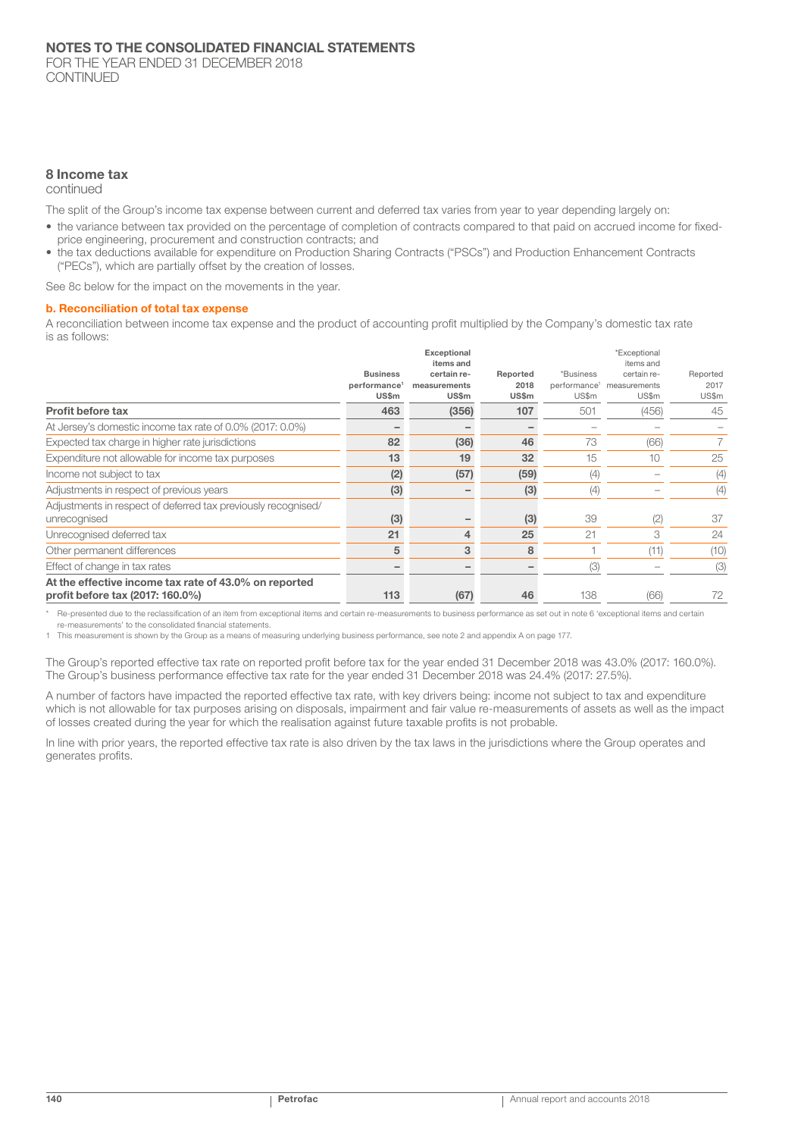## 8 Income tax

continued

The split of the Group's income tax expense between current and deferred tax varies from year to year depending largely on:

- the variance between tax provided on the percentage of completion of contracts compared to that paid on accrued income for fixedprice engineering, procurement and construction contracts; and
- the tax deductions available for expenditure on Production Sharing Contracts ("PSCs") and Production Enhancement Contracts ("PECs"), which are partially offset by the creation of losses.

See 8c below for the impact on the movements in the year.

#### b. Reconciliation of total tax expense

A reconciliation between income tax expense and the product of accounting profit multiplied by the Company's domestic tax rate is as follows:

|                                                                                           | <b>Business</b><br>performance <sup>1</sup> | Exceptional<br>items and<br>certain re-<br>measurements | Reported<br>2018 | *Business    | *Exceptional<br>items and<br>certain re-<br>performance <sup>1</sup> measurements | Reported<br>2017 |
|-------------------------------------------------------------------------------------------|---------------------------------------------|---------------------------------------------------------|------------------|--------------|-----------------------------------------------------------------------------------|------------------|
| Profit before tax                                                                         | US\$m<br>463                                | US\$m<br>(356)                                          | US\$m<br>107     | US\$m<br>501 | US\$m                                                                             | US\$m<br>45      |
|                                                                                           |                                             |                                                         |                  |              | (456)                                                                             |                  |
| At Jersey's domestic income tax rate of 0.0% (2017: 0.0%)                                 |                                             |                                                         |                  |              |                                                                                   |                  |
| Expected tax charge in higher rate jurisdictions                                          | 82                                          | (36)                                                    | 46               | 73           | (66)                                                                              |                  |
| Expenditure not allowable for income tax purposes                                         | 13                                          | 19                                                      | 32               | 15           | 10                                                                                | 25               |
| Income not subject to tax                                                                 | (2)                                         | (57)                                                    | (59)             | (4)          |                                                                                   | (4)              |
| Adjustments in respect of previous years                                                  | (3)                                         |                                                         | (3)              | (4)          |                                                                                   | (4)              |
| Adjustments in respect of deferred tax previously recognised/<br>unrecognised             | (3)                                         |                                                         | (3)              | 39           | (2)                                                                               | 37               |
| Unrecognised deferred tax                                                                 | 21                                          | 4                                                       | 25               | 21           | 3                                                                                 | 24               |
| Other permanent differences                                                               | 5                                           | 3                                                       | 8                |              | (11)                                                                              | (10)             |
| Effect of change in tax rates                                                             |                                             |                                                         |                  | (3)          |                                                                                   | (3)              |
| At the effective income tax rate of 43.0% on reported<br>profit before tax (2017: 160.0%) | 113                                         | (67)                                                    | 46               | 138          | (66)                                                                              | 72               |

Re-presented due to the reclassification of an item from exceptional items and certain re-measurements to business performance as set out in note 6 'exceptional items and certain

re-measurements' to the consolidated financial statements.

1 This measurement is shown by the Group as a means of measuring underlying business performance, see note 2 and appendix A on page 177.

The Group's reported effective tax rate on reported profit before tax for the year ended 31 December 2018 was 43.0% (2017: 160.0%). The Group's business performance effective tax rate for the year ended 31 December 2018 was 24.4% (2017: 27.5%).

A number of factors have impacted the reported effective tax rate, with key drivers being: income not subject to tax and expenditure which is not allowable for tax purposes arising on disposals, impairment and fair value re-measurements of assets as well as the impact of losses created during the year for which the realisation against future taxable profits is not probable.

In line with prior years, the reported effective tax rate is also driven by the tax laws in the jurisdictions where the Group operates and generates profits.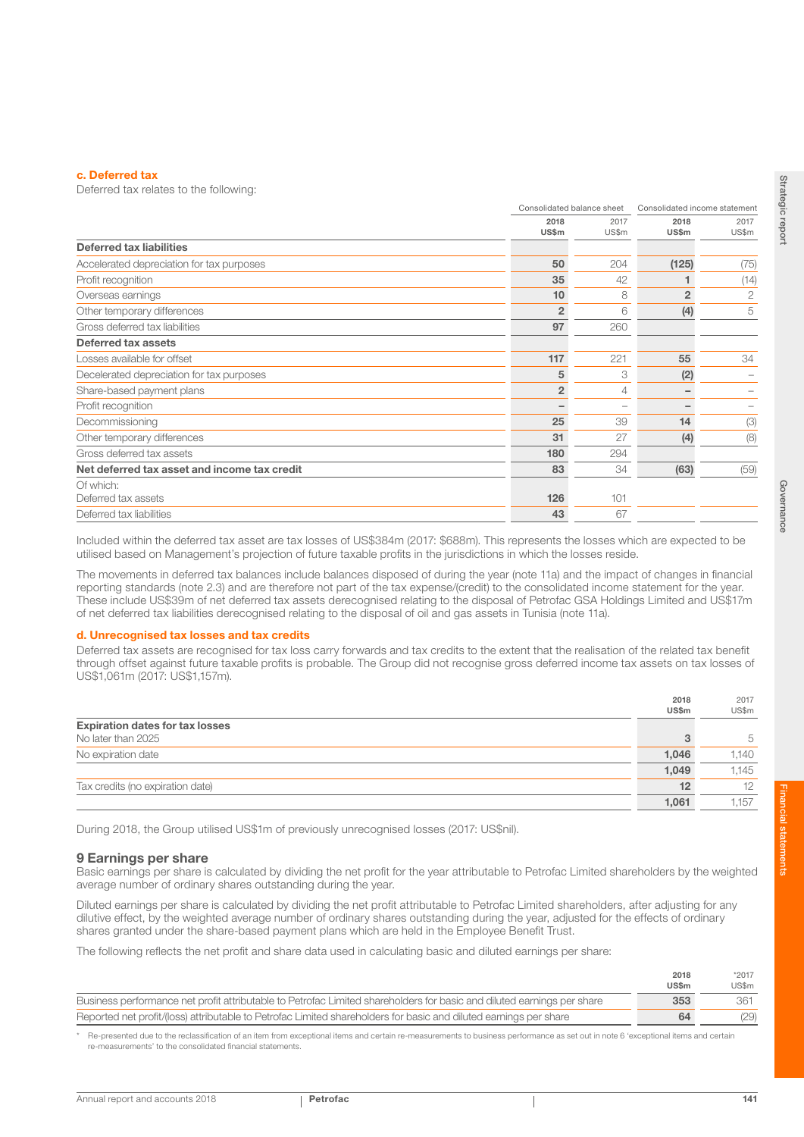#### c. Deferred tax

Deferred tax relates to the following:

|                                              |                | Consolidated balance sheet |                      | Consolidated income statement |
|----------------------------------------------|----------------|----------------------------|----------------------|-------------------------------|
|                                              | 2018<br>US\$m  | 2017<br>US\$m              | 2018<br><b>US\$m</b> | 2017<br>US\$m                 |
| <b>Deferred tax liabilities</b>              |                |                            |                      |                               |
| Accelerated depreciation for tax purposes    | 50             | 204                        | (125)                | (75)                          |
| Profit recognition                           | 35             | 42                         |                      | (14)                          |
| Overseas earnings                            | 10             | 8                          | $\overline{2}$       | $\overline{c}$                |
| Other temporary differences                  | $\overline{2}$ | 6                          | (4)                  | 5                             |
| Gross deferred tax liabilities               | 97             | 260                        |                      |                               |
| Deferred tax assets                          |                |                            |                      |                               |
| Losses available for offset                  | 117            | 221                        | 55                   | 34                            |
| Decelerated depreciation for tax purposes    | 5              | 3                          | (2)                  |                               |
| Share-based payment plans                    | $\overline{2}$ | 4                          |                      |                               |
| Profit recognition                           |                |                            |                      |                               |
| Decommissioning                              | 25             | 39                         | 14                   | (3)                           |
| Other temporary differences                  | 31             | 27                         | (4)                  | (8)                           |
| Gross deferred tax assets                    | 180            | 294                        |                      |                               |
| Net deferred tax asset and income tax credit | 83             | 34                         | (63)                 | (59)                          |
| Of which:                                    |                |                            |                      |                               |
| Deferred tax assets                          | 126            | 101                        |                      |                               |
| Deferred tax liabilities                     | 43             | 67                         |                      |                               |
|                                              |                |                            |                      |                               |

Included within the deferred tax asset are tax losses of US\$384m (2017: \$688m). This represents the losses which are expected to be utilised based on Management's projection of future taxable profits in the jurisdictions in which the losses reside.

The movements in deferred tax balances include balances disposed of during the year (note 11a) and the impact of changes in financial reporting standards (note 2.3) and are therefore not part of the tax expense/(credit) to the consolidated income statement for the year. These include US\$39m of net deferred tax assets derecognised relating to the disposal of Petrofac GSA Holdings Limited and US\$17m of net deferred tax liabilities derecognised relating to the disposal of oil and gas assets in Tunisia (note 11a).

#### d. Unrecognised tax losses and tax credits

Deferred tax assets are recognised for tax loss carry forwards and tax credits to the extent that the realisation of the related tax benefit through offset against future taxable profits is probable. The Group did not recognise gross deferred income tax assets on tax losses of US\$1,061m (2017: US\$1,157m).

|                                        | 2018         | 2017  |
|----------------------------------------|--------------|-------|
|                                        | <b>US\$m</b> | US\$m |
| <b>Expiration dates for tax losses</b> |              |       |
| No later than 2025                     |              | 5     |
| No expiration date                     | 1,046        | 1.140 |
|                                        | 1,049        | 1.145 |
| Tax credits (no expiration date)       | 12           | 12    |
|                                        | 1.061        | 1.157 |

During 2018, the Group utilised US\$1m of previously unrecognised losses (2017: US\$nil).

#### 9 Earnings per share

Basic earnings per share is calculated by dividing the net profit for the year attributable to Petrofac Limited shareholders by the weighted average number of ordinary shares outstanding during the year.

Diluted earnings per share is calculated by dividing the net profit attributable to Petrofac Limited shareholders, after adjusting for any dilutive effect, by the weighted average number of ordinary shares outstanding during the year, adjusted for the effects of ordinary shares granted under the share-based payment plans which are held in the Employee Benefit Trust.

The following reflects the net profit and share data used in calculating basic and diluted earnings per share:

|                                                                                                                        | 2018<br><b>US\$m</b> | *2017<br>US\$m |
|------------------------------------------------------------------------------------------------------------------------|----------------------|----------------|
| Business performance net profit attributable to Petrofac Limited shareholders for basic and diluted earnings per share | 353                  | 361            |
| Reported net profit/(loss) attributable to Petrofac Limited shareholders for basic and diluted earnings per share      | 64                   | (29)           |

Re-presented due to the reclassification of an item from exceptional items and certain re-measurements to business performance as set out in note 6 'exceptional items and certain re-measurements' to the consolidated financial statements.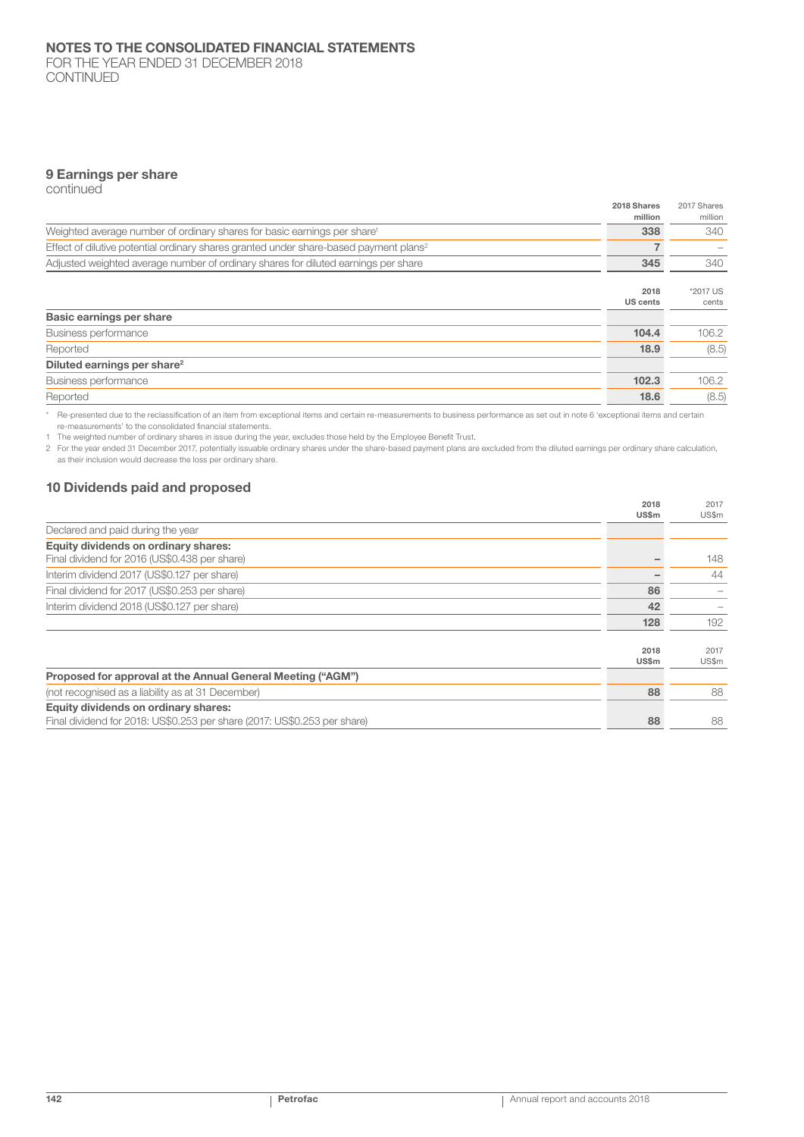FOR THE YEAR ENDED 31 DECEMBER 2018 CONTINUED

## 9 Earnings per share

continued

|                                                                                                   | 2018 Shares<br>million | 2017 Shares<br>million |
|---------------------------------------------------------------------------------------------------|------------------------|------------------------|
| Weighted average number of ordinary shares for basic earnings per share <sup>1</sup>              | 338                    | 340                    |
| Effect of dilutive potential ordinary shares granted under share-based payment plans <sup>2</sup> |                        |                        |
| Adjusted weighted average number of ordinary shares for diluted earnings per share                | 345                    | 340                    |
|                                                                                                   | 2018<br>US cents       | *2017 US<br>cents      |
| Basic earnings per share                                                                          |                        |                        |
| Business performance                                                                              | 104.4                  | 106.2                  |
| Reported                                                                                          | 18.9                   | (8.5)                  |
| Diluted earnings per share <sup>2</sup>                                                           |                        |                        |
| Business performance                                                                              | 102.3                  | 106.2                  |
| Reported                                                                                          | 18.6                   | (8.5)                  |

\* Re-presented due to the reclassification of an item from exceptional items and certain re-measurements to business performance as set out in note 6 'exceptional items and certain re-measurements' to the consolidated financial statements.

1 The weighted number of ordinary shares in issue during the year, excludes those held by the Employee Benefit Trust.

2 For the year ended 31 December 2017, potentially issuable ordinary shares under the share-based payment plans are excluded from the diluted earnings per ordinary share calculation, as their inclusion would decrease the loss per ordinary share.

## 10 Dividends paid and proposed

|                                                                          | 2018<br><b>US\$m</b> | 2017<br>US\$m |
|--------------------------------------------------------------------------|----------------------|---------------|
| Declared and paid during the year                                        |                      |               |
| Equity dividends on ordinary shares:                                     |                      |               |
| Final dividend for 2016 (US\$0.438 per share)                            |                      | 148           |
| Interim dividend 2017 (US\$0.127 per share)                              |                      | 44            |
| Final dividend for 2017 (US\$0.253 per share)                            | 86                   |               |
| Interim dividend 2018 (US\$0.127 per share)                              | 42                   |               |
|                                                                          | 128                  | 192           |
|                                                                          | 2018<br><b>US\$m</b> | 2017<br>US\$m |
| Proposed for approval at the Annual General Meeting ("AGM")              |                      |               |
| (not recognised as a liability as at 31 December)                        | 88                   | 88            |
| Equity dividends on ordinary shares:                                     |                      |               |
| Final dividend for 2018: US\$0.253 per share (2017: US\$0.253 per share) | 88                   | 88            |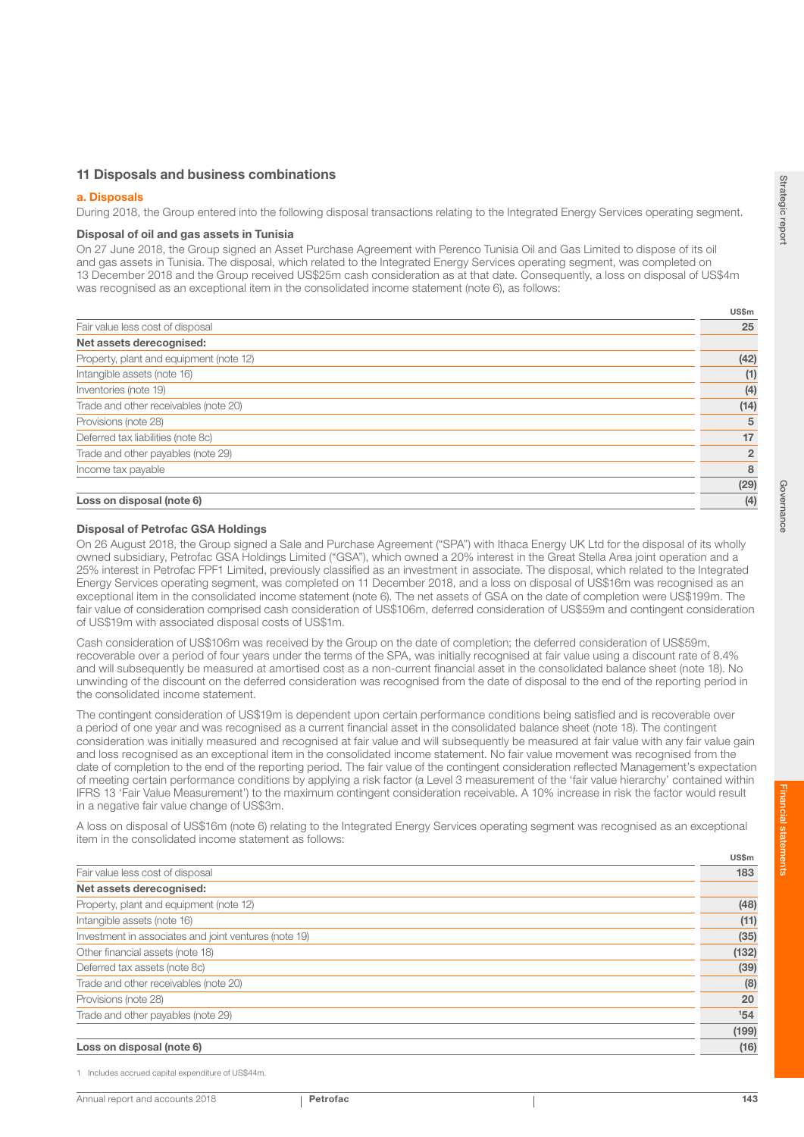US\$m

### 11 Disposals and business combinations

#### a. Disposals

During 2018, the Group entered into the following disposal transactions relating to the Integrated Energy Services operating segment.

#### Disposal of oil and gas assets in Tunisia

On 27 June 2018, the Group signed an Asset Purchase Agreement with Perenco Tunisia Oil and Gas Limited to dispose of its oil and gas assets in Tunisia. The disposal, which related to the Integrated Energy Services operating segment, was completed on 13 December 2018 and the Group received US\$25m cash consideration as at that date. Consequently, a loss on disposal of US\$4m was recognised as an exceptional item in the consolidated income statement (note 6), as follows:

| Fair value less cost of disposal        | 25             |
|-----------------------------------------|----------------|
| Net assets derecognised:                |                |
| Property, plant and equipment (note 12) | (42)           |
| Intangible assets (note 16)             | (1)            |
| Inventories (note 19)                   | (4)            |
| Trade and other receivables (note 20)   | (14)           |
| Provisions (note 28)                    | 5              |
| Deferred tax liabilities (note 8c)      | 17             |
| Trade and other payables (note 29)      | $\overline{2}$ |
| Income tax payable                      | 8              |
|                                         | (29)           |
| Loss on disposal (note 6)               | (4)            |

### Disposal of Petrofac GSA Holdings

On 26 August 2018, the Group signed a Sale and Purchase Agreement ("SPA") with Ithaca Energy UK Ltd for the disposal of its wholly owned subsidiary, Petrofac GSA Holdings Limited ("GSA"), which owned a 20% interest in the Great Stella Area joint operation and a 25% interest in Petrofac FPF1 Limited, previously classified as an investment in associate. The disposal, which related to the Integrated Energy Services operating segment, was completed on 11 December 2018, and a loss on disposal of US\$16m was recognised as an exceptional item in the consolidated income statement (note 6). The net assets of GSA on the date of completion were US\$199m. The fair value of consideration comprised cash consideration of US\$106m, deferred consideration of US\$59m and contingent consideration of US\$19m with associated disposal costs of US\$1m.

Cash consideration of US\$106m was received by the Group on the date of completion; the deferred consideration of US\$59m, recoverable over a period of four years under the terms of the SPA, was initially recognised at fair value using a discount rate of 8.4% and will subsequently be measured at amortised cost as a non-current financial asset in the consolidated balance sheet (note 18). No unwinding of the discount on the deferred consideration was recognised from the date of disposal to the end of the reporting period in the consolidated income statement.

The contingent consideration of US\$19m is dependent upon certain performance conditions being satisfied and is recoverable over a period of one year and was recognised as a current financial asset in the consolidated balance sheet (note 18). The contingent consideration was initially measured and recognised at fair value and will subsequently be measured at fair value with any fair value gain and loss recognised as an exceptional item in the consolidated income statement. No fair value movement was recognised from the date of completion to the end of the reporting period. The fair value of the contingent consideration reflected Management's expectation of meeting certain performance conditions by applying a risk factor (a Level 3 measurement of the 'fair value hierarchy' contained within IFRS 13 'Fair Value Measurement') to the maximum contingent consideration receivable. A 10% increase in risk the factor would result in a negative fair value change of US\$3m.

A loss on disposal of US\$16m (note 6) relating to the Integrated Energy Services operating segment was recognised as an exceptional item in the consolidated income statement as follows:

|                                                       | US\$m |
|-------------------------------------------------------|-------|
| Fair value less cost of disposal                      | 183   |
| Net assets derecognised:                              |       |
| Property, plant and equipment (note 12)               | (48)  |
| Intangible assets (note 16)                           | (11)  |
| Investment in associates and joint ventures (note 19) | (35)  |
| Other financial assets (note 18)                      | (132) |
| Deferred tax assets (note 8c)                         | (39)  |
| Trade and other receivables (note 20)                 | (8)   |
| Provisions (note 28)                                  | 20    |
| Trade and other payables (note 29)                    | 154   |
|                                                       | (199) |
| Loss on disposal (note 6)                             | (16)  |

1 Includes accrued capital expenditure of US\$44m.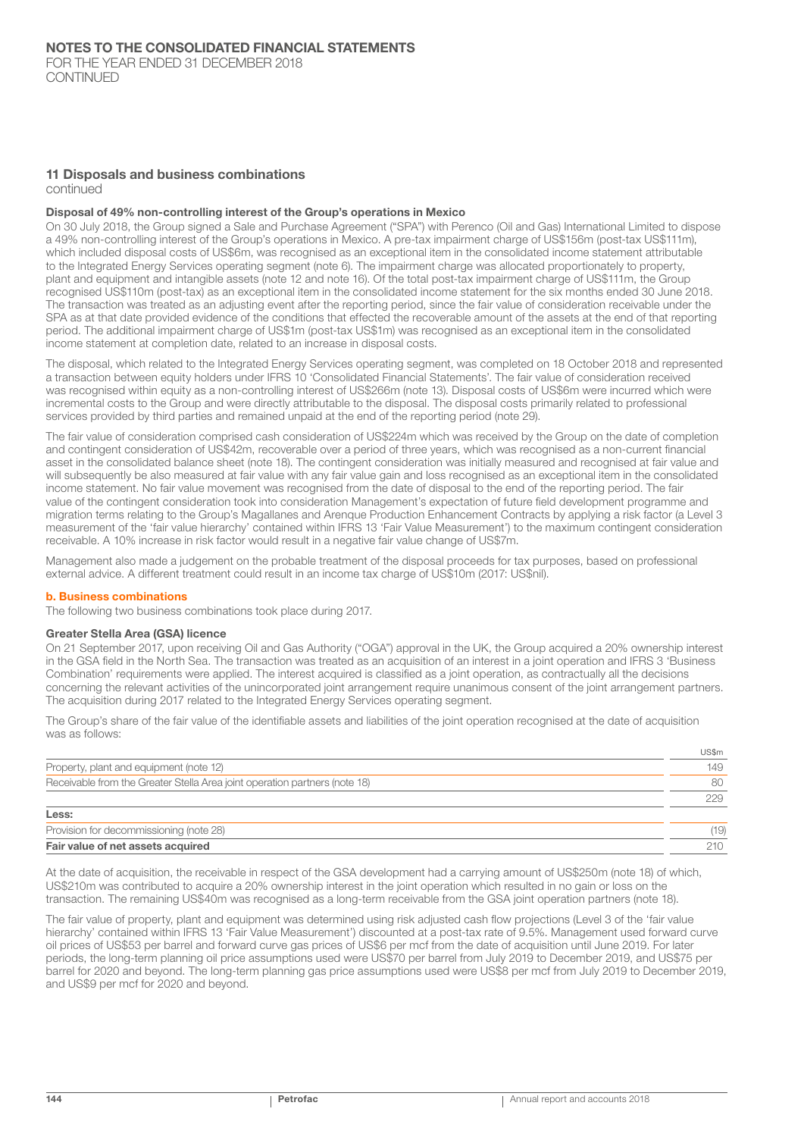## 11 Disposals and business combinations

continued

#### Disposal of 49% non-controlling interest of the Group's operations in Mexico

On 30 July 2018, the Group signed a Sale and Purchase Agreement ("SPA") with Perenco (Oil and Gas) International Limited to dispose a 49% non-controlling interest of the Group's operations in Mexico. A pre-tax impairment charge of US\$156m (post-tax US\$111m), which included disposal costs of US\$6m, was recognised as an exceptional item in the consolidated income statement attributable to the Integrated Energy Services operating segment (note 6). The impairment charge was allocated proportionately to property, plant and equipment and intangible assets (note 12 and note 16). Of the total post-tax impairment charge of US\$111m, the Group recognised US\$110m (post-tax) as an exceptional item in the consolidated income statement for the six months ended 30 June 2018. The transaction was treated as an adjusting event after the reporting period, since the fair value of consideration receivable under the SPA as at that date provided evidence of the conditions that effected the recoverable amount of the assets at the end of that reporting period. The additional impairment charge of US\$1m (post-tax US\$1m) was recognised as an exceptional item in the consolidated income statement at completion date, related to an increase in disposal costs.

The disposal, which related to the Integrated Energy Services operating segment, was completed on 18 October 2018 and represented a transaction between equity holders under IFRS 10 'Consolidated Financial Statements'. The fair value of consideration received was recognised within equity as a non-controlling interest of US\$266m (note 13). Disposal costs of US\$6m were incurred which were incremental costs to the Group and were directly attributable to the disposal. The disposal costs primarily related to professional services provided by third parties and remained unpaid at the end of the reporting period (note 29).

The fair value of consideration comprised cash consideration of US\$224m which was received by the Group on the date of completion and contingent consideration of US\$42m, recoverable over a period of three years, which was recognised as a non-current financial asset in the consolidated balance sheet (note 18). The contingent consideration was initially measured and recognised at fair value and will subsequently be also measured at fair value with any fair value gain and loss recognised as an exceptional item in the consolidated income statement. No fair value movement was recognised from the date of disposal to the end of the reporting period. The fair value of the contingent consideration took into consideration Management's expectation of future field development programme and migration terms relating to the Group's Magallanes and Arenque Production Enhancement Contracts by applying a risk factor (a Level 3 measurement of the 'fair value hierarchy' contained within IFRS 13 'Fair Value Measurement') to the maximum contingent consideration receivable. A 10% increase in risk factor would result in a negative fair value change of US\$7m.

Management also made a judgement on the probable treatment of the disposal proceeds for tax purposes, based on professional external advice. A different treatment could result in an income tax charge of US\$10m (2017: US\$nil).

#### b. Business combinations

The following two business combinations took place during 2017.

#### Greater Stella Area (GSA) licence

On 21 September 2017, upon receiving Oil and Gas Authority ("OGA") approval in the UK, the Group acquired a 20% ownership interest in the GSA field in the North Sea. The transaction was treated as an acquisition of an interest in a joint operation and IFRS 3 'Business Combination' requirements were applied. The interest acquired is classified as a joint operation, as contractually all the decisions concerning the relevant activities of the unincorporated joint arrangement require unanimous consent of the joint arrangement partners. The acquisition during 2017 related to the Integrated Energy Services operating segment.

The Group's share of the fair value of the identifiable assets and liabilities of the joint operation recognised at the date of acquisition was as follows:

|                                                                            | US\$m   |
|----------------------------------------------------------------------------|---------|
| Property, plant and equipment (note 12)                                    | 149     |
| Receivable from the Greater Stella Area joint operation partners (note 18) | 80      |
|                                                                            | 229     |
| Less:                                                                      |         |
| Provision for decommissioning (note 28)                                    | (19)    |
| Fair value of net assets acquired                                          | $210 -$ |

At the date of acquisition, the receivable in respect of the GSA development had a carrying amount of US\$250m (note 18) of which, US\$210m was contributed to acquire a 20% ownership interest in the joint operation which resulted in no gain or loss on the transaction. The remaining US\$40m was recognised as a long-term receivable from the GSA joint operation partners (note 18).

The fair value of property, plant and equipment was determined using risk adjusted cash flow projections (Level 3 of the 'fair value hierarchy' contained within IFRS 13 'Fair Value Measurement') discounted at a post-tax rate of 9.5%. Management used forward curve oil prices of US\$53 per barrel and forward curve gas prices of US\$6 per mcf from the date of acquisition until June 2019. For later periods, the long-term planning oil price assumptions used were US\$70 per barrel from July 2019 to December 2019, and US\$75 per barrel for 2020 and beyond. The long-term planning gas price assumptions used were US\$8 per mcf from July 2019 to December 2019, and US\$9 per mcf for 2020 and beyond.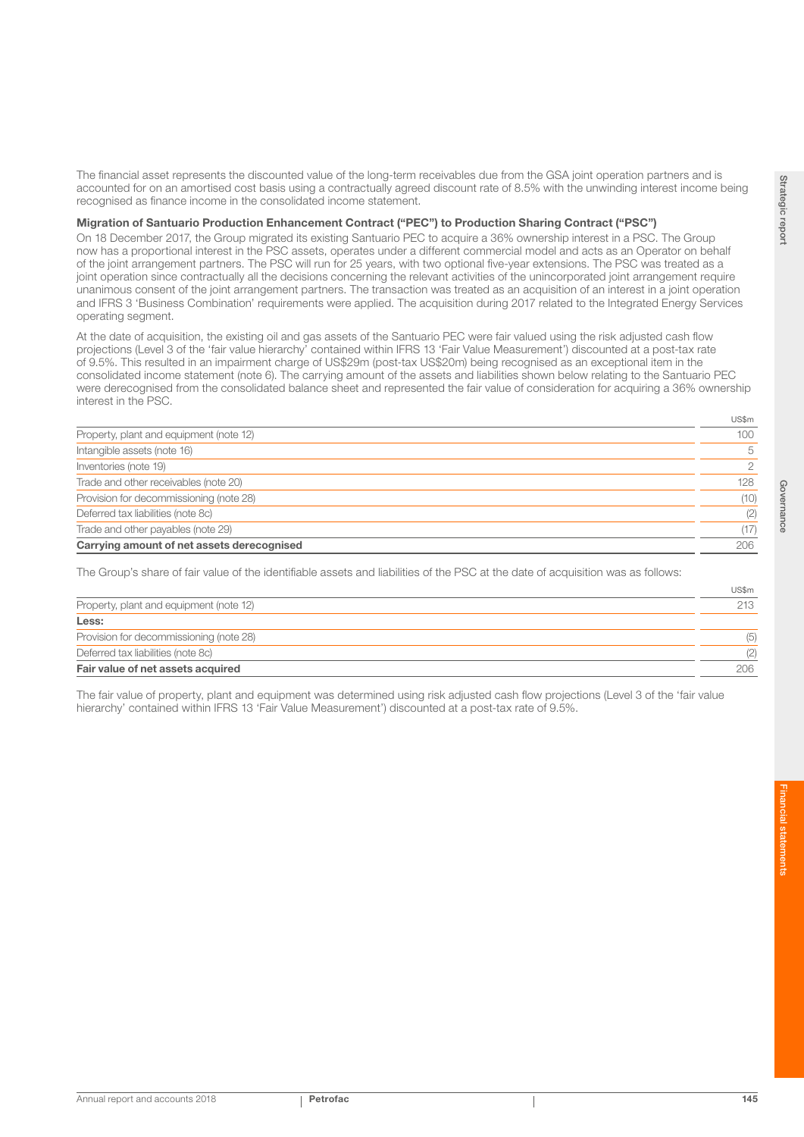The financial asset represents the discounted value of the long-term receivables due from the GSA joint operation partners and is accounted for on an amortised cost basis using a contractually agreed discount rate of 8.5% with the unwinding interest income being recognised as finance income in the consolidated income statement.

#### Migration of Santuario Production Enhancement Contract ("PEC") to Production Sharing Contract ("PSC")

On 18 December 2017, the Group migrated its existing Santuario PEC to acquire a 36% ownership interest in a PSC. The Group now has a proportional interest in the PSC assets, operates under a different commercial model and acts as an Operator on behalf of the joint arrangement partners. The PSC will run for 25 years, with two optional five-year extensions. The PSC was treated as a joint operation since contractually all the decisions concerning the relevant activities of the unincorporated joint arrangement require unanimous consent of the joint arrangement partners. The transaction was treated as an acquisition of an interest in a joint operation and IFRS 3 'Business Combination' requirements were applied. The acquisition during 2017 related to the Integrated Energy Services operating segment.

At the date of acquisition, the existing oil and gas assets of the Santuario PEC were fair valued using the risk adjusted cash flow projections (Level 3 of the 'fair value hierarchy' contained within IFRS 13 'Fair Value Measurement') discounted at a post-tax rate of 9.5%. This resulted in an impairment charge of US\$29m (post-tax US\$20m) being recognised as an exceptional item in the consolidated income statement (note 6). The carrying amount of the assets and liabilities shown below relating to the Santuario PEC were derecognised from the consolidated balance sheet and represented the fair value of consideration for acquiring a 36% ownership interest in the PSC.

|                                            | ---- |
|--------------------------------------------|------|
| Property, plant and equipment (note 12)    | 100  |
| Intangible assets (note 16)                | 5    |
| Inventories (note 19)                      | 2    |
| Trade and other receivables (note 20)      | 128  |
| Provision for decommissioning (note 28)    | (10) |
| Deferred tax liabilities (note 8c)         | (2)  |
| Trade and other payables (note 29)         | (17) |
| Carrying amount of net assets derecognised | 206  |
|                                            |      |

The Group's share of fair value of the identifiable assets and liabilities of the PSC at the date of acquisition was as follows:

|                                         | US\$m |
|-----------------------------------------|-------|
| Property, plant and equipment (note 12) | 213   |
| Less:                                   |       |
| Provision for decommissioning (note 28) | (5)   |
| Deferred tax liabilities (note 8c)      | (2)   |
| Fair value of net assets acquired       | 206   |

The fair value of property, plant and equipment was determined using risk adjusted cash flow projections (Level 3 of the 'fair value hierarchy' contained within IFRS 13 'Fair Value Measurement') discounted at a post-tax rate of 9.5%.

 $IIR$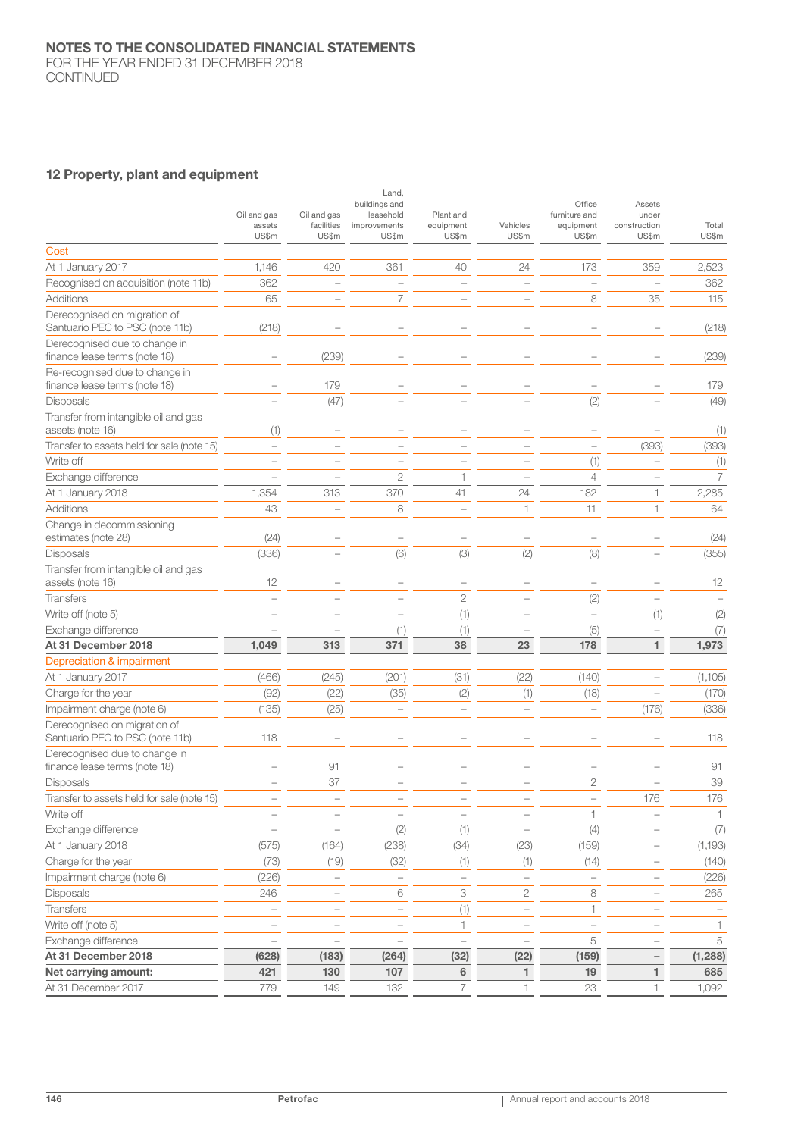FOR THE YEAR ENDED 31 DECEMBER 2018 CONTINUED

## 12 Property, plant and equipment

|                                                                 | Oil and gas<br>assets<br>US\$m | Oil and gas<br>facilities<br>US\$m | Land,<br>buildings and<br>leasehold<br>improvements<br>US\$m | Plant and<br>equipment<br>US\$m | Vehicles<br>US\$m        | Office<br>furniture and<br>equipment<br>US\$m | Assets<br>under<br>construction<br>US\$m | Total<br>US\$m |
|-----------------------------------------------------------------|--------------------------------|------------------------------------|--------------------------------------------------------------|---------------------------------|--------------------------|-----------------------------------------------|------------------------------------------|----------------|
| Cost                                                            |                                |                                    |                                                              |                                 |                          |                                               |                                          |                |
| At 1 January 2017                                               | 1,146                          | 420                                | 361                                                          | 40                              | 24                       | 173                                           | 359                                      | 2,523          |
| Recognised on acquisition (note 11b)                            | 362                            | $\overline{\phantom{a}}$           | ÷,                                                           |                                 | $\overline{\phantom{a}}$ | $\overline{\phantom{0}}$                      |                                          | 362            |
| Additions                                                       | 65                             | $\overline{\phantom{0}}$           | $\overline{7}$                                               |                                 |                          | 8                                             | 35                                       | 115            |
| Derecognised on migration of                                    |                                |                                    |                                                              |                                 |                          |                                               |                                          |                |
| Santuario PEC to PSC (note 11b)                                 | (218)                          |                                    |                                                              |                                 |                          |                                               |                                          | (218)          |
| Derecognised due to change in<br>finance lease terms (note 18)  |                                | (239)                              |                                                              |                                 |                          |                                               |                                          | (239)          |
| Re-recognised due to change in<br>finance lease terms (note 18) |                                | 179                                |                                                              |                                 |                          |                                               |                                          | 179            |
| <b>Disposals</b>                                                |                                | (47)                               |                                                              |                                 |                          | (2)                                           |                                          | (49)           |
| Transfer from intangible oil and gas<br>assets (note 16)        | (1)                            |                                    |                                                              |                                 |                          |                                               |                                          | (1)            |
| Transfer to assets held for sale (note 15)                      | $\overline{\phantom{a}}$       |                                    |                                                              |                                 |                          | L.                                            | (393)                                    | (393)          |
| Write off                                                       | $\overline{\phantom{0}}$       |                                    |                                                              |                                 |                          | (1)                                           |                                          | (1)            |
| Exchange difference                                             | $\overline{\phantom{a}}$       |                                    | $\mathbf{2}$                                                 | 1                               |                          | $\overline{4}$                                |                                          | $\overline{7}$ |
| At 1 January 2018                                               | 1,354                          | 313                                | 370                                                          | 41                              | 24                       | 182                                           | 1                                        | 2,285          |
| Additions                                                       | 43                             | $\qquad \qquad -$                  | 8                                                            | $\qquad \qquad -$               | 1                        | 11                                            | 1                                        | 64             |
| Change in decommissioning<br>estimates (note 28)                | (24)                           |                                    |                                                              | -                               |                          | $\overline{\phantom{a}}$                      |                                          | (24)           |
| <b>Disposals</b>                                                | (336)                          |                                    | (6)                                                          | (3)                             | (2)                      | (8)                                           |                                          | (355)          |
| Transfer from intangible oil and gas<br>assets (note 16)        | 12                             |                                    |                                                              |                                 |                          |                                               |                                          | 12             |
| <b>Transfers</b>                                                | $\overline{\phantom{0}}$       |                                    |                                                              | $\mathbf{2}$                    |                          | (2)                                           |                                          |                |
| Write off (note 5)                                              |                                |                                    |                                                              | (1)                             |                          | $\qquad \qquad -$                             | (1)                                      | (2)            |
| Exchange difference                                             |                                |                                    | (1)                                                          | (1)                             |                          | (5)                                           |                                          | (7)            |
| At 31 December 2018                                             | 1,049                          | 313                                | 371                                                          | 38                              | 23                       | 178                                           | $\blacksquare$                           | 1,973          |
| Depreciation & impairment                                       |                                |                                    |                                                              |                                 |                          |                                               |                                          |                |
| At 1 January 2017                                               | (466)                          | (245)                              | (201)                                                        | (31)                            | (22)                     | (140)                                         |                                          | (1,105)        |
| Charge for the year                                             | (92)                           | (22)                               | (35)                                                         | (2)                             | (1)                      | (18)                                          |                                          | (170)          |
| Impairment charge (note 6)                                      | (135)                          | (25)                               |                                                              |                                 |                          |                                               | (176)                                    | (336)          |
| Derecognised on migration of<br>Santuario PEC to PSC (note 11b) | 118                            |                                    |                                                              |                                 |                          |                                               |                                          | 118            |
| Derecognised due to change in<br>finance lease terms (note 18)  |                                | 91                                 |                                                              |                                 |                          |                                               |                                          | 91             |
| Disposals                                                       |                                | 37                                 |                                                              |                                 |                          | $\overline{2}$                                |                                          | 39             |
| Transfer to assets held for sale (note 15)                      |                                |                                    |                                                              |                                 |                          |                                               | 176                                      | 176            |
| Write off                                                       |                                |                                    |                                                              |                                 |                          | $\mathbf{1}$                                  |                                          | $\mathbf{1}$   |
| Exchange difference                                             | $\overline{\phantom{0}}$       | $\overline{\phantom{0}}$           | (2)                                                          | (1)                             | $\overline{\phantom{a}}$ | (4)                                           |                                          | (7)            |
| At 1 January 2018                                               | (575)                          | (164)                              | (238)                                                        | (34)                            | (23)                     | (159)                                         |                                          | (1,193)        |
| Charge for the year                                             | (73)                           | (19)                               | (32)                                                         | (1)                             | (1)                      | (14)                                          |                                          | (140)          |
| Impairment charge (note 6)                                      | (226)                          | $\hspace{1.0cm} - \hspace{1.0cm}$  | $\qquad \qquad -$                                            | $\overline{\phantom{a}}$        | $\overline{\phantom{0}}$ | $\qquad \qquad -$                             |                                          | (226)          |
| Disposals                                                       | 246                            | $\qquad \qquad -$                  | 6                                                            | $\ensuremath{\mathcal{S}}$      | 2                        | 8                                             |                                          | 265            |
| Transfers                                                       | $\overline{\phantom{0}}$       | $\qquad \qquad -$                  | $\overline{\phantom{a}}$                                     | $(1)$                           | $\overline{\phantom{0}}$ | $\mathbf{1}$                                  |                                          |                |
| Write off (note 5)                                              | $\overline{\phantom{0}}$       | $\overline{a}$                     |                                                              | $\mathbf{1}$                    |                          | $\qquad \qquad -$                             |                                          | 1              |
| Exchange difference                                             | $\overline{\phantom{0}}$       |                                    |                                                              | $\overline{\phantom{a}}$        |                          | 5                                             |                                          | 5              |
| At 31 December 2018                                             | (628)                          | (183)                              | (264)                                                        | (32)                            | (22)                     | (159)                                         |                                          | (1, 288)       |
| Net carrying amount:                                            | 421                            | 130                                | 107                                                          | 6                               | 1                        | 19                                            | 1.                                       | 685            |
| At 31 December 2017                                             | 779                            | 149                                | 132                                                          | $\overline{7}$                  | 1                        | 23                                            | 1                                        | 1,092          |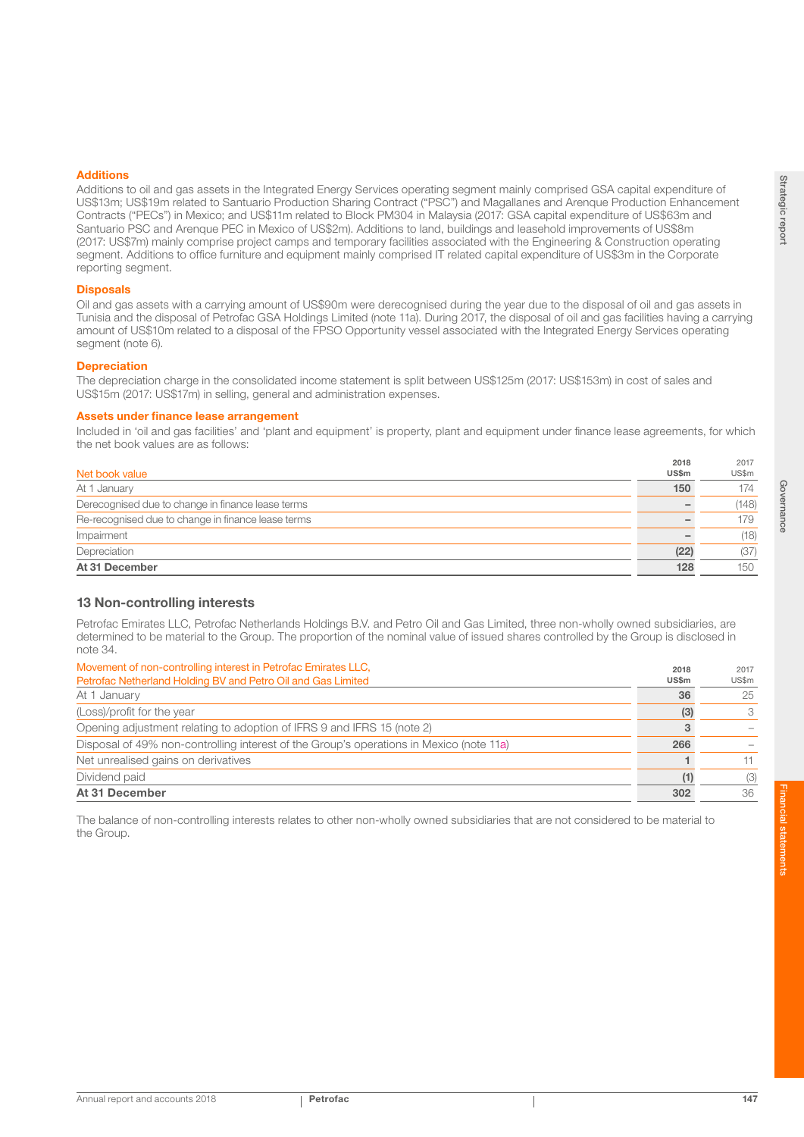#### Additions

Additions to oil and gas assets in the Integrated Energy Services operating segment mainly comprised GSA capital expenditure of US\$13m; US\$19m related to Santuario Production Sharing Contract ("PSC") and Magallanes and Arenque Production Enhancement Contracts ("PECs") in Mexico; and US\$11m related to Block PM304 in Malaysia (2017: GSA capital expenditure of US\$63m and Santuario PSC and Arenque PEC in Mexico of US\$2m). Additions to land, buildings and leasehold improvements of US\$8m (2017: US\$7m) mainly comprise project camps and temporary facilities associated with the Engineering & Construction operating segment. Additions to office furniture and equipment mainly comprised IT related capital expenditure of US\$3m in the Corporate reporting segment.

#### **Disposals**

Oil and gas assets with a carrying amount of US\$90m were derecognised during the year due to the disposal of oil and gas assets in Tunisia and the disposal of Petrofac GSA Holdings Limited (note 11a). During 2017, the disposal of oil and gas facilities having a carrying amount of US\$10m related to a disposal of the FPSO Opportunity vessel associated with the Integrated Energy Services operating segment (note 6).

#### **Depreciation**

The depreciation charge in the consolidated income statement is split between US\$125m (2017: US\$153m) in cost of sales and US\$15m (2017: US\$17m) in selling, general and administration expenses.

#### Assets under finance lease arrangement

Included in 'oil and gas facilities' and 'plant and equipment' is property, plant and equipment under finance lease agreements, for which the net book values are as follows:

| Net book value<br><b>US\$m</b><br>150<br>At 1 January<br>Derecognised due to change in finance lease terms<br>Re-recognised due to change in finance lease terms<br>Impairment<br>Depreciation<br>(22)<br>At 31 December<br>128 | 2018 | 2017  |
|---------------------------------------------------------------------------------------------------------------------------------------------------------------------------------------------------------------------------------|------|-------|
|                                                                                                                                                                                                                                 |      | US\$m |
|                                                                                                                                                                                                                                 |      | 174   |
|                                                                                                                                                                                                                                 |      | (148) |
|                                                                                                                                                                                                                                 |      | 179   |
|                                                                                                                                                                                                                                 |      | (18)  |
|                                                                                                                                                                                                                                 |      | (37)  |
|                                                                                                                                                                                                                                 |      | 15C   |

## 13 Non-controlling interests

Petrofac Emirates LLC, Petrofac Netherlands Holdings B.V. and Petro Oil and Gas Limited, three non-wholly owned subsidiaries, are determined to be material to the Group. The proportion of the nominal value of issued shares controlled by the Group is disclosed in note 34.

| Movement of non-controlling interest in Petrofac Emirates LLC.                          | 2018         | 2017  |
|-----------------------------------------------------------------------------------------|--------------|-------|
| Petrofac Netherland Holding BV and Petro Oil and Gas Limited                            | <b>US\$m</b> | US\$m |
| At 1 January                                                                            | 36           | 25    |
| (Loss)/profit for the year                                                              | (3)          |       |
| Opening adjustment relating to adoption of IFRS 9 and IFRS 15 (note 2)                  |              |       |
| Disposal of 49% non-controlling interest of the Group's operations in Mexico (note 11a) | 266          |       |
| Net unrealised gains on derivatives                                                     |              |       |
| Dividend paid                                                                           | (1)          | (3)   |
| At 31 December                                                                          | 302          | 36    |

The balance of non-controlling interests relates to other non-wholly owned subsidiaries that are not considered to be material to the Group.

Strategic report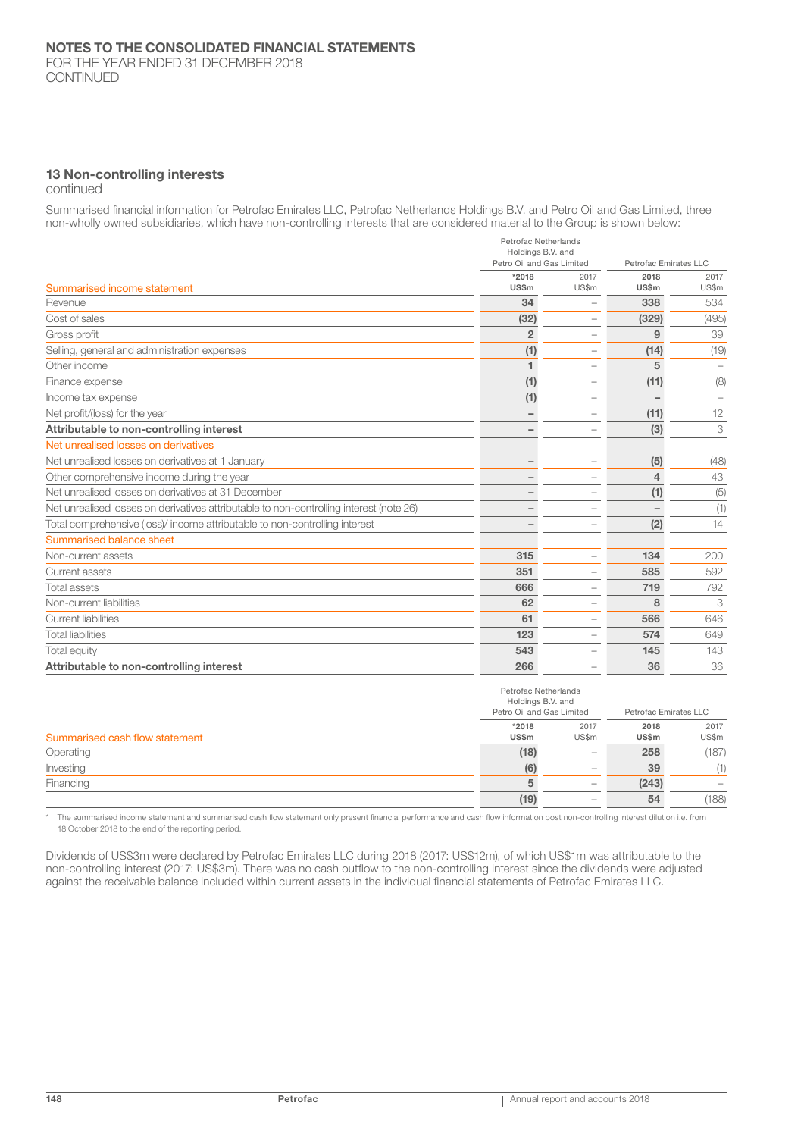FOR THE YEAR ENDED 31 DECEMBER 2018 CONTINUED

### 13 Non-controlling interests

continued

Summarised financial information for Petrofac Emirates LLC, Petrofac Netherlands Holdings B.V. and Petro Oil and Gas Limited, three non-wholly owned subsidiaries, which have non-controlling interests that are considered material to the Group is shown below:

|                                                                                         | Petrofac Netherlands<br>Holdings B.V. and<br>Petro Oil and Gas Limited |                          | Petrofac Emirates LLC |               |
|-----------------------------------------------------------------------------------------|------------------------------------------------------------------------|--------------------------|-----------------------|---------------|
| Summarised income statement                                                             | *2018<br>US\$m                                                         | 2017<br>US\$m            | 2018<br><b>US\$m</b>  | 2017<br>US\$m |
| Revenue                                                                                 | 34                                                                     |                          | 338                   | 534           |
| Cost of sales                                                                           | (32)                                                                   | $\overline{\phantom{0}}$ | (329)                 | (495)         |
| Gross profit                                                                            | $\overline{2}$                                                         | $\overline{\phantom{0}}$ | 9                     | 39            |
| Selling, general and administration expenses                                            | (1)                                                                    | $\overline{\phantom{0}}$ | (14)                  | (19)          |
| Other income                                                                            | 1                                                                      |                          | 5                     |               |
| Finance expense                                                                         | (1)                                                                    | $\overline{\phantom{0}}$ | (11)                  | (8)           |
| Income tax expense                                                                      | (1)                                                                    |                          |                       |               |
| Net profit/(loss) for the year                                                          |                                                                        |                          | (11)                  | 12            |
| Attributable to non-controlling interest                                                |                                                                        |                          | (3)                   | 3             |
| Net unrealised losses on derivatives                                                    |                                                                        |                          |                       |               |
| Net unrealised losses on derivatives at 1 January                                       |                                                                        | $\overline{\phantom{0}}$ | (5)                   | (48)          |
| Other comprehensive income during the year                                              |                                                                        |                          | 4                     | 43            |
| Net unrealised losses on derivatives at 31 December                                     |                                                                        |                          | (1)                   | (5)           |
| Net unrealised losses on derivatives attributable to non-controlling interest (note 26) |                                                                        |                          |                       | (1)           |
| Total comprehensive (loss)/ income attributable to non-controlling interest             |                                                                        | -                        | (2)                   | 14            |
| Summarised balance sheet                                                                |                                                                        |                          |                       |               |
| Non-current assets                                                                      | 315                                                                    | $\overline{\phantom{0}}$ | 134                   | 200           |
| Current assets                                                                          | 351                                                                    | -                        | 585                   | 592           |
| <b>Total assets</b>                                                                     | 666                                                                    | $\overline{\phantom{a}}$ | 719                   | 792           |
| Non-current liabilities                                                                 | 62                                                                     | $\overline{\phantom{0}}$ | 8                     | 3             |
| Current liabilities                                                                     | 61                                                                     | $\overline{\phantom{0}}$ | 566                   | 646           |
| <b>Total liabilities</b>                                                                | 123                                                                    | $\overline{\phantom{0}}$ | 574                   | 649           |
| Total equity                                                                            | 543                                                                    | -                        | 145                   | 143           |
| Attributable to non-controlling interest                                                | 266                                                                    |                          | 36                    | 36            |

|                                |                | Petrofac Netherlands<br>Holdings B.V. and<br>Petro Oil and Gas Limited |                      | Petrofac Emirates LLC |  |
|--------------------------------|----------------|------------------------------------------------------------------------|----------------------|-----------------------|--|
| Summarised cash flow statement | *2018<br>US\$m | 2017<br>US\$m                                                          | 2018<br><b>US\$m</b> | 2017<br>US\$m         |  |
| Operating                      | (18)           |                                                                        | 258                  | (187)                 |  |
| Investing                      | (6)            | ۰                                                                      | 39                   | (1)                   |  |
| Financing                      |                |                                                                        | (243)                |                       |  |
|                                | (19)           | ۰                                                                      | 54                   | (188)                 |  |

\* The summarised income statement and summarised cash flow statement only present financial performance and cash flow information post non-controlling interest dilution i.e. from 18 October 2018 to the end of the reporting period.

Dividends of US\$3m were declared by Petrofac Emirates LLC during 2018 (2017: US\$12m), of which US\$1m was attributable to the non-controlling interest (2017: US\$3m). There was no cash outflow to the non-controlling interest since the dividends were adjusted against the receivable balance included within current assets in the individual financial statements of Petrofac Emirates LLC.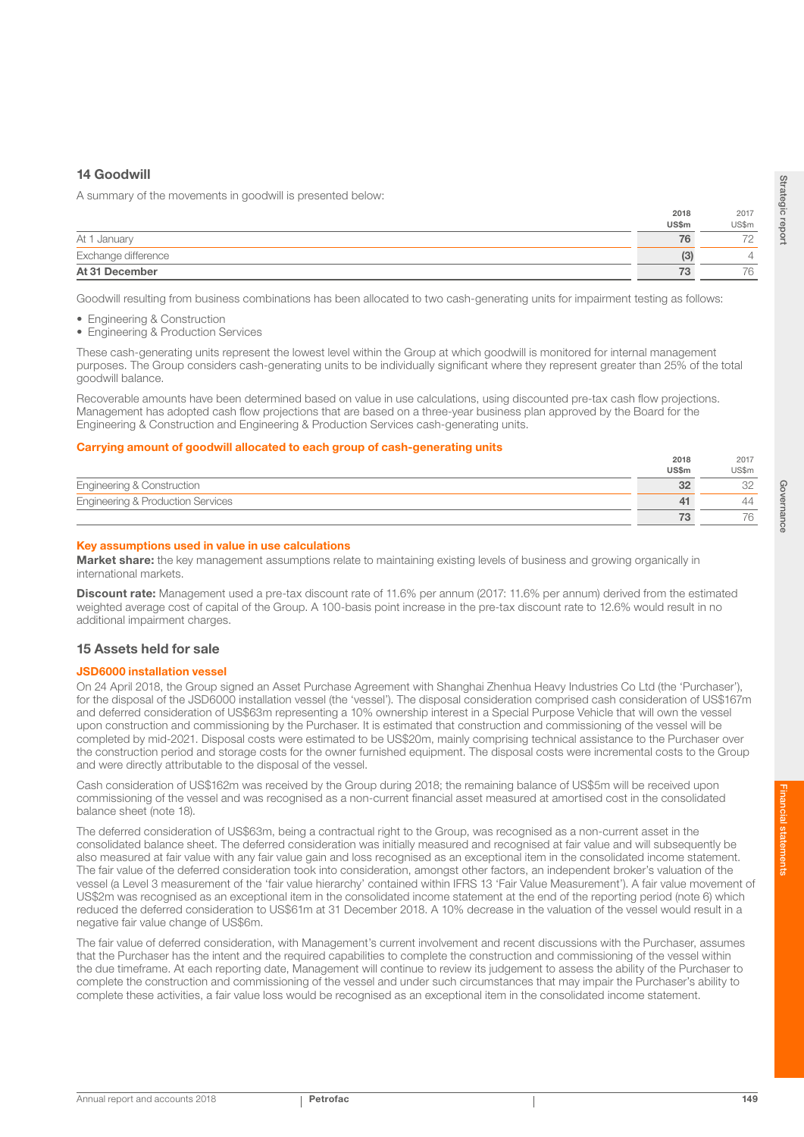## 14 Goodwill

A summary of the movements in goodwill is presented below:

|                     | 2018         | 2017  |
|---------------------|--------------|-------|
|                     | <b>US\$m</b> | US\$m |
| At 1 January        | 76           |       |
| Exchange difference | (3)          |       |
| At 31 December      | 73           |       |

Goodwill resulting from business combinations has been allocated to two cash-generating units for impairment testing as follows:

- Engineering & Construction
- Engineering & Production Services

These cash-generating units represent the lowest level within the Group at which goodwill is monitored for internal management purposes. The Group considers cash-generating units to be individually significant where they represent greater than 25% of the total goodwill balance.

Recoverable amounts have been determined based on value in use calculations, using discounted pre-tax cash flow projections. Management has adopted cash flow projections that are based on a three-year business plan approved by the Board for the Engineering & Construction and Engineering & Production Services cash-generating units.

#### Carrying amount of goodwill allocated to each group of cash-generating units

|                                              | 2018         | 2017  |
|----------------------------------------------|--------------|-------|
|                                              | <b>US\$m</b> | US\$m |
| <b>Engineering &amp; Construction</b>        |              |       |
| <b>Engineering &amp; Production Services</b> |              | ⊥∠    |
|                                              |              |       |

#### Key assumptions used in value in use calculations

Market share: the key management assumptions relate to maintaining existing levels of business and growing organically in international markets.

Discount rate: Management used a pre-tax discount rate of 11.6% per annum (2017: 11.6% per annum) derived from the estimated weighted average cost of capital of the Group. A 100-basis point increase in the pre-tax discount rate to 12.6% would result in no additional impairment charges.

## 15 Assets held for sale

#### JSD6000 installation vessel

On 24 April 2018, the Group signed an Asset Purchase Agreement with Shanghai Zhenhua Heavy Industries Co Ltd (the 'Purchaser'), for the disposal of the JSD6000 installation vessel (the 'vessel'). The disposal consideration comprised cash consideration of US\$167m and deferred consideration of US\$63m representing a 10% ownership interest in a Special Purpose Vehicle that will own the vessel upon construction and commissioning by the Purchaser. It is estimated that construction and commissioning of the vessel will be completed by mid-2021. Disposal costs were estimated to be US\$20m, mainly comprising technical assistance to the Purchaser over the construction period and storage costs for the owner furnished equipment. The disposal costs were incremental costs to the Group and were directly attributable to the disposal of the vessel.

Cash consideration of US\$162m was received by the Group during 2018; the remaining balance of US\$5m will be received upon commissioning of the vessel and was recognised as a non-current financial asset measured at amortised cost in the consolidated balance sheet (note 18).

The deferred consideration of US\$63m, being a contractual right to the Group, was recognised as a non-current asset in the consolidated balance sheet. The deferred consideration was initially measured and recognised at fair value and will subsequently be also measured at fair value with any fair value gain and loss recognised as an exceptional item in the consolidated income statement. The fair value of the deferred consideration took into consideration, amongst other factors, an independent broker's valuation of the vessel (a Level 3 measurement of the 'fair value hierarchy' contained within IFRS 13 'Fair Value Measurement'). A fair value movement of US\$2m was recognised as an exceptional item in the consolidated income statement at the end of the reporting period (note 6) which reduced the deferred consideration to US\$61m at 31 December 2018. A 10% decrease in the valuation of the vessel would result in a negative fair value change of US\$6m.

The fair value of deferred consideration, with Management's current involvement and recent discussions with the Purchaser, assumes that the Purchaser has the intent and the required capabilities to complete the construction and commissioning of the vessel within the due timeframe. At each reporting date, Management will continue to review its judgement to assess the ability of the Purchaser to complete the construction and commissioning of the vessel and under such circumstances that may impair the Purchaser's ability to complete these activities, a fair value loss would be recognised as an exceptional item in the consolidated income statement.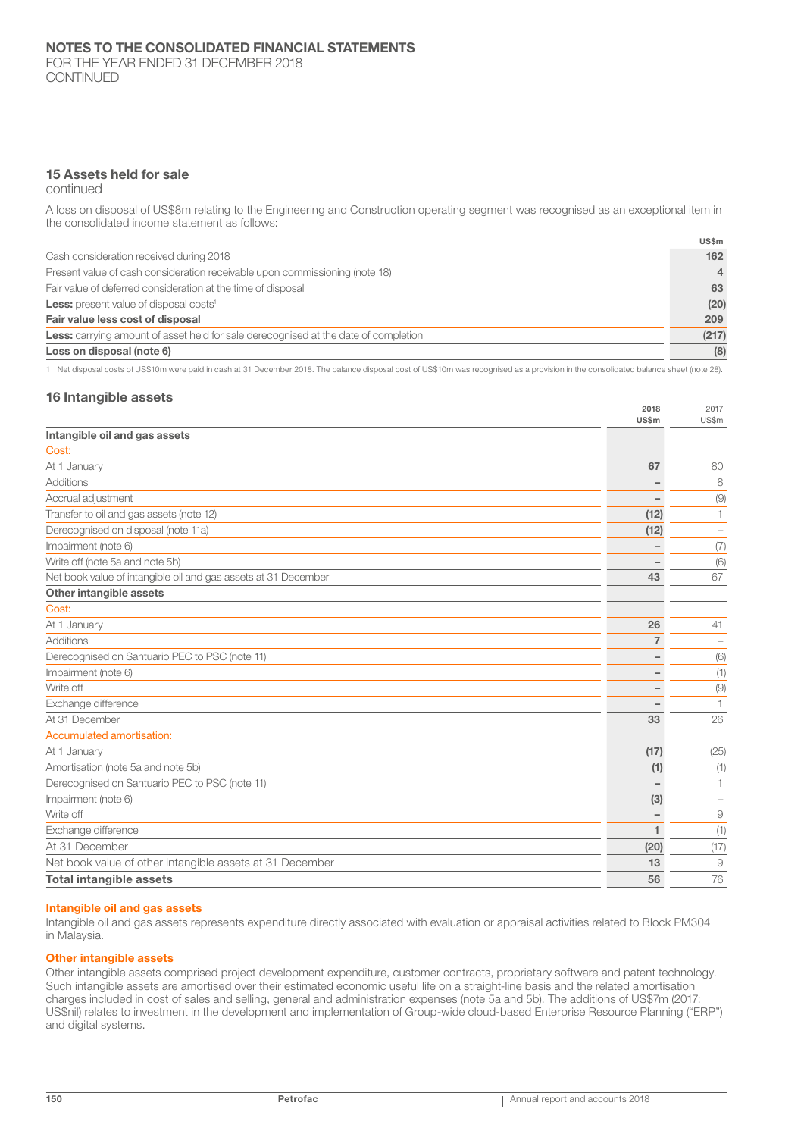CONTINUED

## 15 Assets held for sale

continued

A loss on disposal of US\$8m relating to the Engineering and Construction operating segment was recognised as an exceptional item in the consolidated income statement as follows:

|                                                                                            | US\$m          |
|--------------------------------------------------------------------------------------------|----------------|
| Cash consideration received during 2018                                                    | 162            |
| Present value of cash consideration receivable upon commissioning (note 18)                | $\overline{4}$ |
| Fair value of deferred consideration at the time of disposal                               | 63             |
| Less: present value of disposal costs <sup>1</sup>                                         | (20)           |
| Fair value less cost of disposal                                                           | 209            |
| <b>Less:</b> carrying amount of asset held for sale derecognised at the date of completion | (217)          |
| Loss on disposal (note 6)                                                                  | (8)            |

1 Net disposal costs of US\$10m were paid in cash at 31 December 2018. The balance disposal cost of US\$10m was recognised as a provision in the consolidated balance sheet (note 28).

## 16 Intangible assets

| Intangible oil and gas assets<br>Cost:<br>At 1 January<br>67<br>Additions<br>Accrual adjustment<br>Transfer to oil and gas assets (note 12)<br>(12)<br>Derecognised on disposal (note 11a)<br>(12)<br>Impairment (note 6)<br>Write off (note 5a and note 5b)<br>Net book value of intangible oil and gas assets at 31 December<br>43<br>Other intangible assets<br>Cost:<br>26<br>At 1 January<br><b>Additions</b><br>7<br>Derecognised on Santuario PEC to PSC (note 11)<br>Impairment (note 6)<br>Write off<br>Exchange difference<br>At 31 December<br>33<br>Accumulated amortisation:<br>At 1 January<br>(17)<br>Amortisation (note 5a and note 5b)<br>(1)<br>Derecognised on Santuario PEC to PSC (note 11)<br>Impairment (note 6)<br>(3)<br>Write off<br>Exchange difference<br>At 31 December<br>(20)<br>Net book value of other intangible assets at 31 December<br>13<br><b>Total intangible assets</b><br>56 | <b>US\$m</b> | US\$m        |
|------------------------------------------------------------------------------------------------------------------------------------------------------------------------------------------------------------------------------------------------------------------------------------------------------------------------------------------------------------------------------------------------------------------------------------------------------------------------------------------------------------------------------------------------------------------------------------------------------------------------------------------------------------------------------------------------------------------------------------------------------------------------------------------------------------------------------------------------------------------------------------------------------------------------|--------------|--------------|
|                                                                                                                                                                                                                                                                                                                                                                                                                                                                                                                                                                                                                                                                                                                                                                                                                                                                                                                        |              |              |
|                                                                                                                                                                                                                                                                                                                                                                                                                                                                                                                                                                                                                                                                                                                                                                                                                                                                                                                        |              |              |
|                                                                                                                                                                                                                                                                                                                                                                                                                                                                                                                                                                                                                                                                                                                                                                                                                                                                                                                        |              | 80           |
|                                                                                                                                                                                                                                                                                                                                                                                                                                                                                                                                                                                                                                                                                                                                                                                                                                                                                                                        |              | 8            |
|                                                                                                                                                                                                                                                                                                                                                                                                                                                                                                                                                                                                                                                                                                                                                                                                                                                                                                                        |              | (9)          |
|                                                                                                                                                                                                                                                                                                                                                                                                                                                                                                                                                                                                                                                                                                                                                                                                                                                                                                                        |              | 1            |
|                                                                                                                                                                                                                                                                                                                                                                                                                                                                                                                                                                                                                                                                                                                                                                                                                                                                                                                        |              |              |
|                                                                                                                                                                                                                                                                                                                                                                                                                                                                                                                                                                                                                                                                                                                                                                                                                                                                                                                        |              | (7)          |
|                                                                                                                                                                                                                                                                                                                                                                                                                                                                                                                                                                                                                                                                                                                                                                                                                                                                                                                        |              | (6)          |
|                                                                                                                                                                                                                                                                                                                                                                                                                                                                                                                                                                                                                                                                                                                                                                                                                                                                                                                        |              | 67           |
|                                                                                                                                                                                                                                                                                                                                                                                                                                                                                                                                                                                                                                                                                                                                                                                                                                                                                                                        |              |              |
|                                                                                                                                                                                                                                                                                                                                                                                                                                                                                                                                                                                                                                                                                                                                                                                                                                                                                                                        |              |              |
|                                                                                                                                                                                                                                                                                                                                                                                                                                                                                                                                                                                                                                                                                                                                                                                                                                                                                                                        |              | 41           |
|                                                                                                                                                                                                                                                                                                                                                                                                                                                                                                                                                                                                                                                                                                                                                                                                                                                                                                                        |              |              |
|                                                                                                                                                                                                                                                                                                                                                                                                                                                                                                                                                                                                                                                                                                                                                                                                                                                                                                                        |              | (6)          |
|                                                                                                                                                                                                                                                                                                                                                                                                                                                                                                                                                                                                                                                                                                                                                                                                                                                                                                                        |              | (1)          |
|                                                                                                                                                                                                                                                                                                                                                                                                                                                                                                                                                                                                                                                                                                                                                                                                                                                                                                                        |              | (9)          |
|                                                                                                                                                                                                                                                                                                                                                                                                                                                                                                                                                                                                                                                                                                                                                                                                                                                                                                                        |              | $\mathbf{1}$ |
|                                                                                                                                                                                                                                                                                                                                                                                                                                                                                                                                                                                                                                                                                                                                                                                                                                                                                                                        |              | 26           |
|                                                                                                                                                                                                                                                                                                                                                                                                                                                                                                                                                                                                                                                                                                                                                                                                                                                                                                                        |              |              |
|                                                                                                                                                                                                                                                                                                                                                                                                                                                                                                                                                                                                                                                                                                                                                                                                                                                                                                                        |              | (25)         |
|                                                                                                                                                                                                                                                                                                                                                                                                                                                                                                                                                                                                                                                                                                                                                                                                                                                                                                                        |              | (1)          |
|                                                                                                                                                                                                                                                                                                                                                                                                                                                                                                                                                                                                                                                                                                                                                                                                                                                                                                                        |              | $\mathbf{1}$ |
|                                                                                                                                                                                                                                                                                                                                                                                                                                                                                                                                                                                                                                                                                                                                                                                                                                                                                                                        |              |              |
|                                                                                                                                                                                                                                                                                                                                                                                                                                                                                                                                                                                                                                                                                                                                                                                                                                                                                                                        |              | 9            |
|                                                                                                                                                                                                                                                                                                                                                                                                                                                                                                                                                                                                                                                                                                                                                                                                                                                                                                                        |              | (1)          |
|                                                                                                                                                                                                                                                                                                                                                                                                                                                                                                                                                                                                                                                                                                                                                                                                                                                                                                                        |              | (17)         |
|                                                                                                                                                                                                                                                                                                                                                                                                                                                                                                                                                                                                                                                                                                                                                                                                                                                                                                                        |              | 9            |
|                                                                                                                                                                                                                                                                                                                                                                                                                                                                                                                                                                                                                                                                                                                                                                                                                                                                                                                        |              | 76           |

## Intangible oil and gas assets

Intangible oil and gas assets represents expenditure directly associated with evaluation or appraisal activities related to Block PM304 in Malaysia.

### Other intangible assets

Other intangible assets comprised project development expenditure, customer contracts, proprietary software and patent technology. Such intangible assets are amortised over their estimated economic useful life on a straight-line basis and the related amortisation charges included in cost of sales and selling, general and administration expenses (note 5a and 5b). The additions of US\$7m (2017: US\$nil) relates to investment in the development and implementation of Group-wide cloud-based Enterprise Resource Planning ("ERP") and digital systems.

2018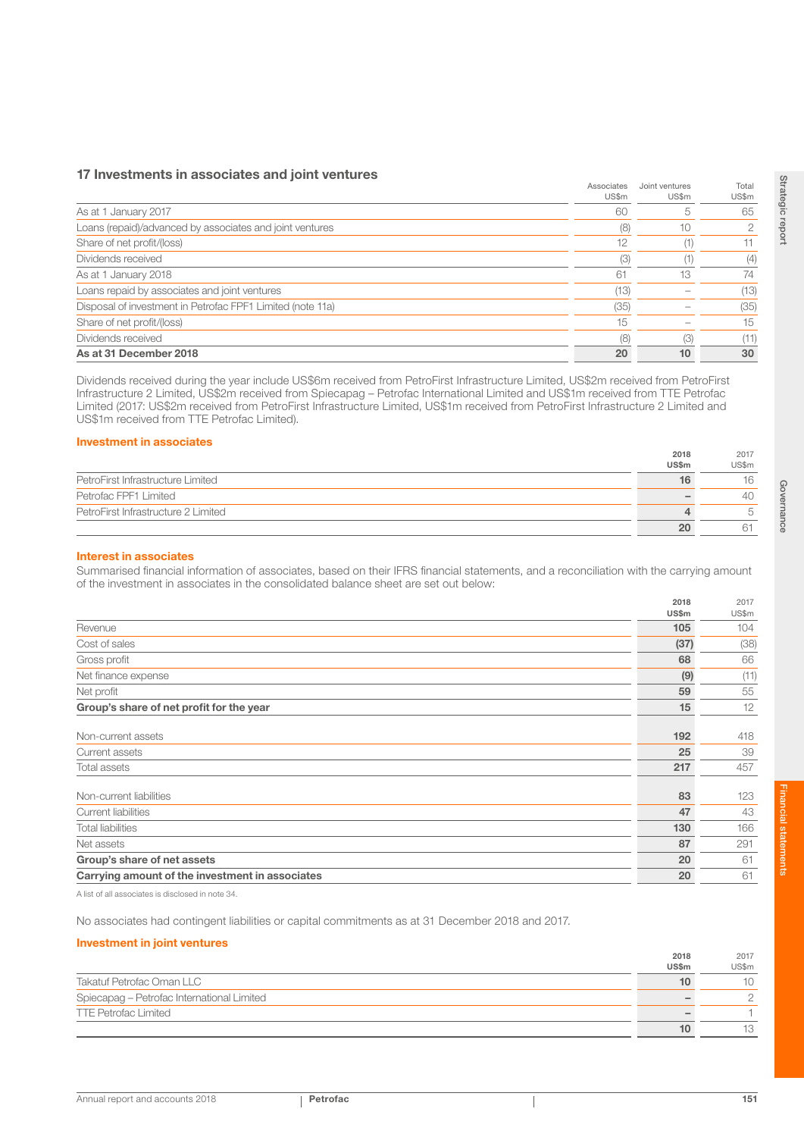## 17 Investments in associates and joint ventures

|                                                            | Associates<br>US\$m | Joint ventures<br>US\$m | Total<br>US\$m |
|------------------------------------------------------------|---------------------|-------------------------|----------------|
| As at 1 January 2017                                       | 60                  |                         | 65             |
| Loans (repaid)/advanced by associates and joint ventures   | (8)                 | 10                      | 2              |
| Share of net profit/(loss)                                 | 12                  |                         | 11             |
| Dividends received                                         | (3)                 |                         | (4)            |
| As at 1 January 2018                                       | 61                  | 13                      | 74             |
| Loans repaid by associates and joint ventures              | (13)                |                         | (13)           |
| Disposal of investment in Petrofac FPF1 Limited (note 11a) | (35)                |                         | (35)           |
| Share of net profit/(loss)                                 | 15                  |                         | 15             |
| Dividends received                                         | (8)                 | (3)                     | (11)           |
| As at 31 December 2018                                     | 20                  | 10                      | 30             |

Dividends received during the year include US\$6m received from PetroFirst Infrastructure Limited, US\$2m received from PetroFirst Infrastructure 2 Limited, US\$2m received from Spiecapag – Petrofac International Limited and US\$1m received from TTE Petrofac Limited (2017: US\$2m received from PetroFirst Infrastructure Limited, US\$1m received from PetroFirst Infrastructure 2 Limited and US\$1m received from TTE Petrofac Limited).

## Investment in associates

|                                     | ----<br><b>US\$m</b> | $- - -$<br>US\$m |
|-------------------------------------|----------------------|------------------|
| PetroFirst Infrastructure Limited   | 16                   |                  |
| Petrofac FPF1 Limited               |                      | 40               |
| PetroFirst Infrastructure 2 Limited |                      |                  |
|                                     | 20                   |                  |

### Interest in associates

Summarised financial information of associates, based on their IFRS financial statements, and a reconciliation with the carrying amount of the investment in associates in the consolidated balance sheet are set out below:

|                                                 | 2018<br>US\$m | 2017<br>US\$m |
|-------------------------------------------------|---------------|---------------|
| Revenue                                         | 105           | 104           |
| Cost of sales                                   | (37)          | (38)          |
| Gross profit                                    | 68            | 66            |
| Net finance expense                             | (9)           | (11)          |
| Net profit                                      | 59            | 55            |
| Group's share of net profit for the year        | 15            | 12            |
|                                                 |               |               |
| Non-current assets                              | 192           | 418           |
| Current assets                                  | 25            | 39            |
| Total assets                                    | 217           | 457           |
| Non-current liabilities                         | 83            | 123           |
| Current liabilities                             | 47            | 43            |
| <b>Total liabilities</b>                        | 130           | 166           |
| Net assets                                      | 87            | 291           |
| Group's share of net assets                     | 20            | 61            |
| Carrying amount of the investment in associates | 20            | 61            |

A list of all associates is disclosed in note 34.

No associates had contingent liabilities or capital commitments as at 31 December 2018 and 2017.

## Investment in joint ventures

|                                            | 2018<br><b>US\$m</b> | 2017<br>US\$m |
|--------------------------------------------|----------------------|---------------|
| Takatuf Petrofac Oman LLC                  |                      | 10            |
| Spiecapag - Petrofac International Limited |                      |               |
| TTE Petrofac Limited                       |                      |               |
|                                            |                      |               |

2017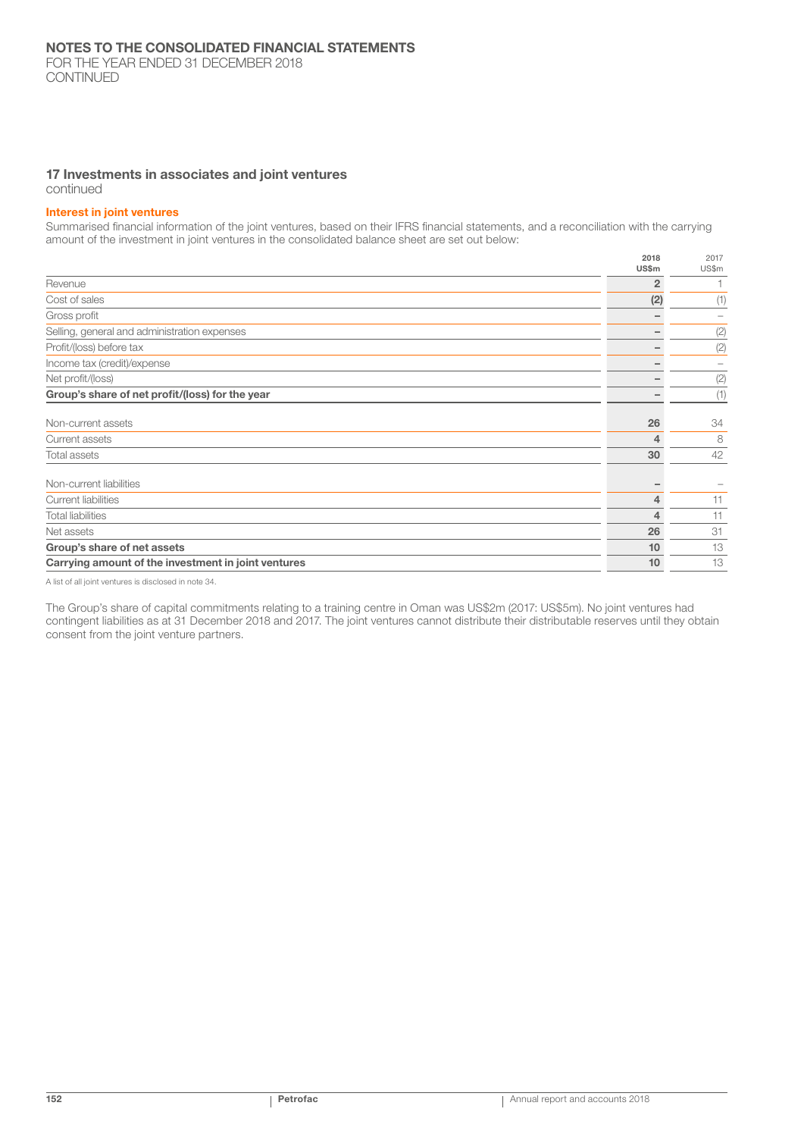## 17 Investments in associates and joint ventures

continued

#### Interest in joint ventures

Summarised financial information of the joint ventures, based on their IFRS financial statements, and a reconciliation with the carrying amount of the investment in joint ventures in the consolidated balance sheet are set out below:

|                                                     | 2018<br>US\$m  | 2017<br>US\$m |
|-----------------------------------------------------|----------------|---------------|
| Revenue                                             | $\overline{2}$ |               |
| Cost of sales                                       | (2)            | (1)           |
| Gross profit                                        |                |               |
| Selling, general and administration expenses        |                | (2)           |
| Profit/(loss) before tax                            |                | (2)           |
| Income tax (credit)/expense                         |                |               |
| Net profit/(loss)                                   |                | (2)           |
| Group's share of net profit/(loss) for the year     |                | (1)           |
| Non-current assets                                  | 26             | 34            |
| Current assets                                      | 4              | 8             |
| Total assets                                        | 30             | 42            |
| Non-current liabilities                             |                |               |
| <b>Current liabilities</b>                          | 4              | 11            |
| <b>Total liabilities</b>                            | 4              | 11            |
| Net assets                                          | 26             | 31            |
| Group's share of net assets                         | 10             | 13            |
| Carrying amount of the investment in joint ventures | 10             | 13            |

A list of all joint ventures is disclosed in note 34.

The Group's share of capital commitments relating to a training centre in Oman was US\$2m (2017: US\$5m). No joint ventures had contingent liabilities as at 31 December 2018 and 2017. The joint ventures cannot distribute their distributable reserves until they obtain consent from the joint venture partners.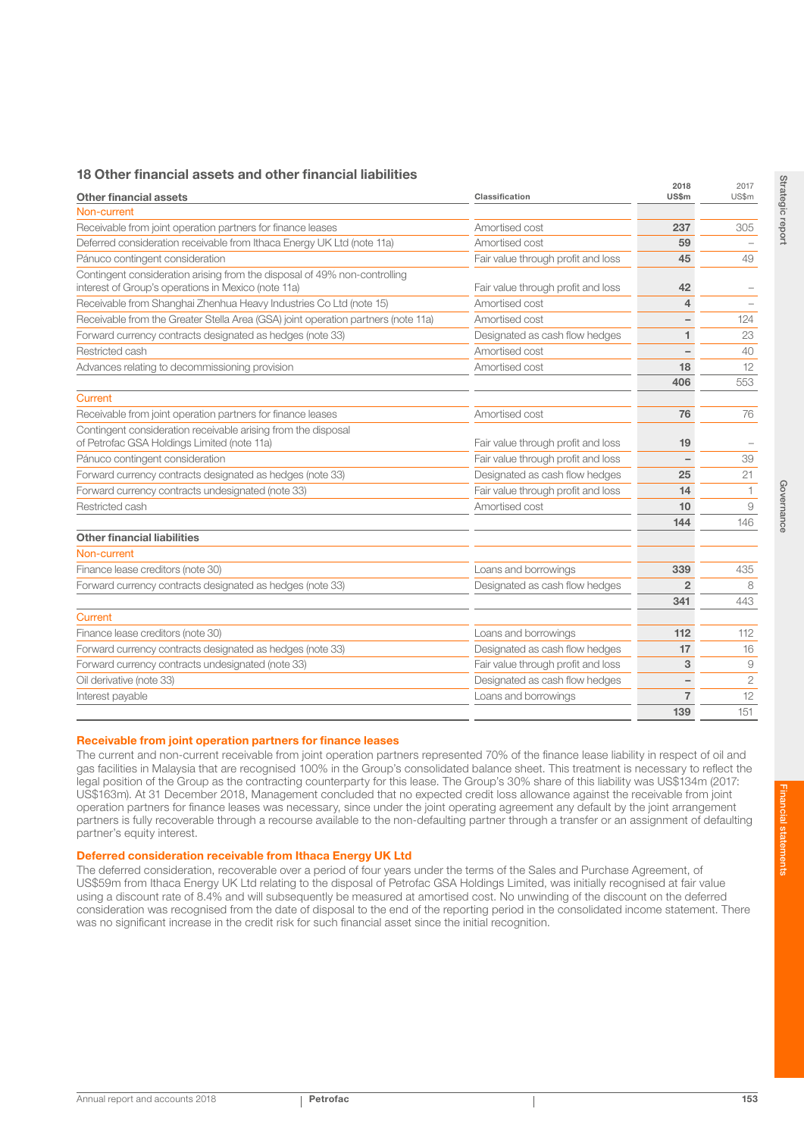## 18 Other financial assets and other financial liabilities

| <b>Other financial assets</b>                                                                                                    | Classification                     | 2018<br>US\$m  | 2017<br>US\$m |
|----------------------------------------------------------------------------------------------------------------------------------|------------------------------------|----------------|---------------|
| Non-current                                                                                                                      |                                    |                |               |
| Receivable from joint operation partners for finance leases                                                                      | Amortised cost                     | 237            | 305           |
| Deferred consideration receivable from Ithaca Energy UK Ltd (note 11a)                                                           | Amortised cost                     | 59             |               |
| Pánuco contingent consideration                                                                                                  | Fair value through profit and loss | 45             | 49            |
| Contingent consideration arising from the disposal of 49% non-controlling<br>interest of Group's operations in Mexico (note 11a) | Fair value through profit and loss | 42             |               |
| Receivable from Shanghai Zhenhua Heavy Industries Co Ltd (note 15)                                                               | Amortised cost                     | 4              |               |
| Receivable from the Greater Stella Area (GSA) joint operation partners (note 11a)                                                | Amortised cost                     |                | 124           |
| Forward currency contracts designated as hedges (note 33)                                                                        | Designated as cash flow hedges     | 1              | 23            |
| Restricted cash                                                                                                                  | Amortised cost                     |                | 40            |
| Advances relating to decommissioning provision                                                                                   | Amortised cost                     | 18             | 12            |
|                                                                                                                                  |                                    | 406            | 553           |
| Current                                                                                                                          |                                    |                |               |
| Receivable from joint operation partners for finance leases                                                                      | Amortised cost                     | 76             | 76            |
| Contingent consideration receivable arising from the disposal<br>of Petrofac GSA Holdings Limited (note 11a)                     | Fair value through profit and loss | 19             |               |
| Pánuco contingent consideration                                                                                                  | Fair value through profit and loss |                | 39            |
| Forward currency contracts designated as hedges (note 33)                                                                        | Designated as cash flow hedges     | 25             | 21            |
| Forward currency contracts undesignated (note 33)                                                                                | Fair value through profit and loss | 14             | $\mathbf{1}$  |
| Restricted cash                                                                                                                  | Amortised cost                     | 10             | 9             |
|                                                                                                                                  |                                    | 144            | 146           |
| <b>Other financial liabilities</b>                                                                                               |                                    |                |               |
| Non-current                                                                                                                      |                                    |                |               |
| Finance lease creditors (note 30)                                                                                                | Loans and borrowings               | 339            | 435           |
| Forward currency contracts designated as hedges (note 33)                                                                        | Designated as cash flow hedges     | $\overline{2}$ | 8             |
|                                                                                                                                  |                                    | 341            | 443           |
| Current                                                                                                                          |                                    |                |               |
| Finance lease creditors (note 30)                                                                                                | Loans and borrowings               | 112            | 112           |
| Forward currency contracts designated as hedges (note 33)                                                                        | Designated as cash flow hedges     | 17             | 16            |
| Forward currency contracts undesignated (note 33)                                                                                | Fair value through profit and loss | 3              | 9             |
| Oil derivative (note 33)                                                                                                         | Designated as cash flow hedges     |                | $\mathbf{2}$  |
| Interest payable                                                                                                                 | Loans and borrowings               | $\overline{7}$ | 12            |
|                                                                                                                                  |                                    | 139            | 151           |

#### Receivable from joint operation partners for finance leases

The current and non-current receivable from joint operation partners represented 70% of the finance lease liability in respect of oil and gas facilities in Malaysia that are recognised 100% in the Group's consolidated balance sheet. This treatment is necessary to reflect the legal position of the Group as the contracting counterparty for this lease. The Group's 30% share of this liability was US\$134m (2017: US\$163m). At 31 December 2018, Management concluded that no expected credit loss allowance against the receivable from joint operation partners for finance leases was necessary, since under the joint operating agreement any default by the joint arrangement partners is fully recoverable through a recourse available to the non-defaulting partner through a transfer or an assignment of defaulting partner's equity interest.

#### Deferred consideration receivable from Ithaca Energy UK Ltd

The deferred consideration, recoverable over a period of four years under the terms of the Sales and Purchase Agreement, of US\$59m from Ithaca Energy UK Ltd relating to the disposal of Petrofac GSA Holdings Limited, was initially recognised at fair value using a discount rate of 8.4% and will subsequently be measured at amortised cost. No unwinding of the discount on the deferred consideration was recognised from the date of disposal to the end of the reporting period in the consolidated income statement. There was no significant increase in the credit risk for such financial asset since the initial recognition.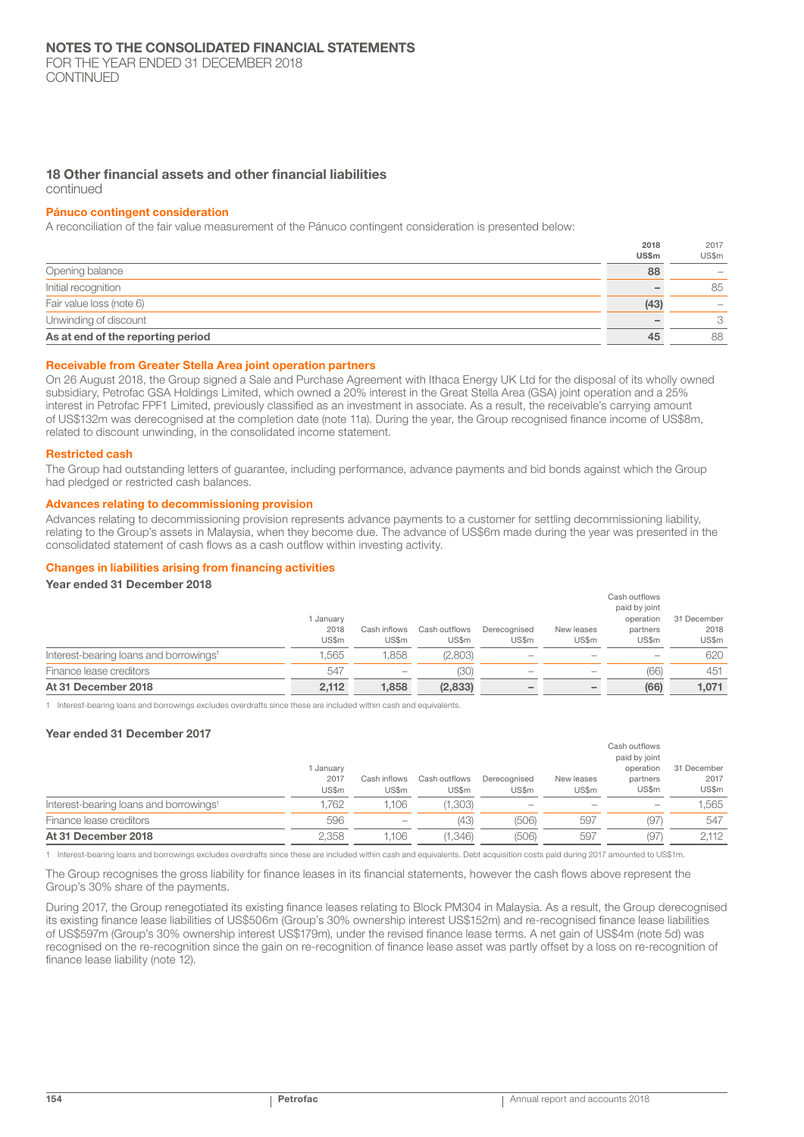FOR THE YEAR ENDED 31 DECEMBER 2018 CONTINUED

## 18 Other financial assets and other financial liabilities

#### continued

#### Pánuco contingent consideration

A reconciliation of the fair value measurement of the Pánuco contingent consideration is presented below:

|                                   | 2018  | 2017                            |
|-----------------------------------|-------|---------------------------------|
|                                   | US\$m | US\$m                           |
| Opening balance                   | 88    | $\hspace{0.1mm}-\hspace{0.1mm}$ |
| Initial recognition               |       | 85                              |
| Fair value loss (note 6)          | (43)  |                                 |
| Unwinding of discount             |       | 3                               |
| As at end of the reporting period | 45    | 88                              |

#### Receivable from Greater Stella Area joint operation partners

On 26 August 2018, the Group signed a Sale and Purchase Agreement with Ithaca Energy UK Ltd for the disposal of its wholly owned subsidiary, Petrofac GSA Holdings Limited, which owned a 20% interest in the Great Stella Area (GSA) joint operation and a 25% interest in Petrofac FPF1 Limited, previously classified as an investment in associate. As a result, the receivable's carrying amount of US\$132m was derecognised at the completion date (note 11a). During the year, the Group recognised finance income of US\$8m, related to discount unwinding, in the consolidated income statement.

#### Restricted cash

The Group had outstanding letters of guarantee, including performance, advance payments and bid bonds against which the Group had pledged or restricted cash balances.

#### Advances relating to decommissioning provision

Advances relating to decommissioning provision represents advance payments to a customer for settling decommissioning liability, relating to the Group's assets in Malaysia, when they become due. The advance of US\$6m made during the year was presented in the consolidated statement of cash flows as a cash outflow within investing activity.

#### Changes in liabilities arising from financing activities

## Year ended 31 December 2018

| At 31 December 2018                                | 2,112   | 1.858        | (2,833)       |                          | $\overline{\phantom{a}}$ | (66)                     | 1,071       |
|----------------------------------------------------|---------|--------------|---------------|--------------------------|--------------------------|--------------------------|-------------|
| Finance lease creditors                            | 547     |              | (30)          | $\overline{\phantom{a}}$ |                          | (66)                     | 451         |
| Interest-bearing loans and borrowings <sup>1</sup> | .565    | .858         | (2,803)       | $\overline{\phantom{a}}$ |                          | $\overline{\phantom{a}}$ | 620         |
|                                                    | US\$m   | US\$m        | US\$m         | US\$m                    | US\$m                    | US\$m                    | US\$m       |
|                                                    | 2018    | Cash inflows | Cash outflows | Derecognised             | New leases               | partners                 | 2018        |
|                                                    | January |              |               |                          |                          | operation                | 31 December |
|                                                    |         |              |               |                          |                          | paid by joint            |             |
|                                                    |         |              |               |                          |                          | Cash outflows            |             |

1 Interest-bearing loans and borrowings excludes overdrafts since these are included within cash and equivalents.

#### Year ended 31 December 2017

|                                                    | I January     |                       |                        |                       |                     | Cash outflows<br>paid by joint<br>operation | 31 December   |
|----------------------------------------------------|---------------|-----------------------|------------------------|-----------------------|---------------------|---------------------------------------------|---------------|
|                                                    | 2017<br>US\$m | Cash inflows<br>US\$m | Cash outflows<br>US\$m | Derecognised<br>US\$m | New leases<br>US\$m | partners<br>US\$m                           | 2017<br>US\$m |
| Interest-bearing loans and borrowings <sup>1</sup> | .762          | 1.106                 | (1,303)                | $\sim$                |                     | $\sim$                                      | 1,565         |
| Finance lease creditors                            | 596           | $\sim$                | (43)                   | (506)                 | 597                 | (97)                                        | 547           |
| At 31 December 2018                                | 2.358         | 1.106                 | (1.346)                | (506)                 | 597                 | (97)                                        | 2.112         |

1 Interest-bearing loans and borrowings excludes overdrafts since these are included within cash and equivalents. Debt acquisition costs paid during 2017 amounted to US\$1m.

The Group recognises the gross liability for finance leases in its financial statements, however the cash flows above represent the Group's 30% share of the payments.

During 2017, the Group renegotiated its existing finance leases relating to Block PM304 in Malaysia. As a result, the Group derecognised its existing finance lease liabilities of US\$506m (Group's 30% ownership interest US\$152m) and re-recognised finance lease liabilities of US\$597m (Group's 30% ownership interest US\$179m), under the revised finance lease terms. A net gain of US\$4m (note 5d) was recognised on the re-recognition since the gain on re-recognition of finance lease asset was partly offset by a loss on re-recognition of finance lease liability (note 12).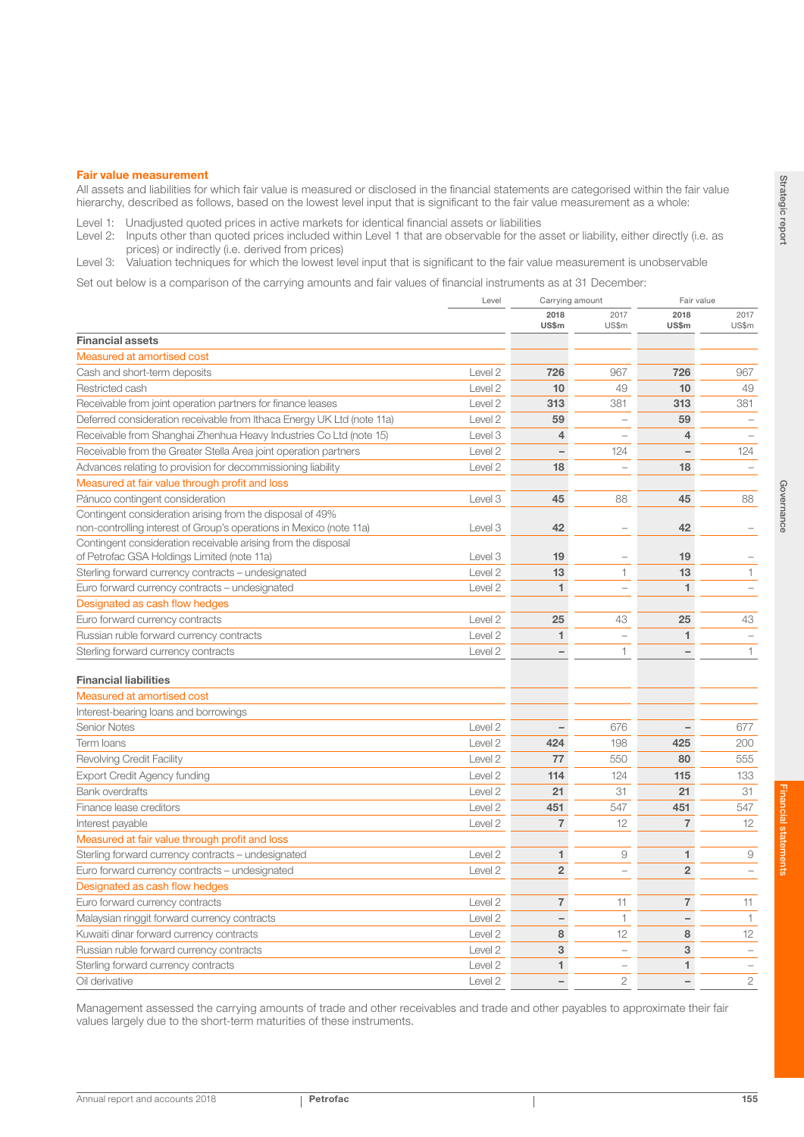#### Fair value measurement

All assets and liabilities for which fair value is measured or disclosed in the financial statements are categorised within the fair value hierarchy, described as follows, based on the lowest level input that is significant to the fair value measurement as a whole:

Level 1: Unadjusted quoted prices in active markets for identical financial assets or liabilities

Level 2: Inputs other than quoted prices included within Level 1 that are observable for the asset or liability, either directly (i.e. as prices) or indirectly (i.e. derived from prices)

Level 3: Valuation techniques for which the lowest level input that is significant to the fair value measurement is unobservable

Set out below is a comparison of the carrying amounts and fair values of financial instruments as at 31 December:

|                                                                                                                                  | Level<br>Carrying amount |                          | Fair value               |                          |                          |
|----------------------------------------------------------------------------------------------------------------------------------|--------------------------|--------------------------|--------------------------|--------------------------|--------------------------|
|                                                                                                                                  |                          | 2018<br>US\$m            | 2017<br>US\$m            | 2018<br>US\$m            | 2017<br>US\$m            |
| <b>Financial assets</b>                                                                                                          |                          |                          |                          |                          |                          |
| Measured at amortised cost                                                                                                       |                          |                          |                          |                          |                          |
| Cash and short-term deposits                                                                                                     | Level 2                  | 726                      | 967                      | 726                      | 967                      |
| Restricted cash                                                                                                                  | Level 2                  | 10                       | 49                       | 10                       | 49                       |
| Receivable from joint operation partners for finance leases                                                                      | Level 2                  | 313                      | 381                      | 313                      | 381                      |
| Deferred consideration receivable from Ithaca Energy UK Ltd (note 11a)                                                           | Level 2                  | 59                       | $\qquad \qquad -$        | 59                       | $\overline{\phantom{0}}$ |
| Receivable from Shanghai Zhenhua Heavy Industries Co Ltd (note 15)                                                               | Level 3                  | $\overline{4}$           | ÷                        | $\overline{4}$           | $\overline{\phantom{0}}$ |
| Receivable from the Greater Stella Area joint operation partners                                                                 | Level 2                  | $\overline{\phantom{0}}$ | 124                      |                          | 124                      |
| Advances relating to provision for decommissioning liability                                                                     | Level 2                  | 18                       | $\equiv$                 | 18                       |                          |
| Measured at fair value through profit and loss                                                                                   |                          |                          |                          |                          |                          |
| Pánuco contingent consideration                                                                                                  | Level 3                  | 45                       | 88                       | 45                       | 88                       |
| Contingent consideration arising from the disposal of 49%<br>non-controlling interest of Group's operations in Mexico (note 11a) | Level 3                  | 42                       | ÷                        | 42                       |                          |
| Contingent consideration receivable arising from the disposal<br>of Petrofac GSA Holdings Limited (note 11a)                     | Level 3                  | 19                       | ÷                        | 19                       |                          |
| Sterling forward currency contracts – undesignated                                                                               | Level 2                  | 13                       | 1                        | 13                       | 1                        |
| Euro forward currency contracts – undesignated                                                                                   | Level 2                  | 1                        | $\overline{a}$           | 1                        | $\overline{\phantom{a}}$ |
| Designated as cash flow hedges                                                                                                   |                          |                          |                          |                          |                          |
| Euro forward currency contracts                                                                                                  | Level 2                  | 25                       | 43                       | 25                       | 43                       |
| Russian ruble forward currency contracts                                                                                         | Level 2                  | 1                        | $\equiv$                 | 1                        |                          |
| Sterling forward currency contracts                                                                                              | Level 2                  |                          | 1                        |                          | 1                        |
| <b>Financial liabilities</b>                                                                                                     |                          |                          |                          |                          |                          |
| Measured at amortised cost                                                                                                       |                          |                          |                          |                          |                          |
| Interest-bearing loans and borrowings                                                                                            |                          |                          |                          |                          |                          |
| <b>Senior Notes</b>                                                                                                              | Level 2                  | $\qquad \qquad -$        | 676                      | $\qquad \qquad -$        | 677                      |
| Term Ioans                                                                                                                       | Level 2                  | 424                      | 198                      | 425                      | 200                      |
| Revolving Credit Facility                                                                                                        | Level 2                  | 77                       | 550                      | 80                       | 555                      |
| <b>Export Credit Agency funding</b>                                                                                              | Level 2                  | 114                      | 124                      | 115                      | 133                      |
| <b>Bank overdrafts</b>                                                                                                           | Level 2                  | 21                       | 31                       | 21                       | 31                       |
| Finance lease creditors                                                                                                          | Level 2                  | 451                      | 547                      | 451                      | 547                      |
| Interest payable                                                                                                                 | Level <sub>2</sub>       | $\overline{7}$           | 12                       | $\overline{7}$           | 12                       |
| Measured at fair value through profit and loss                                                                                   |                          |                          |                          |                          |                          |
| Sterling forward currency contracts – undesignated                                                                               | Level 2                  | 1                        | 9                        | 1                        | 9                        |
| Euro forward currency contracts – undesignated                                                                                   | Level 2                  | $\overline{2}$           | $\overline{\phantom{0}}$ | $\overline{2}$           | $\overline{\phantom{0}}$ |
| Designated as cash flow hedges                                                                                                   |                          |                          |                          |                          |                          |
| Euro forward currency contracts                                                                                                  | Level 2                  | $\overline{7}$           | 11                       | $\overline{7}$           | 11                       |
| Malaysian ringgit forward currency contracts                                                                                     | Level 2                  | $\overline{\phantom{0}}$ | 1                        |                          | $\mathbf{1}$             |
| Kuwaiti dinar forward currency contracts                                                                                         | Level 2                  | 8                        | 12                       | 8                        | 12                       |
| Russian ruble forward currency contracts                                                                                         | Level 2                  | 3                        | $\overline{\phantom{0}}$ | 3                        | $\overline{\phantom{0}}$ |
| Sterling forward currency contracts                                                                                              | Level <sub>2</sub>       | 1                        | $\overline{\phantom{0}}$ | 1                        |                          |
| Oil derivative                                                                                                                   | Level 2                  | $\overline{\phantom{0}}$ | $\overline{2}$           | $\overline{\phantom{0}}$ | $\overline{2}$           |

Management assessed the carrying amounts of trade and other receivables and trade and other payables to approximate their fair values largely due to the short-term maturities of these instruments.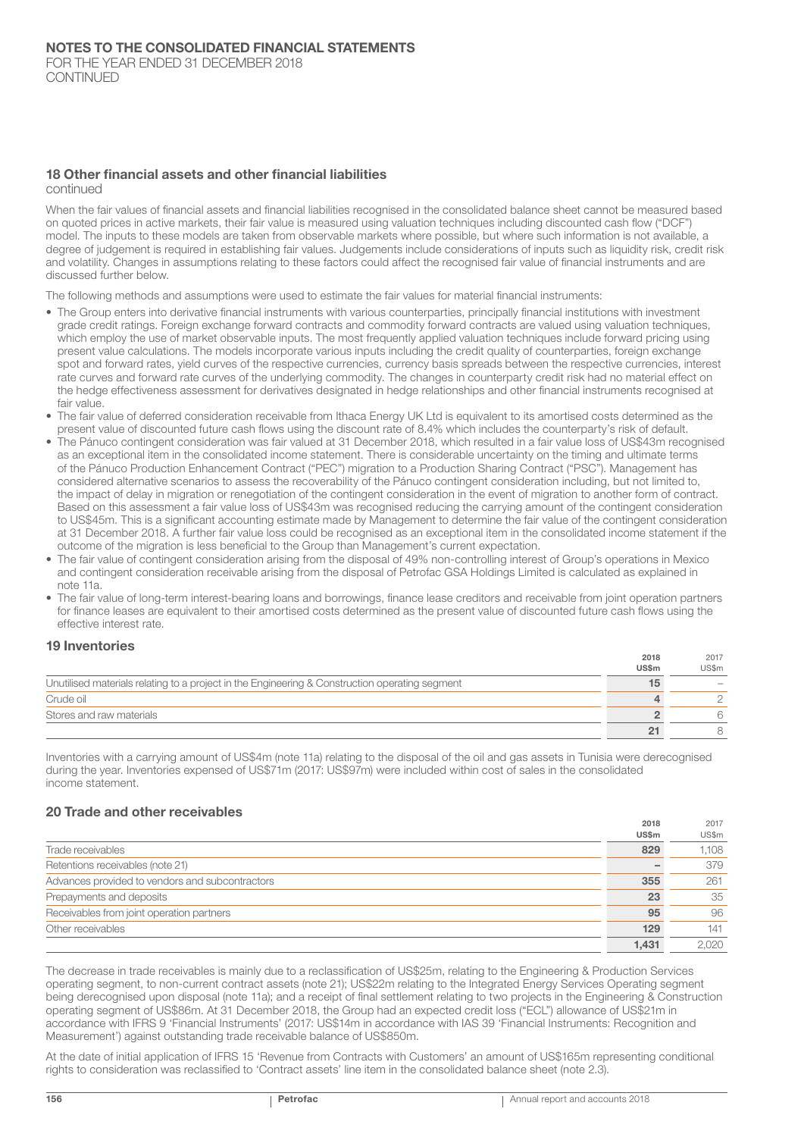## 18 Other financial assets and other financial liabilities

continued

When the fair values of financial assets and financial liabilities recognised in the consolidated balance sheet cannot be measured based on quoted prices in active markets, their fair value is measured using valuation techniques including discounted cash flow ("DCF") model. The inputs to these models are taken from observable markets where possible, but where such information is not available, a degree of judgement is required in establishing fair values. Judgements include considerations of inputs such as liquidity risk, credit risk and volatility. Changes in assumptions relating to these factors could affect the recognised fair value of financial instruments and are discussed further below.

The following methods and assumptions were used to estimate the fair values for material financial instruments:

- The Group enters into derivative financial instruments with various counterparties, principally financial institutions with investment grade credit ratings. Foreign exchange forward contracts and commodity forward contracts are valued using valuation techniques, which employ the use of market observable inputs. The most frequently applied valuation techniques include forward pricing using present value calculations. The models incorporate various inputs including the credit quality of counterparties, foreign exchange spot and forward rates, yield curves of the respective currencies, currency basis spreads between the respective currencies, interest rate curves and forward rate curves of the underlying commodity. The changes in counterparty credit risk had no material effect on the hedge effectiveness assessment for derivatives designated in hedge relationships and other financial instruments recognised at fair value.
- The fair value of deferred consideration receivable from Ithaca Energy UK Ltd is equivalent to its amortised costs determined as the present value of discounted future cash flows using the discount rate of 8.4% which includes the counterparty's risk of default.
- The Pánuco contingent consideration was fair valued at 31 December 2018, which resulted in a fair value loss of US\$43m recognised as an exceptional item in the consolidated income statement. There is considerable uncertainty on the timing and ultimate terms of the Pánuco Production Enhancement Contract ("PEC") migration to a Production Sharing Contract ("PSC"). Management has considered alternative scenarios to assess the recoverability of the Pánuco contingent consideration including, but not limited to, the impact of delay in migration or renegotiation of the contingent consideration in the event of migration to another form of contract. Based on this assessment a fair value loss of US\$43m was recognised reducing the carrying amount of the contingent consideration to US\$45m. This is a significant accounting estimate made by Management to determine the fair value of the contingent consideration at 31 December 2018. A further fair value loss could be recognised as an exceptional item in the consolidated income statement if the outcome of the migration is less beneficial to the Group than Management's current expectation.
- The fair value of contingent consideration arising from the disposal of 49% non-controlling interest of Group's operations in Mexico and contingent consideration receivable arising from the disposal of Petrofac GSA Holdings Limited is calculated as explained in note 11a.
- The fair value of long-term interest-bearing loans and borrowings, finance lease creditors and receivable from joint operation partners for finance leases are equivalent to their amortised costs determined as the present value of discounted future cash flows using the effective interest rate.

## 19 Inventories

|                                                                                                | 2018<br>US\$m | 2017<br>US\$m |
|------------------------------------------------------------------------------------------------|---------------|---------------|
| Unutilised materials relating to a project in the Engineering & Construction operating segment |               |               |
| Crude oil                                                                                      |               |               |
| Stores and raw materials                                                                       |               |               |
|                                                                                                |               |               |

Inventories with a carrying amount of US\$4m (note 11a) relating to the disposal of the oil and gas assets in Tunisia were derecognised during the year. Inventories expensed of US\$71m (2017: US\$97m) were included within cost of sales in the consolidated income statement.

## 20 Trade and other receivables

|                                                 | 2018         | 2017  |
|-------------------------------------------------|--------------|-------|
|                                                 | <b>US\$m</b> | US\$m |
| Trade receivables                               | 829          | 1,108 |
| Retentions receivables (note 21)                |              | 379   |
| Advances provided to vendors and subcontractors | 355          | 261   |
| Prepayments and deposits                        | 23           | 35    |
| Receivables from joint operation partners       | 95           | 96    |
| Other receivables                               | 129          | 141   |
|                                                 | 1.431        | 2.020 |

The decrease in trade receivables is mainly due to a reclassification of US\$25m, relating to the Engineering & Production Services operating segment, to non-current contract assets (note 21); US\$22m relating to the Integrated Energy Services Operating segment being derecognised upon disposal (note 11a); and a receipt of final settlement relating to two projects in the Engineering & Construction operating segment of US\$86m. At 31 December 2018, the Group had an expected credit loss ("ECL") allowance of US\$21m in accordance with IFRS 9 'Financial Instruments' (2017: US\$14m in accordance with IAS 39 'Financial Instruments: Recognition and Measurement') against outstanding trade receivable balance of US\$850m.

At the date of initial application of IFRS 15 'Revenue from Contracts with Customers' an amount of US\$165m representing conditional rights to consideration was reclassified to 'Contract assets' line item in the consolidated balance sheet (note 2.3).

2018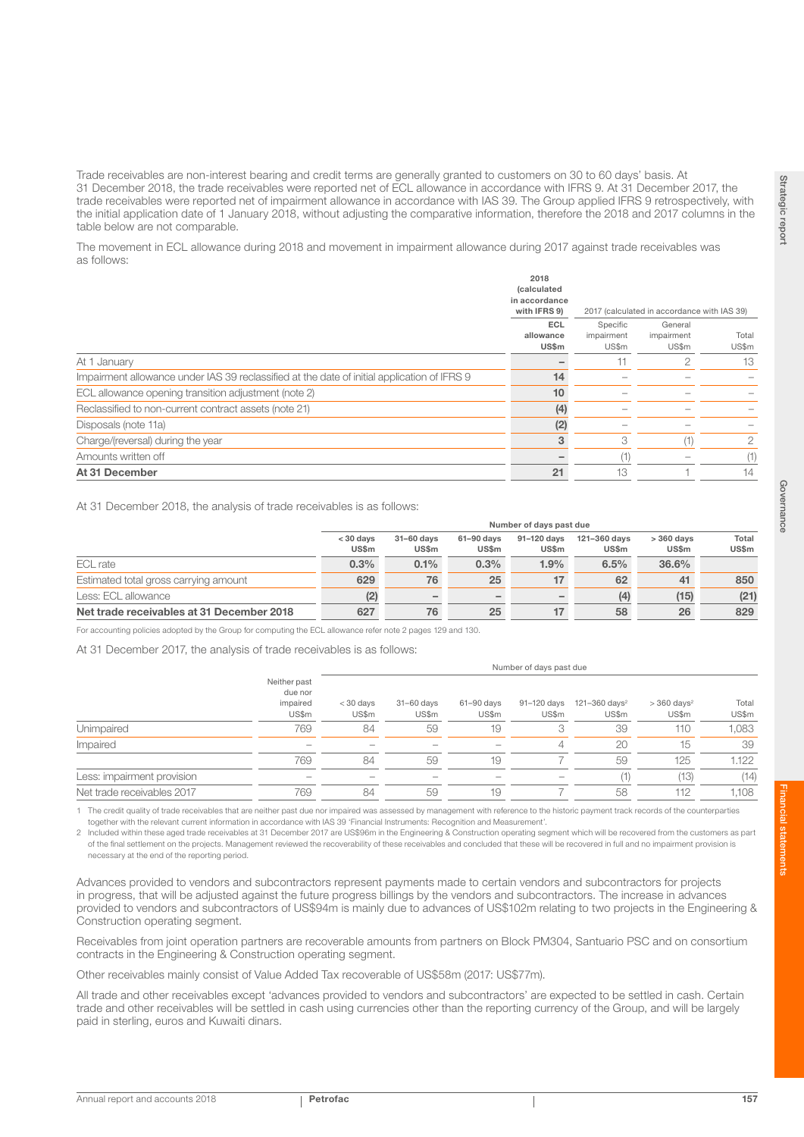Trade receivables are non-interest bearing and credit terms are generally granted to customers on 30 to 60 days' basis. At 31 December 2018, the trade receivables were reported net of ECL allowance in accordance with IFRS 9. At 31 December 2017, the trade receivables were reported net of impairment allowance in accordance with IAS 39. The Group applied IFRS 9 retrospectively, with the initial application date of 1 January 2018, without adjusting the comparative information, therefore the 2018 and 2017 columns in the table below are not comparable.

The movement in ECL allowance during 2018 and movement in impairment allowance during 2017 against trade receivables was as follows:

|                                                                                             | 2018<br><i>(calculated</i><br>in accordance<br>with IFRS 9) | 2017 (calculated in accordance with IAS 39) |                                |                |  |
|---------------------------------------------------------------------------------------------|-------------------------------------------------------------|---------------------------------------------|--------------------------------|----------------|--|
|                                                                                             | ECL<br>allowance<br>US\$m                                   | Specific<br>impairment<br>US\$m             | General<br>impairment<br>US\$m | Total<br>US\$m |  |
| At 1 January                                                                                |                                                             |                                             |                                | 13             |  |
| Impairment allowance under IAS 39 reclassified at the date of initial application of IFRS 9 | 14                                                          |                                             |                                |                |  |
| ECL allowance opening transition adjustment (note 2)                                        | 10                                                          |                                             |                                |                |  |
| Reclassified to non-current contract assets (note 21)                                       | (4)                                                         |                                             |                                |                |  |
| Disposals (note 11a)                                                                        | (2)                                                         |                                             |                                |                |  |
| Charge/(reversal) during the year                                                           | 3                                                           | 3                                           | (1)                            | 2              |  |
| Amounts written off                                                                         |                                                             | (1                                          |                                | (1)            |  |
| At 31 December                                                                              | 21                                                          | 13                                          |                                | 14             |  |

At 31 December 2018, the analysis of trade receivables is as follows:

|                                           |                      |                          |                     | Number of days past due |                       |                             |                       |
|-------------------------------------------|----------------------|--------------------------|---------------------|-------------------------|-----------------------|-----------------------------|-----------------------|
|                                           | $<$ 30 days<br>US\$m | 31-60 days<br>US\$m      | 61-90 days<br>US\$m | 91-120 days<br>US\$m    | 121-360 days<br>US\$m | $>360$ days<br><b>US\$m</b> | Total<br><b>US\$m</b> |
| ECL rate                                  | 0.3%                 | 0.1%                     | 0.3%                | 1.9%                    | 6.5%                  | 36.6%                       |                       |
| Estimated total gross carrying amount     | 629                  | 76                       | 25                  |                         | 62                    | 41                          | 850                   |
| Less: ECL allowance                       | (2)                  | $\overline{\phantom{0}}$ |                     |                         | (4)                   | (15)                        | (21)                  |
| Net trade receivables at 31 December 2018 | 627                  | 76                       | 25                  |                         | 58                    | 26                          | 829                   |

For accounting policies adopted by the Group for computing the ECL allowance refer note 2 pages 129 and 130.

At 31 December 2017, the analysis of trade receivables is as follows:

| Neither past<br>due nor<br>impaired<br>US\$m | $<$ 30 days<br>US\$m | $31 - 60$ days<br>US\$m | $61 - 90$ days<br>US\$m | 91-120 days<br>US\$m | $121 - 360$ days <sup>2</sup><br>US\$m | $>$ 360 days <sup>2</sup><br>US\$m | Total<br>US\$m |
|----------------------------------------------|----------------------|-------------------------|-------------------------|----------------------|----------------------------------------|------------------------------------|----------------|
| 769                                          | 84                   | 59                      | 19                      |                      | 39                                     | 110                                | 1,083          |
| -                                            | -                    |                         |                         |                      | 20                                     | 15                                 | 39             |
| 769                                          | 84                   | 59                      | 19                      |                      | 59                                     | 125                                | 1.122          |
| -                                            |                      |                         |                         | -                    |                                        | (13)                               | (14)           |
| 769                                          | 84                   | 59                      | 19                      |                      | 58                                     | 112                                | 1.108          |
|                                              |                      |                         |                         |                      |                                        | Number of days past due            |                |

1 The credit quality of trade receivables that are neither past due nor impaired was assessed by management with reference to the historic payment track records of the counterparties together with the relevant current information in accordance with IAS 39 'Financial Instruments: Recognition and Measurement'.

2 Included within these aged trade receivables at 31 December 2017 are US\$96m in the Engineering & Construction operating segment which will be recovered from the customers as part of the final settlement on the projects. Management reviewed the recoverability of these receivables and concluded that these will be recovered in full and no impairment provision is necessary at the end of the reporting period.

Advances provided to vendors and subcontractors represent payments made to certain vendors and subcontractors for projects in progress, that will be adjusted against the future progress billings by the vendors and subcontractors. The increase in advances provided to vendors and subcontractors of US\$94m is mainly due to advances of US\$102m relating to two projects in the Engineering & Construction operating segment.

Receivables from joint operation partners are recoverable amounts from partners on Block PM304, Santuario PSC and on consortium contracts in the Engineering & Construction operating segment.

Other receivables mainly consist of Value Added Tax recoverable of US\$58m (2017: US\$77m).

All trade and other receivables except 'advances provided to vendors and subcontractors' are expected to be settled in cash. Certain trade and other receivables will be settled in cash using currencies other than the reporting currency of the Group, and will be largely paid in sterling, euros and Kuwaiti dinars.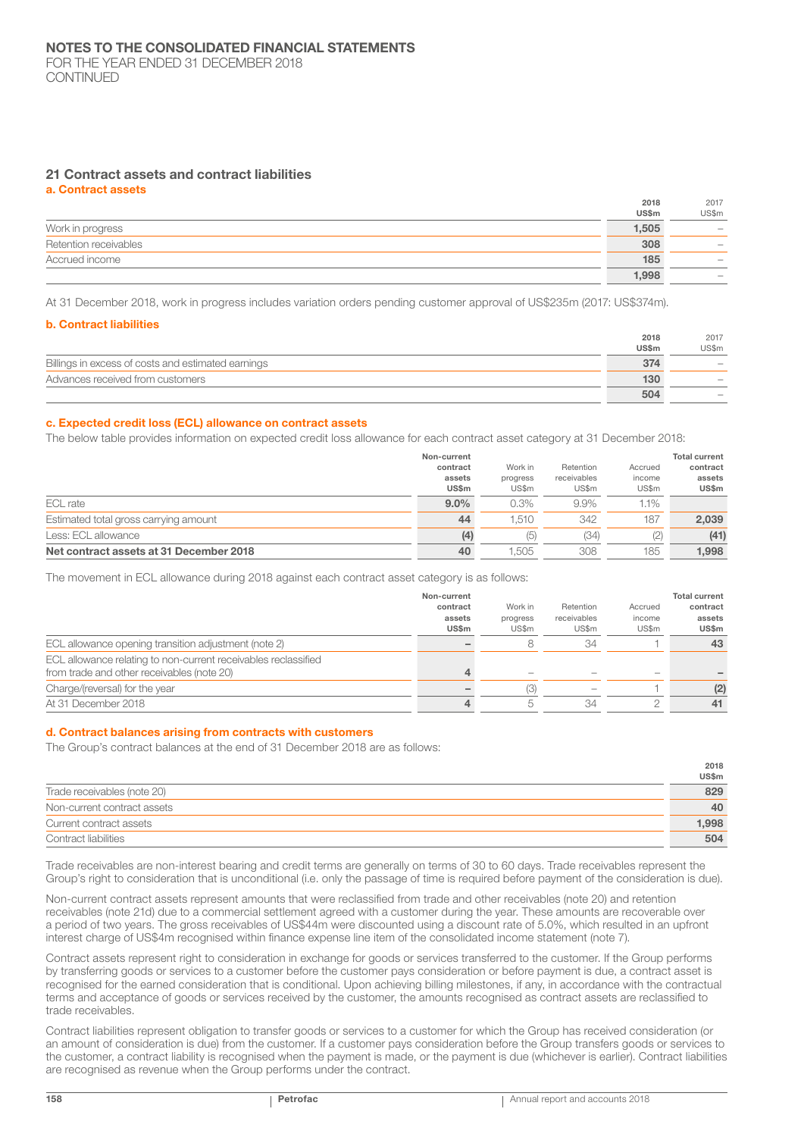### 21 Contract assets and contract liabilities

a. Contract assets

|                       | 2018         | 2017              |
|-----------------------|--------------|-------------------|
|                       | <b>US\$m</b> | US\$m             |
| Work in progress      | 1,505        | -                 |
| Retention receivables | 308          | -                 |
| Accrued income        | 185          |                   |
|                       | 1,998        | $\hspace{0.05cm}$ |

At 31 December 2018, work in progress includes variation orders pending customer approval of US\$235m (2017: US\$374m).

#### b. Contract liabilities

|                                                    | 2018  | 2017                     |
|----------------------------------------------------|-------|--------------------------|
|                                                    | US\$m | US\$m                    |
| Billings in excess of costs and estimated earnings | 374   | $\overline{\phantom{a}}$ |
| Advances received from customers                   | 130   |                          |
|                                                    | 504   |                          |

#### c. Expected credit loss (ECL) allowance on contract assets

The below table provides information on expected credit loss allowance for each contract asset category at 31 December 2018:

|                                         | Non-current        |                     |                          |                   | <b>Total current</b> |
|-----------------------------------------|--------------------|---------------------|--------------------------|-------------------|----------------------|
|                                         | contract<br>assets | Work in<br>progress | Retention<br>receivables | Accrued<br>income | contract<br>assets   |
|                                         | US\$m              | US\$m               | US\$m                    | US\$m             | US\$m                |
| ECL rate                                | $9.0\%$            | 0.3%                | 9.9%                     | 1.1%              |                      |
| Estimated total gross carrying amount   | 44                 | 1.510               | 342                      | 187               | 2,039                |
| Less: ECL allowance                     | (4)                | (5)                 | (34)                     | (2)               | (41)                 |
| Net contract assets at 31 December 2018 | 40                 | .505                | 308                      | 185               | 1.998                |

The movement in ECL allowance during 2018 against each contract asset category is as follows:

| Non-current  |               |             |         | <b>Total current</b> |
|--------------|---------------|-------------|---------|----------------------|
| contract     | Work in       | Retention   | Accrued | contract             |
| assets       | progress      | receivables | income  | assets               |
| <b>US\$m</b> | US\$m         | US\$m       | US\$m   | US\$m                |
|              |               | 34          |         | 43                   |
|              |               |             |         |                      |
| 4            |               |             |         |                      |
|              | (3)           |             |         | (2)                  |
| 4            | $\mathcal{D}$ | 34          |         | 41                   |
|              |               |             |         |                      |

#### d. Contract balances arising from contracts with customers

The Group's contract balances at the end of 31 December 2018 are as follows:

|                             | 2018  |
|-----------------------------|-------|
|                             | US\$m |
| Trade receivables (note 20) | 829   |
| Non-current contract assets | 40    |
| Current contract assets     | 1,998 |
| Contract liabilities        | 504   |

Trade receivables are non-interest bearing and credit terms are generally on terms of 30 to 60 days. Trade receivables represent the Group's right to consideration that is unconditional (i.e. only the passage of time is required before payment of the consideration is due).

Non-current contract assets represent amounts that were reclassified from trade and other receivables (note 20) and retention receivables (note 21d) due to a commercial settlement agreed with a customer during the year. These amounts are recoverable over a period of two years. The gross receivables of US\$44m were discounted using a discount rate of 5.0%, which resulted in an upfront interest charge of US\$4m recognised within finance expense line item of the consolidated income statement (note 7).

Contract assets represent right to consideration in exchange for goods or services transferred to the customer. If the Group performs by transferring goods or services to a customer before the customer pays consideration or before payment is due, a contract asset is recognised for the earned consideration that is conditional. Upon achieving billing milestones, if any, in accordance with the contractual terms and acceptance of goods or services received by the customer, the amounts recognised as contract assets are reclassified to trade receivables.

Contract liabilities represent obligation to transfer goods or services to a customer for which the Group has received consideration (or an amount of consideration is due) from the customer. If a customer pays consideration before the Group transfers goods or services to the customer, a contract liability is recognised when the payment is made, or the payment is due (whichever is earlier). Contract liabilities are recognised as revenue when the Group performs under the contract.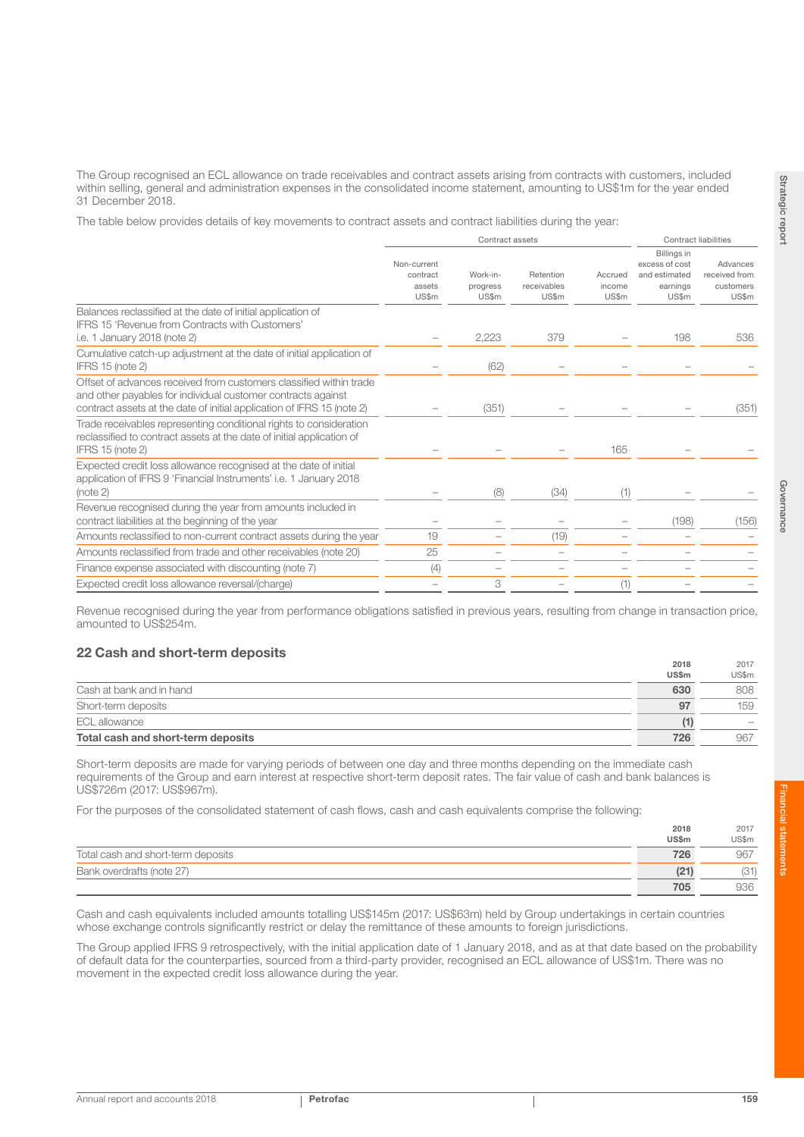The Group recognised an ECL allowance on trade receivables and contract assets arising from contracts with customers, included within selling, general and administration expenses in the consolidated income statement, amounting to US\$1m for the year ended 31 December 2018.

The table below provides details of key movements to contract assets and contract liabilities during the year:

|                                                                                                                                                                                                              | Contract assets                            |                               |                                   | <b>Contract liabilities</b> |                                                                     |                                                 |
|--------------------------------------------------------------------------------------------------------------------------------------------------------------------------------------------------------------|--------------------------------------------|-------------------------------|-----------------------------------|-----------------------------|---------------------------------------------------------------------|-------------------------------------------------|
|                                                                                                                                                                                                              | Non-current<br>contract<br>assets<br>US\$m | Work-in-<br>progress<br>US\$m | Retention<br>receivables<br>US\$m | Accrued<br>income<br>US\$m  | Billings in<br>excess of cost<br>and estimated<br>earnings<br>US\$m | Advances<br>received from<br>customers<br>US\$m |
| Balances reclassified at the date of initial application of<br><b>IFRS 15 'Revenue from Contracts with Customers'</b><br>i.e. 1 January 2018 (note 2)                                                        |                                            | 2,223                         | 379                               |                             | 198                                                                 | 536                                             |
| Cumulative catch-up adjustment at the date of initial application of<br><b>IFRS 15 (note 2)</b>                                                                                                              |                                            | (62)                          |                                   |                             |                                                                     |                                                 |
| Offset of advances received from customers classified within trade<br>and other payables for individual customer contracts against<br>contract assets at the date of initial application of IFRS 15 (note 2) |                                            | (351)                         |                                   |                             |                                                                     | (351)                                           |
| Trade receivables representing conditional rights to consideration<br>reclassified to contract assets at the date of initial application of<br>IFRS 15 (note 2)                                              |                                            |                               |                                   | 165                         |                                                                     |                                                 |
| Expected credit loss allowance recognised at the date of initial<br>application of IFRS 9 'Financial Instruments' i.e. 1 January 2018<br>(note 2)                                                            |                                            | (8)                           | (34)                              | (1)                         |                                                                     |                                                 |
| Revenue recognised during the year from amounts included in<br>contract liabilities at the beginning of the year                                                                                             |                                            |                               |                                   |                             | (198)                                                               | (156)                                           |
| Amounts reclassified to non-current contract assets during the year                                                                                                                                          | 19                                         |                               | (19)                              |                             |                                                                     |                                                 |
| Amounts reclassified from trade and other receivables (note 20)                                                                                                                                              | 25                                         |                               |                                   |                             |                                                                     |                                                 |
| Finance expense associated with discounting (note 7)                                                                                                                                                         | (4)                                        |                               |                                   |                             |                                                                     |                                                 |
| Expected credit loss allowance reversal/(charge)                                                                                                                                                             |                                            | 3                             |                                   | (1)                         |                                                                     |                                                 |

Revenue recognised during the year from performance obligations satisfied in previous years, resulting from change in transaction price, amounted to US\$254m.

## 22 Cash and short-term deposits

| Total cash and short-term deposits | 726                  | 967                             |
|------------------------------------|----------------------|---------------------------------|
| ECL allowance                      |                      | $\hspace{0.1mm}-\hspace{0.1mm}$ |
| Short-term deposits                | 97                   | 159                             |
| Cash at bank and in hand           | 630                  | 808                             |
|                                    | ZUIO<br><b>US\$m</b> | 2011<br>US\$m                   |

Short-term deposits are made for varying periods of between one day and three months depending on the immediate cash requirements of the Group and earn interest at respective short-term deposit rates. The fair value of cash and bank balances is US\$726m (2017: US\$967m).

For the purposes of the consolidated statement of cash flows, cash and cash equivalents comprise the following:

|                                    | 2018         | 2017  |
|------------------------------------|--------------|-------|
|                                    | <b>US\$m</b> | US\$m |
| Total cash and short-term deposits | 726          | 967   |
| Bank overdrafts (note 27)          | (21)         | R1)   |
|                                    | 705          | 936   |

Cash and cash equivalents included amounts totalling US\$145m (2017: US\$63m) held by Group undertakings in certain countries whose exchange controls significantly restrict or delay the remittance of these amounts to foreign jurisdictions.

The Group applied IFRS 9 retrospectively, with the initial application date of 1 January 2018, and as at that date based on the probability of default data for the counterparties, sourced from a third-party provider, recognised an ECL allowance of US\$1m. There was no movement in the expected credit loss allowance during the year.

 $2018$ 

 $0.10$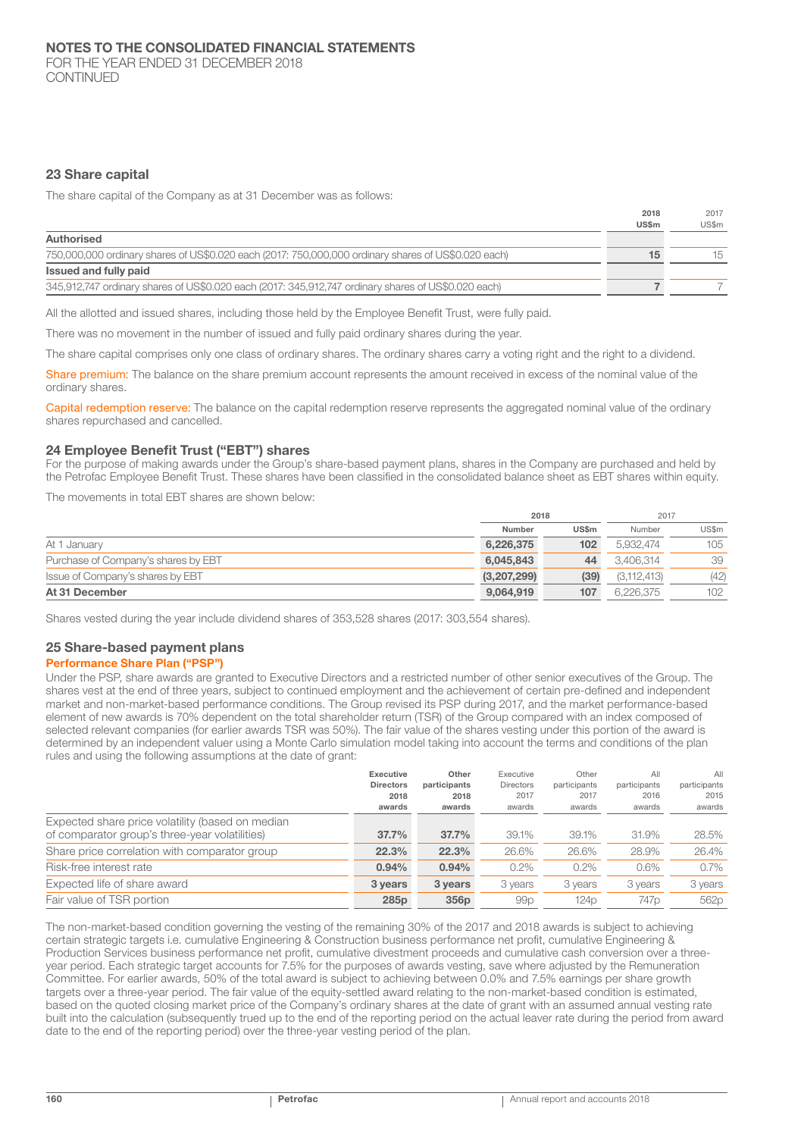FOR THE YEAR ENDED 31 DECEMBER 2018 CONTINUED

## 23 Share capital

The share capital of the Company as at 31 December was as follows:

|                                                                                                     | 2018<br>US\$m | 2017<br>US\$m |
|-----------------------------------------------------------------------------------------------------|---------------|---------------|
| Authorised                                                                                          |               |               |
| 750,000,000 ordinary shares of US\$0.020 each (2017: 750,000,000 ordinary shares of US\$0.020 each) |               | 15            |
| Issued and fully paid                                                                               |               |               |
| 345,912,747 ordinary shares of US\$0.020 each (2017: 345,912,747 ordinary shares of US\$0.020 each) |               |               |

All the allotted and issued shares, including those held by the Employee Benefit Trust, were fully paid.

There was no movement in the number of issued and fully paid ordinary shares during the year.

The share capital comprises only one class of ordinary shares. The ordinary shares carry a voting right and the right to a dividend.

Share premium: The balance on the share premium account represents the amount received in excess of the nominal value of the ordinary shares.

Capital redemption reserve: The balance on the capital redemption reserve represents the aggregated nominal value of the ordinary shares repurchased and cancelled.

#### 24 Employee Benefit Trust ("EBT") shares

For the purpose of making awards under the Group's share-based payment plans, shares in the Company are purchased and held by the Petrofac Employee Benefit Trust. These shares have been classified in the consolidated balance sheet as EBT shares within equity.

The movements in total EBT shares are shown below:

|                                     |             | 2018             |             | 2017  |
|-------------------------------------|-------------|------------------|-------------|-------|
|                                     | Number      | <b>US\$m</b>     | Number      | US\$m |
| At 1 January                        | 6,226,375   | 102 <sub>2</sub> | 5.932.474   | 105   |
| Purchase of Company's shares by EBT | 6.045.843   | 44               | 3.406.314   | 39    |
| Issue of Company's shares by EBT    | (3,207,299) | (39)             | (3,112,413) | (42)  |
| At 31 December                      | 9,064,919   | 107              | 6.226.375   | 102   |

Shares vested during the year include dividend shares of 353,528 shares (2017: 303,554 shares).

## 25 Share-based payment plans

## Performance Share Plan ("PSP")

Under the PSP, share awards are granted to Executive Directors and a restricted number of other senior executives of the Group. The shares vest at the end of three years, subject to continued employment and the achievement of certain pre-defined and independent market and non-market-based performance conditions. The Group revised its PSP during 2017, and the market performance-based element of new awards is 70% dependent on the total shareholder return (TSR) of the Group compared with an index composed of selected relevant companies (for earlier awards TSR was 50%). The fair value of the shares vesting under this portion of the award is determined by an independent valuer using a Monte Carlo simulation model taking into account the terms and conditions of the plan rules and using the following assumptions at the date of grant:

| Executive<br><b>Directors</b><br>2018<br>awards | Other<br>participants<br>2018<br>awards | Executive<br><b>Directors</b><br>2017<br>awards | Other<br>participants<br>2017<br>awards | All<br>participants<br>2016<br>awards | All<br>participants<br>2015<br>awards |
|-------------------------------------------------|-----------------------------------------|-------------------------------------------------|-----------------------------------------|---------------------------------------|---------------------------------------|
| 37.7%                                           | 37.7%                                   | 39.1%                                           | 39.1%                                   | 31.9%                                 | 28.5%                                 |
| 22.3%                                           | 22.3%                                   | 26.6%                                           | 26.6%                                   | 28.9%                                 | 26.4%                                 |
| 0.94%                                           | 0.94%                                   | 0.2%                                            | 0.2%                                    | 0.6%                                  | $0.7\%$                               |
| 3 years                                         | 3 years                                 | 3 years                                         | 3 years                                 | 3 years                               | 3 years                               |
| 285 <sub>p</sub>                                | 356 <sub>p</sub>                        | 99p                                             | 124 <sub>p</sub>                        | 747 <sub>p</sub>                      | 562p                                  |
|                                                 |                                         |                                                 |                                         |                                       |                                       |

The non-market-based condition governing the vesting of the remaining 30% of the 2017 and 2018 awards is subject to achieving certain strategic targets i.e. cumulative Engineering & Construction business performance net profit, cumulative Engineering & Production Services business performance net profit, cumulative divestment proceeds and cumulative cash conversion over a threeyear period. Each strategic target accounts for 7.5% for the purposes of awards vesting, save where adjusted by the Remuneration Committee. For earlier awards, 50% of the total award is subject to achieving between 0.0% and 7.5% earnings per share growth targets over a three-year period. The fair value of the equity-settled award relating to the non-market-based condition is estimated, based on the quoted closing market price of the Company's ordinary shares at the date of grant with an assumed annual vesting rate built into the calculation (subsequently trued up to the end of the reporting period on the actual leaver rate during the period from award date to the end of the reporting period) over the three-year vesting period of the plan.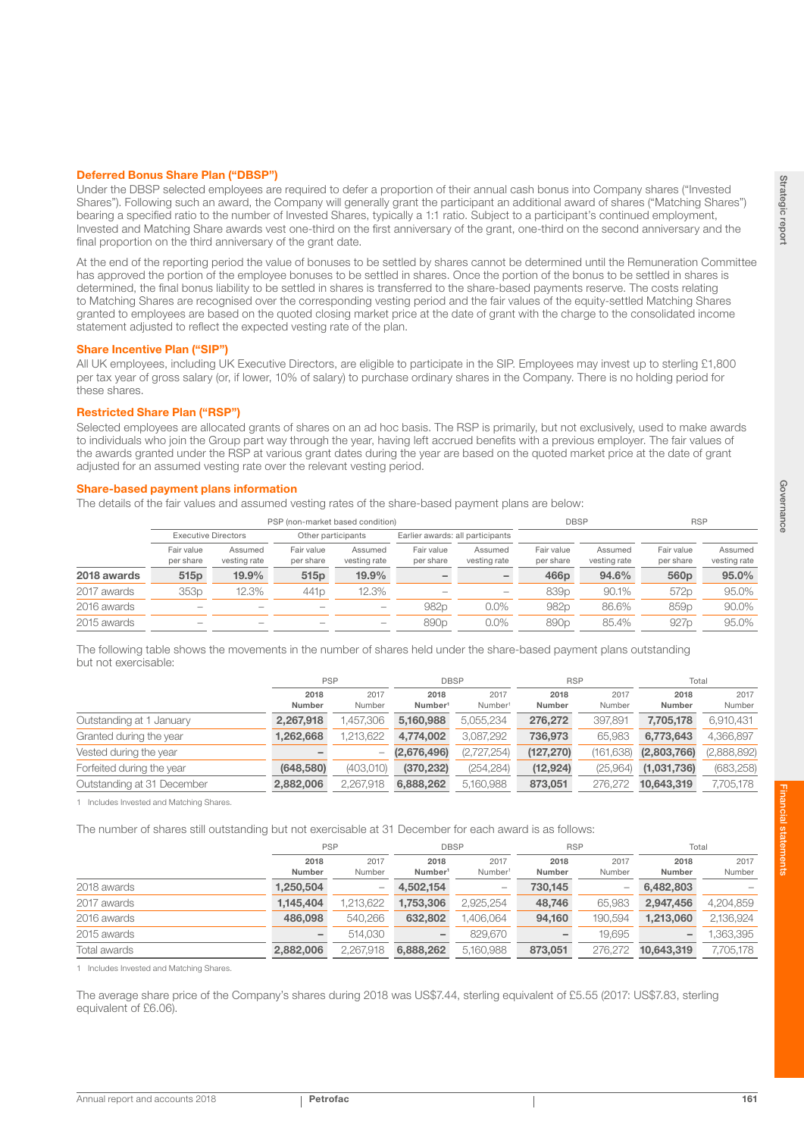#### Deferred Bonus Share Plan ("DBSP")

Under the DBSP selected employees are required to defer a proportion of their annual cash bonus into Company shares ("Invested Shares"). Following such an award, the Company will generally grant the participant an additional award of shares ("Matching Shares") bearing a specified ratio to the number of Invested Shares, typically a 1:1 ratio. Subject to a participant's continued employment, Invested and Matching Share awards vest one-third on the first anniversary of the grant, one-third on the second anniversary and the final proportion on the third anniversary of the grant date.

At the end of the reporting period the value of bonuses to be settled by shares cannot be determined until the Remuneration Committee has approved the portion of the employee bonuses to be settled in shares. Once the portion of the bonus to be settled in shares is determined, the final bonus liability to be settled in shares is transferred to the share-based payments reserve. The costs relating to Matching Shares are recognised over the corresponding vesting period and the fair values of the equity-settled Matching Shares granted to employees are based on the quoted closing market price at the date of grant with the charge to the consolidated income statement adjusted to reflect the expected vesting rate of the plan.

#### Share Incentive Plan ("SIP")

All UK employees, including UK Executive Directors, are eligible to participate in the SIP. Employees may invest up to sterling £1,800 per tax year of gross salary (or, if lower, 10% of salary) to purchase ordinary shares in the Company. There is no holding period for these shares.

### Restricted Share Plan ("RSP")

Selected employees are allocated grants of shares on an ad hoc basis. The RSP is primarily, but not exclusively, used to make awards to individuals who join the Group part way through the year, having left accrued benefits with a previous employer. The fair values of the awards granted under the RSP at various grant dates during the year are based on the quoted market price at the date of grant adjusted for an assumed vesting rate over the relevant vesting period.

#### Share-based payment plans information

The details of the fair values and assumed vesting rates of the share-based payment plans are below:

|             | PSP (non-market based condition) |                         |                         |                          |                                  | <b>DBSP</b>             |                         | <b>RSP</b>              |                         |                         |
|-------------|----------------------------------|-------------------------|-------------------------|--------------------------|----------------------------------|-------------------------|-------------------------|-------------------------|-------------------------|-------------------------|
|             | <b>Executive Directors</b>       |                         |                         | Other participants       | Earlier awards: all participants |                         |                         |                         |                         |                         |
|             | Fair value<br>per share          | Assumed<br>vesting rate | Fair value<br>per share | Assumed<br>vesting rate  | Fair value<br>per share          | Assumed<br>vesting rate | Fair value<br>per share | Assumed<br>vesting rate | Fair value<br>per share | Assumed<br>vesting rate |
| 2018 awards | 515 <sub>p</sub>                 | 19.9%                   | 515 <sub>p</sub>        | 19.9%                    |                                  |                         | 466 <sub>p</sub>        | 94.6%                   | 560 <sub>p</sub>        | 95.0%                   |
| 2017 awards | 353 <sub>p</sub>                 | 12.3%                   | 441 <sub>p</sub>        | 12.3%                    |                                  |                         | 839 <sub>p</sub>        | 90.1%                   | 572p                    | 95.0%                   |
| 2016 awards |                                  | $\sim$                  |                         | $\qquad \qquad$          | 982p                             | $0.0\%$                 | 982 <sub>p</sub>        | 86.6%                   | 859 <sub>p</sub>        | 90.0%                   |
| 2015 awards | $\overline{\phantom{a}}$         | $\sim$                  |                         | $\overline{\phantom{a}}$ | 890 <sub>p</sub>                 | $0.0\%$                 | 890 <sub>p</sub>        | 85.4%                   | 927 <sub>p</sub>        | 95.0%                   |

The following table shows the movements in the number of shares held under the share-based payment plans outstanding but not exercisable:

|                            | <b>PSP</b> |           |                     | <b>DBSP</b>         |            | <b>RSP</b> |             | Total       |  |
|----------------------------|------------|-----------|---------------------|---------------------|------------|------------|-------------|-------------|--|
|                            | 2018       | 2017      | 2018                | 2017                | 2018       | 2017       | 2018        | 2017        |  |
|                            | Number     | Number    | Number <sup>1</sup> | Number <sup>1</sup> | Number     | Number     | Number      | Number      |  |
| Outstanding at 1 January   | 2.267.918  | 1.457.306 | 5.160.988           | 5.055.234           | 276,272    | 397.891    | 7.705.178   | 6,910,431   |  |
| Granted during the year    | 1,262,668  | 1,213,622 | 4.774.002           | 3,087,292           | 736,973    | 65.983     | 6.773.643   | 4,366,897   |  |
| Vested during the year     |            | -         | (2,676,496)         | (2,727,254)         | (127, 270) | (161,638)  | (2,803,766) | (2,888,892) |  |
| Forfeited during the year  | (648, 580) | (403,010) | (370, 232)          | (254, 284)          | (12, 924)  | (25,964)   | (1,031,736) | (683, 258)  |  |
| Outstanding at 31 December | 2.882.006  | 2.267.918 | 6.888.262           | 5.160.988           | 873,051    | 276.272    | 10.643.319  | 7,705,178   |  |

1 Includes Invested and Matching Shares.

The number of shares still outstanding but not exercisable at 31 December for each award is as follows:

|              |                 | <b>PSP</b>     |                             | <b>DBSP</b>                 |                | <b>RSP</b>     | Total          |                |
|--------------|-----------------|----------------|-----------------------------|-----------------------------|----------------|----------------|----------------|----------------|
|              | 2018<br>Number  | 2017<br>Number | 2018<br>Number <sup>1</sup> | 2017<br>Number <sup>1</sup> | 2018<br>Number | 2017<br>Number | 2018<br>Number | 2017<br>Number |
| 2018 awards  | 1,250,504       |                | 4,502,154                   | $\overline{\phantom{a}}$    | 730.145        | -              | 6,482,803      |                |
| 2017 awards  | 1.145.404       | .213,622       | 1.753,306                   | 2.925.254                   | 48.746         | 65.983         | 2.947.456      | 4,204,859      |
| 2016 awards  | 486,098         | 540,266        | 632,802                     | ,406,064                    | 94.160         | 190.594        | 1.213.060      | 2,136,924      |
| 2015 awards  | $\qquad \qquad$ | 514.030        |                             | 829,670                     |                | 19.695         | -              | 1,363,395      |
| Total awards | 2.882,006       | 2.267.918      | 6,888,262                   | 5.160.988                   | 873,051        | 276.272        | 10,643,319     | 7,705,178      |

1 Includes Invested and Matching Shares.

The average share price of the Company's shares during 2018 was US\$7.44, sterling equivalent of £5.55 (2017: US\$7.83, sterling equivalent of £6.06).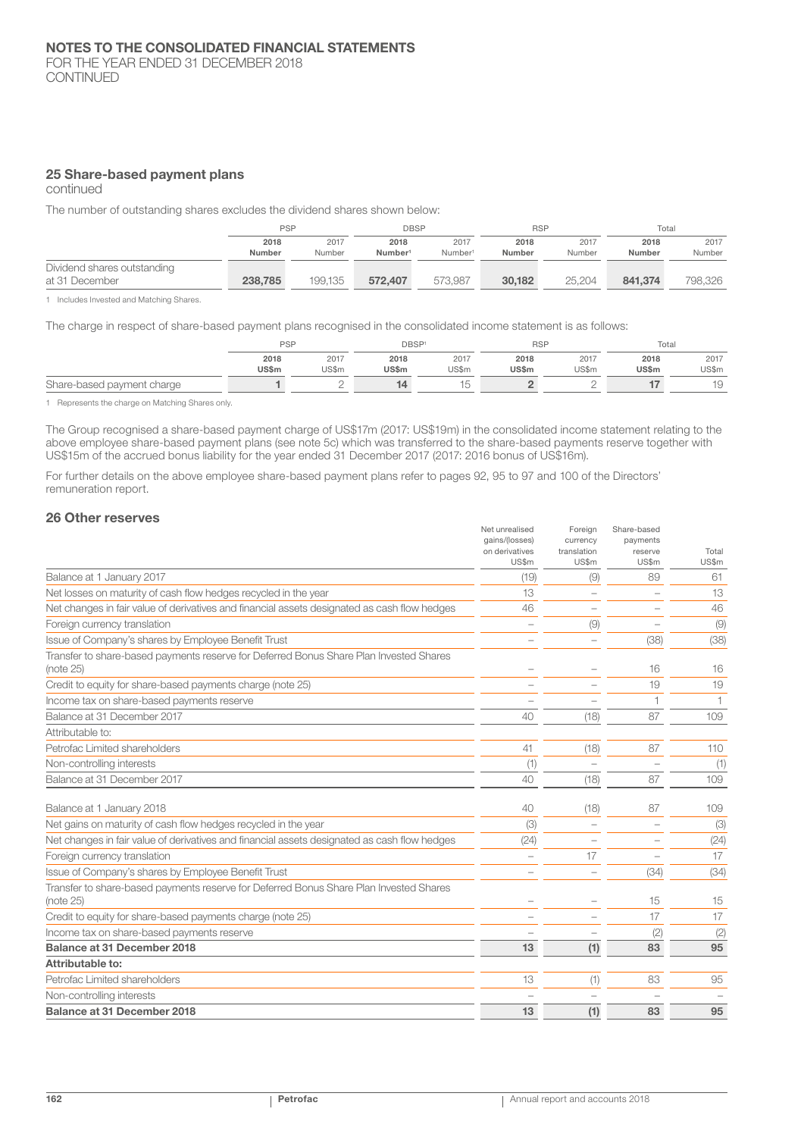## 25 Share-based payment plans

continued

The number of outstanding shares excludes the dividend shares shown below:

|                             | <b>PSP</b> |         | <b>DBSP</b>         |                     | <b>RSP</b> |        | Total   |         |
|-----------------------------|------------|---------|---------------------|---------------------|------------|--------|---------|---------|
|                             | 2018       | 2017    | 2018                | 2017                | 2018       | 2017   | 2018    | 2017    |
|                             | Number     | Number  | Number <sup>1</sup> | Number <sup>1</sup> | Number     | Number | Number  | Number  |
| Dividend shares outstanding |            |         |                     |                     |            |        |         |         |
| at 31 December              | 238,785    | 199.135 | 572,407             | 573.987             | 30.182     | 25.204 | 841,374 | 798.326 |

1 Includes Invested and Matching Shares.

The charge in respect of share-based payment plans recognised in the consolidated income statement is as follows:

|                            | <b>PSP</b>   |       | DBSP <sup>1</sup> |        | <b>RSP</b>   |       | Total |       |
|----------------------------|--------------|-------|-------------------|--------|--------------|-------|-------|-------|
|                            | 2018         | 2017  | 2018              | 2017   | 2018         | 2017  | 2018  | 2017  |
|                            | <b>US\$m</b> | US\$m | <b>US\$m</b>      | US\$m  | <b>US\$m</b> | US\$m | US\$m | US\$m |
| Share-based payment charge |              | ←     |                   | 一<br>◡ |              | ∼     |       | 19    |

1 Represents the charge on Matching Shares only.

The Group recognised a share-based payment charge of US\$17m (2017: US\$19m) in the consolidated income statement relating to the above employee share-based payment plans (see note 5c) which was transferred to the share-based payments reserve together with US\$15m of the accrued bonus liability for the year ended 31 December 2017 (2017: 2016 bonus of US\$16m).

For further details on the above employee share-based payment plans refer to pages 92, 95 to 97 and 100 of the Directors' remuneration report.

#### 26 Other reserves

|                                                                                                     | Net unrealised<br>gains/(losses)<br>on derivatives<br>US\$m | Foreign<br>currency<br>translation<br>US\$m | Share-based<br>payments<br>reserve<br>US\$m | Total<br>US\$m |
|-----------------------------------------------------------------------------------------------------|-------------------------------------------------------------|---------------------------------------------|---------------------------------------------|----------------|
| Balance at 1 January 2017                                                                           | (19)                                                        | (9)                                         | 89                                          | 61             |
| Net losses on maturity of cash flow hedges recycled in the year                                     | 13                                                          |                                             |                                             | 13             |
| Net changes in fair value of derivatives and financial assets designated as cash flow hedges        | 46                                                          | $\overline{\phantom{a}}$                    |                                             | 46             |
| Foreign currency translation                                                                        |                                                             | (9)                                         |                                             | (9)            |
| Issue of Company's shares by Employee Benefit Trust                                                 |                                                             |                                             | (38)                                        | (38)           |
| Transfer to share-based payments reserve for Deferred Bonus Share Plan Invested Shares<br>(note 25) |                                                             |                                             | 16                                          | 16             |
| Credit to equity for share-based payments charge (note 25)                                          |                                                             |                                             | 19                                          | 19             |
| Income tax on share-based payments reserve                                                          |                                                             |                                             |                                             |                |
| Balance at 31 December 2017                                                                         | 40                                                          | (18)                                        | 87                                          | 109            |
| Attributable to:                                                                                    |                                                             |                                             |                                             |                |
| Petrofac Limited shareholders                                                                       | 41                                                          | (18)                                        | 87                                          | 110            |
| Non-controlling interests                                                                           | (1)                                                         |                                             |                                             | (1)            |
| Balance at 31 December 2017                                                                         | 40                                                          | (18)                                        | 87                                          | 109            |
| Balance at 1 January 2018                                                                           | 40                                                          | (18)                                        | 87                                          | 109            |
| Net gains on maturity of cash flow hedges recycled in the year                                      | (3)                                                         |                                             |                                             | (3)            |
| Net changes in fair value of derivatives and financial assets designated as cash flow hedges        | (24)                                                        |                                             |                                             | (24)           |
| Foreign currency translation                                                                        |                                                             | 17                                          |                                             | 17             |
| Issue of Company's shares by Employee Benefit Trust                                                 |                                                             |                                             | (34)                                        | (34)           |
| Transfer to share-based payments reserve for Deferred Bonus Share Plan Invested Shares<br>(note 25) |                                                             |                                             | 15                                          | 15             |
| Credit to equity for share-based payments charge (note 25)                                          |                                                             |                                             | 17                                          | 17             |
| Income tax on share-based payments reserve                                                          |                                                             |                                             | (2)                                         | (2)            |
| Balance at 31 December 2018                                                                         | 13                                                          | (1)                                         | 83                                          | 95             |
| Attributable to:                                                                                    |                                                             |                                             |                                             |                |
| Petrofac Limited shareholders                                                                       | 13                                                          | (1)                                         | 83                                          | 95             |
| Non-controlling interests                                                                           |                                                             |                                             |                                             |                |
| <b>Balance at 31 December 2018</b>                                                                  | 13                                                          | (1)                                         | 83                                          | 95             |
|                                                                                                     |                                                             |                                             |                                             |                |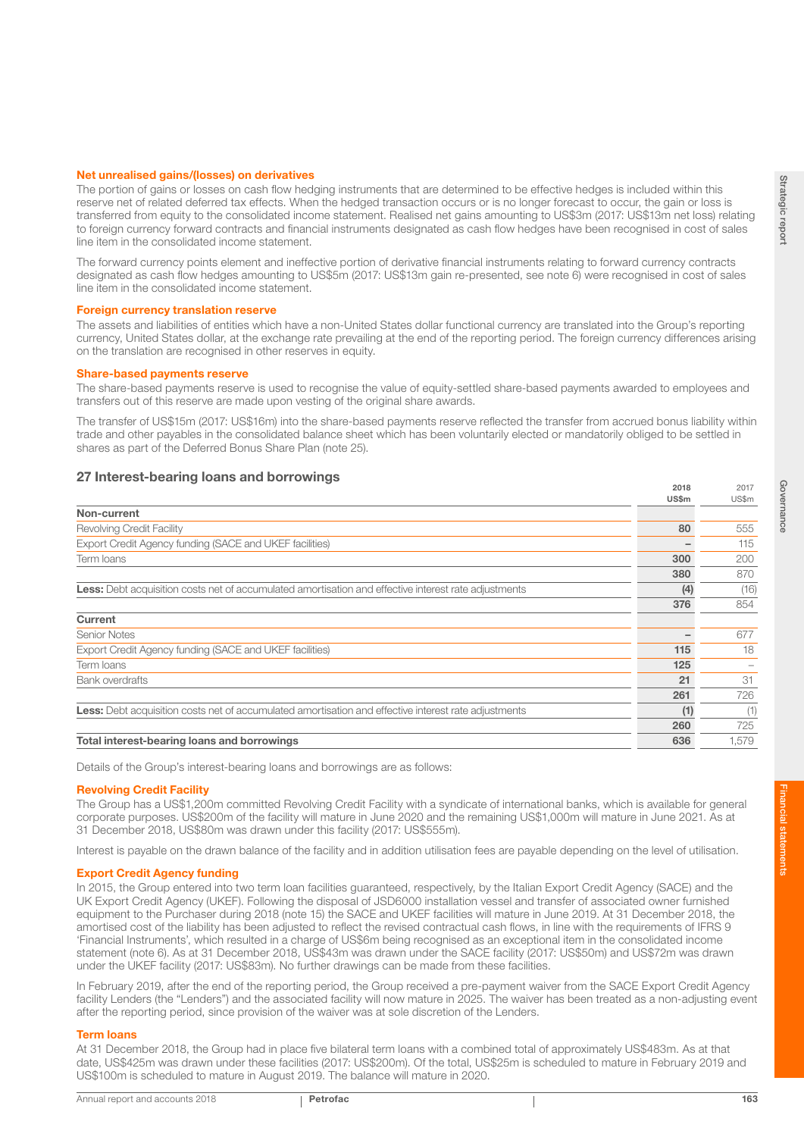2017

#### Net unrealised gains/(losses) on derivatives

The portion of gains or losses on cash flow hedging instruments that are determined to be effective hedges is included within this reserve net of related deferred tax effects. When the hedged transaction occurs or is no longer forecast to occur, the gain or loss is transferred from equity to the consolidated income statement. Realised net gains amounting to US\$3m (2017: US\$13m net loss) relating to foreign currency forward contracts and financial instruments designated as cash flow hedges have been recognised in cost of sales line item in the consolidated income statement.

The forward currency points element and ineffective portion of derivative financial instruments relating to forward currency contracts designated as cash flow hedges amounting to US\$5m (2017: US\$13m gain re-presented, see note 6) were recognised in cost of sales line item in the consolidated income statement.

#### Foreign currency translation reserve

The assets and liabilities of entities which have a non-United States dollar functional currency are translated into the Group's reporting currency, United States dollar, at the exchange rate prevailing at the end of the reporting period. The foreign currency differences arising on the translation are recognised in other reserves in equity.

#### Share-based payments reserve

The share-based payments reserve is used to recognise the value of equity-settled share-based payments awarded to employees and transfers out of this reserve are made upon vesting of the original share awards.

The transfer of US\$15m (2017: US\$16m) into the share-based payments reserve reflected the transfer from accrued bonus liability within trade and other payables in the consolidated balance sheet which has been voluntarily elected or mandatorily obliged to be settled in shares as part of the Deferred Bonus Share Plan (note 25).

## 27 Interest-bearing loans and borrowings 2018 2018 2018

| Non-current<br>80<br><b>Revolving Credit Facility</b><br>Export Credit Agency funding (SACE and UKEF facilities)<br>300<br>Term Ioans<br>380<br><b>Less:</b> Debt acquisition costs net of accumulated amortisation and effective interest rate adjustments<br>(4)<br>376<br><b>Current</b><br><b>Senior Notes</b><br>Export Credit Agency funding (SACE and UKEF facilities)<br>115<br>125<br>Term loans<br>21<br><b>Bank overdrafts</b><br>261<br><b>Less:</b> Debt acquisition costs net of accumulated amortisation and effective interest rate adjustments<br>(1)<br>260<br>Total interest-bearing loans and borrowings<br>636 | <b>US\$m</b> | US\$m |
|-------------------------------------------------------------------------------------------------------------------------------------------------------------------------------------------------------------------------------------------------------------------------------------------------------------------------------------------------------------------------------------------------------------------------------------------------------------------------------------------------------------------------------------------------------------------------------------------------------------------------------------|--------------|-------|
|                                                                                                                                                                                                                                                                                                                                                                                                                                                                                                                                                                                                                                     |              |       |
|                                                                                                                                                                                                                                                                                                                                                                                                                                                                                                                                                                                                                                     |              | 555   |
|                                                                                                                                                                                                                                                                                                                                                                                                                                                                                                                                                                                                                                     |              | 115   |
|                                                                                                                                                                                                                                                                                                                                                                                                                                                                                                                                                                                                                                     |              | 200   |
|                                                                                                                                                                                                                                                                                                                                                                                                                                                                                                                                                                                                                                     |              | 870   |
|                                                                                                                                                                                                                                                                                                                                                                                                                                                                                                                                                                                                                                     |              | (16)  |
|                                                                                                                                                                                                                                                                                                                                                                                                                                                                                                                                                                                                                                     |              | 854   |
|                                                                                                                                                                                                                                                                                                                                                                                                                                                                                                                                                                                                                                     |              |       |
|                                                                                                                                                                                                                                                                                                                                                                                                                                                                                                                                                                                                                                     |              | 677   |
|                                                                                                                                                                                                                                                                                                                                                                                                                                                                                                                                                                                                                                     |              | 18    |
|                                                                                                                                                                                                                                                                                                                                                                                                                                                                                                                                                                                                                                     |              |       |
|                                                                                                                                                                                                                                                                                                                                                                                                                                                                                                                                                                                                                                     |              | 31    |
|                                                                                                                                                                                                                                                                                                                                                                                                                                                                                                                                                                                                                                     |              | 726   |
|                                                                                                                                                                                                                                                                                                                                                                                                                                                                                                                                                                                                                                     |              | (1)   |
|                                                                                                                                                                                                                                                                                                                                                                                                                                                                                                                                                                                                                                     |              | 725   |
|                                                                                                                                                                                                                                                                                                                                                                                                                                                                                                                                                                                                                                     |              | 1,579 |

Details of the Group's interest-bearing loans and borrowings are as follows:

#### Revolving Credit Facility

The Group has a US\$1,200m committed Revolving Credit Facility with a syndicate of international banks, which is available for general corporate purposes. US\$200m of the facility will mature in June 2020 and the remaining US\$1,000m will mature in June 2021. As at 31 December 2018, US\$80m was drawn under this facility (2017: US\$555m).

Interest is payable on the drawn balance of the facility and in addition utilisation fees are payable depending on the level of utilisation.

#### Export Credit Agency funding

In 2015, the Group entered into two term loan facilities guaranteed, respectively, by the Italian Export Credit Agency (SACE) and the UK Export Credit Agency (UKEF). Following the disposal of JSD6000 installation vessel and transfer of associated owner furnished equipment to the Purchaser during 2018 (note 15) the SACE and UKEF facilities will mature in June 2019. At 31 December 2018, the amortised cost of the liability has been adjusted to reflect the revised contractual cash flows, in line with the requirements of IFRS 9 'Financial Instruments', which resulted in a charge of US\$6m being recognised as an exceptional item in the consolidated income statement (note 6). As at 31 December 2018, US\$43m was drawn under the SACE facility (2017: US\$50m) and US\$72m was drawn under the UKEF facility (2017: US\$83m). No further drawings can be made from these facilities.

In February 2019, after the end of the reporting period, the Group received a pre-payment waiver from the SACE Export Credit Agency facility Lenders (the "Lenders") and the associated facility will now mature in 2025. The waiver has been treated as a non-adjusting event after the reporting period, since provision of the waiver was at sole discretion of the Lenders.

#### Term loans

At 31 December 2018, the Group had in place five bilateral term loans with a combined total of approximately US\$483m. As at that date, US\$425m was drawn under these facilities (2017: US\$200m). Of the total, US\$25m is scheduled to mature in February 2019 and US\$100m is scheduled to mature in August 2019. The balance will mature in 2020.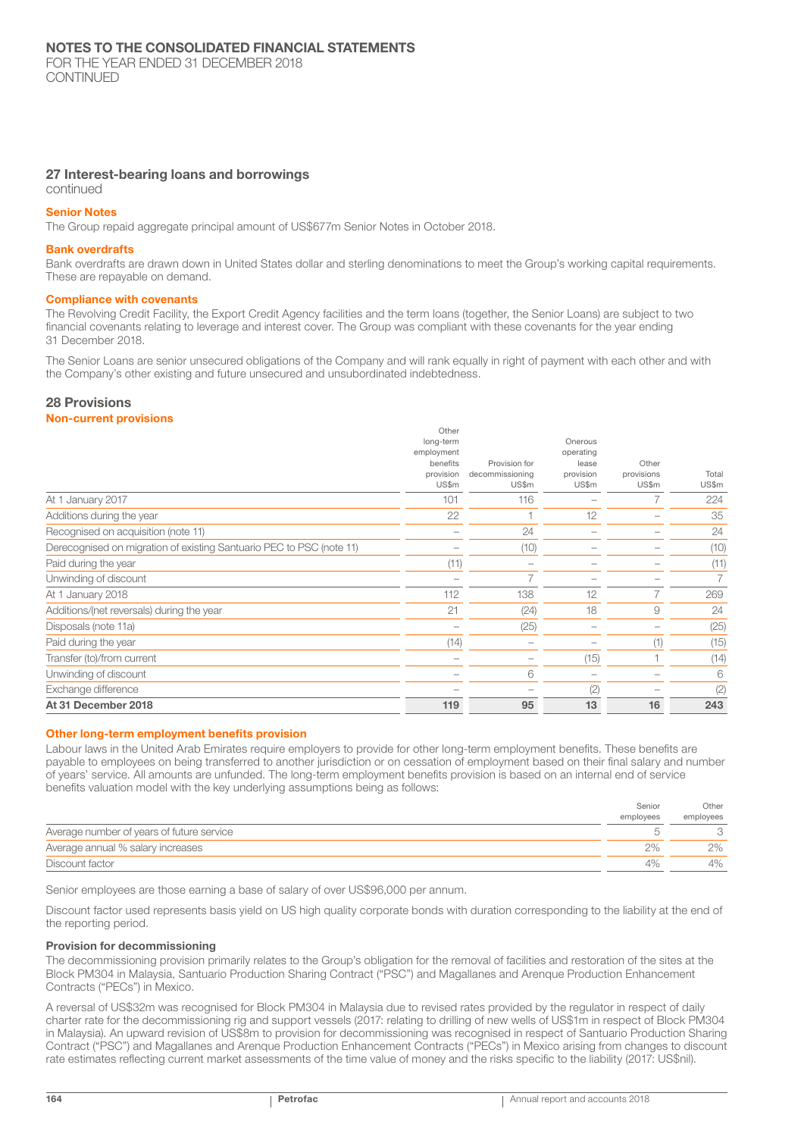CONTINUED

## 27 Interest-bearing loans and borrowings

continued

#### Senior Notes

The Group repaid aggregate principal amount of US\$677m Senior Notes in October 2018.

#### Bank overdrafts

Bank overdrafts are drawn down in United States dollar and sterling denominations to meet the Group's working capital requirements. These are repayable on demand.

#### Compliance with covenants

The Revolving Credit Facility, the Export Credit Agency facilities and the term loans (together, the Senior Loans) are subject to two financial covenants relating to leverage and interest cover. The Group was compliant with these covenants for the year ending 31 December 2018.

The Senior Loans are senior unsecured obligations of the Company and will rank equally in right of payment with each other and with the Company's other existing and future unsecured and unsubordinated indebtedness.

## 28 Provisions

#### Non-current provisions

| (14)                                                             |                                                  |                                                     | (1)                          | (25)<br>(15)          |
|------------------------------------------------------------------|--------------------------------------------------|-----------------------------------------------------|------------------------------|-----------------------|
| 21                                                               | (24)                                             | 18                                                  | 9                            | 269<br>24             |
|                                                                  |                                                  |                                                     |                              |                       |
| (11)                                                             |                                                  |                                                     |                              | (10)<br>(11)          |
|                                                                  | 24                                               |                                                     |                              | 24                    |
| 22                                                               |                                                  | 12                                                  |                              | 35                    |
| long-term<br>employment<br>benefits<br>provision<br>US\$m<br>101 | Provision for<br>decommissioning<br>US\$m<br>116 | Onerous<br>operating<br>lease<br>provision<br>US\$m | Other<br>provisions<br>US\$m | Total<br>US\$m<br>224 |
|                                                                  | 112                                              | (10)<br>138<br>(25)                                 | 12                           | Other                 |

#### Other long-term employment benefits provision

Labour laws in the United Arab Emirates require employers to provide for other long-term employment benefits. These benefits are payable to employees on being transferred to another jurisdiction or on cessation of employment based on their final salary and number of years' service. All amounts are unfunded. The long-term employment benefits provision is based on an internal end of service benefits valuation model with the key underlying assumptions being as follows:

|                                           | Senior    | Other     |
|-------------------------------------------|-----------|-----------|
|                                           | employees | employees |
| Average number of years of future service |           |           |
| Average annual % salary increases         | 2%        | 2%        |
| Discount factor                           | 4%        | 4%        |

Senior employees are those earning a base of salary of over US\$96,000 per annum.

Discount factor used represents basis yield on US high quality corporate bonds with duration corresponding to the liability at the end of the reporting period.

#### Provision for decommissioning

The decommissioning provision primarily relates to the Group's obligation for the removal of facilities and restoration of the sites at the Block PM304 in Malaysia, Santuario Production Sharing Contract ("PSC") and Magallanes and Arenque Production Enhancement Contracts ("PECs") in Mexico.

A reversal of US\$32m was recognised for Block PM304 in Malaysia due to revised rates provided by the regulator in respect of daily charter rate for the decommissioning rig and support vessels (2017: relating to drilling of new wells of US\$1m in respect of Block PM304 in Malaysia). An upward revision of US\$8m to provision for decommissioning was recognised in respect of Santuario Production Sharing Contract ("PSC") and Magallanes and Arenque Production Enhancement Contracts ("PECs") in Mexico arising from changes to discount rate estimates reflecting current market assessments of the time value of money and the risks specific to the liability (2017: US\$nil).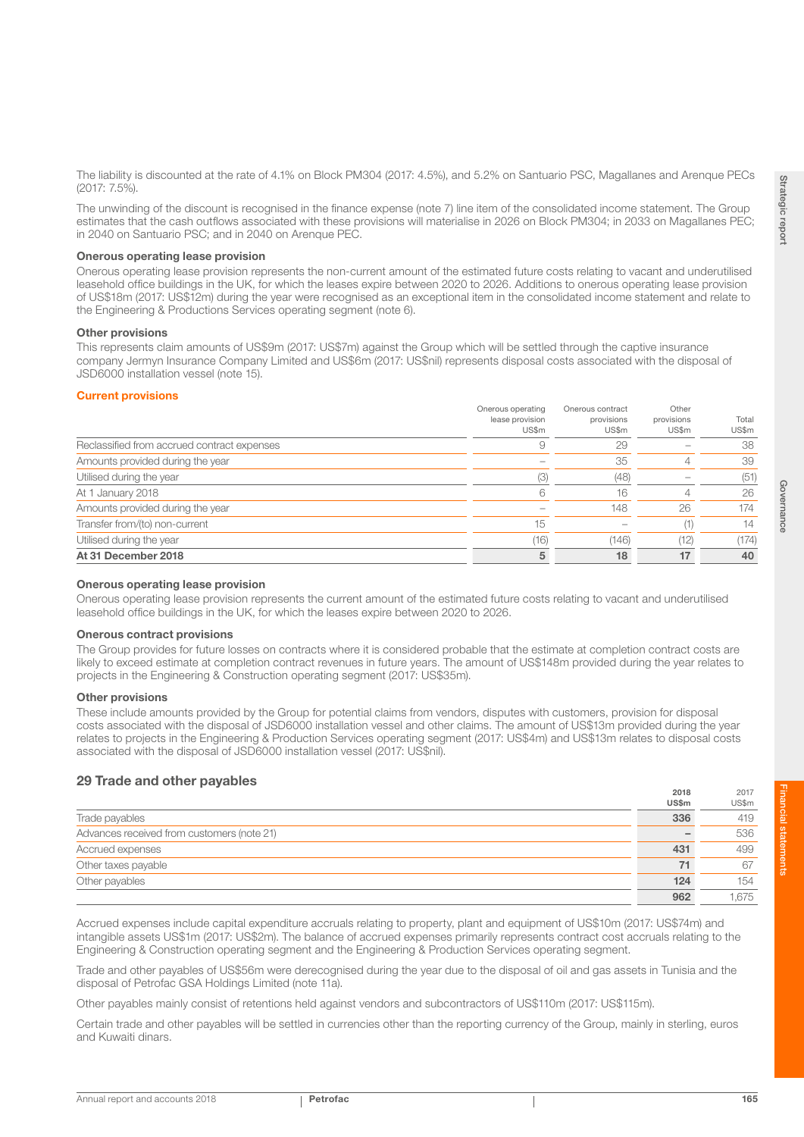$2017$ 

2018

The liability is discounted at the rate of 4.1% on Block PM304 (2017: 4.5%), and 5.2% on Santuario PSC, Magallanes and Arenque PECs (2017: 7.5%).

The unwinding of the discount is recognised in the finance expense (note 7) line item of the consolidated income statement. The Group estimates that the cash outflows associated with these provisions will materialise in 2026 on Block PM304; in 2033 on Magallanes PEC; in 2040 on Santuario PSC; and in 2040 on Arenque PEC.

#### Onerous operating lease provision

Onerous operating lease provision represents the non-current amount of the estimated future costs relating to vacant and underutilised leasehold office buildings in the UK, for which the leases expire between 2020 to 2026. Additions to onerous operating lease provision of US\$18m (2017: US\$12m) during the year were recognised as an exceptional item in the consolidated income statement and relate to the Engineering & Productions Services operating segment (note 6).

#### Other provisions

This represents claim amounts of US\$9m (2017: US\$7m) against the Group which will be settled through the captive insurance company Jermyn Insurance Company Limited and US\$6m (2017: US\$nil) represents disposal costs associated with the disposal of JSD6000 installation vessel (note 15).

#### Current provisions

|                                             | Onerous operating<br>lease provision<br>US\$m | Onerous contract<br>provisions<br>US\$m | Other<br>provisions<br>US\$m | Total<br>US\$m |
|---------------------------------------------|-----------------------------------------------|-----------------------------------------|------------------------------|----------------|
| Reclassified from accrued contract expenses |                                               | 29                                      |                              | 38             |
| Amounts provided during the year            |                                               | 35                                      |                              | 39             |
| Utilised during the year                    |                                               | (48)                                    |                              | (51)           |
| At 1 January 2018                           | 6                                             | 16                                      |                              | 26             |
| Amounts provided during the year            |                                               | 148                                     | 26                           | 174            |
| Transfer from/(to) non-current              | 15                                            |                                         |                              | 14             |
| Utilised during the year                    | (16)                                          | (146)                                   | (12)                         | (174)          |
| At 31 December 2018                         |                                               | 18                                      | 17                           | 40             |

#### Onerous operating lease provision

Onerous operating lease provision represents the current amount of the estimated future costs relating to vacant and underutilised leasehold office buildings in the UK, for which the leases expire between 2020 to 2026.

#### Onerous contract provisions

The Group provides for future losses on contracts where it is considered probable that the estimate at completion contract costs are likely to exceed estimate at completion contract revenues in future years. The amount of US\$148m provided during the year relates to projects in the Engineering & Construction operating segment (2017: US\$35m).

#### Other provisions

These include amounts provided by the Group for potential claims from vendors, disputes with customers, provision for disposal costs associated with the disposal of JSD6000 installation vessel and other claims. The amount of US\$13m provided during the year relates to projects in the Engineering & Production Services operating segment (2017: US\$4m) and US\$13m relates to disposal costs associated with the disposal of JSD6000 installation vessel (2017: US\$nil).

### 29 Trade and other payables

|                                            | $-0.0$       | $-0.1$ |
|--------------------------------------------|--------------|--------|
|                                            | <b>US\$m</b> | US\$m  |
| Trade payables                             | 336          | 419    |
| Advances received from customers (note 21) |              | 536    |
| Accrued expenses                           | 431          | 499    |
| Other taxes payable                        | 71           | 67     |
| Other payables                             | 124          | 154    |
|                                            | 962          | 1.675  |

Accrued expenses include capital expenditure accruals relating to property, plant and equipment of US\$10m (2017: US\$74m) and intangible assets US\$1m (2017: US\$2m). The balance of accrued expenses primarily represents contract cost accruals relating to the Engineering & Construction operating segment and the Engineering & Production Services operating segment.

Trade and other payables of US\$56m were derecognised during the year due to the disposal of oil and gas assets in Tunisia and the disposal of Petrofac GSA Holdings Limited (note 11a).

Other payables mainly consist of retentions held against vendors and subcontractors of US\$110m (2017: US\$115m).

Certain trade and other payables will be settled in currencies other than the reporting currency of the Group, mainly in sterling, euros and Kuwaiti dinars.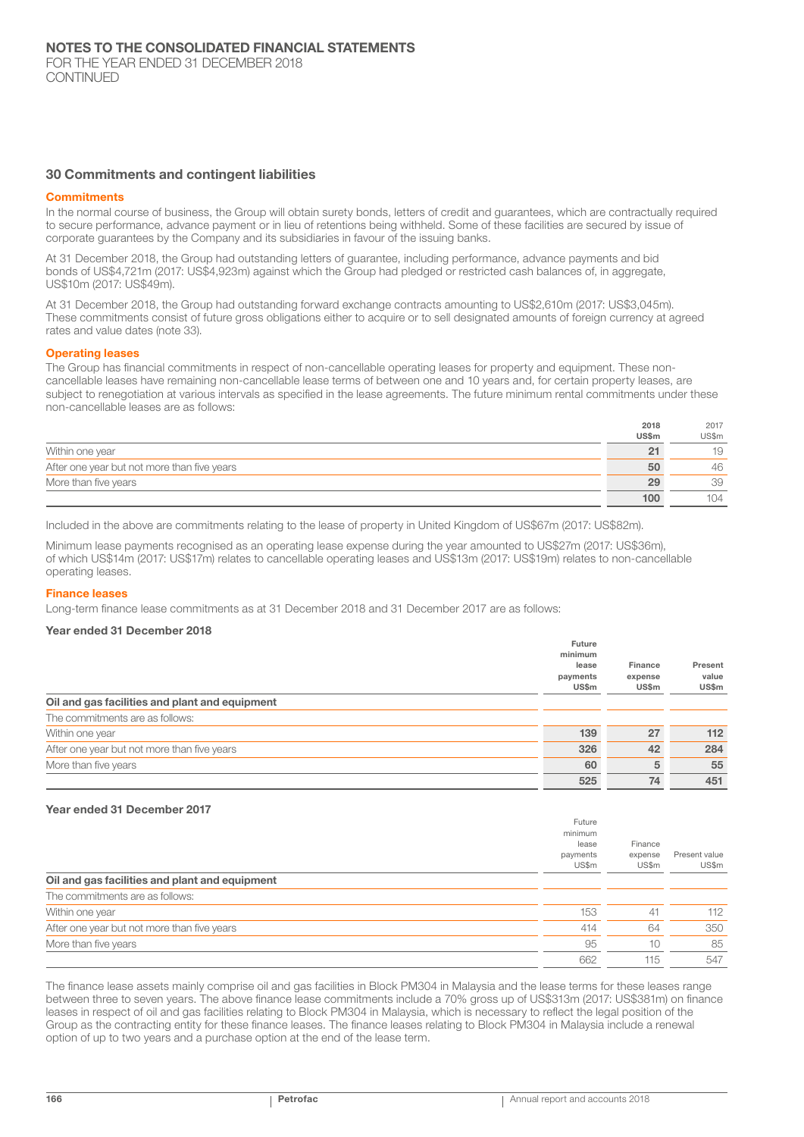#### 30 Commitments and contingent liabilities

#### **Commitments**

In the normal course of business, the Group will obtain surety bonds, letters of credit and guarantees, which are contractually required to secure performance, advance payment or in lieu of retentions being withheld. Some of these facilities are secured by issue of corporate guarantees by the Company and its subsidiaries in favour of the issuing banks.

At 31 December 2018, the Group had outstanding letters of guarantee, including performance, advance payments and bid bonds of US\$4,721m (2017: US\$4,923m) against which the Group had pledged or restricted cash balances of, in aggregate, US\$10m (2017: US\$49m).

At 31 December 2018, the Group had outstanding forward exchange contracts amounting to US\$2,610m (2017: US\$3,045m). These commitments consist of future gross obligations either to acquire or to sell designated amounts of foreign currency at agreed rates and value dates (note 33).

#### Operating leases

The Group has financial commitments in respect of non-cancellable operating leases for property and equipment. These noncancellable leases have remaining non-cancellable lease terms of between one and 10 years and, for certain property leases, are subject to renegotiation at various intervals as specified in the lease agreements. The future minimum rental commitments under these non-cancellable leases are as follows:

|                                             | 2018         | 2017  |
|---------------------------------------------|--------------|-------|
|                                             | <b>US\$m</b> | US\$m |
| Within one year                             | 21           | 19    |
| After one year but not more than five years | 50           | 46    |
| More than five years                        | 29           | 39    |
|                                             | 100          | 104   |

Included in the above are commitments relating to the lease of property in United Kingdom of US\$67m (2017: US\$82m).

Minimum lease payments recognised as an operating lease expense during the year amounted to US\$27m (2017: US\$36m), of which US\$14m (2017: US\$17m) relates to cancellable operating leases and US\$13m (2017: US\$19m) relates to non-cancellable operating leases.

#### Finance leases

Long-term finance lease commitments as at 31 December 2018 and 31 December 2017 are as follows:

## Year ended 31 December 2018

|                                                | $1.4341$ $\vee$<br>minimum<br>lease<br>payments<br><b>US\$m</b> | Finance<br>expense<br>US\$m | Present<br>value<br>US\$m |
|------------------------------------------------|-----------------------------------------------------------------|-----------------------------|---------------------------|
| Oil and gas facilities and plant and equipment |                                                                 |                             |                           |
| The commitments are as follows:                |                                                                 |                             |                           |
| Within one year                                | 139                                                             | 27                          | 112                       |
| After one year but not more than five years    | 326                                                             | 42                          | 284                       |
| More than five years                           | 60                                                              | 5                           | 55                        |
|                                                | 525                                                             | 74                          | 451                       |

#### Year ended 31 December 2017

|                                                | Future                                |                             |                        |
|------------------------------------------------|---------------------------------------|-----------------------------|------------------------|
|                                                | minimum<br>lease<br>payments<br>US\$m | Finance<br>expense<br>US\$m | Present value<br>US\$m |
| Oil and gas facilities and plant and equipment |                                       |                             |                        |
| The commitments are as follows:                |                                       |                             |                        |
| Within one year                                | 153                                   | 41                          | 112                    |
| After one year but not more than five years    | 414                                   | 64                          | 350                    |
| More than five years                           | 95                                    | 10                          | 85                     |
|                                                | 662                                   | 115                         | 547                    |

The finance lease assets mainly comprise oil and gas facilities in Block PM304 in Malaysia and the lease terms for these leases range between three to seven years. The above finance lease commitments include a 70% gross up of US\$313m (2017: US\$381m) on finance leases in respect of oil and gas facilities relating to Block PM304 in Malaysia, which is necessary to reflect the legal position of the Group as the contracting entity for these finance leases. The finance leases relating to Block PM304 in Malaysia include a renewal option of up to two years and a purchase option at the end of the lease term.

Future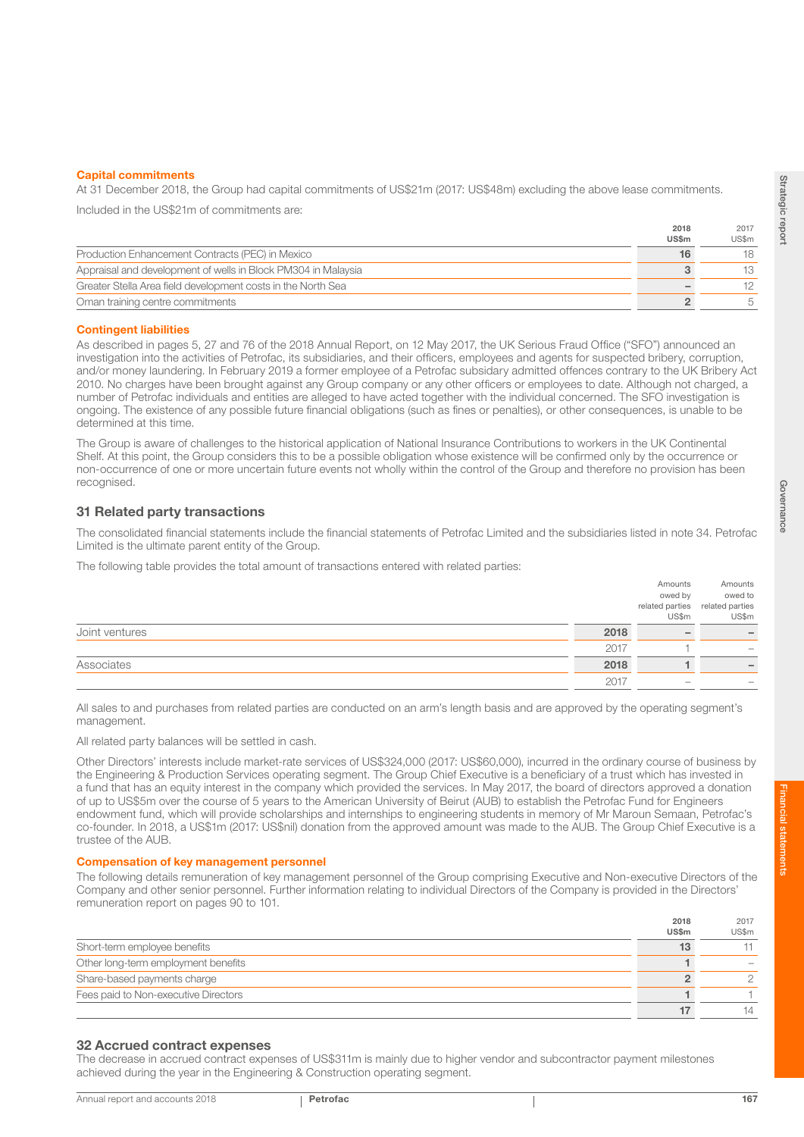At 31 December 2018, the Group had capital commitments of US\$21m (2017: US\$48m) excluding the above lease commitments.

Included in the US\$21m of commitments are:

|                                                               | 2018         | 2017  |
|---------------------------------------------------------------|--------------|-------|
|                                                               | <b>US\$m</b> | US\$m |
| Production Enhancement Contracts (PEC) in Mexico              |              | 18    |
| Appraisal and development of wells in Block PM304 in Malaysia |              | 13    |
| Greater Stella Area field development costs in the North Sea  |              | 12    |
| Oman training centre commitments                              |              |       |

#### Contingent liabilities

As described in pages 5, 27 and 76 of the 2018 Annual Report, on 12 May 2017, the UK Serious Fraud Office ("SFO") announced an investigation into the activities of Petrofac, its subsidiaries, and their officers, employees and agents for suspected bribery, corruption, and/or money laundering. In February 2019 a former employee of a Petrofac subsidary admitted offences contrary to the UK Bribery Act 2010. No charges have been brought against any Group company or any other officers or employees to date. Although not charged, a number of Petrofac individuals and entities are alleged to have acted together with the individual concerned. The SFO investigation is ongoing. The existence of any possible future financial obligations (such as fines or penalties), or other consequences, is unable to be determined at this time.

The Group is aware of challenges to the historical application of National Insurance Contributions to workers in the UK Continental Shelf. At this point, the Group considers this to be a possible obligation whose existence will be confirmed only by the occurrence or non-occurrence of one or more uncertain future events not wholly within the control of the Group and therefore no provision has been recognised.

## 31 Related party transactions

The consolidated financial statements include the financial statements of Petrofac Limited and the subsidiaries listed in note 34. Petrofac Limited is the ultimate parent entity of the Group.

The following table provides the total amount of transactions entered with related parties:

|                |      | Amounts                  | Amounts                         |
|----------------|------|--------------------------|---------------------------------|
|                |      | owed by                  | owed to                         |
|                |      |                          | related parties related parties |
|                |      | US\$m                    | US\$m                           |
| Joint ventures | 2018 | $\overline{\phantom{0}}$ |                                 |
|                | 2017 |                          | $\hspace{0.05cm}$               |
| Associates     | 2018 |                          |                                 |
|                | 2017 | $\sim$                   |                                 |

All sales to and purchases from related parties are conducted on an arm's length basis and are approved by the operating segment's management.

All related party balances will be settled in cash.

Other Directors' interests include market-rate services of US\$324,000 (2017: US\$60,000), incurred in the ordinary course of business by the Engineering & Production Services operating segment. The Group Chief Executive is a beneficiary of a trust which has invested in a fund that has an equity interest in the company which provided the services. In May 2017, the board of directors approved a donation of up to US\$5m over the course of 5 years to the American University of Beirut (AUB) to establish the Petrofac Fund for Engineers endowment fund, which will provide scholarships and internships to engineering students in memory of Mr Maroun Semaan, Petrofac's co-founder. In 2018, a US\$1m (2017: US\$nil) donation from the approved amount was made to the AUB. The Group Chief Executive is a trustee of the AUB.

#### Compensation of key management personnel

The following details remuneration of key management personnel of the Group comprising Executive and Non-executive Directors of the Company and other senior personnel. Further information relating to individual Directors of the Company is provided in the Directors' remuneration report on pages 90 to 101.

|                                      | 2018         | 2017  |
|--------------------------------------|--------------|-------|
|                                      | <b>US\$m</b> | US\$m |
| Short-term employee benefits         |              |       |
| Other long-term employment benefits  |              |       |
| Share-based payments charge          |              |       |
| Fees paid to Non-executive Directors |              |       |
|                                      |              | 14    |

#### 32 Accrued contract expenses

The decrease in accrued contract expenses of US\$311m is mainly due to higher vendor and subcontractor payment milestones achieved during the year in the Engineering & Construction operating segment.

Financial statements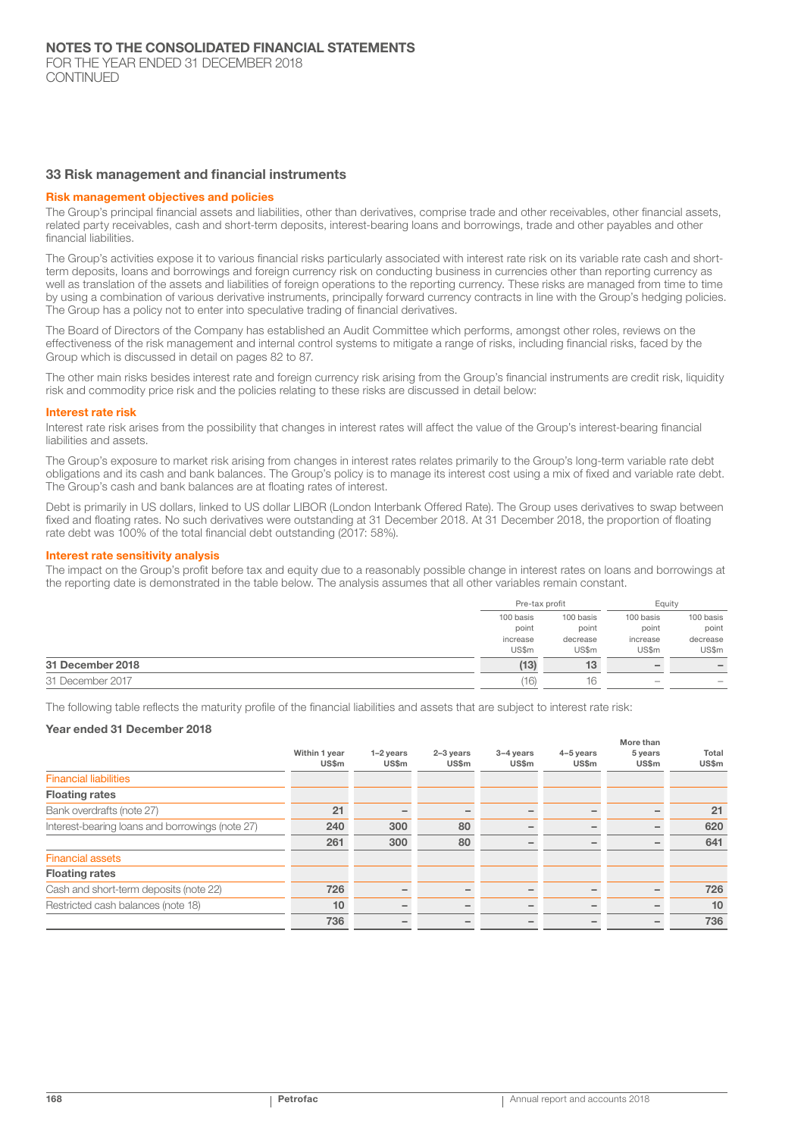#### 33 Risk management and financial instruments

#### Risk management objectives and policies

The Group's principal financial assets and liabilities, other than derivatives, comprise trade and other receivables, other financial assets, related party receivables, cash and short-term deposits, interest-bearing loans and borrowings, trade and other payables and other financial liabilities.

The Group's activities expose it to various financial risks particularly associated with interest rate risk on its variable rate cash and shortterm deposits, loans and borrowings and foreign currency risk on conducting business in currencies other than reporting currency as well as translation of the assets and liabilities of foreign operations to the reporting currency. These risks are managed from time to time by using a combination of various derivative instruments, principally forward currency contracts in line with the Group's hedging policies. The Group has a policy not to enter into speculative trading of financial derivatives.

The Board of Directors of the Company has established an Audit Committee which performs, amongst other roles, reviews on the effectiveness of the risk management and internal control systems to mitigate a range of risks, including financial risks, faced by the Group which is discussed in detail on pages 82 to 87.

The other main risks besides interest rate and foreign currency risk arising from the Group's financial instruments are credit risk, liquidity risk and commodity price risk and the policies relating to these risks are discussed in detail below:

#### Interest rate risk

Interest rate risk arises from the possibility that changes in interest rates will affect the value of the Group's interest-bearing financial liabilities and assets.

The Group's exposure to market risk arising from changes in interest rates relates primarily to the Group's long-term variable rate debt obligations and its cash and bank balances. The Group's policy is to manage its interest cost using a mix of fixed and variable rate debt. The Group's cash and bank balances are at floating rates of interest.

Debt is primarily in US dollars, linked to US dollar LIBOR (London Interbank Offered Rate). The Group uses derivatives to swap between fixed and floating rates. No such derivatives were outstanding at 31 December 2018. At 31 December 2018, the proportion of floating rate debt was 100% of the total financial debt outstanding (2017: 58%).

#### Interest rate sensitivity analysis

The impact on the Group's profit before tax and equity due to a reasonably possible change in interest rates on loans and borrowings at the reporting date is demonstrated in the table below. The analysis assumes that all other variables remain constant.

|                  | Pre-tax profit |           | Equity                   |           |
|------------------|----------------|-----------|--------------------------|-----------|
|                  | 100 basis      | 100 basis | 100 basis                | 100 basis |
|                  | point          | point     | point                    | point     |
|                  | increase       | decrease  | increase                 | decrease  |
|                  | US\$m          | US\$m     | US\$m                    | US\$m     |
| 31 December 2018 | (13)           | 13        | $\overline{\phantom{a}}$ |           |
| 31 December 2017 | (16)           | 16        | $\hspace{0.05cm}$        |           |

The following table reflects the maturity profile of the financial liabilities and assets that are subject to interest rate risk:

#### Year ended 31 December 2018

|                                                 |                        |                             |                      |                             |                    | More than        |                |
|-------------------------------------------------|------------------------|-----------------------------|----------------------|-----------------------------|--------------------|------------------|----------------|
|                                                 | Within 1 year<br>US\$m | $1-2$ years<br><b>US\$m</b> | $2-3$ years<br>US\$m | $3-4$ years<br><b>US\$m</b> | 4-5 years<br>US\$m | 5 years<br>US\$m | Total<br>US\$m |
| <b>Financial liabilities</b>                    |                        |                             |                      |                             |                    |                  |                |
| <b>Floating rates</b>                           |                        |                             |                      |                             |                    |                  |                |
| Bank overdrafts (note 27)                       | 21                     |                             |                      |                             |                    |                  | 21             |
| Interest-bearing loans and borrowings (note 27) | 240                    | 300                         | 80                   |                             |                    |                  | 620            |
|                                                 | 261                    | 300                         | 80                   |                             |                    |                  | 641            |
| <b>Financial assets</b>                         |                        |                             |                      |                             |                    |                  |                |
| <b>Floating rates</b>                           |                        |                             |                      |                             |                    |                  |                |
| Cash and short-term deposits (note 22)          | 726                    |                             |                      |                             |                    |                  | 726            |
| Restricted cash balances (note 18)              | 10                     |                             |                      |                             |                    |                  | 10             |
|                                                 | 736                    |                             |                      |                             |                    |                  | 736            |
|                                                 |                        |                             |                      |                             |                    |                  |                |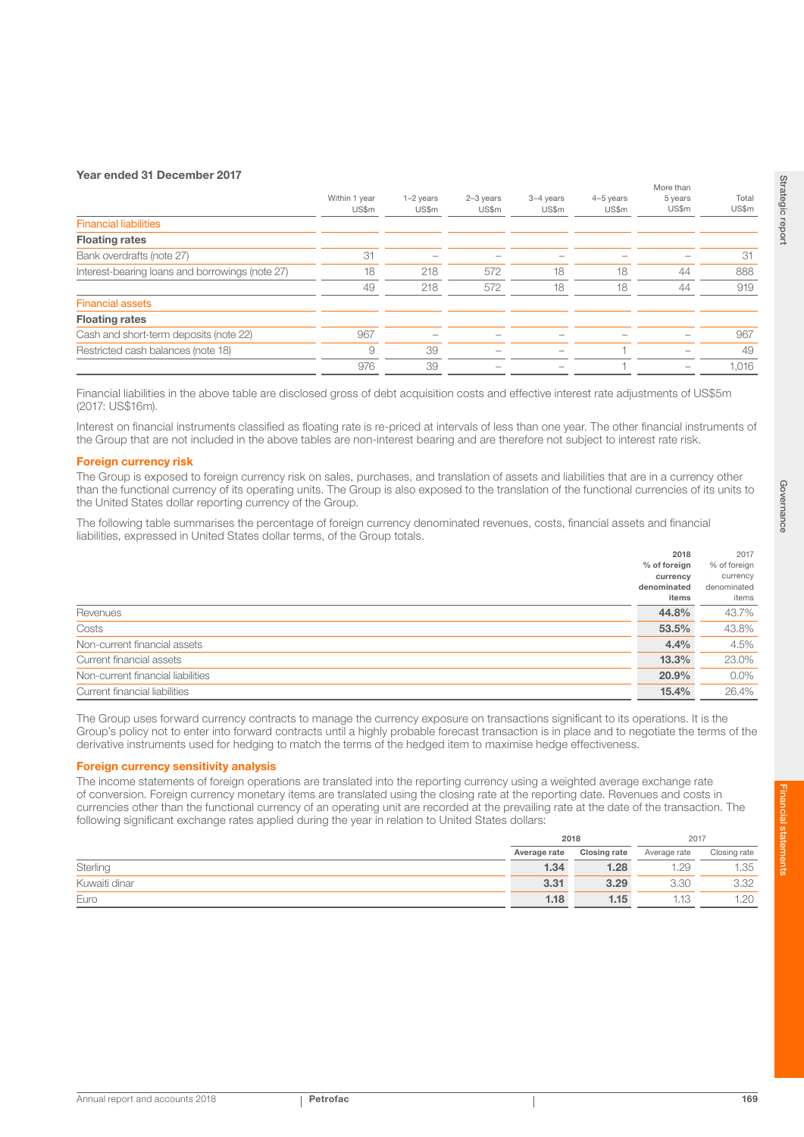#### Year ended 31 December 2017

|                                                 | Within 1 year<br>US\$m | $1-2$ years<br>US\$m | $2-3$ years<br>US\$m | 3-4 years<br>US\$m | $4-5$ years<br>US\$m | More than<br>5 years<br>US\$m | Total<br>US\$m |
|-------------------------------------------------|------------------------|----------------------|----------------------|--------------------|----------------------|-------------------------------|----------------|
| <b>Financial liabilities</b>                    |                        |                      |                      |                    |                      |                               |                |
| <b>Floating rates</b>                           |                        |                      |                      |                    |                      |                               |                |
| Bank overdrafts (note 27)                       | 31                     |                      |                      |                    |                      |                               | 31             |
| Interest-bearing loans and borrowings (note 27) | 18                     | 218                  | 572                  | 18                 | 18                   | 44                            | 888            |
|                                                 | 49                     | 218                  | 572                  | 18                 | 18                   | 44                            | 919            |
| <b>Financial assets</b>                         |                        |                      |                      |                    |                      |                               |                |
| <b>Floating rates</b>                           |                        |                      |                      |                    |                      |                               |                |
| Cash and short-term deposits (note 22)          | 967                    |                      |                      |                    |                      |                               | 967            |
| Restricted cash balances (note 18)              | 9                      | 39                   |                      |                    |                      |                               | 49             |
|                                                 | 976                    | 39                   |                      |                    |                      |                               | 1,016          |
|                                                 |                        |                      |                      |                    |                      |                               |                |

Financial liabilities in the above table are disclosed gross of debt acquisition costs and effective interest rate adjustments of US\$5m (2017: US\$16m).

Interest on financial instruments classified as floating rate is re-priced at intervals of less than one year. The other financial instruments of the Group that are not included in the above tables are non-interest bearing and are therefore not subject to interest rate risk.

#### Foreign currency risk

The Group is exposed to foreign currency risk on sales, purchases, and translation of assets and liabilities that are in a currency other than the functional currency of its operating units. The Group is also exposed to the translation of the functional currencies of its units to the United States dollar reporting currency of the Group.

The following table summarises the percentage of foreign currency denominated revenues, costs, financial assets and financial liabilities, expressed in United States dollar terms, of the Group totals.

|                                   | 2018         | 2017         |
|-----------------------------------|--------------|--------------|
|                                   | % of foreign | % of foreign |
|                                   | currency     | currency     |
|                                   | denominated  | denominated  |
|                                   | items        | items        |
| Revenues                          | 44.8%        | 43.7%        |
| Costs                             | 53.5%        | 43.8%        |
| Non-current financial assets      | 4.4%         | 4.5%         |
| Current financial assets          | 13.3%        | 23.0%        |
| Non-current financial liabilities | 20.9%        | $0.0\%$      |
| Current financial liabilities     | 15.4%        | 26.4%        |
|                                   |              |              |

The Group uses forward currency contracts to manage the currency exposure on transactions significant to its operations. It is the Group's policy not to enter into forward contracts until a highly probable forecast transaction is in place and to negotiate the terms of the derivative instruments used for hedging to match the terms of the hedged item to maximise hedge effectiveness.

#### **Foreign currency sensitivity analysis**

The income statements of foreign operations are translated into the reporting currency using a weighted average exchange rate of conversion. Foreign currency monetary items are translated using the closing rate at the reporting date. Revenues and costs in currencies other than the functional currency of an operating unit are recorded at the prevailing rate at the date of the transaction. The following significant exchange rates applied during the year in relation to United States dollars:

|               | 2018         |              | 2017         |              |
|---------------|--------------|--------------|--------------|--------------|
|               | Average rate | Closing rate | Average rate | Closing rate |
| Sterling      | 1.34         | 1.28         | '.29         | 1.35         |
| Kuwaiti dinar | 3.31         | 3.29         | 3.30         | 3.32         |
| Euro          | 1.18         | 1.15         | 112          | 1.20         |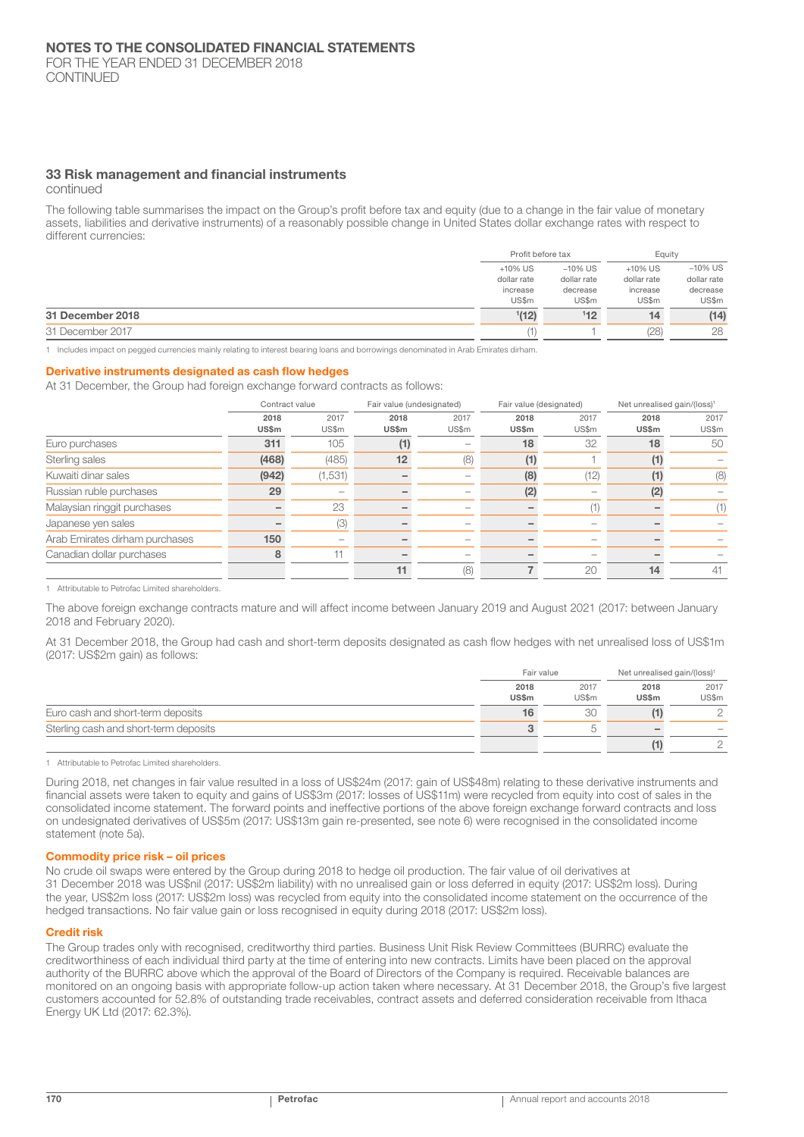### 33 Risk management and financial instruments

continued

The following table summarises the impact on the Group's profit before tax and equity (due to a change in the fair value of monetary assets, liabilities and derivative instruments) of a reasonably possible change in United States dollar exchange rates with respect to different currencies:

|                  |             | Profit before tax |             | Eauity      |
|------------------|-------------|-------------------|-------------|-------------|
|                  | $+10\%$ US  | $-10\%$ US        | $+10\%$ US  | $-10\%$ US  |
|                  | dollar rate | dollar rate       | dollar rate | dollar rate |
|                  | increase    | decrease          | increase    | decrease    |
|                  | US\$m       | US\$m             | US\$m       | US\$m       |
| 31 December 2018 | 1(12)       | 112               | 14          | (14)        |
| 31 December 2017 |             |                   | (28)        | 28          |

1 Includes impact on pegged currencies mainly relating to interest bearing loans and borrowings denominated in Arab Emirates dirham.

#### Derivative instruments designated as cash flow hedges

At 31 December, the Group had foreign exchange forward contracts as follows:

|                      | Contract value               |               | Fair value (undesignated) |               | Fair value (designated) |               | Net unrealised gain/(loss) <sup>1</sup> |  |
|----------------------|------------------------------|---------------|---------------------------|---------------|-------------------------|---------------|-----------------------------------------|--|
| 2018<br><b>US\$m</b> | 2017<br>US\$m                | 2018<br>US\$m | 2017<br>US\$m             | 2018<br>US\$m | 2017<br>US\$m           | 2018<br>US\$m | 2017<br>US\$m                           |  |
| 311                  | 105                          |               |                           | 18            | 32                      | 18            | 50                                      |  |
| (468)                | (485)                        | 12            | (8)                       |               |                         |               |                                         |  |
| (942)                | (1,531)                      |               |                           | (8)           | (12)                    |               | (8)                                     |  |
| 29                   | $\qquad \qquad \blacksquare$ |               | $\overline{\phantom{m}}$  | (2)           |                         | (2)           |                                         |  |
|                      | 23                           |               |                           |               | (1)                     |               | (1)                                     |  |
|                      | (3)                          |               | -                         |               |                         |               |                                         |  |
| 150                  |                              |               |                           |               |                         |               |                                         |  |
| 8                    | -11                          |               | $\overline{\phantom{a}}$  |               |                         |               |                                         |  |
|                      |                              | 11            | (8)                       |               | 20                      | 14            | 41                                      |  |
|                      |                              |               |                           |               |                         |               |                                         |  |

1 Attributable to Petrofac Limited shareholders.

The above foreign exchange contracts mature and will affect income between January 2019 and August 2021 (2017: between January 2018 and February 2020).

At 31 December 2018, the Group had cash and short-term deposits designated as cash flow hedges with net unrealised loss of US\$1m (2017: US\$2m gain) as follows:

|                                       | Fair value           |               | Net unrealised gain/(loss) <sup>1</sup> |               |
|---------------------------------------|----------------------|---------------|-----------------------------------------|---------------|
|                                       | 2018<br><b>US\$m</b> | 2017<br>US\$m | 2018<br>US\$m                           | 2017<br>US\$m |
| Euro cash and short-term deposits     |                      | 30            |                                         |               |
| Sterling cash and short-term deposits |                      | $\sqrt{2}$    |                                         | $\sim$        |
|                                       |                      |               |                                         |               |

1 Attributable to Petrofac Limited shareholders.

During 2018, net changes in fair value resulted in a loss of US\$24m (2017: gain of US\$48m) relating to these derivative instruments and financial assets were taken to equity and gains of US\$3m (2017: losses of US\$11m) were recycled from equity into cost of sales in the consolidated income statement. The forward points and ineffective portions of the above foreign exchange forward contracts and loss on undesignated derivatives of US\$5m (2017: US\$13m gain re-presented, see note 6) were recognised in the consolidated income statement (note 5a).

#### Commodity price risk – oil prices

No crude oil swaps were entered by the Group during 2018 to hedge oil production. The fair value of oil derivatives at 31 December 2018 was US\$nil (2017: US\$2m liability) with no unrealised gain or loss deferred in equity (2017: US\$2m loss). During the year, US\$2m loss (2017: US\$2m loss) was recycled from equity into the consolidated income statement on the occurrence of the hedged transactions. No fair value gain or loss recognised in equity during 2018 (2017: US\$2m loss).

#### Credit risk

The Group trades only with recognised, creditworthy third parties. Business Unit Risk Review Committees (BURRC) evaluate the creditworthiness of each individual third party at the time of entering into new contracts. Limits have been placed on the approval authority of the BURRC above which the approval of the Board of Directors of the Company is required. Receivable balances are monitored on an ongoing basis with appropriate follow-up action taken where necessary. At 31 December 2018, the Group's five largest customers accounted for 52.8% of outstanding trade receivables, contract assets and deferred consideration receivable from Ithaca Energy UK Ltd (2017: 62.3%).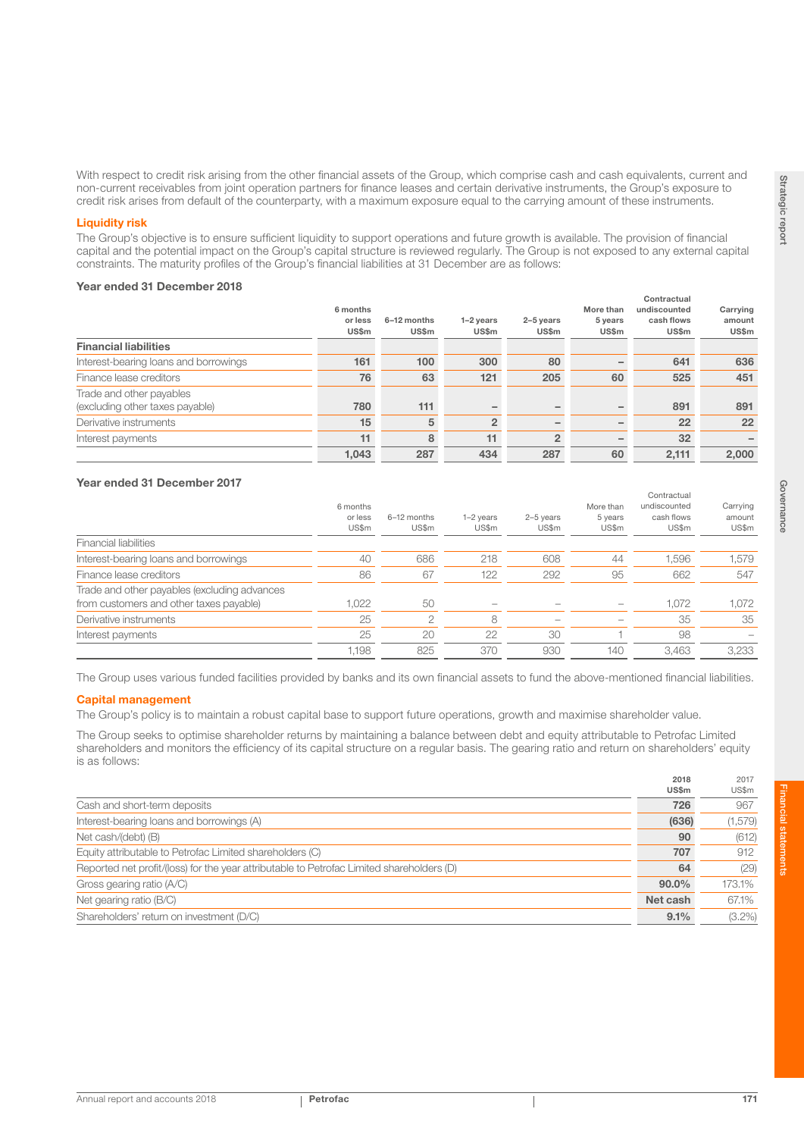With respect to credit risk arising from the other financial assets of the Group, which comprise cash and cash equivalents, current and non-current receivables from joint operation partners for finance leases and certain derivative instruments, the Group's exposure to credit risk arises from default of the counterparty, with a maximum exposure equal to the carrying amount of these instruments.

#### Liquidity risk

The Group's objective is to ensure sufficient liquidity to support operations and future growth is available. The provision of financial capital and the potential impact on the Group's capital structure is reviewed regularly. The Group is not exposed to any external capital constraints. The maturity profiles of the Group's financial liabilities at 31 December are as follows:

#### Year ended 31 December 2018

|                                                             | 6 months         |                             |                             |                           | More than        | Contractual<br>undiscounted | Carrying        |
|-------------------------------------------------------------|------------------|-----------------------------|-----------------------------|---------------------------|------------------|-----------------------------|-----------------|
|                                                             | or less<br>US\$m | 6-12 months<br><b>US\$m</b> | $1-2$ vears<br><b>US\$m</b> | 2-5 years<br><b>US\$m</b> | 5 years<br>US\$m | cash flows<br><b>US\$m</b>  | amount<br>US\$m |
| <b>Financial liabilities</b>                                |                  |                             |                             |                           |                  |                             |                 |
| Interest-bearing loans and borrowings                       | 161              | 100                         | 300                         | 80                        |                  | 641                         | 636             |
| Finance lease creditors                                     | 76               | 63                          | 121                         | 205                       | 60               | 525                         | 451             |
| Trade and other payables<br>(excluding other taxes payable) | 780              | 111                         |                             |                           |                  | 891                         | 891             |
| Derivative instruments                                      | 15               | 5                           | $\overline{2}$              |                           |                  | 22                          | 22              |
| Interest payments                                           | 11               | 8                           | 11                          | $\overline{2}$            |                  | 32                          |                 |
|                                                             | 1.043            | 287                         | 434                         | 287                       | 60               | 2,111                       | 2,000           |

## Year ended 31 December 2017

|                                              |                  |                      |                      |                    |                  | Contractual         |                 |
|----------------------------------------------|------------------|----------------------|----------------------|--------------------|------------------|---------------------|-----------------|
|                                              | 6 months         |                      |                      |                    | More than        | undiscounted        | Carrying        |
|                                              | or less<br>US\$m | 6-12 months<br>US\$m | $1-2$ years<br>US\$m | 2-5 years<br>US\$m | 5 years<br>US\$m | cash flows<br>US\$m | amount<br>US\$m |
| <b>Financial liabilities</b>                 |                  |                      |                      |                    |                  |                     |                 |
| Interest-bearing loans and borrowings        | 40               | 686                  | 218                  | 608                | 44               | 1.596               | 1,579           |
| Finance lease creditors                      | 86               | 67                   | 122                  | 292                | 95               | 662                 | 547             |
| Trade and other payables (excluding advances |                  |                      |                      |                    |                  |                     |                 |
| from customers and other taxes payable)      | 1.022            | 50                   |                      |                    |                  | 1.072               | 1,072           |
| Derivative instruments                       | 25               | 2                    | 8                    |                    |                  | 35                  | 35              |
| Interest payments                            | 25               | 20                   | 22                   | 30                 |                  | 98                  |                 |
|                                              | 1.198            | 825                  | 370                  | 930                | 140              | 3.463               | 3.233           |

The Group uses various funded facilities provided by banks and its own financial assets to fund the above-mentioned financial liabilities.

#### Capital management

The Group's policy is to maintain a robust capital base to support future operations, growth and maximise shareholder value.

The Group seeks to optimise shareholder returns by maintaining a balance between debt and equity attributable to Petrofac Limited shareholders and monitors the efficiency of its capital structure on a regular basis. The gearing ratio and return on shareholders' equity is as follows:

|                                                                                           | <b>US\$m</b> | US\$m     |
|-------------------------------------------------------------------------------------------|--------------|-----------|
| Cash and short-term deposits                                                              | 726          | 967       |
| Interest-bearing loans and borrowings (A)                                                 | (636)        | (1, 579)  |
| Net cash/(debt) (B)                                                                       | 90           | (612)     |
| Equity attributable to Petrofac Limited shareholders (C)                                  | 707          | 912       |
| Reported net profit/(loss) for the year attributable to Petrofac Limited shareholders (D) | 64           | (29)      |
| Gross gearing ratio (A/C)                                                                 | $90.0\%$     | 173.1%    |
| Net gearing ratio (B/C)                                                                   | Net cash     | 67.1%     |
| Shareholders' return on investment (D/C)                                                  | 9.1%         | $(3.2\%)$ |

2017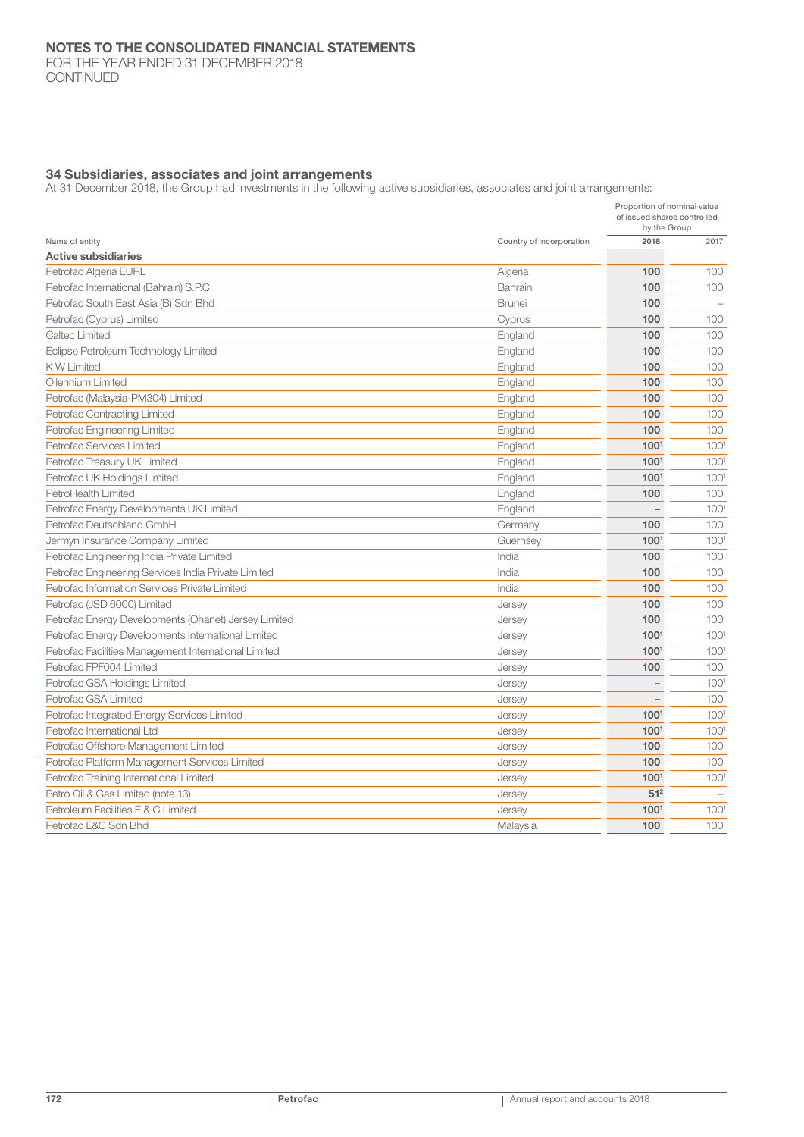FOR THE YEAR ENDED 31 DECEMBER 2018 **CONTINUED** 

#### 34 Subsidiaries, associates and joint arrangements

At 31 December 2018, the Group had investments in the following active subsidiaries, associates and joint arrangements:

|                                                      |                          | Proportion of nominal value<br>of issued shares controlled<br>by the Group |                  |  |
|------------------------------------------------------|--------------------------|----------------------------------------------------------------------------|------------------|--|
| Name of entity                                       | Country of incorporation | 2018                                                                       | 2017             |  |
| <b>Active subsidiaries</b>                           |                          |                                                                            |                  |  |
| Petrofac Algeria EURL                                | Algeria                  | 100                                                                        | 100              |  |
| Petrofac International (Bahrain) S.P.C.              | Bahrain                  | 100                                                                        | 100              |  |
| Petrofac South East Asia (B) Sdn Bhd                 | <b>Brunei</b>            | 100                                                                        |                  |  |
| Petrofac (Cyprus) Limited                            | Cyprus                   | 100                                                                        | 100              |  |
| Caltec Limited                                       | England                  | 100                                                                        | 100              |  |
| Eclipse Petroleum Technology Limited                 | England                  | 100                                                                        | 100              |  |
| <b>KW Limited</b>                                    | England                  | 100                                                                        | 100              |  |
| Oilennium Limited                                    | England                  | 100                                                                        | 100              |  |
| Petrofac (Malaysia-PM304) Limited                    | England                  | 100                                                                        | 100              |  |
| Petrofac Contracting Limited                         | England                  | 100                                                                        | 100              |  |
| Petrofac Engineering Limited                         | England                  | 100                                                                        | 100              |  |
| Petrofac Services Limited                            | England                  | 100 <sup>1</sup>                                                           | 100 <sup>1</sup> |  |
| Petrofac Treasury UK Limited                         | England                  | 1001                                                                       | 100 <sup>1</sup> |  |
| Petrofac UK Holdings Limited                         | England                  | 1001                                                                       | 100 <sup>1</sup> |  |
| PetroHealth Limited                                  | England                  | 100                                                                        | 100              |  |
| Petrofac Energy Developments UK Limited              | England                  | $\qquad \qquad -$                                                          | 100 <sup>1</sup> |  |
| Petrofac Deutschland GmbH                            | Germany                  | 100                                                                        | 100              |  |
| Jermyn Insurance Company Limited                     | Guernsey                 | 1001                                                                       | 1001             |  |
| Petrofac Engineering India Private Limited           | India                    | 100                                                                        | 100              |  |
| Petrofac Engineering Services India Private Limited  | India                    | 100                                                                        | 100              |  |
| Petrofac Information Services Private Limited        | India                    | 100                                                                        | 100              |  |
| Petrofac (JSD 6000) Limited                          | Jersey                   | 100                                                                        | 100              |  |
| Petrofac Energy Developments (Ohanet) Jersey Limited | Jersey                   | 100                                                                        | 100              |  |
| Petrofac Energy Developments International Limited   | Jersey                   | 100 <sup>1</sup>                                                           | 100 <sup>1</sup> |  |
| Petrofac Facilities Management International Limited | Jersey                   | 1001                                                                       | 100 <sup>1</sup> |  |
| Petrofac FPF004 Limited                              | Jersey                   | 100                                                                        | 100              |  |
| Petrofac GSA Holdings Limited                        | Jersey                   |                                                                            | 100 <sup>1</sup> |  |
| Petrofac GSA Limited                                 | Jersey                   | $\qquad \qquad -$                                                          | 100              |  |
| Petrofac Integrated Energy Services Limited          | Jersey                   | 100 <sup>1</sup>                                                           | 1001             |  |
| Petrofac International Ltd                           | Jersey                   | 1001                                                                       | 1001             |  |
| Petrofac Offshore Management Limited                 | Jersey                   | 100                                                                        | 100              |  |
| Petrofac Platform Management Services Limited        | Jersey                   | 100                                                                        | 100              |  |
| Petrofac Training International Limited              | Jersey                   | 1001                                                                       | 1001             |  |
| Petro Oil & Gas Limited (note 13)                    | Jersey                   | 51 <sup>2</sup>                                                            |                  |  |
| Petroleum Facilities E & C Limited                   | Jersey                   | 1001                                                                       | 100 <sup>1</sup> |  |
| Petrofac E&C Sdn Bhd                                 | Malaysia                 | 100                                                                        | 100              |  |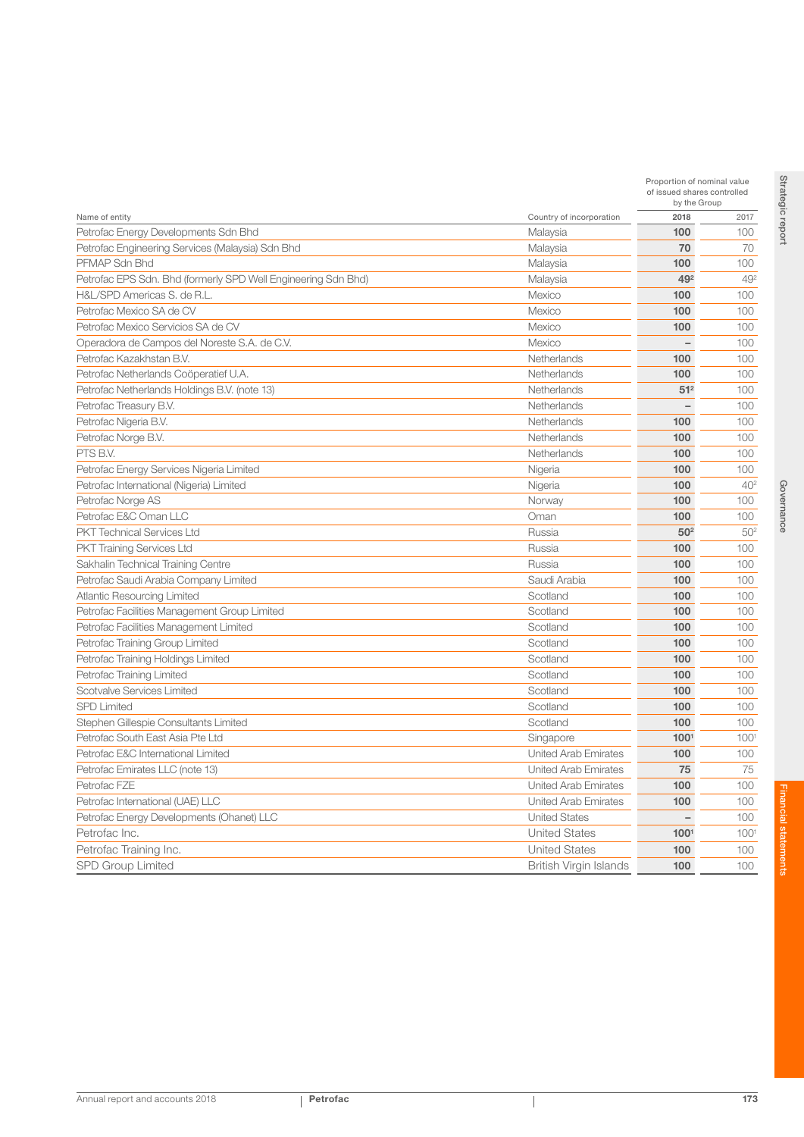| Name of entity<br>Country of incorporation<br>Petrofac Energy Developments Sdn Bhd<br>Malaysia | 2018<br>100<br>70<br>100<br>492 | 2017<br>100<br>70 |
|------------------------------------------------------------------------------------------------|---------------------------------|-------------------|
|                                                                                                |                                 |                   |
|                                                                                                |                                 |                   |
| Petrofac Engineering Services (Malaysia) Sdn Bhd<br>Malaysia                                   |                                 |                   |
| PFMAP Sdn Bhd<br>Malaysia                                                                      |                                 | 100               |
| Petrofac EPS Sdn. Bhd (formerly SPD Well Engineering Sdn Bhd)<br>Malaysia                      |                                 | 49 <sup>2</sup>   |
| H&L/SPD Americas S. de R.L.<br>Mexico                                                          | 100                             | 100               |
| Petrofac Mexico SA de CV<br>Mexico                                                             | 100                             | 100               |
| Petrofac Mexico Servicios SA de CV<br>Mexico                                                   | 100                             | 100               |
| Operadora de Campos del Noreste S.A. de C.V.<br>Mexico                                         |                                 | 100               |
| Petrofac Kazakhstan B.V.<br>Netherlands                                                        | 100                             | 100               |
| Petrofac Netherlands Coöperatief U.A.<br>Netherlands                                           | 100                             | 100               |
| Petrofac Netherlands Holdings B.V. (note 13)<br>Netherlands                                    | 51 <sup>2</sup>                 | 100               |
| Petrofac Treasury B.V.<br>Netherlands                                                          | $\overline{\phantom{0}}$        | 100               |
| Petrofac Nigeria B.V.<br>Netherlands                                                           | 100                             | 100               |
| Petrofac Norge B.V.<br>Netherlands                                                             | 100                             | 100               |
| PTS B.V.<br>Netherlands                                                                        | 100                             | 100               |
| Petrofac Energy Services Nigeria Limited<br>Nigeria                                            | 100                             | 100               |
| Petrofac International (Nigeria) Limited<br>Nigeria                                            | 100                             | 40 <sup>2</sup>   |
| Petrofac Norge AS<br>Norway                                                                    | 100                             | 100               |
| Petrofac E&C Oman LLC<br>Oman                                                                  | 100                             | 100               |
| <b>PKT Technical Services Ltd</b><br>Russia                                                    | 50 <sup>2</sup>                 | 50 <sup>2</sup>   |
| <b>PKT Training Services Ltd</b><br>Russia                                                     | 100                             | 100               |
| Sakhalin Technical Training Centre<br>Russia                                                   | 100                             | 100               |
| Petrofac Saudi Arabia Company Limited<br>Saudi Arabia                                          | 100                             | 100               |
| <b>Atlantic Resourcing Limited</b><br>Scotland                                                 | 100                             | 100               |
| Scotland<br>Petrofac Facilities Management Group Limited                                       | 100                             | 100               |
| Petrofac Facilities Management Limited<br>Scotland                                             | 100                             | 100               |
| Scotland<br>Petrofac Training Group Limited                                                    | 100                             | 100               |
| Petrofac Training Holdings Limited<br>Scotland                                                 | 100                             | 100               |
| Petrofac Training Limited<br>Scotland                                                          | 100                             | 100               |
| Scotvalve Services Limited<br>Scotland                                                         | 100                             | 100               |
| <b>SPD Limited</b><br>Scotland                                                                 | 100                             | 100               |
| Stephen Gillespie Consultants Limited<br>Scotland                                              | 100                             | 100               |
| Petrofac South East Asia Pte Ltd<br>Singapore                                                  | 100 <sup>1</sup>                | 100               |
| Petrofac E&C International Limited<br><b>United Arab Emirates</b>                              | 100                             | 100               |
| Petrofac Emirates LLC (note 13)<br><b>United Arab Emirates</b>                                 | 75                              | 75                |
| <b>United Arab Emirates</b><br>Petrofac FZE                                                    | 100                             | 100               |
| Petrofac International (UAE) LLC<br>United Arab Emirates                                       | 100                             | 100               |
| Petrofac Energy Developments (Ohanet) LLC<br><b>United States</b>                              |                                 | 100               |
| Petrofac Inc.<br><b>United States</b>                                                          | 1001                            | $100^\circ$       |
| <b>United States</b><br>Petrofac Training Inc.                                                 | 100                             | 100               |
| <b>SPD Group Limited</b><br><b>British Virgin Islands</b>                                      | 100                             | 100               |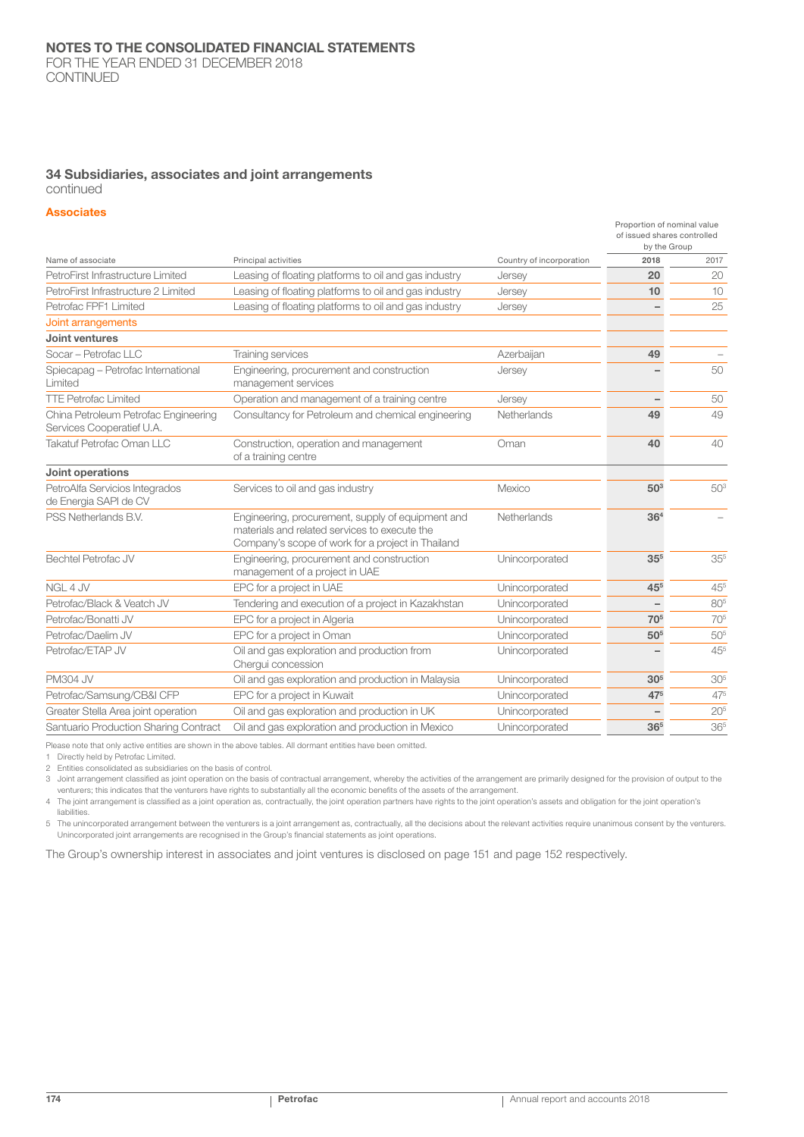#### 34 Subsidiaries, associates and joint arrangements continued

#### **Associates**

|                                                                   |                                                                                                                                                         |                          | Proportion of nominal value<br>of issued shares controlled<br>by the Group |                 |
|-------------------------------------------------------------------|---------------------------------------------------------------------------------------------------------------------------------------------------------|--------------------------|----------------------------------------------------------------------------|-----------------|
| Name of associate                                                 | Principal activities                                                                                                                                    | Country of incorporation | 2018                                                                       | 2017            |
| PetroFirst Infrastructure Limited                                 | Leasing of floating platforms to oil and gas industry                                                                                                   | Jersey                   | 20                                                                         | 20              |
| PetroFirst Infrastructure 2 Limited                               | Leasing of floating platforms to oil and gas industry                                                                                                   | Jersey                   | 10                                                                         | 10              |
| Petrofac FPF1 Limited                                             | Leasing of floating platforms to oil and gas industry                                                                                                   | Jersey                   |                                                                            | 25              |
| Joint arrangements                                                |                                                                                                                                                         |                          |                                                                            |                 |
| Joint ventures                                                    |                                                                                                                                                         |                          |                                                                            |                 |
| Socar - Petrofac LLC                                              | Training services                                                                                                                                       | Azerbaijan               | 49                                                                         |                 |
| Spiecapag - Petrofac International<br>Limited                     | Engineering, procurement and construction<br>management services                                                                                        | Jersey                   |                                                                            | 50              |
| <b>TTE Petrofac Limited</b>                                       | Operation and management of a training centre                                                                                                           | Jersey                   |                                                                            | 50              |
| China Petroleum Petrofac Engineering<br>Services Cooperatief U.A. | Consultancy for Petroleum and chemical engineering                                                                                                      | Netherlands              | 49                                                                         | 49              |
| Takatuf Petrofac Oman LLC                                         | Construction, operation and management<br>of a training centre                                                                                          | Oman                     | 40                                                                         | 40              |
| Joint operations                                                  |                                                                                                                                                         |                          |                                                                            |                 |
| PetroAlfa Servicios Integrados<br>de Energia SAPI de CV           | Services to oil and gas industry                                                                                                                        | Mexico                   | 50 <sup>3</sup>                                                            | 503             |
| PSS Netherlands B.V.                                              | Engineering, procurement, supply of equipment and<br>materials and related services to execute the<br>Company's scope of work for a project in Thailand | Netherlands              | 36 <sup>4</sup>                                                            |                 |
| <b>Bechtel Petrofac JV</b>                                        | Engineering, procurement and construction<br>management of a project in UAE                                                                             | Unincorporated           | 35 <sup>5</sup>                                                            | 35 <sup>5</sup> |
| NGL 4 JV                                                          | EPC for a project in UAE                                                                                                                                | Unincorporated           | 45 <sup>5</sup>                                                            | $45^{5}$        |
| Petrofac/Black & Veatch JV                                        | Tendering and execution of a project in Kazakhstan                                                                                                      | Unincorporated           |                                                                            | 805             |
| Petrofac/Bonatti JV                                               | EPC for a project in Algeria                                                                                                                            | Unincorporated           | 705                                                                        | 705             |
| Petrofac/Daelim JV                                                | EPC for a project in Oman                                                                                                                               | Unincorporated           | 50 <sup>5</sup>                                                            | 505             |
| Petrofac/ETAP JV                                                  | Oil and gas exploration and production from<br>Cherqui concession                                                                                       | Unincorporated           |                                                                            | 455             |
| <b>PM304 JV</b>                                                   | Oil and gas exploration and production in Malaysia                                                                                                      | Unincorporated           | 30 <sup>5</sup>                                                            | 30 <sup>5</sup> |
| Petrofac/Samsung/CB&I CFP                                         | EPC for a project in Kuwait                                                                                                                             | Unincorporated           | 475                                                                        | 475             |
| Greater Stella Area joint operation                               | Oil and gas exploration and production in UK                                                                                                            | Unincorporated           |                                                                            | 20 <sup>5</sup> |
| Santuario Production Sharing Contract                             | Oil and gas exploration and production in Mexico                                                                                                        | Unincorporated           | 36 <sup>5</sup>                                                            | 365             |

Please note that only active entities are shown in the above tables. All dormant entities have been omitted.

1 Directly held by Petrofac Limited.

2 Entities consolidated as subsidiaries on the basis of control.

3 Joint arrangement classified as joint operation on the basis of contractual arrangement, whereby the activities of the arrangement are primarily designed for the provision of output to the venturers; this indicates that the venturers have rights to substantially all the economic benefits of the assets of the arrangement.

4 The joint arrangement is classified as a joint operation as, contractually, the joint operation partners have rights to the joint operation's assets and obligation for the joint operation's liabilities.

5 The unincorporated arrangement between the venturers is a joint arrangement as, contractually, all the decisions about the relevant activities require unanimous consent by the venturers. Unincorporated joint arrangements are recognised in the Group's financial statements as joint operations.

The Group's ownership interest in associates and joint ventures is disclosed on page 151 and page 152 respectively.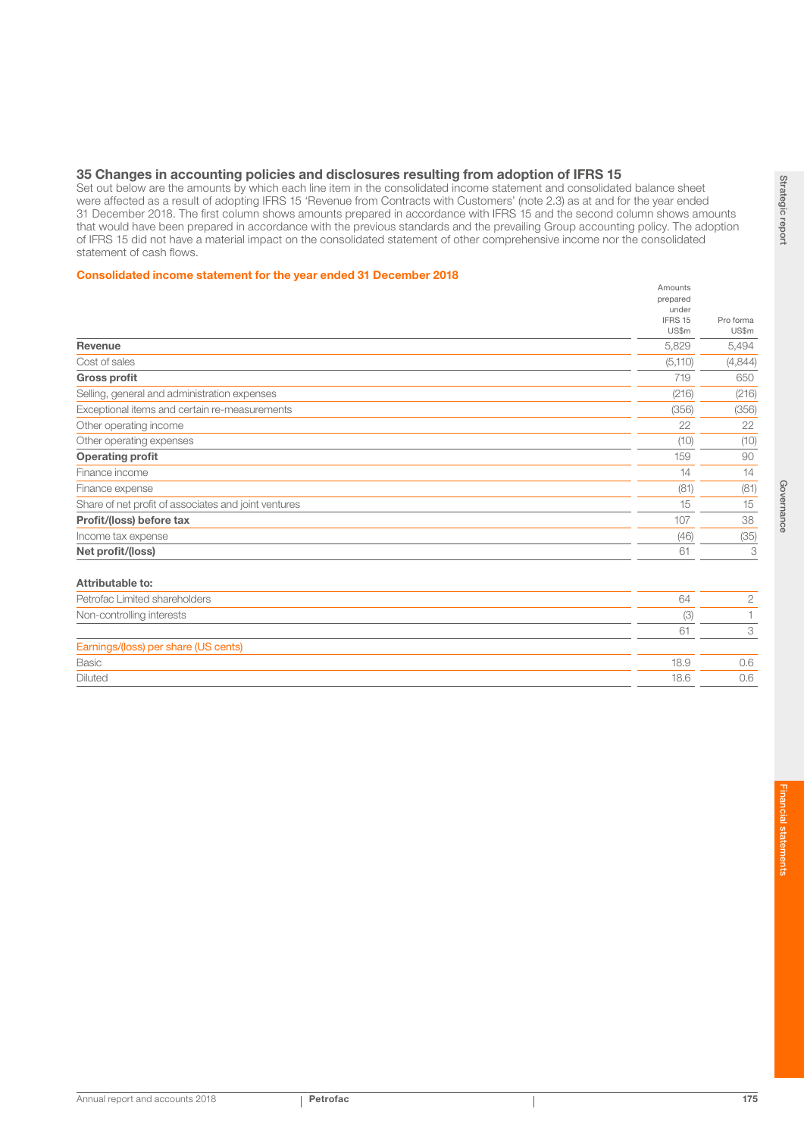### 35 Changes in accounting policies and disclosures resulting from adoption of IFRS 15

Set out below are the amounts by which each line item in the consolidated income statement and consolidated balance sheet were affected as a result of adopting IFRS 15 'Revenue from Contracts with Customers' (note 2.3) as at and for the year ended 31 December 2018. The first column shows amounts prepared in accordance with IFRS 15 and the second column shows amounts that would have been prepared in accordance with the previous standards and the prevailing Group accounting policy. The adoption of IFRS 15 did not have a material impact on the consolidated statement of other comprehensive income nor the consolidated statement of cash flows.

#### Consolidated income statement for the year ended 31 December 2018

|         | Pro forma                    |
|---------|------------------------------|
| US\$m   | US\$m                        |
| 5,829   | 5,494                        |
| (5,110) | (4,844)                      |
| 719     | 650                          |
| (216)   | (216)                        |
| (356)   | (356)                        |
| 22      | 22                           |
| (10)    | (10)                         |
| 159     | 90                           |
| 14      | 14                           |
| (81)    | (81)                         |
| 15      | 15                           |
| 107     | 38                           |
| (46)    | (35)                         |
| 61      | 3                            |
|         |                              |
| 64      | $\mathbf{2}$                 |
| (3)     | 1                            |
| 61      | 3                            |
|         |                              |
| 18.9    | 0.6                          |
|         | prepared<br>under<br>IFRS 15 |

Diluted 18.6 0.6

Amounts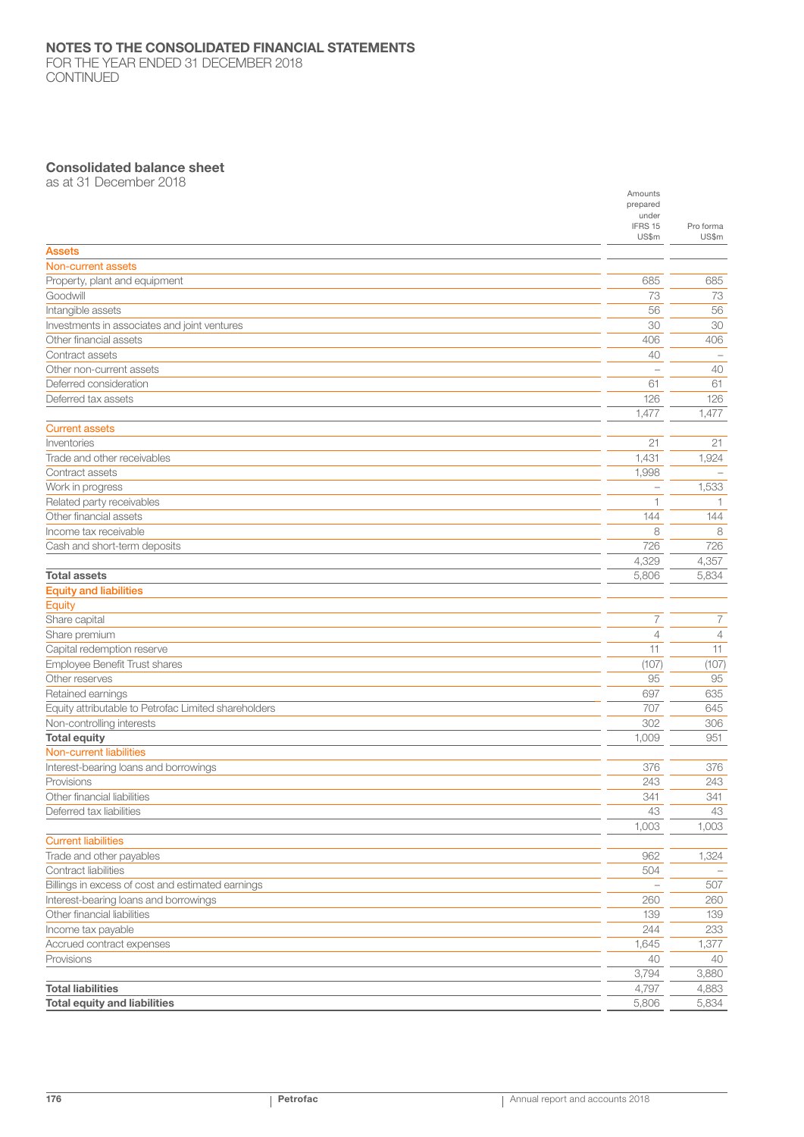## NOTES TO THE CONSOLIDATED FINANCIAL STATEMENTS

FOR THE YEAR ENDED 31 DECEMBER 2018 CONTINUED

## Consolidated balance sheet

as at 31 December 2018

|                                                      | Amounts<br>prepared |                |
|------------------------------------------------------|---------------------|----------------|
|                                                      | under               |                |
|                                                      | IFRS 15             | Pro forma      |
|                                                      | US\$m               | US\$m          |
| <b>Assets</b>                                        |                     |                |
| Non-current assets                                   |                     |                |
| Property, plant and equipment                        | 685                 | 685            |
| Goodwill                                             | 73                  | 73             |
| Intangible assets                                    | 56                  | 56             |
| Investments in associates and joint ventures         | 30                  | 30             |
| Other financial assets                               | 406                 | 406            |
| Contract assets                                      | 40                  |                |
| Other non-current assets                             |                     | 40             |
| Deferred consideration                               | 61                  | 61             |
| Deferred tax assets                                  | 126                 | 126            |
|                                                      | 1,477               | 1,477          |
| <b>Current assets</b>                                |                     |                |
| Inventories                                          | 21                  | 21             |
| Trade and other receivables                          | 1,431               | 1,924          |
| Contract assets                                      | 1,998               |                |
| Work in progress                                     |                     | 1,533          |
| Related party receivables                            | 1                   | $\mathbf{1}$   |
| Other financial assets                               | 144                 | 144            |
| Income tax receivable                                | 8                   | 8              |
| Cash and short-term deposits                         | 726                 | 726            |
|                                                      | 4,329               | 4,357          |
| <b>Total assets</b>                                  | 5,806               | 5,834          |
| <b>Equity and liabilities</b>                        |                     |                |
| Equity                                               |                     |                |
| Share capital                                        | 7                   | 7              |
| Share premium                                        | $\overline{4}$      | $\overline{4}$ |
| Capital redemption reserve                           | 11                  | 11             |
| Employee Benefit Trust shares                        | (107)               | (107)          |
| Other reserves                                       | 95                  | 95             |
| Retained earnings                                    | 697                 | 635            |
| Equity attributable to Petrofac Limited shareholders | 707                 | 645            |
| Non-controlling interests                            | 302                 | 306            |
| <b>Total equity</b>                                  | 1,009               | 951            |
| Non-current liabilities                              |                     |                |
| Interest-bearing loans and borrowings                | 376                 | 376            |
| Provisions                                           | 243                 | 243            |
| Other financial liabilities                          | 341                 | 341            |
| Deferred tax liabilities                             | 43                  | 43             |
|                                                      | 1,003               | 1,003          |
| <b>Current liabilities</b>                           |                     |                |
| Trade and other payables                             | 962                 | 1,324          |
| Contract liabilities                                 | 504                 |                |
| Billings in excess of cost and estimated earnings    |                     | 507            |
| Interest-bearing loans and borrowings                | 260                 | 260            |
| Other financial liabilities                          | 139                 | 139            |
| Income tax payable                                   | 244                 | 233            |
| Accrued contract expenses                            | 1,645               | 1,377          |
| Provisions                                           | 40                  | 40             |
|                                                      | 3,794               | 3,880          |
| <b>Total liabilities</b>                             | 4,797               | 4,883          |
| <b>Total equity and liabilities</b>                  | 5,806               | 5,834          |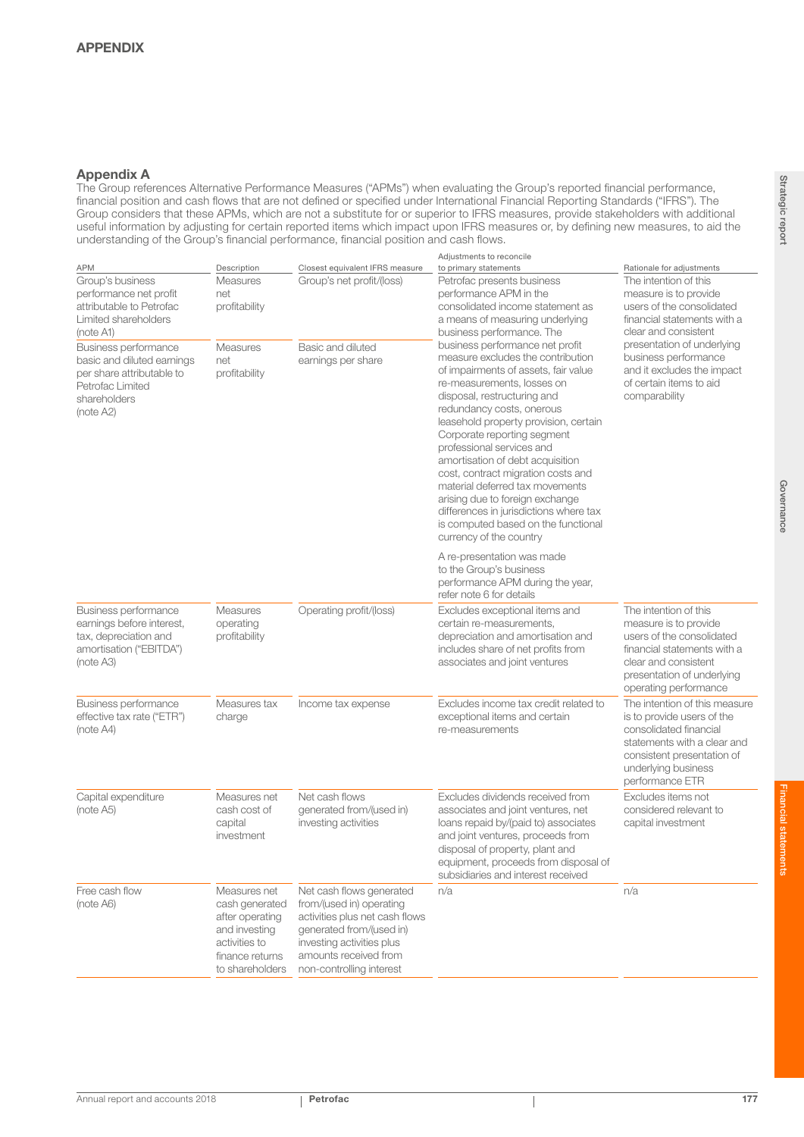## Appendix A

The Group references Alternative Performance Measures ("APMs") when evaluating the Group's reported financial performance, financial position and cash flows that are not defined or specified under International Financial Reporting Standards ("IFRS"). The Group considers that these APMs, which are not a substitute for or superior to IFRS measures, provide stakeholders with additional useful information by adjusting for certain reported items which impact upon IFRS measures or, by defining new measures, to aid the understanding of the Group's financial performance, financial position and cash flows.

|                                                                                                                                         |                                                                                                                           |                                                                                                                                                                                                      | Adjustments to reconcile                                                                                                                                                                                                                                                                                                                                                                                                                                                                                                                                                |                                                                                                                                                                                              |
|-----------------------------------------------------------------------------------------------------------------------------------------|---------------------------------------------------------------------------------------------------------------------------|------------------------------------------------------------------------------------------------------------------------------------------------------------------------------------------------------|-------------------------------------------------------------------------------------------------------------------------------------------------------------------------------------------------------------------------------------------------------------------------------------------------------------------------------------------------------------------------------------------------------------------------------------------------------------------------------------------------------------------------------------------------------------------------|----------------------------------------------------------------------------------------------------------------------------------------------------------------------------------------------|
| <b>APM</b><br>Group's business<br>performance net profit<br>attributable to Petrofac<br>Limited shareholders<br>(note A1)               | Description<br><b>Measures</b><br>net<br>profitability                                                                    | Closest equivalent IFRS measure<br>Group's net profit/(loss)                                                                                                                                         | to primary statements<br>Petrofac presents business<br>performance APM in the<br>consolidated income statement as<br>a means of measuring underlying<br>business performance. The                                                                                                                                                                                                                                                                                                                                                                                       | Rationale for adjustments<br>The intention of this<br>measure is to provide<br>users of the consolidated<br>financial statements with a<br>clear and consistent                              |
| <b>Business performance</b><br>basic and diluted earnings<br>per share attributable to<br>Petrofac Limited<br>shareholders<br>(note A2) | <b>Measures</b><br>net<br>profitability                                                                                   | Basic and diluted<br>earnings per share                                                                                                                                                              | business performance net profit<br>measure excludes the contribution<br>of impairments of assets, fair value<br>re-measurements, losses on<br>disposal, restructuring and<br>redundancy costs, onerous<br>leasehold property provision, certain<br>Corporate reporting segment<br>professional services and<br>amortisation of debt acquisition<br>cost, contract migration costs and<br>material deferred tax movements<br>arising due to foreign exchange<br>differences in jurisdictions where tax<br>is computed based on the functional<br>currency of the country | presentation of underlying<br>business performance<br>and it excludes the impact<br>of certain items to aid<br>comparability                                                                 |
|                                                                                                                                         |                                                                                                                           |                                                                                                                                                                                                      | A re-presentation was made<br>to the Group's business<br>performance APM during the year,<br>refer note 6 for details                                                                                                                                                                                                                                                                                                                                                                                                                                                   |                                                                                                                                                                                              |
| Business performance<br>earnings before interest,<br>tax, depreciation and<br>amortisation ("EBITDA")<br>(note A3)                      | <b>Measures</b><br>operating<br>profitability                                                                             | Operating profit/(loss)                                                                                                                                                                              | Excludes exceptional items and<br>certain re-measurements,<br>depreciation and amortisation and<br>includes share of net profits from<br>associates and joint ventures                                                                                                                                                                                                                                                                                                                                                                                                  | The intention of this<br>measure is to provide<br>users of the consolidated<br>financial statements with a<br>clear and consistent<br>presentation of underlying<br>operating performance    |
| <b>Business performance</b><br>effective tax rate ("ETR")<br>(note A4)                                                                  | Measures tax<br>charge                                                                                                    | Income tax expense                                                                                                                                                                                   | Excludes income tax credit related to<br>exceptional items and certain<br>re-measurements                                                                                                                                                                                                                                                                                                                                                                                                                                                                               | The intention of this measure<br>is to provide users of the<br>consolidated financial<br>statements with a clear and<br>consistent presentation of<br>underlying business<br>performance ETR |
| Capital expenditure<br>(note A5)                                                                                                        | Measures net<br>cash cost of<br>capital<br>investment                                                                     | Net cash flows<br>generated from/(used in)<br>investing activities                                                                                                                                   | Excludes dividends received from<br>associates and joint ventures, net<br>loans repaid by/(paid to) associates<br>and joint ventures, proceeds from<br>disposal of property, plant and<br>equipment, proceeds from disposal of<br>subsidiaries and interest received                                                                                                                                                                                                                                                                                                    | Excludes items not<br>considered relevant to<br>capital investment                                                                                                                           |
| Free cash flow<br>(note A6)                                                                                                             | Measures net<br>cash generated<br>after operating<br>and investing<br>activities to<br>finance returns<br>to shareholders | Net cash flows generated<br>from/(used in) operating<br>activities plus net cash flows<br>generated from/(used in)<br>investing activities plus<br>amounts received from<br>non-controlling interest | n/a                                                                                                                                                                                                                                                                                                                                                                                                                                                                                                                                                                     | n/a                                                                                                                                                                                          |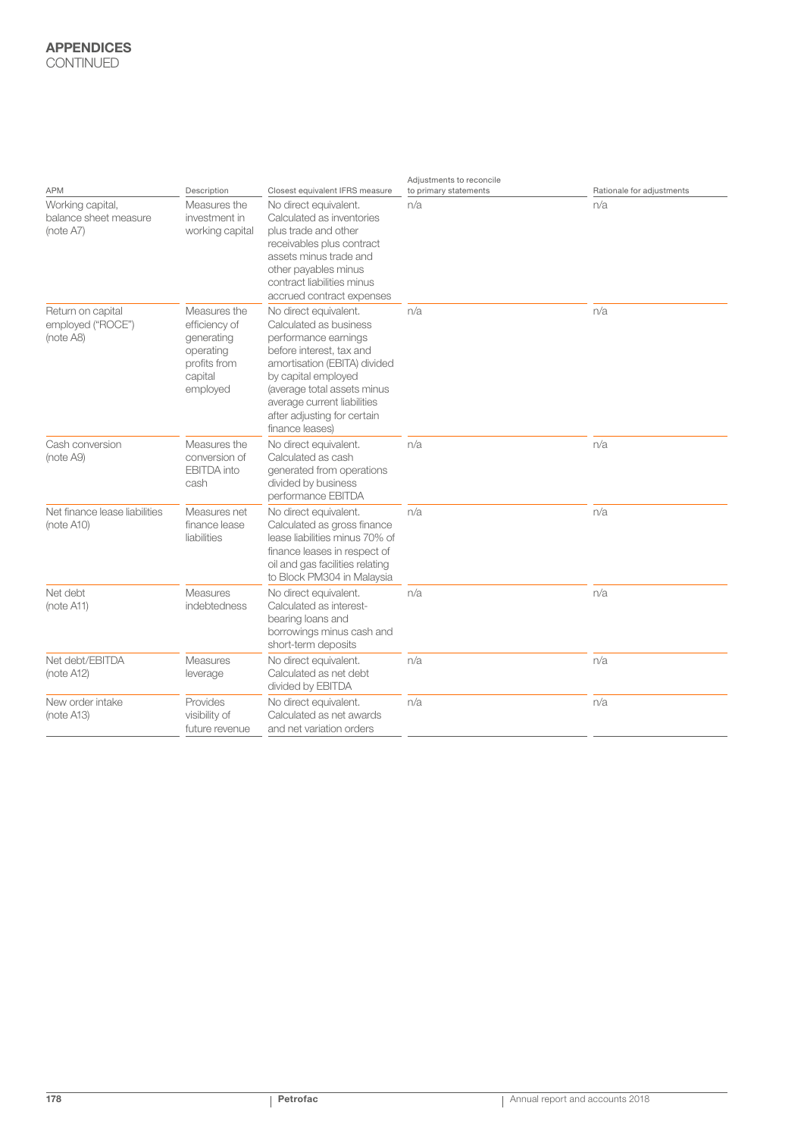## APPENDICES **CONTINUED**

|                                                        |                                                                                                 |                                                                                                                                                                                                                                                                            | Adjustments to reconcile |                           |
|--------------------------------------------------------|-------------------------------------------------------------------------------------------------|----------------------------------------------------------------------------------------------------------------------------------------------------------------------------------------------------------------------------------------------------------------------------|--------------------------|---------------------------|
| <b>APM</b>                                             | Description                                                                                     | Closest equivalent IFRS measure                                                                                                                                                                                                                                            | to primary statements    | Rationale for adjustments |
| Working capital,<br>balance sheet measure<br>(note A7) | Measures the<br>investment in<br>working capital                                                | No direct equivalent.<br>Calculated as inventories<br>plus trade and other<br>receivables plus contract<br>assets minus trade and<br>other payables minus<br>contract liabilities minus<br>accrued contract expenses                                                       | n/a                      | n/a                       |
| Return on capital<br>employed ("ROCE")<br>(note A8)    | Measures the<br>efficiency of<br>generating<br>operating<br>profits from<br>capital<br>employed | No direct equivalent.<br>Calculated as business<br>performance earnings<br>before interest, tax and<br>amortisation (EBITA) divided<br>by capital employed<br>(average total assets minus<br>average current liabilities<br>after adjusting for certain<br>finance leases) | n/a                      | n/a                       |
| Cash conversion<br>(note A9)                           | Measures the<br>conversion of<br><b>EBITDA</b> into<br>cash                                     | No direct equivalent.<br>Calculated as cash<br>generated from operations<br>divided by business<br>performance EBITDA                                                                                                                                                      | n/a                      | n/a                       |
| Net finance lease liabilities<br>(note A10)            | Measures net<br>finance lease<br>liabilities                                                    | No direct equivalent.<br>Calculated as gross finance<br>lease liabilities minus 70% of<br>finance leases in respect of<br>oil and gas facilities relating<br>to Block PM304 in Malaysia                                                                                    | n/a                      | n/a                       |
| Net debt<br>(note A11)                                 | Measures<br>indebtedness                                                                        | No direct equivalent.<br>Calculated as interest-<br>bearing loans and<br>borrowings minus cash and<br>short-term deposits                                                                                                                                                  | n/a                      | n/a                       |
| Net debt/EBITDA<br>(note A12)                          | Measures<br>leverage                                                                            | No direct equivalent.<br>Calculated as net debt<br>divided by EBITDA                                                                                                                                                                                                       | n/a                      | n/a                       |
| New order intake<br>(note A13)                         | Provides<br>visibility of<br>future revenue                                                     | No direct equivalent.<br>Calculated as net awards<br>and net variation orders                                                                                                                                                                                              | n/a                      | n/a                       |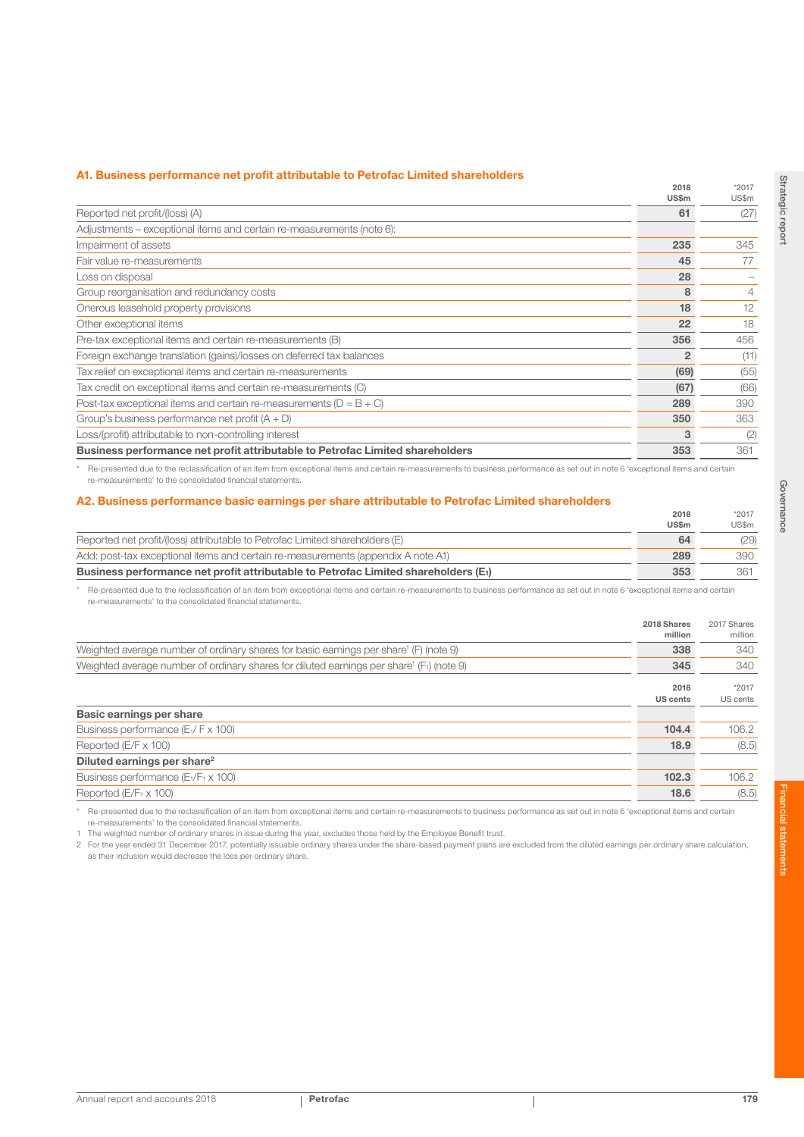#### A1. Business performance net profit attributable to Petrofac Limited shareholders

|                                                                                                                | 2018<br>US\$m  | $*2017$<br>US\$m |
|----------------------------------------------------------------------------------------------------------------|----------------|------------------|
| Reported net profit/(loss) (A)                                                                                 | 61             | (27)             |
| Adjustments – exceptional items and certain re-measurements (note 6):                                          |                |                  |
| Impairment of assets                                                                                           | 235            | 345              |
| Fair value re-measurements                                                                                     | 45             | 77               |
| Loss on disposal                                                                                               | 28             |                  |
| Group reorganisation and redundancy costs                                                                      | 8              | 4                |
| Onerous leasehold property provisions                                                                          | 18             | 12               |
| Other exceptional items                                                                                        | 22             | 18               |
| Pre-tax exceptional items and certain re-measurements (B)                                                      | 356            | 456              |
| Foreign exchange translation (gains)/losses on deferred tax balances                                           | $\overline{2}$ | (11)             |
| Tax relief on exceptional items and certain re-measurements                                                    | (69)           | (55)             |
| Tax credit on exceptional items and certain re-measurements (C)                                                | (67)           | (66)             |
| Post-tax exceptional items and certain re-measurements ( $D = B + C$ )                                         | 289            | 390              |
| Group's business performance net profit $(A + D)$                                                              | 350            | 363              |
| Loss/(profit) attributable to non-controlling interest                                                         | 3              | (2)              |
| Business performance net profit attributable to Petrofac Limited shareholders                                  | 353            | 361              |
| - 1990년 - 1991년 - 1991년 - 1991년 - 1991년 - 1991년 - 1991년 - 1991년 - 1991년 - 1991년 - 1991년 - 1991년 - 1991년 - 1991 |                |                  |

Re-presented due to the reclassification of an item from exceptional items and certain re-measurements to business performance as set out in note 6 'exceptional items and certain re-measurements' to the consolidated financial statements.

#### A2. Business performance basic earnings per share attributable to Petrofac Limited shareholders

|                                                                                                 | 2018<br><b>US\$m</b> | $*2017$<br>US\$m |
|-------------------------------------------------------------------------------------------------|----------------------|------------------|
| Reported net profit/(loss) attributable to Petrofac Limited shareholders (E)                    | 64                   | (29)             |
| Add: post-tax exceptional items and certain re-measurements (appendix A note A1)                | 289                  | 390              |
| Business performance net profit attributable to Petrofac Limited shareholders (E <sub>1</sub> ) | 353                  | 361              |

\* Re-presented due to the reclassification of an item from exceptional items and certain re-measurements to business performance as set out in note 6 'exceptional items and certain re-measurements' to the consolidated financial statements.

|                                                                                                      | 2018 Shares<br>million  | 2017 Shares<br>million |
|------------------------------------------------------------------------------------------------------|-------------------------|------------------------|
| Weighted average number of ordinary shares for basic earnings per share (F) (note 9)                 | 338                     | 340                    |
| Weighted average number of ordinary shares for diluted earnings per share (F <sub>1</sub> ) (note 9) | 345                     | 340                    |
|                                                                                                      | 2018<br><b>US cents</b> | *2017<br>US cents      |
| Basic earnings per share                                                                             |                         |                        |
| Business performance (E <sub>1</sub> / F x 100)                                                      | 104.4                   | 106.2                  |
| Reported (E/F x 100)                                                                                 | 18.9                    | (8.5)                  |
| Diluted earnings per share <sup>2</sup>                                                              |                         |                        |
| Business performance (E <sub>1</sub> /F <sub>1</sub> x 100)                                          | 102.3                   | 106.2                  |
| Reported $(E/F_1 \times 100)$                                                                        | 18.6                    | (8.5)                  |

\* Re-presented due to the reclassification of an item from exceptional items and certain re-measurements to business performance as set out in note 6 'exceptional items and certain re-measurements' to the consolidated financial statements.

1 The weighted number of ordinary shares in issue during the year, excludes those held by the Employee Benefit trust.

2 For the year ended 31 December 2017, potentially issuable ordinary shares under the share-based payment plans are excluded from the diluted earnings per ordinary share calculation, as their inclusion would decrease the loss per ordinary share.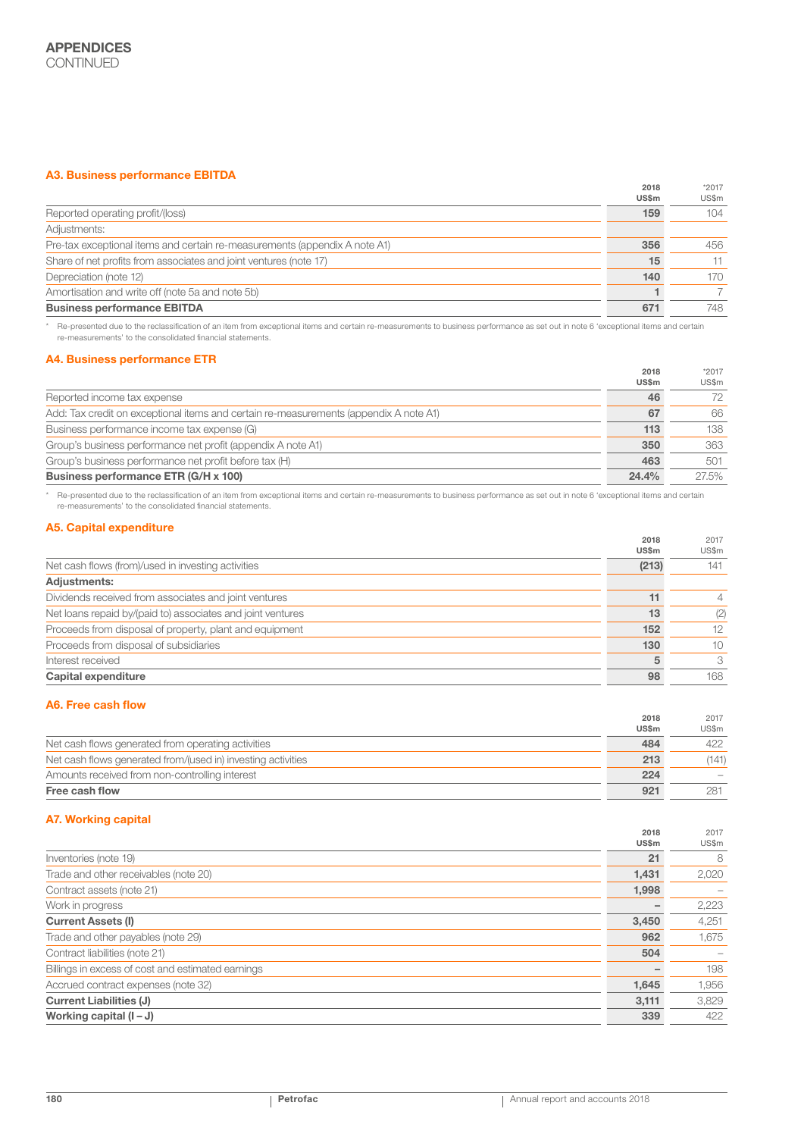## A3. Business performance EBITDA

|                                                                            | 2018  | $*2017$ |
|----------------------------------------------------------------------------|-------|---------|
|                                                                            | US\$m | US\$m   |
| Reported operating profit/(loss)                                           | 159   | 104     |
| Adjustments:                                                               |       |         |
| Pre-tax exceptional items and certain re-measurements (appendix A note A1) | 356   | 456     |
| Share of net profits from associates and joint ventures (note 17)          | 15    | 11      |
| Depreciation (note 12)                                                     | 140   | 170     |
| Amortisation and write off (note 5a and note 5b)                           |       |         |
| <b>Business performance EBITDA</b>                                         | 671   | 748     |

\* Re-presented due to the reclassification of an item from exceptional items and certain re-measurements to business performance as set out in note 6 'exceptional items and certain re-measurements' to the consolidated financial statements.

#### A4. Business performance ETR

|                                                                                       | 2018         | *2017 |
|---------------------------------------------------------------------------------------|--------------|-------|
|                                                                                       | <b>US\$m</b> | US\$m |
| Reported income tax expense                                                           | 46           | 72    |
| Add: Tax credit on exceptional items and certain re-measurements (appendix A note A1) | 67           | 66    |
| Business performance income tax expense (G)                                           | 113          | 138   |
| Group's business performance net profit (appendix A note A1)                          | 350          | 363   |
| Group's business performance net profit before tax (H)                                | 463          | 501   |
| Business performance ETR (G/H x 100)                                                  | 24.4%        | 27.5% |

\* Re-presented due to the reclassification of an item from exceptional items and certain re-measurements to business performance as set out in note 6 'exceptional items and certain re-measurements' to the consolidated financial statements.

## A5. Capital expenditure

| $1.1911$ . The same state of $1.1911$ and $1.1911$ and $1.1911$ and $1.1911$ and $1.1911$ and $1.1911$ and $1.1911$ and $1.1911$ and $1.1911$ and $1.1911$ and $1.1911$ and $1.1911$ and $1.1911$ and $1.1911$ and $1.1911$ a | 2018<br><b>US\$m</b> | 2017<br>US\$m  |
|-------------------------------------------------------------------------------------------------------------------------------------------------------------------------------------------------------------------------------|----------------------|----------------|
| Net cash flows (from)/used in investing activities                                                                                                                                                                            | (213)                | 141            |
| <b>Adjustments:</b>                                                                                                                                                                                                           |                      |                |
| Dividends received from associates and joint ventures                                                                                                                                                                         | 11                   | $\overline{4}$ |
| Net loans repaid by/(paid to) associates and joint ventures                                                                                                                                                                   | 13                   | (2)            |
| Proceeds from disposal of property, plant and equipment                                                                                                                                                                       | 152                  | 12             |
| Proceeds from disposal of subsidiaries                                                                                                                                                                                        | 130                  | 10             |
| Interest received                                                                                                                                                                                                             |                      | 3              |
| <b>Capital expenditure</b>                                                                                                                                                                                                    | 98                   | 168            |

### A6. Free cash flow

|                                                              | 2018  | 2017  |
|--------------------------------------------------------------|-------|-------|
|                                                              | US\$m | US\$m |
| Net cash flows generated from operating activities           | 484   | 422   |
| Net cash flows generated from/(used in) investing activities | 213   | (141) |
| Amounts received from non-controlling interest               | 224   |       |
| Free cash flow                                               | 921   | 281   |

## A7. Working capital

|                                                   | 2018  | 2017  |
|---------------------------------------------------|-------|-------|
|                                                   | US\$m | US\$m |
| Inventories (note 19)                             | 21    | 8     |
| Trade and other receivables (note 20)             | 1,431 | 2,020 |
| Contract assets (note 21)                         | 1,998 |       |
| Work in progress                                  |       | 2,223 |
| <b>Current Assets (I)</b>                         | 3,450 | 4,251 |
| Trade and other payables (note 29)                | 962   | 1,675 |
| Contract liabilities (note 21)                    | 504   |       |
| Billings in excess of cost and estimated earnings |       | 198   |
| Accrued contract expenses (note 32)               | 1,645 | 1,956 |
| <b>Current Liabilities (J)</b>                    | 3,111 | 3,829 |
| Working capital $(I - J)$                         | 339   | 422   |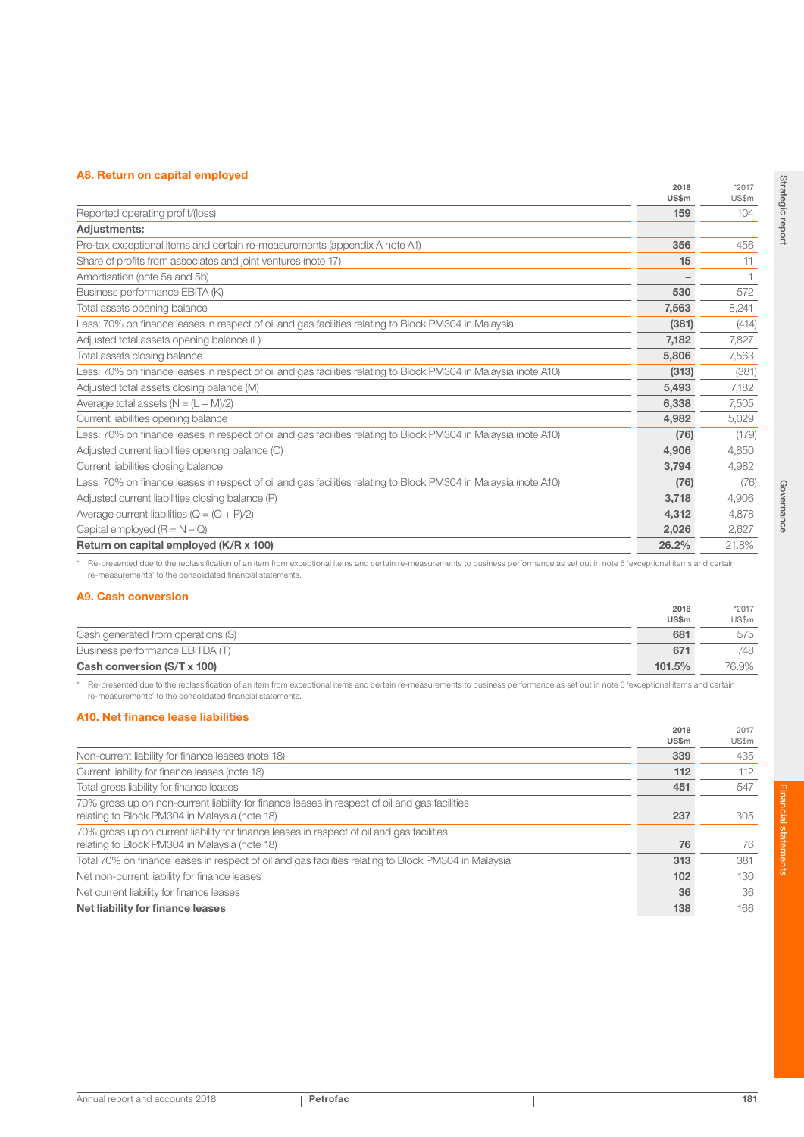## A8. Return on capital employed

| 1.91119101111911901011911910191900                                                                              | 2018<br>US\$m | $*2017$<br>US\$m |
|-----------------------------------------------------------------------------------------------------------------|---------------|------------------|
| Reported operating profit/(loss)                                                                                | 159           | 104              |
| <b>Adjustments:</b>                                                                                             |               |                  |
| Pre-tax exceptional items and certain re-measurements (appendix A note A1)                                      | 356           | 456              |
| Share of profits from associates and joint ventures (note 17)                                                   | 15            | 11               |
| Amortisation (note 5a and 5b)                                                                                   |               |                  |
| Business performance EBITA (K)                                                                                  | 530           | 572              |
| Total assets opening balance                                                                                    | 7,563         | 8,241            |
| Less: 70% on finance leases in respect of oil and gas facilities relating to Block PM304 in Malaysia            | (381)         | (414)            |
| Adjusted total assets opening balance (L)                                                                       | 7,182         | 7,827            |
| Total assets closing balance                                                                                    | 5,806         | 7,563            |
| Less: 70% on finance leases in respect of oil and gas facilities relating to Block PM304 in Malaysia (note A10) | (313)         | (381)            |
| Adjusted total assets closing balance (M)                                                                       | 5.493         | 7,182            |
| Average total assets $(N = (L + M)/2)$                                                                          | 6,338         | 7,505            |
| Current liabilities opening balance                                                                             | 4,982         | 5,029            |
| Less: 70% on finance leases in respect of oil and gas facilities relating to Block PM304 in Malaysia (note A10) | (76)          | (179)            |
| Adjusted current liabilities opening balance (O)                                                                | 4,906         | 4,850            |
| Current liabilities closing balance                                                                             | 3,794         | 4,982            |
| Less: 70% on finance leases in respect of oil and gas facilities relating to Block PM304 in Malaysia (note A10) | (76)          | (76)             |
| Adjusted current liabilities closing balance (P)                                                                | 3,718         | 4,906            |
| Average current liabilities ( $Q = (O + P)/2$ )                                                                 | 4,312         | 4,878            |
| Capital employed $(R = N - Q)$                                                                                  | 2,026         | 2,627            |
| Return on capital employed (K/R x 100)                                                                          | 26.2%         | 21.8%            |

\* Re-presented due to the reclassification of an item from exceptional items and certain re-measurements to business performance as set out in note 6 'exceptional items and certain re-measurements' to the consolidated financial statements.

## A9. Cash conversion

|                                    | US\$m  | US\$m |
|------------------------------------|--------|-------|
| Cash generated from operations (S) | 681    | 575   |
| Business performance EBITDA (T)    | 671    | 748   |
| Cash conversion (S/T x 100)        | 101.5% | 76.9% |

\* Re-presented due to the reclassification of an item from exceptional items and certain re-measurements to business performance as set out in note 6 'exceptional items and certain re-measurements' to the consolidated financial statements.

## A10. Net finance lease liabilities

|                                                                                                                                                | 2018<br>US\$m | 2017<br>US\$m |
|------------------------------------------------------------------------------------------------------------------------------------------------|---------------|---------------|
| Non-current liability for finance leases (note 18)                                                                                             | 339           | 435           |
| Current liability for finance leases (note 18)                                                                                                 | 112           | 112           |
| Total gross liability for finance leases                                                                                                       | 451           | 547           |
| 70% gross up on non-current liability for finance leases in respect of oil and gas facilities<br>relating to Block PM304 in Malaysia (note 18) | 237           | 305           |
| 70% gross up on current liability for finance leases in respect of oil and gas facilities<br>relating to Block PM304 in Malaysia (note 18)     | 76            | 76            |
| Total 70% on finance leases in respect of oil and gas facilities relating to Block PM304 in Malaysia                                           | 313           | 381           |
| Net non-current liability for finance leases                                                                                                   | 102           | 130           |
| Net current liability for finance leases                                                                                                       | 36            | 36            |
| Net liability for finance leases                                                                                                               | 138           | 166           |

Strategic report